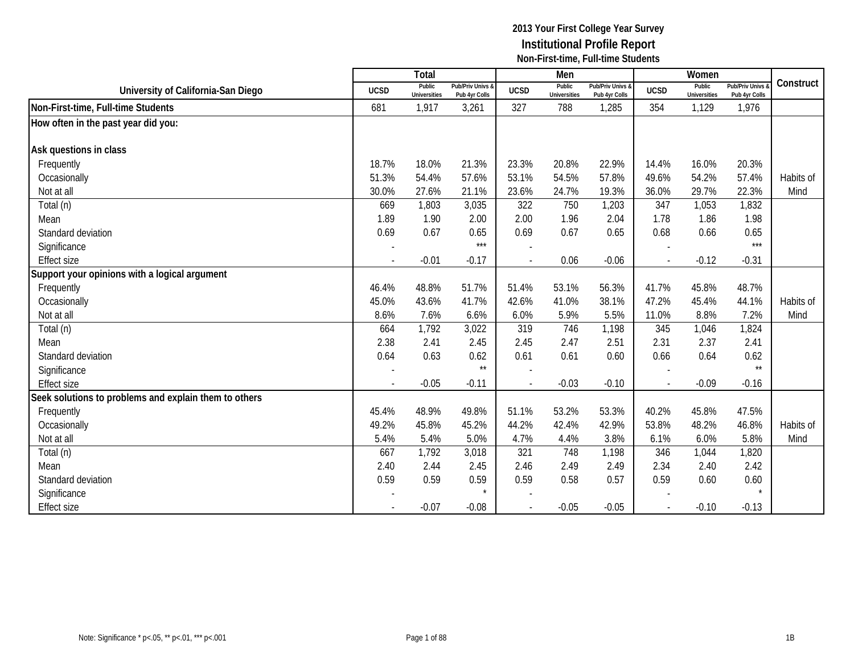|                                                       |                          | Total                         |                                   |                          | Men                           |                                   |                | Women                         |                                        |           |
|-------------------------------------------------------|--------------------------|-------------------------------|-----------------------------------|--------------------------|-------------------------------|-----------------------------------|----------------|-------------------------------|----------------------------------------|-----------|
| University of California-San Diego                    | <b>UCSD</b>              | Public<br><b>Universities</b> | Pub/Priv Univs &<br>Pub 4yr Colls | <b>UCSD</b>              | Public<br><b>Universities</b> | Pub/Priv Univs &<br>Pub 4yr Colls | <b>UCSD</b>    | Public<br><b>Universities</b> | <b>Pub/Priv Univs</b><br>Pub 4yr Colls | Construct |
| Non-First-time, Full-time Students                    | 681                      | 1,917                         | 3,261                             | 327                      | 788                           | 1,285                             | 354            | 1,129                         | 1,976                                  |           |
| How often in the past year did you:                   |                          |                               |                                   |                          |                               |                                   |                |                               |                                        |           |
|                                                       |                          |                               |                                   |                          |                               |                                   |                |                               |                                        |           |
| Ask questions in class                                |                          |                               |                                   |                          |                               |                                   |                |                               |                                        |           |
| Frequently                                            | 18.7%                    | 18.0%                         | 21.3%                             | 23.3%                    | 20.8%                         | 22.9%                             | 14.4%          | 16.0%                         | 20.3%                                  |           |
| Occasionally                                          | 51.3%                    | 54.4%                         | 57.6%                             | 53.1%                    | 54.5%                         | 57.8%                             | 49.6%          | 54.2%                         | 57.4%                                  | Habits of |
| Not at all                                            | 30.0%                    | 27.6%                         | 21.1%                             | 23.6%                    | 24.7%                         | 19.3%                             | 36.0%          | 29.7%                         | 22.3%                                  | Mind      |
| Total (n)                                             | 669                      | 1,803                         | 3,035                             | 322                      | 750                           | 1,203                             | 347            | 1,053                         | 1,832                                  |           |
| Mean                                                  | 1.89                     | 1.90                          | 2.00                              | 2.00                     | 1.96                          | 2.04                              | 1.78           | 1.86                          | 1.98                                   |           |
| Standard deviation                                    | 0.69                     | 0.67                          | 0.65                              | 0.69                     | 0.67                          | 0.65                              | 0.68           | 0.66                          | 0.65                                   |           |
| Significance                                          |                          |                               | $***$                             |                          |                               |                                   |                |                               | $***$                                  |           |
| <b>Effect size</b>                                    | $\overline{\phantom{a}}$ | $-0.01$                       | $-0.17$                           | $\overline{\phantom{a}}$ | 0.06                          | $-0.06$                           | $\blacksquare$ | $-0.12$                       | $-0.31$                                |           |
| Support your opinions with a logical argument         |                          |                               |                                   |                          |                               |                                   |                |                               |                                        |           |
| Frequently                                            | 46.4%                    | 48.8%                         | 51.7%                             | 51.4%                    | 53.1%                         | 56.3%                             | 41.7%          | 45.8%                         | 48.7%                                  |           |
| Occasionally                                          | 45.0%                    | 43.6%                         | 41.7%                             | 42.6%                    | 41.0%                         | 38.1%                             | 47.2%          | 45.4%                         | 44.1%                                  | Habits of |
| Not at all                                            | 8.6%                     | 7.6%                          | 6.6%                              | 6.0%                     | 5.9%                          | 5.5%                              | 11.0%          | 8.8%                          | 7.2%                                   | Mind      |
| Total (n)                                             | 664                      | 1,792                         | 3,022                             | 319                      | 746                           | 1,198                             | 345            | 1,046                         | 1,824                                  |           |
| Mean                                                  | 2.38                     | 2.41                          | 2.45                              | 2.45                     | 2.47                          | 2.51                              | 2.31           | 2.37                          | 2.41                                   |           |
| Standard deviation                                    | 0.64                     | 0.63                          | 0.62                              | 0.61                     | 0.61                          | 0.60                              | 0.66           | 0.64                          | 0.62                                   |           |
| Significance                                          |                          |                               | $\star\star$                      |                          |                               |                                   |                |                               | $\star\star$                           |           |
| <b>Effect size</b>                                    |                          | $-0.05$                       | $-0.11$                           | $\overline{\phantom{a}}$ | $-0.03$                       | $-0.10$                           |                | $-0.09$                       | $-0.16$                                |           |
| Seek solutions to problems and explain them to others |                          |                               |                                   |                          |                               |                                   |                |                               |                                        |           |
| Frequently                                            | 45.4%                    | 48.9%                         | 49.8%                             | 51.1%                    | 53.2%                         | 53.3%                             | 40.2%          | 45.8%                         | 47.5%                                  |           |
| Occasionally                                          | 49.2%                    | 45.8%                         | 45.2%                             | 44.2%                    | 42.4%                         | 42.9%                             | 53.8%          | 48.2%                         | 46.8%                                  | Habits of |
| Not at all                                            | 5.4%                     | 5.4%                          | 5.0%                              | 4.7%                     | 4.4%                          | 3.8%                              | 6.1%           | 6.0%                          | 5.8%                                   | Mind      |
| Total (n)                                             | 667                      | 1,792                         | 3,018                             | 321                      | 748                           | 1,198                             | 346            | 1,044                         | 1,820                                  |           |
| Mean                                                  | 2.40                     | 2.44                          | 2.45                              | 2.46                     | 2.49                          | 2.49                              | 2.34           | 2.40                          | 2.42                                   |           |
| Standard deviation                                    | 0.59                     | 0.59                          | 0.59                              | 0.59                     | 0.58                          | 0.57                              | 0.59           | 0.60                          | 0.60                                   |           |
| Significance                                          |                          |                               | $\star$                           |                          |                               |                                   |                |                               |                                        |           |
| <b>Effect size</b>                                    |                          | $-0.07$                       | $-0.08$                           |                          | $-0.05$                       | $-0.05$                           |                | $-0.10$                       | $-0.13$                                |           |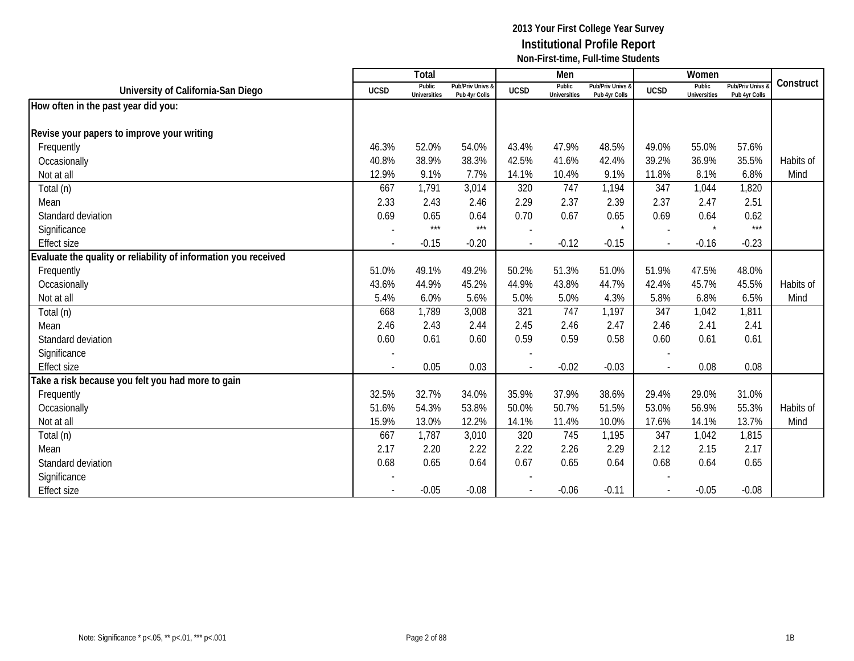|                                                                 |                          | Total                         |                                   |                | Men                           |                                   |             | Women                         |                                        |           |
|-----------------------------------------------------------------|--------------------------|-------------------------------|-----------------------------------|----------------|-------------------------------|-----------------------------------|-------------|-------------------------------|----------------------------------------|-----------|
| University of California-San Diego                              | <b>UCSD</b>              | Public<br><b>Universities</b> | Pub/Priv Univs &<br>Pub 4yr Colls | <b>UCSD</b>    | Public<br><b>Universities</b> | Pub/Priv Univs &<br>Pub 4yr Colls | <b>UCSD</b> | Public<br><b>Universities</b> | <b>Pub/Priv Univs</b><br>Pub 4yr Colls | Construct |
| How often in the past year did you:                             |                          |                               |                                   |                |                               |                                   |             |                               |                                        |           |
|                                                                 |                          |                               |                                   |                |                               |                                   |             |                               |                                        |           |
| Revise your papers to improve your writing                      |                          |                               |                                   |                |                               |                                   |             |                               |                                        |           |
| Frequently                                                      | 46.3%                    | 52.0%                         | 54.0%                             | 43.4%          | 47.9%                         | 48.5%                             | 49.0%       | 55.0%                         | 57.6%                                  |           |
| Occasionally                                                    | 40.8%                    | 38.9%                         | 38.3%                             | 42.5%          | 41.6%                         | 42.4%                             | 39.2%       | 36.9%                         | 35.5%                                  | Habits of |
| Not at all                                                      | 12.9%                    | 9.1%                          | 7.7%                              | 14.1%          | 10.4%                         | 9.1%                              | 11.8%       | 8.1%                          | 6.8%                                   | Mind      |
| Total (n)                                                       | 667                      | 1,791                         | 3,014                             | 320            | 747                           | 1,194                             | 347         | 1,044                         | 1,820                                  |           |
| Mean                                                            | 2.33                     | 2.43                          | 2.46                              | 2.29           | 2.37                          | 2.39                              | 2.37        | 2.47                          | 2.51                                   |           |
| Standard deviation                                              | 0.69                     | 0.65                          | 0.64                              | 0.70           | 0.67                          | 0.65                              | 0.69        | 0.64                          | 0.62                                   |           |
| Significance                                                    |                          | $***$                         | $***$                             |                |                               |                                   |             | $\star$                       | $***$                                  |           |
| <b>Effect size</b>                                              | $\overline{\phantom{a}}$ | $-0.15$                       | $-0.20$                           | $\sim$         | $-0.12$                       | $-0.15$                           | $\sim$      | $-0.16$                       | $-0.23$                                |           |
| Evaluate the quality or reliability of information you received |                          |                               |                                   |                |                               |                                   |             |                               |                                        |           |
| Frequently                                                      | 51.0%                    | 49.1%                         | 49.2%                             | 50.2%          | 51.3%                         | 51.0%                             | 51.9%       | 47.5%                         | 48.0%                                  |           |
| Occasionally                                                    | 43.6%                    | 44.9%                         | 45.2%                             | 44.9%          | 43.8%                         | 44.7%                             | 42.4%       | 45.7%                         | 45.5%                                  | Habits of |
| Not at all                                                      | 5.4%                     | 6.0%                          | 5.6%                              | 5.0%           | 5.0%                          | 4.3%                              | 5.8%        | 6.8%                          | 6.5%                                   | Mind      |
| Total (n)                                                       | 668                      | 1,789                         | 3,008                             | 321            | 747                           | 1,197                             | 347         | 1,042                         | 1,811                                  |           |
| Mean                                                            | 2.46                     | 2.43                          | 2.44                              | 2.45           | 2.46                          | 2.47                              | 2.46        | 2.41                          | 2.41                                   |           |
| Standard deviation                                              | 0.60                     | 0.61                          | 0.60                              | 0.59           | 0.59                          | 0.58                              | 0.60        | 0.61                          | 0.61                                   |           |
| Significance                                                    |                          |                               |                                   |                |                               |                                   |             |                               |                                        |           |
| <b>Effect size</b>                                              | $\overline{\phantom{a}}$ | 0.05                          | 0.03                              | $\blacksquare$ | $-0.02$                       | $-0.03$                           | $\sim$      | 0.08                          | 0.08                                   |           |
| Take a risk because you felt you had more to gain               |                          |                               |                                   |                |                               |                                   |             |                               |                                        |           |
| Frequently                                                      | 32.5%                    | 32.7%                         | 34.0%                             | 35.9%          | 37.9%                         | 38.6%                             | 29.4%       | 29.0%                         | 31.0%                                  |           |
| Occasionally                                                    | 51.6%                    | 54.3%                         | 53.8%                             | 50.0%          | 50.7%                         | 51.5%                             | 53.0%       | 56.9%                         | 55.3%                                  | Habits of |
| Not at all                                                      | 15.9%                    | 13.0%                         | 12.2%                             | 14.1%          | 11.4%                         | 10.0%                             | 17.6%       | 14.1%                         | 13.7%                                  | Mind      |
| Total (n)                                                       | 667                      | 1,787                         | 3,010                             | 320            | 745                           | 1,195                             | 347         | 1,042                         | 1,815                                  |           |
| Mean                                                            | 2.17                     | 2.20                          | 2.22                              | 2.22           | 2.26                          | 2.29                              | 2.12        | 2.15                          | 2.17                                   |           |
| Standard deviation                                              | 0.68                     | 0.65                          | 0.64                              | 0.67           | 0.65                          | 0.64                              | 0.68        | 0.64                          | 0.65                                   |           |
| Significance                                                    |                          |                               |                                   |                |                               |                                   |             |                               |                                        |           |
| <b>Effect size</b>                                              |                          | $-0.05$                       | $-0.08$                           |                | $-0.06$                       | $-0.11$                           |             | $-0.05$                       | $-0.08$                                |           |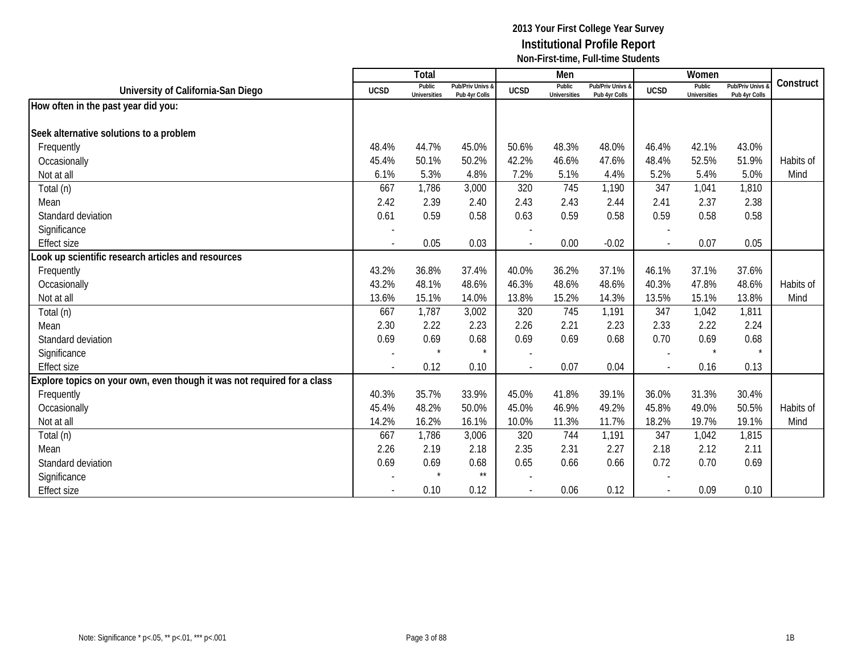|                                                                         |                          | Total                         |                                   |                          | Men                           |                                   |              | Women                         |                                        |           |
|-------------------------------------------------------------------------|--------------------------|-------------------------------|-----------------------------------|--------------------------|-------------------------------|-----------------------------------|--------------|-------------------------------|----------------------------------------|-----------|
| University of California-San Diego                                      | <b>UCSD</b>              | Public<br><b>Universities</b> | Pub/Priv Univs &<br>Pub 4yr Colls | <b>UCSD</b>              | Public<br><b>Universities</b> | Pub/Priv Univs &<br>Pub 4yr Colls | <b>UCSD</b>  | Public<br><b>Universities</b> | <b>Pub/Priv Univs</b><br>Pub 4yr Colls | Construct |
| How often in the past year did you:                                     |                          |                               |                                   |                          |                               |                                   |              |                               |                                        |           |
|                                                                         |                          |                               |                                   |                          |                               |                                   |              |                               |                                        |           |
| Seek alternative solutions to a problem                                 |                          |                               |                                   |                          |                               |                                   |              |                               |                                        |           |
| Frequently                                                              | 48.4%                    | 44.7%                         | 45.0%                             | 50.6%                    | 48.3%                         | 48.0%                             | 46.4%        | 42.1%                         | 43.0%                                  |           |
| Occasionally                                                            | 45.4%                    | 50.1%                         | 50.2%                             | 42.2%                    | 46.6%                         | 47.6%                             | 48.4%        | 52.5%                         | 51.9%                                  | Habits of |
| Not at all                                                              | 6.1%                     | 5.3%                          | 4.8%                              | 7.2%                     | 5.1%                          | 4.4%                              | 5.2%         | 5.4%                          | 5.0%                                   | Mind      |
| Total (n)                                                               | 667                      | 1,786                         | 3,000                             | 320                      | 745                           | 1,190                             | 347          | 1,041                         | 1,810                                  |           |
| Mean                                                                    | 2.42                     | 2.39                          | 2.40                              | 2.43                     | 2.43                          | 2.44                              | 2.41         | 2.37                          | 2.38                                   |           |
| Standard deviation                                                      | 0.61                     | 0.59                          | 0.58                              | 0.63                     | 0.59                          | 0.58                              | 0.59         | 0.58                          | 0.58                                   |           |
| Significance                                                            |                          |                               |                                   |                          |                               |                                   |              |                               |                                        |           |
| <b>Effect size</b>                                                      | $\overline{a}$           | 0.05                          | 0.03                              | $\overline{\phantom{a}}$ | 0.00                          | $-0.02$                           | $\mathbf{r}$ | 0.07                          | 0.05                                   |           |
| ook up scientific research articles and resources                       |                          |                               |                                   |                          |                               |                                   |              |                               |                                        |           |
| Frequently                                                              | 43.2%                    | 36.8%                         | 37.4%                             | 40.0%                    | 36.2%                         | 37.1%                             | 46.1%        | 37.1%                         | 37.6%                                  |           |
| Occasionally                                                            | 43.2%                    | 48.1%                         | 48.6%                             | 46.3%                    | 48.6%                         | 48.6%                             | 40.3%        | 47.8%                         | 48.6%                                  | Habits of |
| Not at all                                                              | 13.6%                    | 15.1%                         | 14.0%                             | 13.8%                    | 15.2%                         | 14.3%                             | 13.5%        | 15.1%                         | 13.8%                                  | Mind      |
| Total (n)                                                               | 667                      | 1,787                         | 3,002                             | 320                      | 745                           | 1,191                             | 347          | 1,042                         | 1,811                                  |           |
| Mean                                                                    | 2.30                     | 2.22                          | 2.23                              | 2.26                     | 2.21                          | 2.23                              | 2.33         | 2.22                          | 2.24                                   |           |
| Standard deviation                                                      | 0.69                     | 0.69                          | 0.68                              | 0.69                     | 0.69                          | 0.68                              | 0.70         | 0.69                          | 0.68                                   |           |
| Significance                                                            |                          | $\star$                       | $\star$                           |                          |                               |                                   |              | $\star$                       |                                        |           |
| <b>Effect size</b>                                                      | $\overline{\phantom{a}}$ | 0.12                          | 0.10                              | $\overline{a}$           | 0.07                          | 0.04                              | $\sim$       | 0.16                          | 0.13                                   |           |
| Explore topics on your own, even though it was not required for a class |                          |                               |                                   |                          |                               |                                   |              |                               |                                        |           |
| Frequently                                                              | 40.3%                    | 35.7%                         | 33.9%                             | 45.0%                    | 41.8%                         | 39.1%                             | 36.0%        | 31.3%                         | 30.4%                                  |           |
| Occasionally                                                            | 45.4%                    | 48.2%                         | 50.0%                             | 45.0%                    | 46.9%                         | 49.2%                             | 45.8%        | 49.0%                         | 50.5%                                  | Habits of |
| Not at all                                                              | 14.2%                    | 16.2%                         | 16.1%                             | 10.0%                    | 11.3%                         | 11.7%                             | 18.2%        | 19.7%                         | 19.1%                                  | Mind      |
| Total (n)                                                               | 667                      | 1,786                         | 3,006                             | 320                      | 744                           | 1,191                             | 347          | 1,042                         | 1,815                                  |           |
| Mean                                                                    | 2.26                     | 2.19                          | 2.18                              | 2.35                     | 2.31                          | 2.27                              | 2.18         | 2.12                          | 2.11                                   |           |
| Standard deviation                                                      | 0.69                     | 0.69                          | 0.68                              | 0.65                     | 0.66                          | 0.66                              | 0.72         | 0.70                          | 0.69                                   |           |
| Significance                                                            |                          | $\star$                       | $\star\star$                      |                          |                               |                                   |              |                               |                                        |           |
| <b>Effect size</b>                                                      |                          | 0.10                          | 0.12                              | $\blacksquare$           | 0.06                          | 0.12                              |              | 0.09                          | 0.10                                   |           |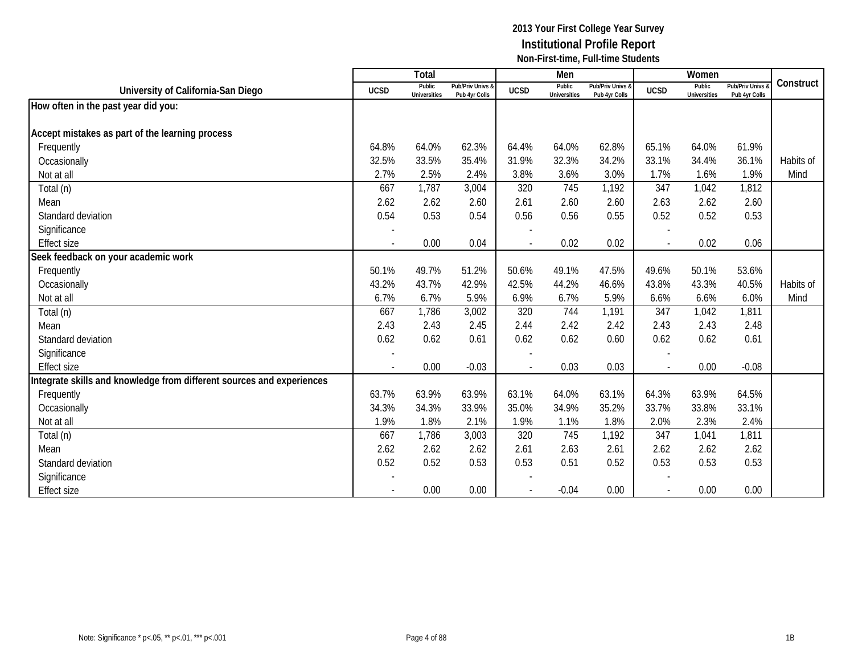|                                                                       |                          | <b>Total</b>                  |                                   |                          | Men                           |                                   |             | Women                         |                                        |           |
|-----------------------------------------------------------------------|--------------------------|-------------------------------|-----------------------------------|--------------------------|-------------------------------|-----------------------------------|-------------|-------------------------------|----------------------------------------|-----------|
| University of California-San Diego                                    | <b>UCSD</b>              | Public<br><b>Universities</b> | Pub/Priv Univs &<br>Pub 4yr Colls | <b>UCSD</b>              | Public<br><b>Universities</b> | Pub/Priv Univs &<br>Pub 4yr Colls | <b>UCSD</b> | Public<br><b>Universities</b> | <b>Pub/Priv Univs</b><br>Pub 4yr Colls | Construct |
| How often in the past year did you:                                   |                          |                               |                                   |                          |                               |                                   |             |                               |                                        |           |
|                                                                       |                          |                               |                                   |                          |                               |                                   |             |                               |                                        |           |
| Accept mistakes as part of the learning process                       |                          |                               |                                   |                          |                               |                                   |             |                               |                                        |           |
| Frequently                                                            | 64.8%                    | 64.0%                         | 62.3%                             | 64.4%                    | 64.0%                         | 62.8%                             | 65.1%       | 64.0%                         | 61.9%                                  |           |
| Occasionally                                                          | 32.5%                    | 33.5%                         | 35.4%                             | 31.9%                    | 32.3%                         | 34.2%                             | 33.1%       | 34.4%                         | 36.1%                                  | Habits of |
| Not at all                                                            | 2.7%                     | 2.5%                          | 2.4%                              | 3.8%                     | 3.6%                          | 3.0%                              | 1.7%        | 1.6%                          | 1.9%                                   | Mind      |
| Total (n)                                                             | 667                      | 1,787                         | 3,004                             | 320                      | 745                           | 1,192                             | 347         | 1,042                         | 1,812                                  |           |
| Mean                                                                  | 2.62                     | 2.62                          | 2.60                              | 2.61                     | 2.60                          | 2.60                              | 2.63        | 2.62                          | 2.60                                   |           |
| Standard deviation                                                    | 0.54                     | 0.53                          | 0.54                              | 0.56                     | 0.56                          | 0.55                              | 0.52        | 0.52                          | 0.53                                   |           |
| Significance                                                          |                          |                               |                                   |                          |                               |                                   |             |                               |                                        |           |
| <b>Effect size</b>                                                    | $\overline{\phantom{a}}$ | 0.00                          | 0.04                              | $\overline{\phantom{a}}$ | 0.02                          | 0.02                              | $\sim$      | 0.02                          | 0.06                                   |           |
| Seek feedback on your academic work                                   |                          |                               |                                   |                          |                               |                                   |             |                               |                                        |           |
| Frequently                                                            | 50.1%                    | 49.7%                         | 51.2%                             | 50.6%                    | 49.1%                         | 47.5%                             | 49.6%       | 50.1%                         | 53.6%                                  |           |
| Occasionally                                                          | 43.2%                    | 43.7%                         | 42.9%                             | 42.5%                    | 44.2%                         | 46.6%                             | 43.8%       | 43.3%                         | 40.5%                                  | Habits of |
| Not at all                                                            | 6.7%                     | 6.7%                          | 5.9%                              | 6.9%                     | 6.7%                          | 5.9%                              | 6.6%        | 6.6%                          | 6.0%                                   | Mind      |
| Total (n)                                                             | 667                      | 1,786                         | 3,002                             | 320                      | 744                           | 1,191                             | 347         | 1,042                         | 1,811                                  |           |
| Mean                                                                  | 2.43                     | 2.43                          | 2.45                              | 2.44                     | 2.42                          | 2.42                              | 2.43        | 2.43                          | 2.48                                   |           |
| Standard deviation                                                    | 0.62                     | 0.62                          | 0.61                              | 0.62                     | 0.62                          | 0.60                              | 0.62        | 0.62                          | 0.61                                   |           |
| Significance                                                          |                          |                               |                                   |                          |                               |                                   |             |                               |                                        |           |
| <b>Effect size</b>                                                    | $\overline{\phantom{a}}$ | 0.00                          | $-0.03$                           | $\sim$                   | 0.03                          | 0.03                              | $\sim$      | 0.00                          | $-0.08$                                |           |
| Integrate skills and knowledge from different sources and experiences |                          |                               |                                   |                          |                               |                                   |             |                               |                                        |           |
| Frequently                                                            | 63.7%                    | 63.9%                         | 63.9%                             | 63.1%                    | 64.0%                         | 63.1%                             | 64.3%       | 63.9%                         | 64.5%                                  |           |
| Occasionally                                                          | 34.3%                    | 34.3%                         | 33.9%                             | 35.0%                    | 34.9%                         | 35.2%                             | 33.7%       | 33.8%                         | 33.1%                                  |           |
| Not at all                                                            | 1.9%                     | 1.8%                          | 2.1%                              | 1.9%                     | 1.1%                          | 1.8%                              | 2.0%        | 2.3%                          | 2.4%                                   |           |
| Total (n)                                                             | 667                      | 1,786                         | 3,003                             | 320                      | 745                           | 1,192                             | 347         | 1,041                         | 1,811                                  |           |
| Mean                                                                  | 2.62                     | 2.62                          | 2.62                              | 2.61                     | 2.63                          | 2.61                              | 2.62        | 2.62                          | 2.62                                   |           |
| Standard deviation                                                    | 0.52                     | 0.52                          | 0.53                              | 0.53                     | 0.51                          | 0.52                              | 0.53        | 0.53                          | 0.53                                   |           |
| Significance                                                          |                          |                               |                                   |                          |                               |                                   |             |                               |                                        |           |
| <b>Effect size</b>                                                    |                          | 0.00                          | 0.00                              |                          | $-0.04$                       | 0.00                              |             | 0.00                          | 0.00                                   |           |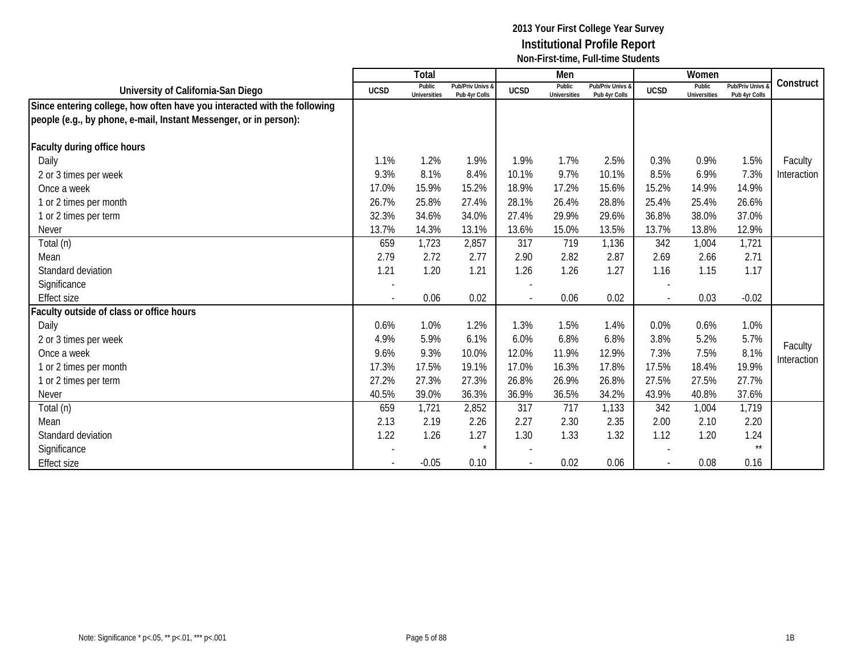|                                                                          |                          | Total                         |                                   |                | Men                           |                                   |              | Women                         |                                 |             |
|--------------------------------------------------------------------------|--------------------------|-------------------------------|-----------------------------------|----------------|-------------------------------|-----------------------------------|--------------|-------------------------------|---------------------------------|-------------|
| University of California-San Diego                                       | <b>UCSD</b>              | Public<br><b>Universities</b> | Pub/Priv Univs &<br>Pub 4yr Colls | <b>UCSD</b>    | Public<br><b>Universities</b> | Pub/Priv Univs &<br>Pub 4yr Colls | <b>UCSD</b>  | Public<br><b>Universities</b> | Pub/Priv Univs<br>Pub 4yr Colls | Construct   |
| Since entering college, how often have you interacted with the following |                          |                               |                                   |                |                               |                                   |              |                               |                                 |             |
| people (e.g., by phone, e-mail, Instant Messenger, or in person):        |                          |                               |                                   |                |                               |                                   |              |                               |                                 |             |
| Faculty during office hours                                              |                          |                               |                                   |                |                               |                                   |              |                               |                                 |             |
| Daily                                                                    | 1.1%                     | 1.2%                          | 1.9%                              | 1.9%           | 1.7%                          | 2.5%                              | 0.3%         | 0.9%                          | 1.5%                            | Faculty     |
|                                                                          | 9.3%                     | 8.1%                          | 8.4%                              | 10.1%          | 9.7%                          | 10.1%                             | 8.5%         | 6.9%                          | 7.3%                            |             |
| 2 or 3 times per week                                                    | 17.0%                    | 15.9%                         | 15.2%                             | 18.9%          |                               |                                   | 15.2%        | 14.9%                         | 14.9%                           | Interaction |
| Once a week                                                              |                          |                               |                                   |                | 17.2%                         | 15.6%                             |              |                               |                                 |             |
| 1 or 2 times per month                                                   | 26.7%                    | 25.8%                         | 27.4%                             | 28.1%          | 26.4%                         | 28.8%                             | 25.4%        | 25.4%                         | 26.6%                           |             |
| 1 or 2 times per term                                                    | 32.3%                    | 34.6%                         | 34.0%                             | 27.4%          | 29.9%                         | 29.6%                             | 36.8%        | 38.0%                         | 37.0%                           |             |
| <b>Never</b>                                                             | 13.7%                    | 14.3%                         | 13.1%                             | 13.6%          | 15.0%                         | 13.5%                             | 13.7%        | 13.8%                         | 12.9%                           |             |
| Total (n)                                                                | 659                      | 1,723                         | 2,857                             | 317            | 719                           | 1,136                             | 342          | 1,004                         | 1,721                           |             |
| Mean                                                                     | 2.79                     | 2.72                          | 2.77                              | 2.90           | 2.82                          | 2.87                              | 2.69         | 2.66                          | 2.71                            |             |
| Standard deviation                                                       | 1.21                     | 1.20                          | 1.21                              | 1.26           | 1.26                          | 1.27                              | 1.16         | 1.15                          | 1.17                            |             |
| Significance                                                             |                          |                               |                                   |                |                               |                                   |              |                               |                                 |             |
| <b>Effect size</b>                                                       | $\overline{\phantom{a}}$ | 0.06                          | 0.02                              | $\blacksquare$ | 0.06                          | 0.02                              | $\mathbf{r}$ | 0.03                          | $-0.02$                         |             |
| aculty outside of class or office hours                                  |                          |                               |                                   |                |                               |                                   |              |                               |                                 |             |
| Daily                                                                    | 0.6%                     | 1.0%                          | 1.2%                              | 1.3%           | 1.5%                          | 1.4%                              | 0.0%         | 0.6%                          | 1.0%                            |             |
| 2 or 3 times per week                                                    | 4.9%                     | 5.9%                          | 6.1%                              | 6.0%           | 6.8%                          | 6.8%                              | 3.8%         | 5.2%                          | 5.7%                            |             |
| Once a week                                                              | 9.6%                     | 9.3%                          | 10.0%                             | 12.0%          | 11.9%                         | 12.9%                             | 7.3%         | 7.5%                          | 8.1%                            | Faculty     |
| 1 or 2 times per month                                                   | 17.3%                    | 17.5%                         | 19.1%                             | 17.0%          | 16.3%                         | 17.8%                             | 17.5%        | 18.4%                         | 19.9%                           | Interaction |
| 1 or 2 times per term                                                    | 27.2%                    | 27.3%                         | 27.3%                             | 26.8%          | 26.9%                         | 26.8%                             | 27.5%        | 27.5%                         | 27.7%                           |             |
| <b>Never</b>                                                             | 40.5%                    | 39.0%                         | 36.3%                             | 36.9%          | 36.5%                         | 34.2%                             | 43.9%        | 40.8%                         | 37.6%                           |             |
| Total (n)                                                                | 659                      | 1,721                         | 2,852                             | 317            | 717                           | 1,133                             | 342          | 1,004                         | 1,719                           |             |
| Mean                                                                     | 2.13                     | 2.19                          | 2.26                              | 2.27           | 2.30                          | 2.35                              | 2.00         | 2.10                          | 2.20                            |             |
| Standard deviation                                                       | 1.22                     | 1.26                          | 1.27                              | 1.30           | 1.33                          | 1.32                              | 1.12         | 1.20                          | 1.24                            |             |
| Significance                                                             |                          |                               |                                   |                |                               |                                   |              |                               | $\star\star$                    |             |
| <b>Effect size</b>                                                       |                          | $-0.05$                       | 0.10                              |                | 0.02                          | 0.06                              |              | 0.08                          | 0.16                            |             |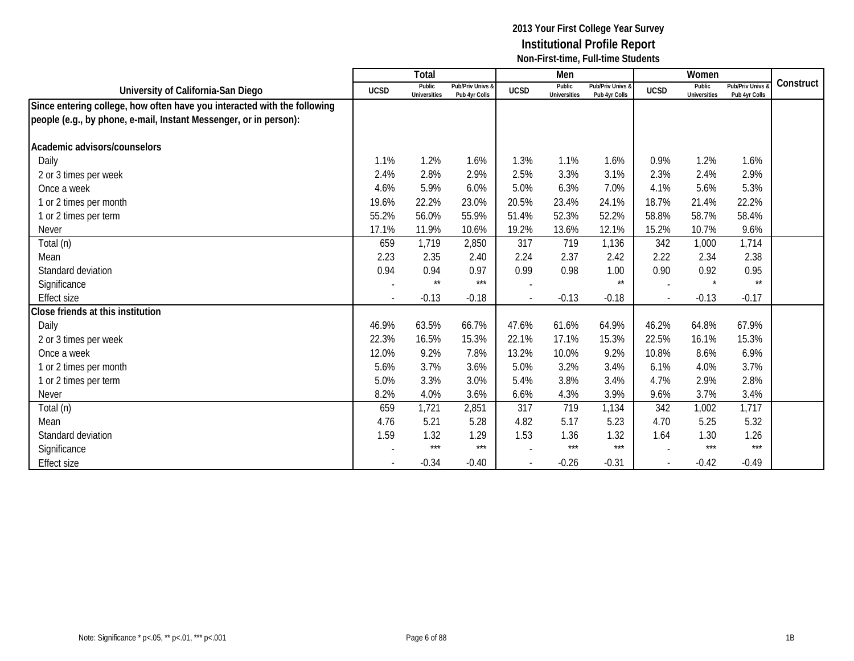|                                                                          |             | Total                         |                                   |                          | Men                           |                                   |                | Women                         |                                 |           |
|--------------------------------------------------------------------------|-------------|-------------------------------|-----------------------------------|--------------------------|-------------------------------|-----------------------------------|----------------|-------------------------------|---------------------------------|-----------|
| University of California-San Diego                                       | <b>UCSD</b> | Public<br><b>Universities</b> | Pub/Priv Univs &<br>Pub 4yr Colls | <b>UCSD</b>              | Public<br><b>Universities</b> | Pub/Priv Univs &<br>Pub 4yr Colls | <b>UCSD</b>    | Public<br><b>Universities</b> | Pub/Priv Univs<br>Pub 4yr Colls | Construct |
| Since entering college, how often have you interacted with the following |             |                               |                                   |                          |                               |                                   |                |                               |                                 |           |
| people (e.g., by phone, e-mail, Instant Messenger, or in person):        |             |                               |                                   |                          |                               |                                   |                |                               |                                 |           |
| Academic advisors/counselors                                             |             |                               |                                   |                          |                               |                                   |                |                               |                                 |           |
| Daily                                                                    | 1.1%        | 1.2%                          | 1.6%                              | 1.3%                     | 1.1%                          | 1.6%                              | 0.9%           | 1.2%                          | 1.6%                            |           |
|                                                                          | 2.4%        | 2.8%                          | 2.9%                              | 2.5%                     | 3.3%                          | 3.1%                              | 2.3%           | 2.4%                          | 2.9%                            |           |
| 2 or 3 times per week                                                    |             | 5.9%                          |                                   |                          |                               |                                   |                |                               |                                 |           |
| Once a week                                                              | 4.6%        |                               | 6.0%                              | 5.0%                     | 6.3%                          | 7.0%                              | 4.1%           | 5.6%                          | 5.3%                            |           |
| 1 or 2 times per month                                                   | 19.6%       | 22.2%                         | 23.0%                             | 20.5%                    | 23.4%                         | 24.1%                             | 18.7%          | 21.4%                         | 22.2%                           |           |
| 1 or 2 times per term                                                    | 55.2%       | 56.0%                         | 55.9%                             | 51.4%                    | 52.3%                         | 52.2%                             | 58.8%          | 58.7%                         | 58.4%                           |           |
| <b>Never</b>                                                             | 17.1%       | 11.9%                         | 10.6%                             | 19.2%                    | 13.6%                         | 12.1%                             | 15.2%          | 10.7%                         | 9.6%                            |           |
| Total (n)                                                                | 659         | 1,719                         | 2,850                             | 317                      | 719                           | 1,136                             | 342            | 1,000                         | 1,714                           |           |
| Mean                                                                     | 2.23        | 2.35                          | 2.40                              | 2.24                     | 2.37                          | 2.42                              | 2.22           | 2.34                          | 2.38                            |           |
| Standard deviation                                                       | 0.94        | 0.94                          | 0.97                              | 0.99                     | 0.98                          | 1.00                              | 0.90           | 0.92                          | 0.95                            |           |
| Significance                                                             |             | $\star\star$                  | $***$                             | $\overline{\phantom{a}}$ |                               | $\star\star$                      |                | $\star$                       | $\star\star$                    |           |
| <b>Effect size</b>                                                       |             | $-0.13$                       | $-0.18$                           | $\overline{\phantom{a}}$ | $-0.13$                       | $-0.18$                           | $\overline{a}$ | $-0.13$                       | $-0.17$                         |           |
| Close friends at this institution                                        |             |                               |                                   |                          |                               |                                   |                |                               |                                 |           |
| Daily                                                                    | 46.9%       | 63.5%                         | 66.7%                             | 47.6%                    | 61.6%                         | 64.9%                             | 46.2%          | 64.8%                         | 67.9%                           |           |
| 2 or 3 times per week                                                    | 22.3%       | 16.5%                         | 15.3%                             | 22.1%                    | 17.1%                         | 15.3%                             | 22.5%          | 16.1%                         | 15.3%                           |           |
| Once a week                                                              | 12.0%       | 9.2%                          | 7.8%                              | 13.2%                    | 10.0%                         | 9.2%                              | 10.8%          | 8.6%                          | 6.9%                            |           |
| 1 or 2 times per month                                                   | 5.6%        | 3.7%                          | 3.6%                              | 5.0%                     | 3.2%                          | 3.4%                              | 6.1%           | 4.0%                          | 3.7%                            |           |
| 1 or 2 times per term                                                    | 5.0%        | 3.3%                          | 3.0%                              | 5.4%                     | 3.8%                          | 3.4%                              | 4.7%           | 2.9%                          | 2.8%                            |           |
| <b>Never</b>                                                             | 8.2%        | 4.0%                          | 3.6%                              | 6.6%                     | 4.3%                          | 3.9%                              | 9.6%           | 3.7%                          | 3.4%                            |           |
| Total (n)                                                                | 659         | 1,721                         | 2,851                             | 317                      | 719                           | 1,134                             | 342            | 1,002                         | 1,717                           |           |
| Mean                                                                     | 4.76        | 5.21                          | 5.28                              | 4.82                     | 5.17                          | 5.23                              | 4.70           | 5.25                          | 5.32                            |           |
| Standard deviation                                                       | 1.59        | 1.32                          | 1.29                              | 1.53                     | 1.36                          | 1.32                              | 1.64           | 1.30                          | 1.26                            |           |
| Significance                                                             |             | $***$                         | $***$                             |                          | $***$                         | ***                               |                | $***$                         | $***$                           |           |
| <b>Effect size</b>                                                       |             | $-0.34$                       | $-0.40$                           | $\overline{\phantom{a}}$ | $-0.26$                       | $-0.31$                           |                | $-0.42$                       | $-0.49$                         |           |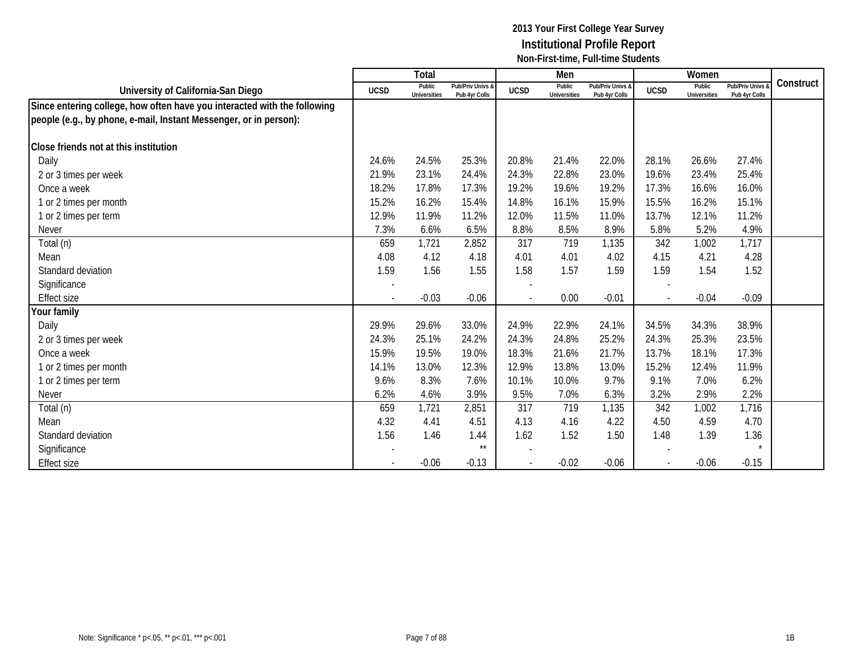|                                                                          |             | <b>Total</b>                  |                                   |             | Men                           |                                   |             | Women                         |                                 |           |
|--------------------------------------------------------------------------|-------------|-------------------------------|-----------------------------------|-------------|-------------------------------|-----------------------------------|-------------|-------------------------------|---------------------------------|-----------|
| University of California-San Diego                                       | <b>UCSD</b> | Public<br><b>Universities</b> | Pub/Priv Univs &<br>Pub 4yr Colls | <b>UCSD</b> | Public<br><b>Universities</b> | Pub/Priv Univs &<br>Pub 4yr Colls | <b>UCSD</b> | Public<br><b>Universities</b> | Pub/Priv Univs<br>Pub 4yr Colls | Construct |
| Since entering college, how often have you interacted with the following |             |                               |                                   |             |                               |                                   |             |                               |                                 |           |
| people (e.g., by phone, e-mail, Instant Messenger, or in person):        |             |                               |                                   |             |                               |                                   |             |                               |                                 |           |
| Close friends not at this institution                                    |             |                               |                                   |             |                               |                                   |             |                               |                                 |           |
| Daily                                                                    | 24.6%       | 24.5%                         | 25.3%                             | 20.8%       | 21.4%                         | 22.0%                             | 28.1%       | 26.6%                         | 27.4%                           |           |
| 2 or 3 times per week                                                    | 21.9%       | 23.1%                         | 24.4%                             | 24.3%       | 22.8%                         | 23.0%                             | 19.6%       | 23.4%                         | 25.4%                           |           |
| Once a week                                                              | 18.2%       | 17.8%                         | 17.3%                             | 19.2%       | 19.6%                         | 19.2%                             | 17.3%       | 16.6%                         | 16.0%                           |           |
| 1 or 2 times per month                                                   | 15.2%       | 16.2%                         | 15.4%                             | 14.8%       | 16.1%                         | 15.9%                             | 15.5%       | 16.2%                         | 15.1%                           |           |
| 1 or 2 times per term                                                    | 12.9%       | 11.9%                         | 11.2%                             | 12.0%       | 11.5%                         | 11.0%                             | 13.7%       | 12.1%                         | 11.2%                           |           |
| <b>Never</b>                                                             | 7.3%        | 6.6%                          | 6.5%                              | 8.8%        | 8.5%                          | 8.9%                              | 5.8%        | 5.2%                          | 4.9%                            |           |
| Total (n)                                                                | 659         | 1,721                         | 2,852                             | 317         | 719                           | 1,135                             | 342         | 1,002                         | 1,717                           |           |
| Mean                                                                     | 4.08        | 4.12                          | 4.18                              | 4.01        | 4.01                          | 4.02                              | 4.15        | 4.21                          | 4.28                            |           |
| Standard deviation                                                       | 1.59        | 1.56                          | 1.55                              | 1.58        | 1.57                          | 1.59                              | 1.59        | 1.54                          | 1.52                            |           |
| Significance                                                             |             |                               |                                   |             |                               |                                   |             |                               |                                 |           |
| <b>Effect size</b>                                                       |             | $-0.03$                       | $-0.06$                           |             | 0.00                          | $-0.01$                           |             | $-0.04$                       | $-0.09$                         |           |
| Your family                                                              |             |                               |                                   |             |                               |                                   |             |                               |                                 |           |
| Daily                                                                    | 29.9%       | 29.6%                         | 33.0%                             | 24.9%       | 22.9%                         | 24.1%                             | 34.5%       | 34.3%                         | 38.9%                           |           |
| 2 or 3 times per week                                                    | 24.3%       | 25.1%                         | 24.2%                             | 24.3%       | 24.8%                         | 25.2%                             | 24.3%       | 25.3%                         | 23.5%                           |           |
| Once a week                                                              | 15.9%       | 19.5%                         | 19.0%                             | 18.3%       | 21.6%                         | 21.7%                             | 13.7%       | 18.1%                         | 17.3%                           |           |
| 1 or 2 times per month                                                   | 14.1%       | 13.0%                         | 12.3%                             | 12.9%       | 13.8%                         | 13.0%                             | 15.2%       | 12.4%                         | 11.9%                           |           |
| 1 or 2 times per term                                                    | 9.6%        | 8.3%                          | 7.6%                              | 10.1%       | 10.0%                         | 9.7%                              | 9.1%        | 7.0%                          | 6.2%                            |           |
| <b>Never</b>                                                             | 6.2%        | 4.6%                          | 3.9%                              | 9.5%        | 7.0%                          | 6.3%                              | 3.2%        | 2.9%                          | 2.2%                            |           |
| Total (n)                                                                | 659         | 1,721                         | 2,851                             | 317         | 719                           | 1,135                             | 342         | 1,002                         | 1,716                           |           |
| Mean                                                                     | 4.32        | 4.41                          | 4.51                              | 4.13        | 4.16                          | 4.22                              | 4.50        | 4.59                          | 4.70                            |           |
| Standard deviation                                                       | 1.56        | 1.46                          | 1.44                              | 1.62        | 1.52                          | 1.50                              | 1.48        | 1.39                          | 1.36                            |           |
| Significance                                                             |             |                               | $\star\star$                      |             |                               |                                   |             |                               |                                 |           |
| <b>Effect size</b>                                                       |             | $-0.06$                       | $-0.13$                           |             | $-0.02$                       | $-0.06$                           |             | $-0.06$                       | $-0.15$                         |           |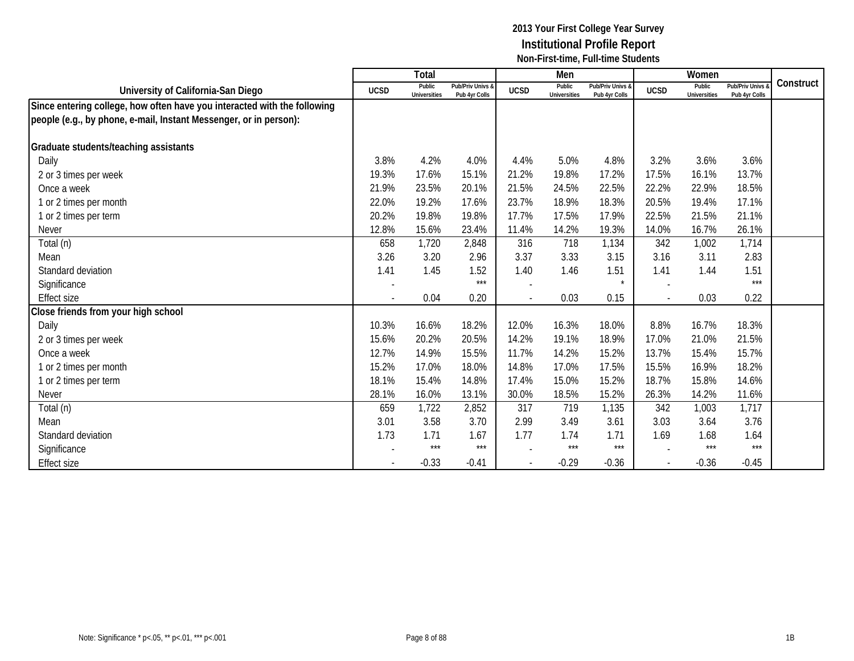|                                                                          |             | Total                         |                                   |                          | Men                           |                                   |             | Women                         |                                 |           |
|--------------------------------------------------------------------------|-------------|-------------------------------|-----------------------------------|--------------------------|-------------------------------|-----------------------------------|-------------|-------------------------------|---------------------------------|-----------|
| University of California-San Diego                                       | <b>UCSD</b> | Public<br><b>Universities</b> | Pub/Priv Univs &<br>Pub 4yr Colls | <b>UCSD</b>              | Public<br><b>Universities</b> | Pub/Priv Univs &<br>Pub 4yr Colls | <b>UCSD</b> | Public<br><b>Universities</b> | Pub/Priv Univs<br>Pub 4yr Colls | Construct |
| Since entering college, how often have you interacted with the following |             |                               |                                   |                          |                               |                                   |             |                               |                                 |           |
| people (e.g., by phone, e-mail, Instant Messenger, or in person):        |             |                               |                                   |                          |                               |                                   |             |                               |                                 |           |
|                                                                          |             |                               |                                   |                          |                               |                                   |             |                               |                                 |           |
| Graduate students/teaching assistants                                    |             |                               |                                   |                          |                               |                                   |             |                               |                                 |           |
| Daily                                                                    | 3.8%        | 4.2%                          | 4.0%                              | 4.4%                     | 5.0%                          | 4.8%                              | 3.2%        | 3.6%                          | 3.6%                            |           |
| 2 or 3 times per week                                                    | 19.3%       | 17.6%                         | 15.1%                             | 21.2%                    | 19.8%                         | 17.2%                             | 17.5%       | 16.1%                         | 13.7%                           |           |
| Once a week                                                              | 21.9%       | 23.5%                         | 20.1%                             | 21.5%                    | 24.5%                         | 22.5%                             | 22.2%       | 22.9%                         | 18.5%                           |           |
| 1 or 2 times per month                                                   | 22.0%       | 19.2%                         | 17.6%                             | 23.7%                    | 18.9%                         | 18.3%                             | 20.5%       | 19.4%                         | 17.1%                           |           |
| 1 or 2 times per term                                                    | 20.2%       | 19.8%                         | 19.8%                             | 17.7%                    | 17.5%                         | 17.9%                             | 22.5%       | 21.5%                         | 21.1%                           |           |
| <b>Never</b>                                                             | 12.8%       | 15.6%                         | 23.4%                             | 11.4%                    | 14.2%                         | 19.3%                             | 14.0%       | 16.7%                         | 26.1%                           |           |
| Total (n)                                                                | 658         | 1,720                         | 2,848                             | 316                      | 718                           | 1,134                             | 342         | 1,002                         | 1,714                           |           |
| Mean                                                                     | 3.26        | 3.20                          | 2.96                              | 3.37                     | 3.33                          | 3.15                              | 3.16        | 3.11                          | 2.83                            |           |
| Standard deviation                                                       | 1.41        | 1.45                          | 1.52                              | 1.40                     | 1.46                          | 1.51                              | 1.41        | 1.44                          | 1.51                            |           |
| Significance                                                             |             |                               | $***$                             |                          |                               | $\star$                           |             |                               | $***$                           |           |
| <b>Effect size</b>                                                       |             | 0.04                          | 0.20                              | $\overline{\phantom{a}}$ | 0.03                          | 0.15                              |             | 0.03                          | 0.22                            |           |
| Close friends from your high school                                      |             |                               |                                   |                          |                               |                                   |             |                               |                                 |           |
| Daily                                                                    | 10.3%       | 16.6%                         | 18.2%                             | 12.0%                    | 16.3%                         | 18.0%                             | 8.8%        | 16.7%                         | 18.3%                           |           |
| 2 or 3 times per week                                                    | 15.6%       | 20.2%                         | 20.5%                             | 14.2%                    | 19.1%                         | 18.9%                             | 17.0%       | 21.0%                         | 21.5%                           |           |
| Once a week                                                              | 12.7%       | 14.9%                         | 15.5%                             | 11.7%                    | 14.2%                         | 15.2%                             | 13.7%       | 15.4%                         | 15.7%                           |           |
| 1 or 2 times per month                                                   | 15.2%       | 17.0%                         | 18.0%                             | 14.8%                    | 17.0%                         | 17.5%                             | 15.5%       | 16.9%                         | 18.2%                           |           |
| 1 or 2 times per term                                                    | 18.1%       | 15.4%                         | 14.8%                             | 17.4%                    | 15.0%                         | 15.2%                             | 18.7%       | 15.8%                         | 14.6%                           |           |
| <b>Never</b>                                                             | 28.1%       | 16.0%                         | 13.1%                             | 30.0%                    | 18.5%                         | 15.2%                             | 26.3%       | 14.2%                         | 11.6%                           |           |
| Total (n)                                                                | 659         | 1,722                         | 2,852                             | 317                      | 719                           | 1,135                             | 342         | 1,003                         | 1,717                           |           |
| Mean                                                                     | 3.01        | 3.58                          | 3.70                              | 2.99                     | 3.49                          | 3.61                              | 3.03        | 3.64                          | 3.76                            |           |
| Standard deviation                                                       | 1.73        | 1.71                          | 1.67                              | 1.77                     | 1.74                          | 1.71                              | 1.69        | 1.68                          | 1.64                            |           |
| Significance                                                             |             | $***$                         | $***$                             |                          | $***$                         | ***                               |             | $***$                         | $***$                           |           |
| Effect size                                                              |             | $-0.33$                       | $-0.41$                           |                          | $-0.29$                       | $-0.36$                           |             | $-0.36$                       | $-0.45$                         |           |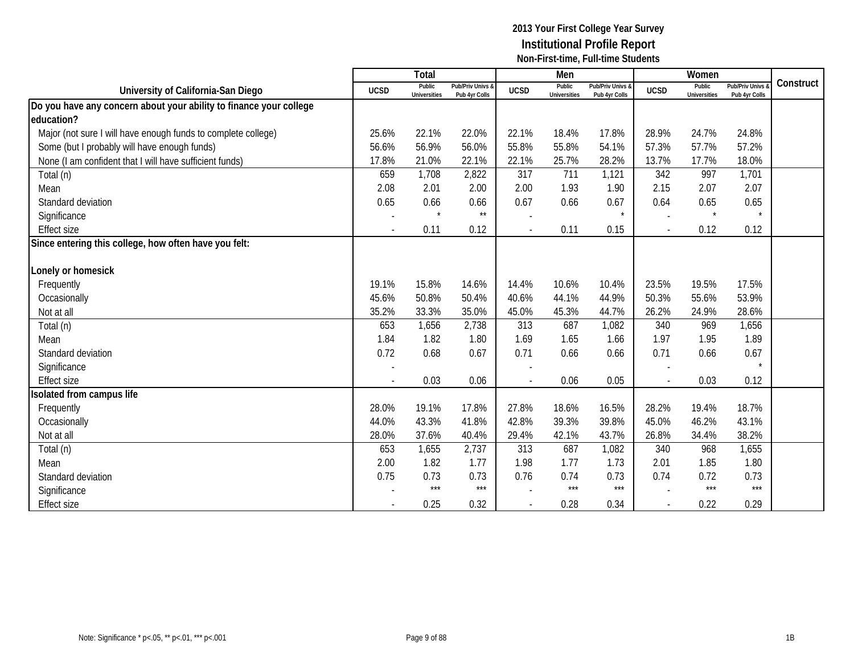|                                                                    |             | Total                         |                                   |                          | Men                           |                                   |             | Women                         |                                        |           |
|--------------------------------------------------------------------|-------------|-------------------------------|-----------------------------------|--------------------------|-------------------------------|-----------------------------------|-------------|-------------------------------|----------------------------------------|-----------|
| University of California-San Diego                                 | <b>UCSD</b> | Public<br><b>Universities</b> | Pub/Priv Univs &<br>Pub 4yr Colls | <b>UCSD</b>              | Public<br><b>Universities</b> | Pub/Priv Univs &<br>Pub 4yr Colls | <b>UCSD</b> | Public<br><b>Universities</b> | <b>Pub/Priv Univs</b><br>Pub 4yr Colls | Construct |
| Do you have any concern about your ability to finance your college |             |                               |                                   |                          |                               |                                   |             |                               |                                        |           |
| education?                                                         |             |                               |                                   |                          |                               |                                   |             |                               |                                        |           |
| Major (not sure I will have enough funds to complete college)      | 25.6%       | 22.1%                         | 22.0%                             | 22.1%                    | 18.4%                         | 17.8%                             | 28.9%       | 24.7%                         | 24.8%                                  |           |
| Some (but I probably will have enough funds)                       | 56.6%       | 56.9%                         | 56.0%                             | 55.8%                    | 55.8%                         | 54.1%                             | 57.3%       | 57.7%                         | 57.2%                                  |           |
| None (I am confident that I will have sufficient funds)            | 17.8%       | 21.0%                         | 22.1%                             | 22.1%                    | 25.7%                         | 28.2%                             | 13.7%       | 17.7%                         | 18.0%                                  |           |
| Total (n)                                                          | 659         | 1,708                         | 2,822                             | 317                      | 711                           | 1,121                             | 342         | 997                           | 1,701                                  |           |
| Mean                                                               | 2.08        | 2.01                          | 2.00                              | 2.00                     | 1.93                          | 1.90                              | 2.15        | 2.07                          | 2.07                                   |           |
| Standard deviation                                                 | 0.65        | 0.66                          | 0.66                              | 0.67                     | 0.66                          | 0.67                              | 0.64        | 0.65                          | 0.65                                   |           |
| Significance                                                       |             | $\star$                       | $\star\star$                      |                          |                               | $\star$                           |             | $\star$                       | $\star$                                |           |
| <b>Effect size</b>                                                 |             | 0.11                          | 0.12                              | $\overline{\phantom{a}}$ | 0.11                          | 0.15                              |             | 0.12                          | 0.12                                   |           |
| Since entering this college, how often have you felt:              |             |                               |                                   |                          |                               |                                   |             |                               |                                        |           |
|                                                                    |             |                               |                                   |                          |                               |                                   |             |                               |                                        |           |
| Lonely or homesick                                                 |             |                               |                                   |                          |                               |                                   |             |                               |                                        |           |
| Frequently                                                         | 19.1%       | 15.8%                         | 14.6%                             | 14.4%                    | 10.6%                         | 10.4%                             | 23.5%       | 19.5%                         | 17.5%                                  |           |
| Occasionally                                                       | 45.6%       | 50.8%                         | 50.4%                             | 40.6%                    | 44.1%                         | 44.9%                             | 50.3%       | 55.6%                         | 53.9%                                  |           |
| Not at all                                                         | 35.2%       | 33.3%                         | 35.0%                             | 45.0%                    | 45.3%                         | 44.7%                             | 26.2%       | 24.9%                         | 28.6%                                  |           |
| Total (n)                                                          | 653         | 1,656                         | 2,738                             | 313                      | 687                           | 1,082                             | 340         | 969                           | 1,656                                  |           |
| Mean                                                               | 1.84        | 1.82                          | 1.80                              | 1.69                     | 1.65                          | 1.66                              | 1.97        | 1.95                          | 1.89                                   |           |
| Standard deviation                                                 | 0.72        | 0.68                          | 0.67                              | 0.71                     | 0.66                          | 0.66                              | 0.71        | 0.66                          | 0.67                                   |           |
| Significance                                                       |             |                               |                                   |                          |                               |                                   |             |                               | $\star$                                |           |
| <b>Effect size</b>                                                 |             | 0.03                          | 0.06                              |                          | 0.06                          | 0.05                              |             | 0.03                          | 0.12                                   |           |
| solated from campus life                                           |             |                               |                                   |                          |                               |                                   |             |                               |                                        |           |
| Frequently                                                         | 28.0%       | 19.1%                         | 17.8%                             | 27.8%                    | 18.6%                         | 16.5%                             | 28.2%       | 19.4%                         | 18.7%                                  |           |
| Occasionally                                                       | 44.0%       | 43.3%                         | 41.8%                             | 42.8%                    | 39.3%                         | 39.8%                             | 45.0%       | 46.2%                         | 43.1%                                  |           |
| Not at all                                                         | 28.0%       | 37.6%                         | 40.4%                             | 29.4%                    | 42.1%                         | 43.7%                             | 26.8%       | 34.4%                         | 38.2%                                  |           |
| Total (n)                                                          | 653         | 1,655                         | 2,737                             | 313                      | 687                           | 1,082                             | 340         | 968                           | 1,655                                  |           |
| Mean                                                               | 2.00        | 1.82                          | 1.77                              | 1.98                     | 1.77                          | 1.73                              | 2.01        | 1.85                          | 1.80                                   |           |
| Standard deviation                                                 | 0.75        | 0.73                          | 0.73                              | 0.76                     | 0.74                          | 0.73                              | 0.74        | 0.72                          | 0.73                                   |           |
| Significance                                                       |             | $***$                         | $***$                             |                          | $***$                         | $***$                             |             | $***$                         | $***$                                  |           |
| <b>Effect size</b>                                                 |             | 0.25                          | 0.32                              |                          | 0.28                          | 0.34                              |             | 0.22                          | 0.29                                   |           |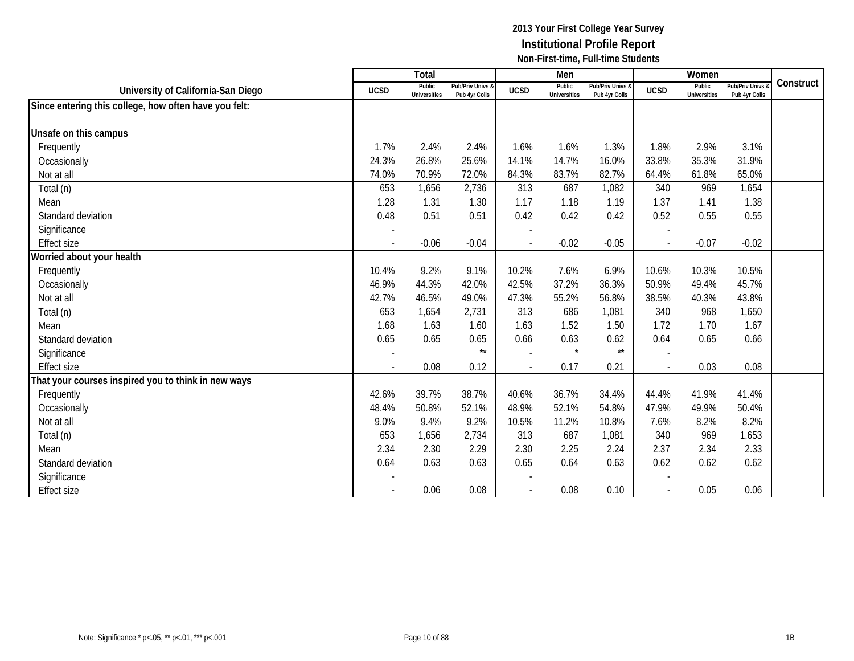|                                                       |                | Total                         |                                   |                          | Men                           |                                   |                          | Women                         |                                        |           |
|-------------------------------------------------------|----------------|-------------------------------|-----------------------------------|--------------------------|-------------------------------|-----------------------------------|--------------------------|-------------------------------|----------------------------------------|-----------|
| University of California-San Diego                    | <b>UCSD</b>    | Public<br><b>Universities</b> | Pub/Priv Univs &<br>Pub 4yr Colls | <b>UCSD</b>              | Public<br><b>Universities</b> | Pub/Priv Univs &<br>Pub 4yr Colls | <b>UCSD</b>              | Public<br><b>Universities</b> | <b>Pub/Priv Univs</b><br>Pub 4yr Colls | Construct |
| Since entering this college, how often have you felt: |                |                               |                                   |                          |                               |                                   |                          |                               |                                        |           |
|                                                       |                |                               |                                   |                          |                               |                                   |                          |                               |                                        |           |
| Unsafe on this campus                                 |                |                               |                                   |                          |                               |                                   |                          |                               |                                        |           |
| Frequently                                            | 1.7%           | 2.4%                          | 2.4%                              | 1.6%                     | 1.6%                          | 1.3%                              | 1.8%                     | 2.9%                          | 3.1%                                   |           |
| Occasionally                                          | 24.3%          | 26.8%                         | 25.6%                             | 14.1%                    | 14.7%                         | 16.0%                             | 33.8%                    | 35.3%                         | 31.9%                                  |           |
| Not at all                                            | 74.0%          | 70.9%                         | 72.0%                             | 84.3%                    | 83.7%                         | 82.7%                             | 64.4%                    | 61.8%                         | 65.0%                                  |           |
| Total (n)                                             | 653            | 1,656                         | 2,736                             | 313                      | 687                           | 1,082                             | 340                      | 969                           | 1,654                                  |           |
| Mean                                                  | 1.28           | 1.31                          | 1.30                              | 1.17                     | 1.18                          | 1.19                              | 1.37                     | 1.41                          | 1.38                                   |           |
| Standard deviation                                    | 0.48           | 0.51                          | 0.51                              | 0.42                     | 0.42                          | 0.42                              | 0.52                     | 0.55                          | 0.55                                   |           |
| Significance                                          |                |                               |                                   |                          |                               |                                   |                          |                               |                                        |           |
| <b>Effect size</b>                                    | $\overline{a}$ | $-0.06$                       | $-0.04$                           | $\overline{a}$           | $-0.02$                       | $-0.05$                           | $\overline{a}$           | $-0.07$                       | $-0.02$                                |           |
| Worried about your health                             |                |                               |                                   |                          |                               |                                   |                          |                               |                                        |           |
| Frequently                                            | 10.4%          | 9.2%                          | 9.1%                              | 10.2%                    | 7.6%                          | 6.9%                              | 10.6%                    | 10.3%                         | 10.5%                                  |           |
| Occasionally                                          | 46.9%          | 44.3%                         | 42.0%                             | 42.5%                    | 37.2%                         | 36.3%                             | 50.9%                    | 49.4%                         | 45.7%                                  |           |
| Not at all                                            | 42.7%          | 46.5%                         | 49.0%                             | 47.3%                    | 55.2%                         | 56.8%                             | 38.5%                    | 40.3%                         | 43.8%                                  |           |
| Total (n)                                             | 653            | 1,654                         | 2,731                             | 313                      | 686                           | 1,081                             | 340                      | 968                           | 1,650                                  |           |
| Mean                                                  | 1.68           | 1.63                          | 1.60                              | 1.63                     | 1.52                          | 1.50                              | 1.72                     | 1.70                          | 1.67                                   |           |
| Standard deviation                                    | 0.65           | 0.65                          | 0.65                              | 0.66                     | 0.63                          | 0.62                              | 0.64                     | 0.65                          | 0.66                                   |           |
| Significance                                          |                |                               | $^{\star\star}$                   |                          | $\star$                       | $\star\star$                      |                          |                               |                                        |           |
| <b>Effect size</b>                                    |                | 0.08                          | 0.12                              | $\overline{\phantom{a}}$ | 0.17                          | 0.21                              | $\overline{\phantom{a}}$ | 0.03                          | 0.08                                   |           |
| That your courses inspired you to think in new ways   |                |                               |                                   |                          |                               |                                   |                          |                               |                                        |           |
| Frequently                                            | 42.6%          | 39.7%                         | 38.7%                             | 40.6%                    | 36.7%                         | 34.4%                             | 44.4%                    | 41.9%                         | 41.4%                                  |           |
| Occasionally                                          | 48.4%          | 50.8%                         | 52.1%                             | 48.9%                    | 52.1%                         | 54.8%                             | 47.9%                    | 49.9%                         | 50.4%                                  |           |
| Not at all                                            | 9.0%           | 9.4%                          | 9.2%                              | 10.5%                    | 11.2%                         | 10.8%                             | 7.6%                     | 8.2%                          | 8.2%                                   |           |
| Total (n)                                             | 653            | 1,656                         | 2,734                             | 313                      | 687                           | 1,081                             | 340                      | 969                           | 1,653                                  |           |
| Mean                                                  | 2.34           | 2.30                          | 2.29                              | 2.30                     | 2.25                          | 2.24                              | 2.37                     | 2.34                          | 2.33                                   |           |
| Standard deviation                                    | 0.64           | 0.63                          | 0.63                              | 0.65                     | 0.64                          | 0.63                              | 0.62                     | 0.62                          | 0.62                                   |           |
| Significance                                          |                |                               |                                   |                          |                               |                                   |                          |                               |                                        |           |
| <b>Effect size</b>                                    |                | 0.06                          | 0.08                              |                          | 0.08                          | 0.10                              |                          | 0.05                          | 0.06                                   |           |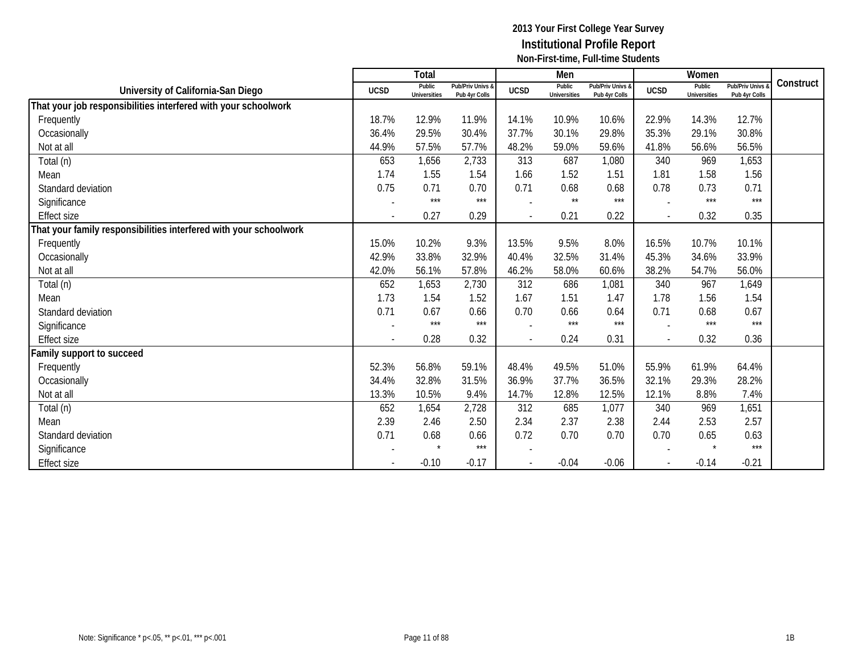|                                                                   |                          | Total                         |                                   |                          | Men                           |                                   |              | Women                         |                                        |           |
|-------------------------------------------------------------------|--------------------------|-------------------------------|-----------------------------------|--------------------------|-------------------------------|-----------------------------------|--------------|-------------------------------|----------------------------------------|-----------|
| University of California-San Diego                                | <b>UCSD</b>              | Public<br><b>Universities</b> | Pub/Priv Univs &<br>Pub 4yr Colls | <b>UCSD</b>              | Public<br><b>Universities</b> | Pub/Priv Univs &<br>Pub 4yr Colls | <b>UCSD</b>  | Public<br><b>Universities</b> | <b>Pub/Priv Univs</b><br>Pub 4yr Colls | Construct |
| That your job responsibilities interfered with your schoolwork    |                          |                               |                                   |                          |                               |                                   |              |                               |                                        |           |
| Frequently                                                        | 18.7%                    | 12.9%                         | 11.9%                             | 14.1%                    | 10.9%                         | 10.6%                             | 22.9%        | 14.3%                         | 12.7%                                  |           |
| Occasionally                                                      | 36.4%                    | 29.5%                         | 30.4%                             | 37.7%                    | 30.1%                         | 29.8%                             | 35.3%        | 29.1%                         | 30.8%                                  |           |
| Not at all                                                        | 44.9%                    | 57.5%                         | 57.7%                             | 48.2%                    | 59.0%                         | 59.6%                             | 41.8%        | 56.6%                         | 56.5%                                  |           |
| Total (n)                                                         | 653                      | 1,656                         | 2,733                             | 313                      | 687                           | 1,080                             | 340          | 969                           | 1,653                                  |           |
| Mean                                                              | 1.74                     | 1.55                          | 1.54                              | 1.66                     | 1.52                          | 1.51                              | 1.81         | 1.58                          | 1.56                                   |           |
| Standard deviation                                                | 0.75                     | 0.71                          | 0.70                              | 0.71                     | 0.68                          | 0.68                              | 0.78         | 0.73                          | 0.71                                   |           |
| Significance                                                      |                          | $***$                         | $***$                             |                          | $^{\star\star}$               | $***$                             |              | $***$                         | $***$                                  |           |
| <b>Effect size</b>                                                |                          | 0.27                          | 0.29                              | $\blacksquare$           | 0.21                          | 0.22                              | $\sim$       | 0.32                          | 0.35                                   |           |
| That your family responsibilities interfered with your schoolwork |                          |                               |                                   |                          |                               |                                   |              |                               |                                        |           |
| Frequently                                                        | 15.0%                    | 10.2%                         | 9.3%                              | 13.5%                    | 9.5%                          | 8.0%                              | 16.5%        | 10.7%                         | 10.1%                                  |           |
| Occasionally                                                      | 42.9%                    | 33.8%                         | 32.9%                             | 40.4%                    | 32.5%                         | 31.4%                             | 45.3%        | 34.6%                         | 33.9%                                  |           |
| Not at all                                                        | 42.0%                    | 56.1%                         | 57.8%                             | 46.2%                    | 58.0%                         | 60.6%                             | 38.2%        | 54.7%                         | 56.0%                                  |           |
| Total (n)                                                         | 652                      | 1,653                         | 2,730                             | 312                      | 686                           | 1,081                             | 340          | 967                           | 1,649                                  |           |
| Mean                                                              | 1.73                     | 1.54                          | 1.52                              | 1.67                     | 1.51                          | 1.47                              | 1.78         | 1.56                          | 1.54                                   |           |
| Standard deviation                                                | 0.71                     | 0.67                          | 0.66                              | 0.70                     | 0.66                          | 0.64                              | 0.71         | 0.68                          | 0.67                                   |           |
| Significance                                                      |                          | $***$                         | $***$                             |                          | $***$                         | $***$                             |              | $***$                         | $***$                                  |           |
| <b>Effect size</b>                                                | $\overline{\phantom{0}}$ | 0.28                          | 0.32                              | $\overline{\phantom{a}}$ | 0.24                          | 0.31                              | $\mathbf{r}$ | 0.32                          | 0.36                                   |           |
| amily support to succeed                                          |                          |                               |                                   |                          |                               |                                   |              |                               |                                        |           |
| Frequently                                                        | 52.3%                    | 56.8%                         | 59.1%                             | 48.4%                    | 49.5%                         | 51.0%                             | 55.9%        | 61.9%                         | 64.4%                                  |           |
| Occasionally                                                      | 34.4%                    | 32.8%                         | 31.5%                             | 36.9%                    | 37.7%                         | 36.5%                             | 32.1%        | 29.3%                         | 28.2%                                  |           |
| Not at all                                                        | 13.3%                    | 10.5%                         | 9.4%                              | 14.7%                    | 12.8%                         | 12.5%                             | 12.1%        | 8.8%                          | 7.4%                                   |           |
| Total (n)                                                         | 652                      | 1,654                         | 2,728                             | 312                      | 685                           | 1,077                             | 340          | 969                           | 1,651                                  |           |
| Mean                                                              | 2.39                     | 2.46                          | 2.50                              | 2.34                     | 2.37                          | 2.38                              | 2.44         | 2.53                          | 2.57                                   |           |
| Standard deviation                                                | 0.71                     | 0.68                          | 0.66                              | 0.72                     | 0.70                          | 0.70                              | 0.70         | 0.65                          | 0.63                                   |           |
| Significance                                                      |                          |                               | $***$                             |                          |                               |                                   |              |                               | $***$                                  |           |
| <b>Effect size</b>                                                |                          | $-0.10$                       | $-0.17$                           | $\overline{\phantom{a}}$ | $-0.04$                       | $-0.06$                           |              | $-0.14$                       | $-0.21$                                |           |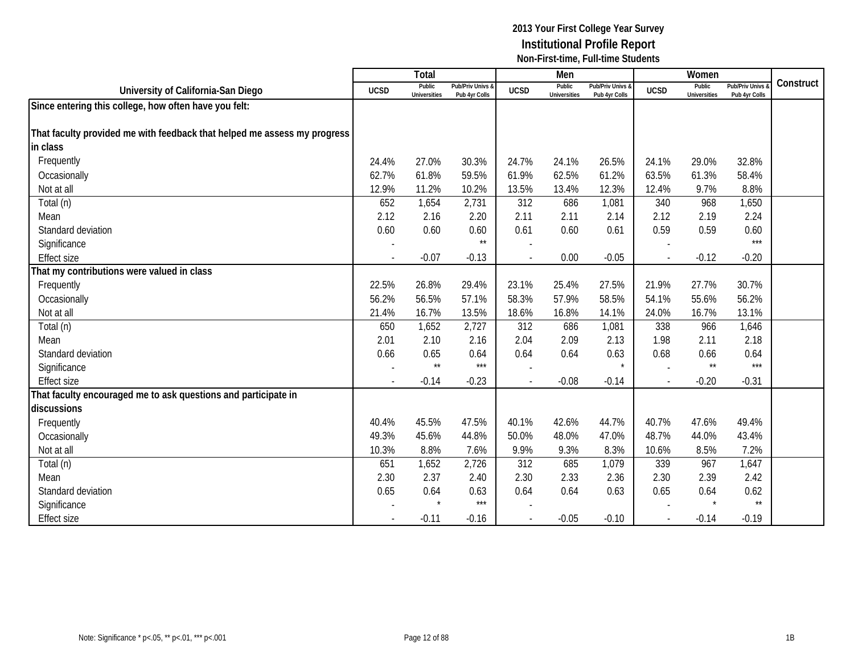|                                                                          |             | Total                         |                                   |             | Men                           |                                   |             | Women                         |                                 |           |
|--------------------------------------------------------------------------|-------------|-------------------------------|-----------------------------------|-------------|-------------------------------|-----------------------------------|-------------|-------------------------------|---------------------------------|-----------|
| University of California-San Diego                                       | <b>UCSD</b> | Public<br><b>Universities</b> | Pub/Priv Univs &<br>Pub 4yr Colls | <b>UCSD</b> | Public<br><b>Universities</b> | Pub/Priv Univs &<br>Pub 4yr Colls | <b>UCSD</b> | Public<br><b>Universities</b> | Pub/Priv Univs<br>Pub 4yr Colls | Construct |
| Since entering this college, how often have you felt:                    |             |                               |                                   |             |                               |                                   |             |                               |                                 |           |
|                                                                          |             |                               |                                   |             |                               |                                   |             |                               |                                 |           |
| That faculty provided me with feedback that helped me assess my progress |             |                               |                                   |             |                               |                                   |             |                               |                                 |           |
| in class                                                                 |             |                               |                                   |             |                               |                                   |             |                               |                                 |           |
| Frequently                                                               | 24.4%       | 27.0%                         | 30.3%                             | 24.7%       | 24.1%                         | 26.5%                             | 24.1%       | 29.0%                         | 32.8%                           |           |
| Occasionally                                                             | 62.7%       | 61.8%                         | 59.5%                             | 61.9%       | 62.5%                         | 61.2%                             | 63.5%       | 61.3%                         | 58.4%                           |           |
| Not at all                                                               | 12.9%       | 11.2%                         | 10.2%                             | 13.5%       | 13.4%                         | 12.3%                             | 12.4%       | 9.7%                          | 8.8%                            |           |
| Total (n)                                                                | 652         | 1,654                         | 2,731                             | 312         | 686                           | 1,081                             | 340         | 968                           | 1,650                           |           |
| Mean                                                                     | 2.12        | 2.16                          | 2.20                              | 2.11        | 2.11                          | 2.14                              | 2.12        | 2.19                          | 2.24                            |           |
| Standard deviation                                                       | 0.60        | 0.60                          | 0.60                              | 0.61        | 0.60                          | 0.61                              | 0.59        | 0.59                          | 0.60                            |           |
| Significance                                                             |             |                               | $\star\star$                      |             |                               |                                   |             |                               | $***$                           |           |
| <b>Effect size</b>                                                       |             | $-0.07$                       | $-0.13$                           |             | 0.00                          | $-0.05$                           |             | $-0.12$                       | $-0.20$                         |           |
| That my contributions were valued in class                               |             |                               |                                   |             |                               |                                   |             |                               |                                 |           |
| Frequently                                                               | 22.5%       | 26.8%                         | 29.4%                             | 23.1%       | 25.4%                         | 27.5%                             | 21.9%       | 27.7%                         | 30.7%                           |           |
| Occasionally                                                             | 56.2%       | 56.5%                         | 57.1%                             | 58.3%       | 57.9%                         | 58.5%                             | 54.1%       | 55.6%                         | 56.2%                           |           |
| Not at all                                                               | 21.4%       | 16.7%                         | 13.5%                             | 18.6%       | 16.8%                         | 14.1%                             | 24.0%       | 16.7%                         | 13.1%                           |           |
| Total (n)                                                                | 650         | 1,652                         | 2,727                             | 312         | 686                           | 1,081                             | 338         | 966                           | 1,646                           |           |
| Mean                                                                     | 2.01        | 2.10                          | 2.16                              | 2.04        | 2.09                          | 2.13                              | 1.98        | 2.11                          | 2.18                            |           |
| Standard deviation                                                       | 0.66        | 0.65                          | 0.64                              | 0.64        | 0.64                          | 0.63                              | 0.68        | 0.66                          | 0.64                            |           |
| Significance                                                             |             | $\star\star$                  | $***$                             |             |                               | $\star$                           |             | $\star\star$                  | $***$                           |           |
| <b>Effect size</b>                                                       |             | $-0.14$                       | $-0.23$                           |             | $-0.08$                       | $-0.14$                           |             | $-0.20$                       | $-0.31$                         |           |
| That faculty encouraged me to ask questions and participate in           |             |                               |                                   |             |                               |                                   |             |                               |                                 |           |
| discussions                                                              |             |                               |                                   |             |                               |                                   |             |                               |                                 |           |
| Frequently                                                               | 40.4%       | 45.5%                         | 47.5%                             | 40.1%       | 42.6%                         | 44.7%                             | 40.7%       | 47.6%                         | 49.4%                           |           |
| Occasionally                                                             | 49.3%       | 45.6%                         | 44.8%                             | 50.0%       | 48.0%                         | 47.0%                             | 48.7%       | 44.0%                         | 43.4%                           |           |
| Not at all                                                               | 10.3%       | 8.8%                          | 7.6%                              | 9.9%        | 9.3%                          | 8.3%                              | 10.6%       | 8.5%                          | 7.2%                            |           |
| Total (n)                                                                | 651         | 1,652                         | 2,726                             | 312         | 685                           | 1,079                             | 339         | 967                           | 1,647                           |           |
| Mean                                                                     | 2.30        | 2.37                          | 2.40                              | 2.30        | 2.33                          | 2.36                              | 2.30        | 2.39                          | 2.42                            |           |
| Standard deviation                                                       | 0.65        | 0.64                          | 0.63                              | 0.64        | 0.64                          | 0.63                              | 0.65        | 0.64                          | 0.62                            |           |
| Significance                                                             |             |                               | $***$                             |             |                               |                                   |             |                               | $\star\star$                    |           |
| <b>Effect size</b>                                                       |             | $-0.11$                       | $-0.16$                           |             | $-0.05$                       | $-0.10$                           |             | $-0.14$                       | $-0.19$                         |           |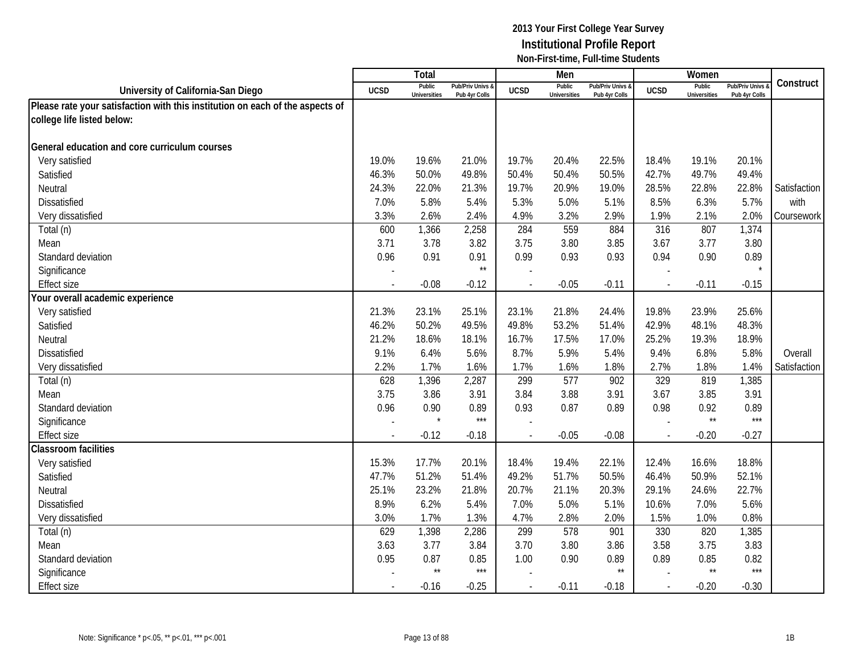|                                                                               |             | Total                         |                                   |             | Men                           |                                   |                          | Women                         |                                        |              |
|-------------------------------------------------------------------------------|-------------|-------------------------------|-----------------------------------|-------------|-------------------------------|-----------------------------------|--------------------------|-------------------------------|----------------------------------------|--------------|
| University of California-San Diego                                            | <b>UCSD</b> | Public<br><b>Universities</b> | Pub/Priv Univs &<br>Pub 4yr Colls | <b>UCSD</b> | Public<br><b>Universities</b> | Pub/Priv Univs &<br>Pub 4yr Colls | <b>UCSD</b>              | Public<br><b>Universities</b> | <b>Pub/Priv Univs</b><br>Pub 4yr Colls | Construct    |
| Please rate your satisfaction with this institution on each of the aspects of |             |                               |                                   |             |                               |                                   |                          |                               |                                        |              |
| college life listed below:                                                    |             |                               |                                   |             |                               |                                   |                          |                               |                                        |              |
|                                                                               |             |                               |                                   |             |                               |                                   |                          |                               |                                        |              |
| General education and core curriculum courses                                 |             |                               |                                   |             |                               |                                   |                          |                               |                                        |              |
| Very satisfied                                                                | 19.0%       | 19.6%                         | 21.0%                             | 19.7%       | 20.4%                         | 22.5%                             | 18.4%                    | 19.1%                         | 20.1%                                  |              |
| Satisfied                                                                     | 46.3%       | 50.0%                         | 49.8%                             | 50.4%       | 50.4%                         | 50.5%                             | 42.7%                    | 49.7%                         | 49.4%                                  |              |
| Neutral                                                                       | 24.3%       | 22.0%                         | 21.3%                             | 19.7%       | 20.9%                         | 19.0%                             | 28.5%                    | 22.8%                         | 22.8%                                  | Satisfaction |
| Dissatisfied                                                                  | 7.0%        | 5.8%                          | 5.4%                              | 5.3%        | 5.0%                          | 5.1%                              | 8.5%                     | 6.3%                          | 5.7%                                   | with         |
| Very dissatisfied                                                             | 3.3%        | 2.6%                          | 2.4%                              | 4.9%        | 3.2%                          | 2.9%                              | 1.9%                     | 2.1%                          | 2.0%                                   | Coursework   |
| Total (n)                                                                     | 600         | 1,366                         | 2,258                             | 284         | 559                           | 884                               | 316                      | 807                           | 1,374                                  |              |
| Mean                                                                          | 3.71        | 3.78                          | 3.82                              | 3.75        | 3.80                          | 3.85                              | 3.67                     | 3.77                          | 3.80                                   |              |
| Standard deviation                                                            | 0.96        | 0.91                          | 0.91                              | 0.99        | 0.93                          | 0.93                              | 0.94                     | 0.90                          | 0.89                                   |              |
| Significance                                                                  |             |                               | $\star\star$                      |             |                               |                                   |                          |                               |                                        |              |
| <b>Effect size</b>                                                            |             | $-0.08$                       | $-0.12$                           |             | $-0.05$                       | $-0.11$                           |                          | $-0.11$                       | $-0.15$                                |              |
| Your overall academic experience                                              |             |                               |                                   |             |                               |                                   |                          |                               |                                        |              |
| Very satisfied                                                                | 21.3%       | 23.1%                         | 25.1%                             | 23.1%       | 21.8%                         | 24.4%                             | 19.8%                    | 23.9%                         | 25.6%                                  |              |
| Satisfied                                                                     | 46.2%       | 50.2%                         | 49.5%                             | 49.8%       | 53.2%                         | 51.4%                             | 42.9%                    | 48.1%                         | 48.3%                                  |              |
| Neutral                                                                       | 21.2%       | 18.6%                         | 18.1%                             | 16.7%       | 17.5%                         | 17.0%                             | 25.2%                    | 19.3%                         | 18.9%                                  |              |
| <b>Dissatisfied</b>                                                           | 9.1%        | 6.4%                          | 5.6%                              | 8.7%        | 5.9%                          | 5.4%                              | 9.4%                     | 6.8%                          | 5.8%                                   | Overall      |
| Very dissatisfied                                                             | 2.2%        | 1.7%                          | 1.6%                              | 1.7%        | 1.6%                          | 1.8%                              | 2.7%                     | 1.8%                          | 1.4%                                   | Satisfaction |
| Total (n)                                                                     | 628         | 1,396                         | 2,287                             | 299         | 577                           | 902                               | 329                      | 819                           | 1,385                                  |              |
| Mean                                                                          | 3.75        | 3.86                          | 3.91                              | 3.84        | 3.88                          | 3.91                              | 3.67                     | 3.85                          | 3.91                                   |              |
| Standard deviation                                                            | 0.96        | 0.90                          | 0.89                              | 0.93        | 0.87                          | 0.89                              | 0.98                     | 0.92                          | 0.89                                   |              |
| Significance                                                                  |             |                               | $***$                             |             |                               |                                   |                          | $\star\star$                  | $***$                                  |              |
| <b>Effect size</b>                                                            |             | $-0.12$                       | $-0.18$                           |             | $-0.05$                       | $-0.08$                           | $\overline{\phantom{a}}$ | $-0.20$                       | $-0.27$                                |              |
| <b>Classroom facilities</b>                                                   |             |                               |                                   |             |                               |                                   |                          |                               |                                        |              |
| Very satisfied                                                                | 15.3%       | 17.7%                         | 20.1%                             | 18.4%       | 19.4%                         | 22.1%                             | 12.4%                    | 16.6%                         | 18.8%                                  |              |
| Satisfied                                                                     | 47.7%       | 51.2%                         | 51.4%                             | 49.2%       | 51.7%                         | 50.5%                             | 46.4%                    | 50.9%                         | 52.1%                                  |              |
| Neutral                                                                       | 25.1%       | 23.2%                         | 21.8%                             | 20.7%       | 21.1%                         | 20.3%                             | 29.1%                    | 24.6%                         | 22.7%                                  |              |
| <b>Dissatisfied</b>                                                           | 8.9%        | 6.2%                          | 5.4%                              | 7.0%        | 5.0%                          | 5.1%                              | 10.6%                    | 7.0%                          | 5.6%                                   |              |
| Very dissatisfied                                                             | 3.0%        | 1.7%                          | 1.3%                              | 4.7%        | 2.8%                          | 2.0%                              | 1.5%                     | 1.0%                          | 0.8%                                   |              |
| Total (n)                                                                     | 629         | 1,398                         | 2,286                             | 299         | 578                           | 901                               | 330                      | 820                           | 1,385                                  |              |
| Mean                                                                          | 3.63        | 3.77                          | 3.84                              | 3.70        | 3.80                          | 3.86                              | 3.58                     | 3.75                          | 3.83                                   |              |
| Standard deviation                                                            | 0.95        | 0.87                          | 0.85                              | 1.00        | 0.90                          | 0.89                              | 0.89                     | 0.85                          | 0.82                                   |              |
| Significance                                                                  |             | $\star\star$                  | $***$                             |             |                               | $\star\star$                      |                          | $\star\star$                  | $***$                                  |              |
| <b>Effect size</b>                                                            |             | $-0.16$                       | $-0.25$                           |             | $-0.11$                       | $-0.18$                           |                          | $-0.20$                       | $-0.30$                                |              |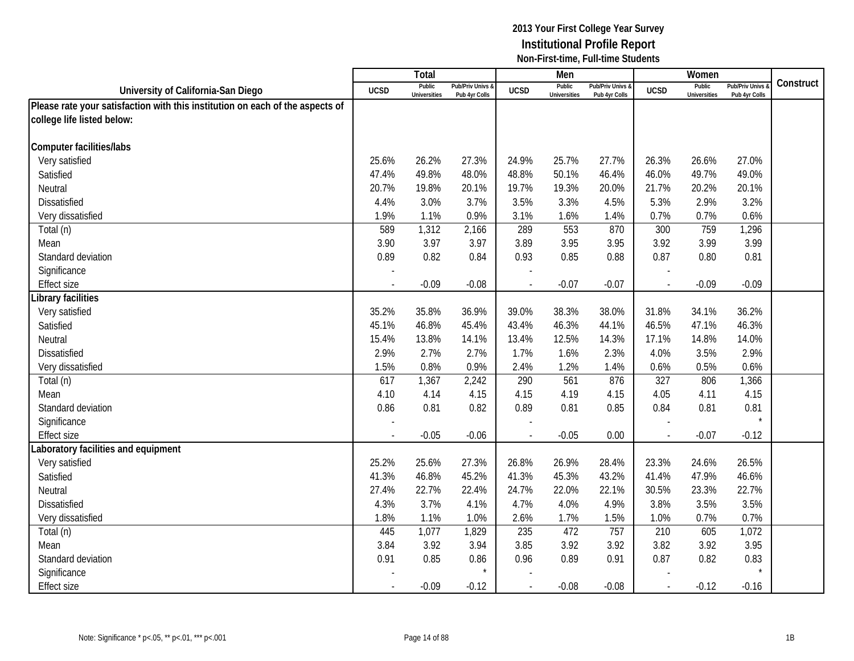|                                                                               |             | Total                         |                                   |                | Men                           |                                   |                          | Women                         |                                        |           |
|-------------------------------------------------------------------------------|-------------|-------------------------------|-----------------------------------|----------------|-------------------------------|-----------------------------------|--------------------------|-------------------------------|----------------------------------------|-----------|
| University of California-San Diego                                            | <b>UCSD</b> | Public<br><b>Universities</b> | Pub/Priv Univs &<br>Pub 4yr Colls | <b>UCSD</b>    | Public<br><b>Universities</b> | Pub/Priv Univs &<br>Pub 4yr Colls | <b>UCSD</b>              | Public<br><b>Universities</b> | <b>Pub/Priv Univs</b><br>Pub 4yr Colls | Construct |
| Please rate your satisfaction with this institution on each of the aspects of |             |                               |                                   |                |                               |                                   |                          |                               |                                        |           |
| college life listed below:                                                    |             |                               |                                   |                |                               |                                   |                          |                               |                                        |           |
|                                                                               |             |                               |                                   |                |                               |                                   |                          |                               |                                        |           |
| <b>Computer facilities/labs</b>                                               |             |                               |                                   |                |                               |                                   |                          |                               |                                        |           |
| Very satisfied                                                                | 25.6%       | 26.2%                         | 27.3%                             | 24.9%          | 25.7%                         | 27.7%                             | 26.3%                    | 26.6%                         | 27.0%                                  |           |
| Satisfied                                                                     | 47.4%       | 49.8%                         | 48.0%                             | 48.8%          | 50.1%                         | 46.4%                             | 46.0%                    | 49.7%                         | 49.0%                                  |           |
| Neutral                                                                       | 20.7%       | 19.8%                         | 20.1%                             | 19.7%          | 19.3%                         | 20.0%                             | 21.7%                    | 20.2%                         | 20.1%                                  |           |
| Dissatisfied                                                                  | 4.4%        | 3.0%                          | 3.7%                              | 3.5%           | 3.3%                          | 4.5%                              | 5.3%                     | 2.9%                          | 3.2%                                   |           |
| Very dissatisfied                                                             | 1.9%        | 1.1%                          | 0.9%                              | 3.1%           | 1.6%                          | 1.4%                              | 0.7%                     | 0.7%                          | 0.6%                                   |           |
| Total (n)                                                                     | 589         | 1,312                         | 2,166                             | 289            | 553                           | 870                               | 300                      | 759                           | 1,296                                  |           |
| Mean                                                                          | 3.90        | 3.97                          | 3.97                              | 3.89           | 3.95                          | 3.95                              | 3.92                     | 3.99                          | 3.99                                   |           |
| Standard deviation                                                            | 0.89        | 0.82                          | 0.84                              | 0.93           | 0.85                          | 0.88                              | 0.87                     | 0.80                          | 0.81                                   |           |
| Significance                                                                  |             |                               |                                   |                |                               |                                   |                          |                               |                                        |           |
| <b>Effect size</b>                                                            |             | $-0.09$                       | $-0.08$                           |                | $-0.07$                       | $-0.07$                           |                          | $-0.09$                       | $-0.09$                                |           |
| Library facilities                                                            |             |                               |                                   |                |                               |                                   |                          |                               |                                        |           |
| Very satisfied                                                                | 35.2%       | 35.8%                         | 36.9%                             | 39.0%          | 38.3%                         | 38.0%                             | 31.8%                    | 34.1%                         | 36.2%                                  |           |
| Satisfied                                                                     | 45.1%       | 46.8%                         | 45.4%                             | 43.4%          | 46.3%                         | 44.1%                             | 46.5%                    | 47.1%                         | 46.3%                                  |           |
| Neutral                                                                       | 15.4%       | 13.8%                         | 14.1%                             | 13.4%          | 12.5%                         | 14.3%                             | 17.1%                    | 14.8%                         | 14.0%                                  |           |
| <b>Dissatisfied</b>                                                           | 2.9%        | 2.7%                          | 2.7%                              | 1.7%           | 1.6%                          | 2.3%                              | 4.0%                     | 3.5%                          | 2.9%                                   |           |
| Very dissatisfied                                                             | 1.5%        | 0.8%                          | 0.9%                              | 2.4%           | 1.2%                          | 1.4%                              | 0.6%                     | 0.5%                          | 0.6%                                   |           |
| Total (n)                                                                     | 617         | 1,367                         | 2,242                             | 290            | 561                           | 876                               | 327                      | 806                           | 1,366                                  |           |
| Mean                                                                          | 4.10        | 4.14                          | 4.15                              | 4.15           | 4.19                          | 4.15                              | 4.05                     | 4.11                          | 4.15                                   |           |
| Standard deviation                                                            | 0.86        | 0.81                          | 0.82                              | 0.89           | 0.81                          | 0.85                              | 0.84                     | 0.81                          | 0.81                                   |           |
| Significance                                                                  |             |                               |                                   |                |                               |                                   |                          |                               | $\star$                                |           |
| <b>Effect size</b>                                                            |             | $-0.05$                       | $-0.06$                           |                | $-0.05$                       | 0.00                              | $\overline{\phantom{a}}$ | $-0.07$                       | $-0.12$                                |           |
| aboratory facilities and equipment                                            |             |                               |                                   |                |                               |                                   |                          |                               |                                        |           |
| Very satisfied                                                                | 25.2%       | 25.6%                         | 27.3%                             | 26.8%          | 26.9%                         | 28.4%                             | 23.3%                    | 24.6%                         | 26.5%                                  |           |
| Satisfied                                                                     | 41.3%       | 46.8%                         | 45.2%                             | 41.3%          | 45.3%                         | 43.2%                             | 41.4%                    | 47.9%                         | 46.6%                                  |           |
| Neutral                                                                       | 27.4%       | 22.7%                         | 22.4%                             | 24.7%          | 22.0%                         | 22.1%                             | 30.5%                    | 23.3%                         | 22.7%                                  |           |
| <b>Dissatisfied</b>                                                           | 4.3%        | 3.7%                          | 4.1%                              | 4.7%           | 4.0%                          | 4.9%                              | 3.8%                     | 3.5%                          | 3.5%                                   |           |
| Very dissatisfied                                                             | 1.8%        | 1.1%                          | 1.0%                              | 2.6%           | 1.7%                          | 1.5%                              | 1.0%                     | 0.7%                          | 0.7%                                   |           |
| Total (n)                                                                     | 445         | 1,077                         | 1,829                             | 235            | 472                           | 757                               | 210                      | 605                           | 1,072                                  |           |
| Mean                                                                          | 3.84        | 3.92                          | 3.94                              | 3.85           | 3.92                          | 3.92                              | 3.82                     | 3.92                          | 3.95                                   |           |
| Standard deviation                                                            | 0.91        | 0.85                          | 0.86                              | 0.96           | 0.89                          | 0.91                              | 0.87                     | 0.82                          | 0.83                                   |           |
| Significance                                                                  |             |                               |                                   |                |                               |                                   |                          |                               |                                        |           |
| <b>Effect size</b>                                                            |             | $-0.09$                       | $-0.12$                           | $\overline{a}$ | $-0.08$                       | $-0.08$                           | $\sim$                   | $-0.12$                       | $-0.16$                                |           |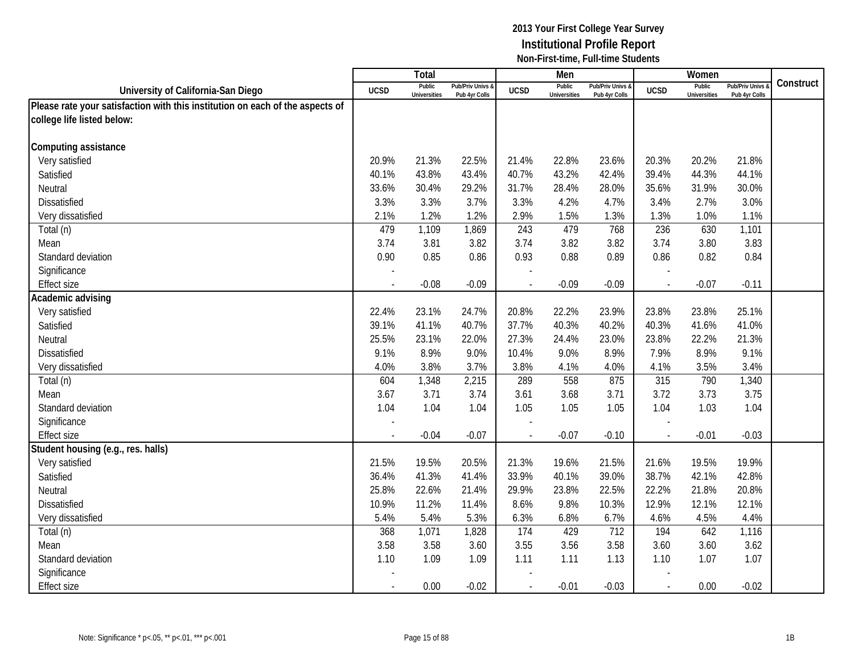|                                                                               |             | <b>Total</b>                  |                                   |                | Men                           |                                   |                          | Women                         |                                        |           |
|-------------------------------------------------------------------------------|-------------|-------------------------------|-----------------------------------|----------------|-------------------------------|-----------------------------------|--------------------------|-------------------------------|----------------------------------------|-----------|
| University of California-San Diego                                            | <b>UCSD</b> | Public<br><b>Universities</b> | Pub/Priv Univs &<br>Pub 4yr Colls | <b>UCSD</b>    | Public<br><b>Universities</b> | Pub/Priv Univs &<br>Pub 4yr Colls | <b>UCSD</b>              | Public<br><b>Universities</b> | <b>Pub/Priv Univs</b><br>Pub 4yr Colls | Construct |
| Please rate your satisfaction with this institution on each of the aspects of |             |                               |                                   |                |                               |                                   |                          |                               |                                        |           |
| college life listed below:                                                    |             |                               |                                   |                |                               |                                   |                          |                               |                                        |           |
|                                                                               |             |                               |                                   |                |                               |                                   |                          |                               |                                        |           |
| Computing assistance                                                          |             |                               |                                   |                |                               |                                   |                          |                               |                                        |           |
| Very satisfied                                                                | 20.9%       | 21.3%                         | 22.5%                             | 21.4%          | 22.8%                         | 23.6%                             | 20.3%                    | 20.2%                         | 21.8%                                  |           |
| Satisfied                                                                     | 40.1%       | 43.8%                         | 43.4%                             | 40.7%          | 43.2%                         | 42.4%                             | 39.4%                    | 44.3%                         | 44.1%                                  |           |
| Neutral                                                                       | 33.6%       | 30.4%                         | 29.2%                             | 31.7%          | 28.4%                         | 28.0%                             | 35.6%                    | 31.9%                         | 30.0%                                  |           |
| Dissatisfied                                                                  | 3.3%        | 3.3%                          | 3.7%                              | 3.3%           | 4.2%                          | 4.7%                              | 3.4%                     | 2.7%                          | 3.0%                                   |           |
| Very dissatisfied                                                             | 2.1%        | 1.2%                          | 1.2%                              | 2.9%           | 1.5%                          | 1.3%                              | 1.3%                     | 1.0%                          | 1.1%                                   |           |
| Total (n)                                                                     | 479         | 1,109                         | 1,869                             | 243            | 479                           | 768                               | 236                      | 630                           | 1,101                                  |           |
| Mean                                                                          | 3.74        | 3.81                          | 3.82                              | 3.74           | 3.82                          | 3.82                              | 3.74                     | 3.80                          | 3.83                                   |           |
| Standard deviation                                                            | 0.90        | 0.85                          | 0.86                              | 0.93           | 0.88                          | 0.89                              | 0.86                     | 0.82                          | 0.84                                   |           |
| Significance                                                                  |             |                               |                                   |                |                               |                                   |                          |                               |                                        |           |
| <b>Effect size</b>                                                            |             | $-0.08$                       | $-0.09$                           |                | $-0.09$                       | $-0.09$                           |                          | $-0.07$                       | $-0.11$                                |           |
| Academic advising                                                             |             |                               |                                   |                |                               |                                   |                          |                               |                                        |           |
| Very satisfied                                                                | 22.4%       | 23.1%                         | 24.7%                             | 20.8%          | 22.2%                         | 23.9%                             | 23.8%                    | 23.8%                         | 25.1%                                  |           |
| Satisfied                                                                     | 39.1%       | 41.1%                         | 40.7%                             | 37.7%          | 40.3%                         | 40.2%                             | 40.3%                    | 41.6%                         | 41.0%                                  |           |
| Neutral                                                                       | 25.5%       | 23.1%                         | 22.0%                             | 27.3%          | 24.4%                         | 23.0%                             | 23.8%                    | 22.2%                         | 21.3%                                  |           |
| Dissatisfied                                                                  | 9.1%        | 8.9%                          | 9.0%                              | 10.4%          | 9.0%                          | 8.9%                              | 7.9%                     | 8.9%                          | 9.1%                                   |           |
| Very dissatisfied                                                             | 4.0%        | 3.8%                          | 3.7%                              | 3.8%           | 4.1%                          | 4.0%                              | 4.1%                     | 3.5%                          | 3.4%                                   |           |
| Total (n)                                                                     | 604         | 1,348                         | 2,215                             | 289            | 558                           | 875                               | 315                      | 790                           | 1,340                                  |           |
| Mean                                                                          | 3.67        | 3.71                          | 3.74                              | 3.61           | 3.68                          | 3.71                              | 3.72                     | 3.73                          | 3.75                                   |           |
| Standard deviation                                                            | 1.04        | 1.04                          | 1.04                              | 1.05           | 1.05                          | 1.05                              | 1.04                     | 1.03                          | 1.04                                   |           |
| Significance                                                                  |             |                               |                                   |                |                               |                                   |                          |                               |                                        |           |
| <b>Effect size</b>                                                            | $\sim$      | $-0.04$                       | $-0.07$                           | $\overline{a}$ | $-0.07$                       | $-0.10$                           | $\sim$                   | $-0.01$                       | $-0.03$                                |           |
| Student housing (e.g., res. halls)                                            |             |                               |                                   |                |                               |                                   |                          |                               |                                        |           |
| Very satisfied                                                                | 21.5%       | 19.5%                         | 20.5%                             | 21.3%          | 19.6%                         | 21.5%                             | 21.6%                    | 19.5%                         | 19.9%                                  |           |
| Satisfied                                                                     | 36.4%       | 41.3%                         | 41.4%                             | 33.9%          | 40.1%                         | 39.0%                             | 38.7%                    | 42.1%                         | 42.8%                                  |           |
| Neutral                                                                       | 25.8%       | 22.6%                         | 21.4%                             | 29.9%          | 23.8%                         | 22.5%                             | 22.2%                    | 21.8%                         | 20.8%                                  |           |
| <b>Dissatisfied</b>                                                           | 10.9%       | 11.2%                         | 11.4%                             | 8.6%           | 9.8%                          | 10.3%                             | 12.9%                    | 12.1%                         | 12.1%                                  |           |
| Very dissatisfied                                                             | 5.4%        | 5.4%                          | 5.3%                              | 6.3%           | 6.8%                          | 6.7%                              | 4.6%                     | 4.5%                          | 4.4%                                   |           |
| Total (n)                                                                     | 368         | 1,071                         | 1,828                             | 174            | 429                           | 712                               | 194                      | 642                           | 1,116                                  |           |
| Mean                                                                          | 3.58        | 3.58                          | 3.60                              | 3.55           | 3.56                          | 3.58                              | 3.60                     | 3.60                          | 3.62                                   |           |
| Standard deviation                                                            | 1.10        | 1.09                          | 1.09                              | 1.11           | 1.11                          | 1.13                              | 1.10                     | 1.07                          | 1.07                                   |           |
| Significance                                                                  |             |                               |                                   |                |                               |                                   |                          |                               |                                        |           |
| <b>Effect size</b>                                                            | $\sim$      | 0.00                          | $-0.02$                           | $\sim$         | $-0.01$                       | $-0.03$                           | $\overline{\phantom{a}}$ | 0.00                          | $-0.02$                                |           |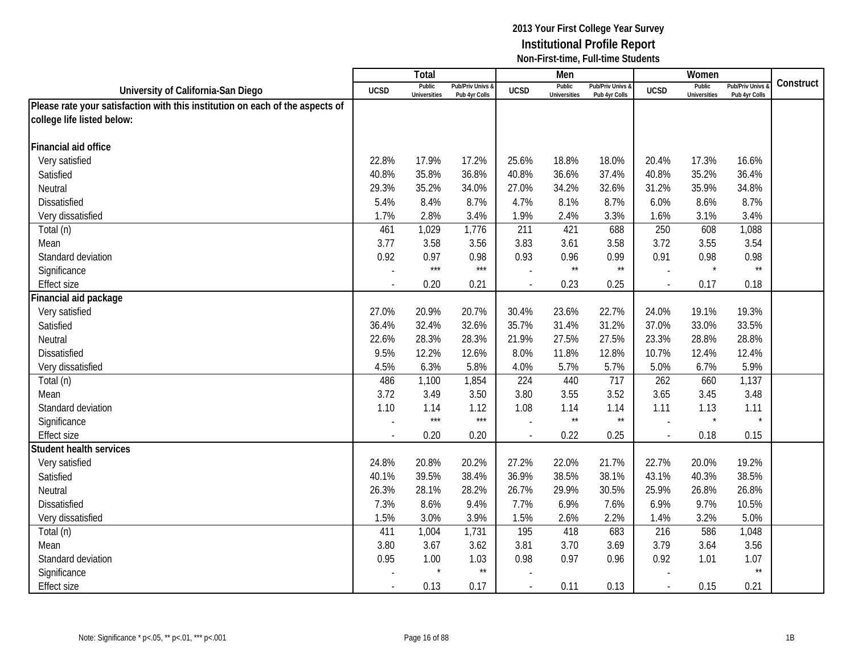|                                                                               |                | Total                         |                                   |                | Men                           |                                   |                          | Women                         |                                        |           |
|-------------------------------------------------------------------------------|----------------|-------------------------------|-----------------------------------|----------------|-------------------------------|-----------------------------------|--------------------------|-------------------------------|----------------------------------------|-----------|
| University of California-San Diego                                            | <b>UCSD</b>    | Public<br><b>Universities</b> | Pub/Priv Univs &<br>Pub 4yr Colls | <b>UCSD</b>    | Public<br><b>Universities</b> | Pub/Priv Univs &<br>Pub 4yr Colls | <b>UCSD</b>              | Public<br><b>Universities</b> | <b>Pub/Priv Univs</b><br>Pub 4yr Colls | Construct |
| Please rate your satisfaction with this institution on each of the aspects of |                |                               |                                   |                |                               |                                   |                          |                               |                                        |           |
| college life listed below:                                                    |                |                               |                                   |                |                               |                                   |                          |                               |                                        |           |
|                                                                               |                |                               |                                   |                |                               |                                   |                          |                               |                                        |           |
| Financial aid office                                                          |                |                               |                                   |                |                               |                                   |                          |                               |                                        |           |
| Very satisfied                                                                | 22.8%          | 17.9%                         | 17.2%                             | 25.6%          | 18.8%                         | 18.0%                             | 20.4%                    | 17.3%                         | 16.6%                                  |           |
| Satisfied                                                                     | 40.8%          | 35.8%                         | 36.8%                             | 40.8%          | 36.6%                         | 37.4%                             | 40.8%                    | 35.2%                         | 36.4%                                  |           |
| Neutral                                                                       | 29.3%          | 35.2%                         | 34.0%                             | 27.0%          | 34.2%                         | 32.6%                             | 31.2%                    | 35.9%                         | 34.8%                                  |           |
| Dissatisfied                                                                  | 5.4%           | 8.4%                          | 8.7%                              | 4.7%           | 8.1%                          | 8.7%                              | 6.0%                     | 8.6%                          | 8.7%                                   |           |
| Very dissatisfied                                                             | 1.7%           | 2.8%                          | 3.4%                              | 1.9%           | 2.4%                          | 3.3%                              | 1.6%                     | 3.1%                          | 3.4%                                   |           |
| Total (n)                                                                     | 461            | 1,029                         | 1,776                             | 211            | 421                           | 688                               | 250                      | 608                           | 1,088                                  |           |
| Mean                                                                          | 3.77           | 3.58                          | 3.56                              | 3.83           | 3.61                          | 3.58                              | 3.72                     | 3.55                          | 3.54                                   |           |
| Standard deviation                                                            | 0.92           | 0.97                          | 0.98                              | 0.93           | 0.96                          | 0.99                              | 0.91                     | 0.98                          | 0.98                                   |           |
| Significance                                                                  |                | $***$                         | $***$                             |                | $\star\star$                  | $\star\star$                      | ÷,                       | $\star$                       | $\star\star$                           |           |
| <b>Effect size</b>                                                            |                | 0.20                          | 0.21                              |                | 0.23                          | 0.25                              | $\overline{\phantom{a}}$ | 0.17                          | 0.18                                   |           |
| Financial aid package                                                         |                |                               |                                   |                |                               |                                   |                          |                               |                                        |           |
| Very satisfied                                                                | 27.0%          | 20.9%                         | 20.7%                             | 30.4%          | 23.6%                         | 22.7%                             | 24.0%                    | 19.1%                         | 19.3%                                  |           |
| Satisfied                                                                     | 36.4%          | 32.4%                         | 32.6%                             | 35.7%          | 31.4%                         | 31.2%                             | 37.0%                    | 33.0%                         | 33.5%                                  |           |
| Neutral                                                                       | 22.6%          | 28.3%                         | 28.3%                             | 21.9%          | 27.5%                         | 27.5%                             | 23.3%                    | 28.8%                         | 28.8%                                  |           |
| <b>Dissatisfied</b>                                                           | 9.5%           | 12.2%                         | 12.6%                             | 8.0%           | 11.8%                         | 12.8%                             | 10.7%                    | 12.4%                         | 12.4%                                  |           |
| Very dissatisfied                                                             | 4.5%           | 6.3%                          | 5.8%                              | 4.0%           | 5.7%                          | 5.7%                              | 5.0%                     | 6.7%                          | 5.9%                                   |           |
| Total (n)                                                                     | 486            | 1,100                         | 1,854                             | 224            | 440                           | 717                               | 262                      | 660                           | 1,137                                  |           |
| Mean                                                                          | 3.72           | 3.49                          | 3.50                              | 3.80           | 3.55                          | 3.52                              | 3.65                     | 3.45                          | 3.48                                   |           |
| Standard deviation                                                            | 1.10           | 1.14                          | 1.12                              | 1.08           | 1.14                          | 1.14                              | 1.11                     | 1.13                          | 1.11                                   |           |
| Significance                                                                  |                | $***$                         | $***$                             |                | $\star\star$                  | $\star\star$                      |                          | $\star$                       | $\star$                                |           |
| <b>Effect size</b>                                                            |                | 0.20                          | 0.20                              |                | 0.22                          | 0.25                              | $\sim$                   | 0.18                          | 0.15                                   |           |
| <b>Student health services</b>                                                |                |                               |                                   |                |                               |                                   |                          |                               |                                        |           |
| Very satisfied                                                                | 24.8%          | 20.8%                         | 20.2%                             | 27.2%          | 22.0%                         | 21.7%                             | 22.7%                    | 20.0%                         | 19.2%                                  |           |
| Satisfied                                                                     | 40.1%          | 39.5%                         | 38.4%                             | 36.9%          | 38.5%                         | 38.1%                             | 43.1%                    | 40.3%                         | 38.5%                                  |           |
| Neutral                                                                       | 26.3%          | 28.1%                         | 28.2%                             | 26.7%          | 29.9%                         | 30.5%                             | 25.9%                    | 26.8%                         | 26.8%                                  |           |
| Dissatisfied                                                                  | 7.3%           | 8.6%                          | 9.4%                              | 7.7%           | 6.9%                          | 7.6%                              | 6.9%                     | 9.7%                          | 10.5%                                  |           |
| Very dissatisfied                                                             | 1.5%           | 3.0%                          | 3.9%                              | 1.5%           | 2.6%                          | 2.2%                              | 1.4%                     | 3.2%                          | 5.0%                                   |           |
| Total (n)                                                                     | 411            | 1,004                         | 1,731                             | 195            | 418                           | 683                               | 216                      | 586                           | 1,048                                  |           |
| Mean                                                                          | 3.80           | 3.67                          | 3.62                              | 3.81           | 3.70                          | 3.69                              | 3.79                     | 3.64                          | 3.56                                   |           |
| Standard deviation                                                            | 0.95           | 1.00                          | 1.03                              | 0.98           | 0.97                          | 0.96                              | 0.92                     | 1.01                          | 1.07                                   |           |
| Significance                                                                  |                |                               | $^{\star\star}$                   |                |                               |                                   |                          |                               | $\star\star$                           |           |
| <b>Effect size</b>                                                            | $\blacksquare$ | 0.13                          | 0.17                              | $\blacksquare$ | 0.11                          | 0.13                              | $\sim$                   | 0.15                          | 0.21                                   |           |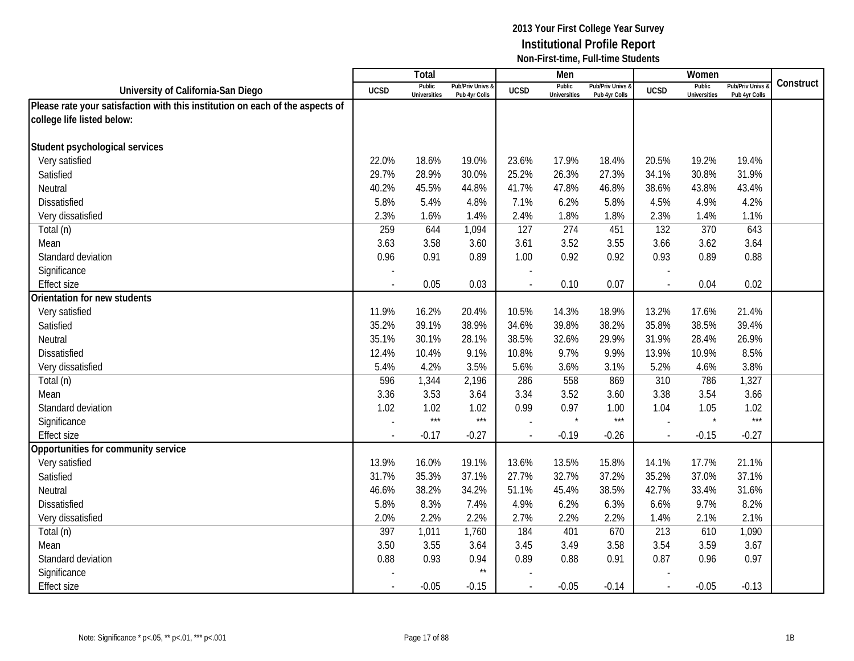|                                                                               |             | <b>Total</b>                  |                                   |                | Men                           |                                   |                          | Women                         |                                        |           |
|-------------------------------------------------------------------------------|-------------|-------------------------------|-----------------------------------|----------------|-------------------------------|-----------------------------------|--------------------------|-------------------------------|----------------------------------------|-----------|
| University of California-San Diego                                            | <b>UCSD</b> | Public<br><b>Universities</b> | Pub/Priv Univs &<br>Pub 4yr Colls | <b>UCSD</b>    | Public<br><b>Universities</b> | Pub/Priv Univs &<br>Pub 4yr Colls | <b>UCSD</b>              | Public<br><b>Universities</b> | <b>Pub/Priv Univs</b><br>Pub 4yr Colls | Construct |
| Please rate your satisfaction with this institution on each of the aspects of |             |                               |                                   |                |                               |                                   |                          |                               |                                        |           |
| college life listed below:                                                    |             |                               |                                   |                |                               |                                   |                          |                               |                                        |           |
|                                                                               |             |                               |                                   |                |                               |                                   |                          |                               |                                        |           |
| Student psychological services                                                |             |                               |                                   |                |                               |                                   |                          |                               |                                        |           |
| Very satisfied                                                                | 22.0%       | 18.6%                         | 19.0%                             | 23.6%          | 17.9%                         | 18.4%                             | 20.5%                    | 19.2%                         | 19.4%                                  |           |
| Satisfied                                                                     | 29.7%       | 28.9%                         | 30.0%                             | 25.2%          | 26.3%                         | 27.3%                             | 34.1%                    | 30.8%                         | 31.9%                                  |           |
| Neutral                                                                       | 40.2%       | 45.5%                         | 44.8%                             | 41.7%          | 47.8%                         | 46.8%                             | 38.6%                    | 43.8%                         | 43.4%                                  |           |
| Dissatisfied                                                                  | 5.8%        | 5.4%                          | 4.8%                              | 7.1%           | 6.2%                          | 5.8%                              | 4.5%                     | 4.9%                          | 4.2%                                   |           |
| Very dissatisfied                                                             | 2.3%        | 1.6%                          | 1.4%                              | 2.4%           | 1.8%                          | 1.8%                              | 2.3%                     | 1.4%                          | 1.1%                                   |           |
| Total (n)                                                                     | 259         | 644                           | 1,094                             | 127            | $\overline{274}$              | 451                               | 132                      | 370                           | 643                                    |           |
| Mean                                                                          | 3.63        | 3.58                          | 3.60                              | 3.61           | 3.52                          | 3.55                              | 3.66                     | 3.62                          | 3.64                                   |           |
| Standard deviation                                                            | 0.96        | 0.91                          | 0.89                              | 1.00           | 0.92                          | 0.92                              | 0.93                     | 0.89                          | 0.88                                   |           |
| Significance                                                                  |             |                               |                                   |                |                               |                                   |                          |                               |                                        |           |
| <b>Effect size</b>                                                            |             | 0.05                          | 0.03                              |                | 0.10                          | 0.07                              |                          | 0.04                          | 0.02                                   |           |
| Orientation for new students                                                  |             |                               |                                   |                |                               |                                   |                          |                               |                                        |           |
| Very satisfied                                                                | 11.9%       | 16.2%                         | 20.4%                             | 10.5%          | 14.3%                         | 18.9%                             | 13.2%                    | 17.6%                         | 21.4%                                  |           |
| Satisfied                                                                     | 35.2%       | 39.1%                         | 38.9%                             | 34.6%          | 39.8%                         | 38.2%                             | 35.8%                    | 38.5%                         | 39.4%                                  |           |
| Neutral                                                                       | 35.1%       | 30.1%                         | 28.1%                             | 38.5%          | 32.6%                         | 29.9%                             | 31.9%                    | 28.4%                         | 26.9%                                  |           |
| <b>Dissatisfied</b>                                                           | 12.4%       | 10.4%                         | 9.1%                              | 10.8%          | 9.7%                          | 9.9%                              | 13.9%                    | 10.9%                         | 8.5%                                   |           |
| Very dissatisfied                                                             | 5.4%        | 4.2%                          | 3.5%                              | 5.6%           | 3.6%                          | 3.1%                              | 5.2%                     | 4.6%                          | 3.8%                                   |           |
| Total (n)                                                                     | 596         | 1,344                         | 2,196                             | 286            | 558                           | 869                               | 310                      | 786                           | 1,327                                  |           |
| Mean                                                                          | 3.36        | 3.53                          | 3.64                              | 3.34           | 3.52                          | 3.60                              | 3.38                     | 3.54                          | 3.66                                   |           |
| Standard deviation                                                            | 1.02        | 1.02                          | 1.02                              | 0.99           | 0.97                          | 1.00                              | 1.04                     | 1.05                          | 1.02                                   |           |
| Significance                                                                  |             | $***$                         | $***$                             |                | $\star$                       | $***$                             |                          | $\star$                       | $***$                                  |           |
| <b>Effect size</b>                                                            |             | $-0.17$                       | $-0.27$                           |                | $-0.19$                       | $-0.26$                           | $\sim$                   | $-0.15$                       | $-0.27$                                |           |
| Opportunities for community service                                           |             |                               |                                   |                |                               |                                   |                          |                               |                                        |           |
| Very satisfied                                                                | 13.9%       | 16.0%                         | 19.1%                             | 13.6%          | 13.5%                         | 15.8%                             | 14.1%                    | 17.7%                         | 21.1%                                  |           |
| Satisfied                                                                     | 31.7%       | 35.3%                         | 37.1%                             | 27.7%          | 32.7%                         | 37.2%                             | 35.2%                    | 37.0%                         | 37.1%                                  |           |
| Neutral                                                                       | 46.6%       | 38.2%                         | 34.2%                             | 51.1%          | 45.4%                         | 38.5%                             | 42.7%                    | 33.4%                         | 31.6%                                  |           |
| Dissatisfied                                                                  | 5.8%        | 8.3%                          | 7.4%                              | 4.9%           | 6.2%                          | 6.3%                              | 6.6%                     | 9.7%                          | 8.2%                                   |           |
| Very dissatisfied                                                             | 2.0%        | 2.2%                          | 2.2%                              | 2.7%           | 2.2%                          | 2.2%                              | 1.4%                     | 2.1%                          | 2.1%                                   |           |
| Total (n)                                                                     | 397         | 1,011                         | 1,760                             | 184            | 401                           | 670                               | 213                      | 610                           | 1,090                                  |           |
| Mean                                                                          | 3.50        | 3.55                          | 3.64                              | 3.45           | 3.49                          | 3.58                              | 3.54                     | 3.59                          | 3.67                                   |           |
| Standard deviation                                                            | 0.88        | 0.93                          | 0.94                              | 0.89           | 0.88                          | 0.91                              | 0.87                     | 0.96                          | 0.97                                   |           |
| Significance                                                                  |             |                               | $\star\star$                      |                |                               |                                   |                          |                               |                                        |           |
| <b>Effect size</b>                                                            |             | $-0.05$                       | $-0.15$                           | $\blacksquare$ | $-0.05$                       | $-0.14$                           | $\overline{\phantom{a}}$ | $-0.05$                       | $-0.13$                                |           |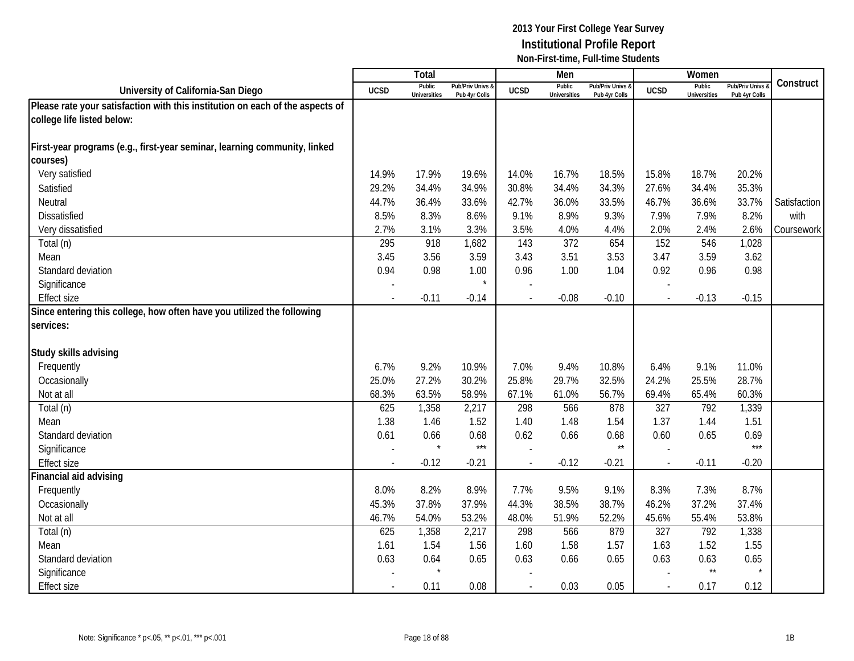|                                                                               |                          | Total                         |                                   |                          | Men                           |                                 |                | Women                         |                                        |              |
|-------------------------------------------------------------------------------|--------------------------|-------------------------------|-----------------------------------|--------------------------|-------------------------------|---------------------------------|----------------|-------------------------------|----------------------------------------|--------------|
| University of California-San Diego                                            | <b>UCSD</b>              | Public<br><b>Universities</b> | Pub/Priv Univs &<br>Pub 4yr Colls | <b>UCSD</b>              | Public<br><b>Universities</b> | Pub/Priv Univs<br>Pub 4yr Colls | <b>UCSD</b>    | Public<br><b>Universities</b> | <b>Pub/Priv Univs</b><br>Pub 4yr Colls | Construct    |
| Please rate your satisfaction with this institution on each of the aspects of |                          |                               |                                   |                          |                               |                                 |                |                               |                                        |              |
| college life listed below:                                                    |                          |                               |                                   |                          |                               |                                 |                |                               |                                        |              |
|                                                                               |                          |                               |                                   |                          |                               |                                 |                |                               |                                        |              |
| First-year programs (e.g., first-year seminar, learning community, linked     |                          |                               |                                   |                          |                               |                                 |                |                               |                                        |              |
| courses)                                                                      |                          |                               |                                   |                          |                               |                                 |                |                               |                                        |              |
| Very satisfied                                                                | 14.9%                    | 17.9%                         | 19.6%                             | 14.0%                    | 16.7%                         | 18.5%                           | 15.8%          | 18.7%                         | 20.2%                                  |              |
| Satisfied                                                                     | 29.2%                    | 34.4%                         | 34.9%                             | 30.8%                    | 34.4%                         | 34.3%                           | 27.6%          | 34.4%                         | 35.3%                                  |              |
| Neutral                                                                       | 44.7%                    | 36.4%                         | 33.6%                             | 42.7%                    | 36.0%                         | 33.5%                           | 46.7%          | 36.6%                         | 33.7%                                  | Satisfaction |
| Dissatisfied                                                                  | 8.5%                     | 8.3%                          | 8.6%                              | 9.1%                     | 8.9%                          | 9.3%                            | 7.9%           | 7.9%                          | 8.2%                                   | with         |
| Very dissatisfied                                                             | 2.7%                     | 3.1%                          | 3.3%                              | 3.5%                     | 4.0%                          | 4.4%                            | 2.0%           | 2.4%                          | 2.6%                                   | Coursework   |
| $\overline{\mathrm{Total}}$ (n)                                               | 295                      | 918                           | 1,682                             | 143                      | 372                           | 654                             | 152            | 546                           | 1,028                                  |              |
| Mean                                                                          | 3.45                     | 3.56                          | 3.59                              | 3.43                     | 3.51                          | 3.53                            | 3.47           | 3.59                          | 3.62                                   |              |
| Standard deviation                                                            | 0.94                     | 0.98                          | 1.00                              | 0.96                     | 1.00                          | 1.04                            | 0.92           | 0.96                          | 0.98                                   |              |
| Significance                                                                  |                          |                               | $\star$                           |                          |                               |                                 |                |                               |                                        |              |
| <b>Effect size</b>                                                            |                          | $-0.11$                       | $-0.14$                           |                          | $-0.08$                       | $-0.10$                         |                | $-0.13$                       | $-0.15$                                |              |
| Since entering this college, how often have you utilized the following        |                          |                               |                                   |                          |                               |                                 |                |                               |                                        |              |
| services:                                                                     |                          |                               |                                   |                          |                               |                                 |                |                               |                                        |              |
|                                                                               |                          |                               |                                   |                          |                               |                                 |                |                               |                                        |              |
| Study skills advising                                                         |                          |                               |                                   |                          |                               |                                 |                |                               |                                        |              |
| Frequently                                                                    | 6.7%                     | 9.2%                          | 10.9%                             | 7.0%                     | 9.4%                          | 10.8%                           | 6.4%           | 9.1%                          | 11.0%                                  |              |
| Occasionally                                                                  | 25.0%                    | 27.2%                         | 30.2%                             | 25.8%                    | 29.7%                         | 32.5%                           | 24.2%          | 25.5%                         | 28.7%                                  |              |
| Not at all                                                                    | 68.3%                    | 63.5%                         | 58.9%                             | 67.1%                    | 61.0%                         | 56.7%                           | 69.4%          | 65.4%                         | 60.3%                                  |              |
| Total (n)                                                                     | 625                      | 1,358                         | 2,217                             | 298                      | 566                           | 878                             | 327            | 792                           | 1,339                                  |              |
| Mean                                                                          | 1.38                     | 1.46                          | 1.52                              | 1.40                     | 1.48                          | 1.54                            | 1.37           | 1.44                          | 1.51                                   |              |
| Standard deviation                                                            | 0.61                     | 0.66                          | 0.68                              | 0.62                     | 0.66                          | 0.68                            | 0.60           | 0.65                          | 0.69                                   |              |
| Significance                                                                  |                          |                               | $***$                             |                          |                               | $\star\star$                    |                |                               | $***$                                  |              |
| <b>Effect size</b>                                                            | $\sim$                   | $-0.12$                       | $-0.21$                           | $\overline{\phantom{a}}$ | $-0.12$                       | $-0.21$                         | $\overline{a}$ | $-0.11$                       | $-0.20$                                |              |
| Financial aid advising                                                        |                          |                               |                                   |                          |                               |                                 |                |                               |                                        |              |
| Frequently                                                                    | 8.0%                     | 8.2%                          | 8.9%                              | 7.7%                     | 9.5%                          | 9.1%                            | 8.3%           | 7.3%                          | 8.7%                                   |              |
| Occasionally                                                                  | 45.3%                    | 37.8%                         | 37.9%                             | 44.3%                    | 38.5%                         | 38.7%                           | 46.2%          | 37.2%                         | 37.4%                                  |              |
| Not at all                                                                    | 46.7%                    | 54.0%                         | 53.2%                             | 48.0%                    | 51.9%                         | 52.2%                           | 45.6%          | 55.4%                         | 53.8%                                  |              |
| Total (n)                                                                     | 625                      | 1,358                         | 2,217                             | 298                      | 566                           | 879                             | 327            | 792                           | 1,338                                  |              |
| Mean                                                                          | 1.61                     | 1.54                          | 1.56                              | 1.60                     | 1.58                          | 1.57                            | 1.63           | 1.52                          | 1.55                                   |              |
| Standard deviation                                                            | 0.63                     | 0.64                          | 0.65                              | 0.63                     | 0.66                          | 0.65                            | 0.63           | 0.63                          | 0.65                                   |              |
| Significance                                                                  |                          |                               |                                   |                          |                               |                                 |                | $^{\star\star}$               |                                        |              |
| <b>Effect size</b>                                                            | $\overline{\phantom{a}}$ | 0.11                          | 0.08                              | $\overline{\phantom{a}}$ | 0.03                          | 0.05                            | $\sim$         | 0.17                          | 0.12                                   |              |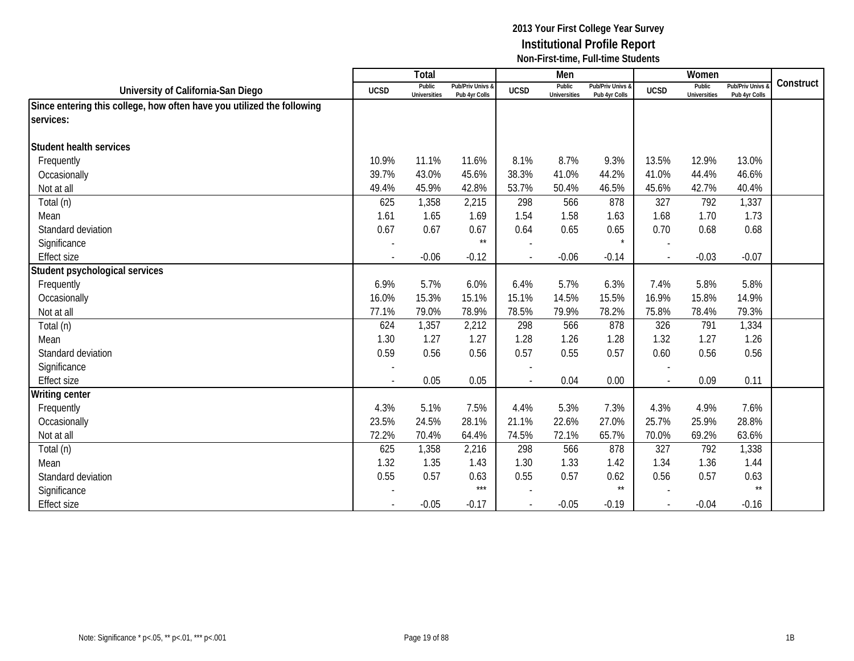|                                                                        |                          | Total                         |                                   |                          | Men                           |                                   |                          | Women                         |                                 |           |
|------------------------------------------------------------------------|--------------------------|-------------------------------|-----------------------------------|--------------------------|-------------------------------|-----------------------------------|--------------------------|-------------------------------|---------------------------------|-----------|
| University of California-San Diego                                     | <b>UCSD</b>              | Public<br><b>Universities</b> | Pub/Priv Univs &<br>Pub 4yr Colls | <b>UCSD</b>              | Public<br><b>Universities</b> | Pub/Priv Univs &<br>Pub 4yr Colls | <b>UCSD</b>              | Public<br><b>Universities</b> | Pub/Priv Univs<br>Pub 4yr Colls | Construct |
| Since entering this college, how often have you utilized the following |                          |                               |                                   |                          |                               |                                   |                          |                               |                                 |           |
| services:                                                              |                          |                               |                                   |                          |                               |                                   |                          |                               |                                 |           |
|                                                                        |                          |                               |                                   |                          |                               |                                   |                          |                               |                                 |           |
| <b>Student health services</b>                                         |                          |                               |                                   |                          |                               |                                   |                          |                               |                                 |           |
| Frequently                                                             | 10.9%                    | 11.1%                         | 11.6%                             | 8.1%                     | 8.7%                          | 9.3%                              | 13.5%                    | 12.9%                         | 13.0%                           |           |
| Occasionally                                                           | 39.7%                    | 43.0%                         | 45.6%                             | 38.3%                    | 41.0%                         | 44.2%                             | 41.0%                    | 44.4%                         | 46.6%                           |           |
| Not at all                                                             | 49.4%                    | 45.9%                         | 42.8%                             | 53.7%                    | 50.4%                         | 46.5%                             | 45.6%                    | 42.7%                         | 40.4%                           |           |
| Total (n)                                                              | 625                      | 1,358                         | 2,215                             | 298                      | 566                           | 878                               | 327                      | 792                           | 1,337                           |           |
| Mean                                                                   | 1.61                     | 1.65                          | 1.69                              | 1.54                     | 1.58                          | 1.63                              | 1.68                     | 1.70                          | 1.73                            |           |
| Standard deviation                                                     | 0.67                     | 0.67                          | 0.67                              | 0.64                     | 0.65                          | 0.65                              | 0.70                     | 0.68                          | 0.68                            |           |
| Significance                                                           |                          |                               | $^{\star\star}$                   |                          |                               | $\star$                           |                          |                               |                                 |           |
| <b>Effect size</b>                                                     | $\blacksquare$           | $-0.06$                       | $-0.12$                           |                          | $-0.06$                       | $-0.14$                           | $\sim$                   | $-0.03$                       | $-0.07$                         |           |
| Student psychological services                                         |                          |                               |                                   |                          |                               |                                   |                          |                               |                                 |           |
| Frequently                                                             | 6.9%                     | 5.7%                          | 6.0%                              | 6.4%                     | 5.7%                          | 6.3%                              | 7.4%                     | 5.8%                          | 5.8%                            |           |
| Occasionally                                                           | 16.0%                    | 15.3%                         | 15.1%                             | 15.1%                    | 14.5%                         | 15.5%                             | 16.9%                    | 15.8%                         | 14.9%                           |           |
| Not at all                                                             | 77.1%                    | 79.0%                         | 78.9%                             | 78.5%                    | 79.9%                         | 78.2%                             | 75.8%                    | 78.4%                         | 79.3%                           |           |
| Total (n)                                                              | 624                      | 1,357                         | 2,212                             | 298                      | 566                           | 878                               | 326                      | 791                           | 1,334                           |           |
| Mean                                                                   | 1.30                     | 1.27                          | 1.27                              | 1.28                     | 1.26                          | 1.28                              | 1.32                     | 1.27                          | 1.26                            |           |
| Standard deviation                                                     | 0.59                     | 0.56                          | 0.56                              | 0.57                     | 0.55                          | 0.57                              | 0.60                     | 0.56                          | 0.56                            |           |
| Significance                                                           |                          |                               |                                   |                          |                               |                                   |                          |                               |                                 |           |
| <b>Effect size</b>                                                     | $\blacksquare$           | 0.05                          | 0.05                              | $\overline{\phantom{a}}$ | 0.04                          | 0.00                              | $\overline{\phantom{a}}$ | 0.09                          | 0.11                            |           |
| <b>Writing center</b>                                                  |                          |                               |                                   |                          |                               |                                   |                          |                               |                                 |           |
| Frequently                                                             | 4.3%                     | 5.1%                          | 7.5%                              | 4.4%                     | 5.3%                          | 7.3%                              | 4.3%                     | 4.9%                          | 7.6%                            |           |
| Occasionally                                                           | 23.5%                    | 24.5%                         | 28.1%                             | 21.1%                    | 22.6%                         | 27.0%                             | 25.7%                    | 25.9%                         | 28.8%                           |           |
| Not at all                                                             | 72.2%                    | 70.4%                         | 64.4%                             | 74.5%                    | 72.1%                         | 65.7%                             | 70.0%                    | 69.2%                         | 63.6%                           |           |
| Total (n)                                                              | 625                      | 1,358                         | 2,216                             | 298                      | 566                           | 878                               | 327                      | 792                           | 1,338                           |           |
| Mean                                                                   | 1.32                     | 1.35                          | 1.43                              | 1.30                     | 1.33                          | 1.42                              | 1.34                     | 1.36                          | 1.44                            |           |
| Standard deviation                                                     | 0.55                     | 0.57                          | 0.63                              | 0.55                     | 0.57                          | 0.62                              | 0.56                     | 0.57                          | 0.63                            |           |
| Significance                                                           |                          |                               | $***$                             |                          |                               | $\star\star$                      |                          |                               | $\star\star$                    |           |
| <b>Effect size</b>                                                     | $\overline{\phantom{a}}$ | $-0.05$                       | $-0.17$                           | $\blacksquare$           | $-0.05$                       | $-0.19$                           | $\sim$                   | $-0.04$                       | $-0.16$                         |           |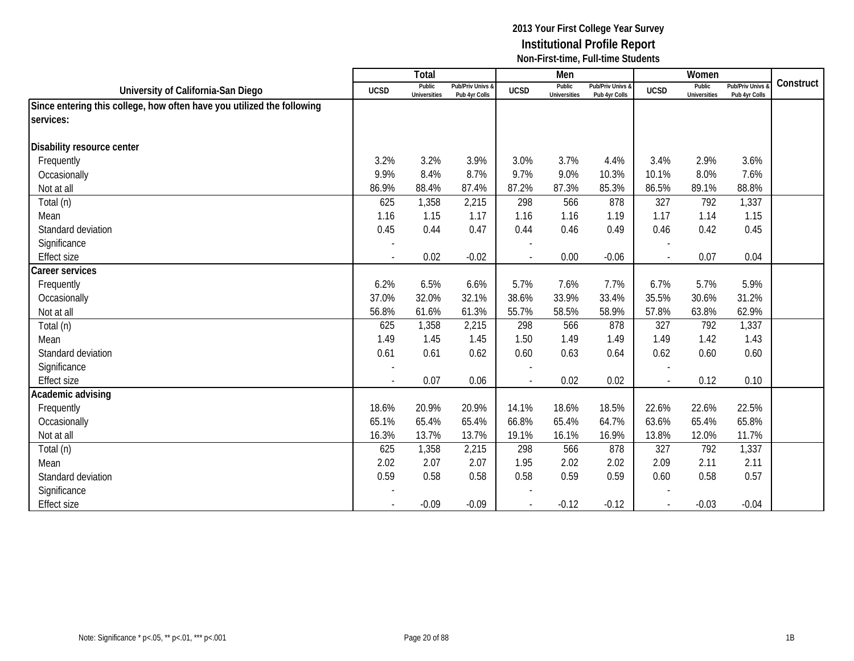|                                                                        |                          | <b>Total</b>                  |                                   |                | Men                           |                                   |                          | Women                         |                                        |           |
|------------------------------------------------------------------------|--------------------------|-------------------------------|-----------------------------------|----------------|-------------------------------|-----------------------------------|--------------------------|-------------------------------|----------------------------------------|-----------|
| University of California-San Diego                                     | <b>UCSD</b>              | Public<br><b>Universities</b> | Pub/Priv Univs &<br>Pub 4yr Colls | <b>UCSD</b>    | Public<br><b>Universities</b> | Pub/Priv Univs &<br>Pub 4yr Colls | <b>UCSD</b>              | Public<br><b>Universities</b> | <b>Pub/Priv Univs</b><br>Pub 4yr Colls | Construct |
| Since entering this college, how often have you utilized the following |                          |                               |                                   |                |                               |                                   |                          |                               |                                        |           |
| services:                                                              |                          |                               |                                   |                |                               |                                   |                          |                               |                                        |           |
|                                                                        |                          |                               |                                   |                |                               |                                   |                          |                               |                                        |           |
| Disability resource center                                             |                          |                               |                                   |                |                               |                                   |                          |                               |                                        |           |
| Frequently                                                             | 3.2%                     | 3.2%                          | 3.9%                              | 3.0%           | 3.7%                          | 4.4%                              | 3.4%                     | 2.9%                          | 3.6%                                   |           |
| Occasionally                                                           | 9.9%                     | 8.4%                          | 8.7%                              | 9.7%           | 9.0%                          | 10.3%                             | 10.1%                    | 8.0%                          | 7.6%                                   |           |
| Not at all                                                             | 86.9%                    | 88.4%                         | 87.4%                             | 87.2%          | 87.3%                         | 85.3%                             | 86.5%                    | 89.1%                         | 88.8%                                  |           |
| Total (n)                                                              | 625                      | 1,358                         | 2,215                             | 298            | 566                           | 878                               | 327                      | 792                           | 1,337                                  |           |
| Mean                                                                   | 1.16                     | 1.15                          | 1.17                              | 1.16           | 1.16                          | 1.19                              | 1.17                     | 1.14                          | 1.15                                   |           |
| Standard deviation                                                     | 0.45                     | 0.44                          | 0.47                              | 0.44           | 0.46                          | 0.49                              | 0.46                     | 0.42                          | 0.45                                   |           |
| Significance                                                           |                          |                               |                                   |                |                               |                                   |                          |                               |                                        |           |
| <b>Effect size</b>                                                     | $\blacksquare$           | 0.02                          | $-0.02$                           | $\blacksquare$ | 0.00                          | $-0.06$                           | $\mathcal{L}$            | 0.07                          | 0.04                                   |           |
| Career services                                                        |                          |                               |                                   |                |                               |                                   |                          |                               |                                        |           |
| Frequently                                                             | 6.2%                     | 6.5%                          | 6.6%                              | 5.7%           | 7.6%                          | 7.7%                              | 6.7%                     | 5.7%                          | 5.9%                                   |           |
| Occasionally                                                           | 37.0%                    | 32.0%                         | 32.1%                             | 38.6%          | 33.9%                         | 33.4%                             | 35.5%                    | 30.6%                         | 31.2%                                  |           |
| Not at all                                                             | 56.8%                    | 61.6%                         | 61.3%                             | 55.7%          | 58.5%                         | 58.9%                             | 57.8%                    | 63.8%                         | 62.9%                                  |           |
| Total (n)                                                              | 625                      | 1,358                         | 2,215                             | 298            | 566                           | 878                               | 327                      | 792                           | 1,337                                  |           |
| Mean                                                                   | 1.49                     | 1.45                          | 1.45                              | 1.50           | 1.49                          | 1.49                              | 1.49                     | 1.42                          | 1.43                                   |           |
| Standard deviation                                                     | 0.61                     | 0.61                          | 0.62                              | 0.60           | 0.63                          | 0.64                              | 0.62                     | 0.60                          | 0.60                                   |           |
| Significance                                                           |                          |                               |                                   |                |                               |                                   |                          |                               |                                        |           |
| <b>Effect size</b>                                                     |                          | 0.07                          | 0.06                              | $\overline{a}$ | 0.02                          | 0.02                              | $\overline{\phantom{a}}$ | 0.12                          | 0.10                                   |           |
| Academic advising                                                      |                          |                               |                                   |                |                               |                                   |                          |                               |                                        |           |
| Frequently                                                             | 18.6%                    | 20.9%                         | 20.9%                             | 14.1%          | 18.6%                         | 18.5%                             | 22.6%                    | 22.6%                         | 22.5%                                  |           |
| Occasionally                                                           | 65.1%                    | 65.4%                         | 65.4%                             | 66.8%          | 65.4%                         | 64.7%                             | 63.6%                    | 65.4%                         | 65.8%                                  |           |
| Not at all                                                             | 16.3%                    | 13.7%                         | 13.7%                             | 19.1%          | 16.1%                         | 16.9%                             | 13.8%                    | 12.0%                         | 11.7%                                  |           |
| Total (n)                                                              | 625                      | 1,358                         | 2,215                             | 298            | 566                           | 878                               | 327                      | 792                           | 1,337                                  |           |
| Mean                                                                   | 2.02                     | 2.07                          | 2.07                              | 1.95           | 2.02                          | 2.02                              | 2.09                     | 2.11                          | 2.11                                   |           |
| Standard deviation                                                     | 0.59                     | 0.58                          | 0.58                              | 0.58           | 0.59                          | 0.59                              | 0.60                     | 0.58                          | 0.57                                   |           |
| Significance                                                           |                          |                               |                                   |                |                               |                                   |                          |                               |                                        |           |
| <b>Effect size</b>                                                     | $\overline{\phantom{a}}$ | $-0.09$                       | $-0.09$                           |                | $-0.12$                       | $-0.12$                           | $\sim$                   | $-0.03$                       | $-0.04$                                |           |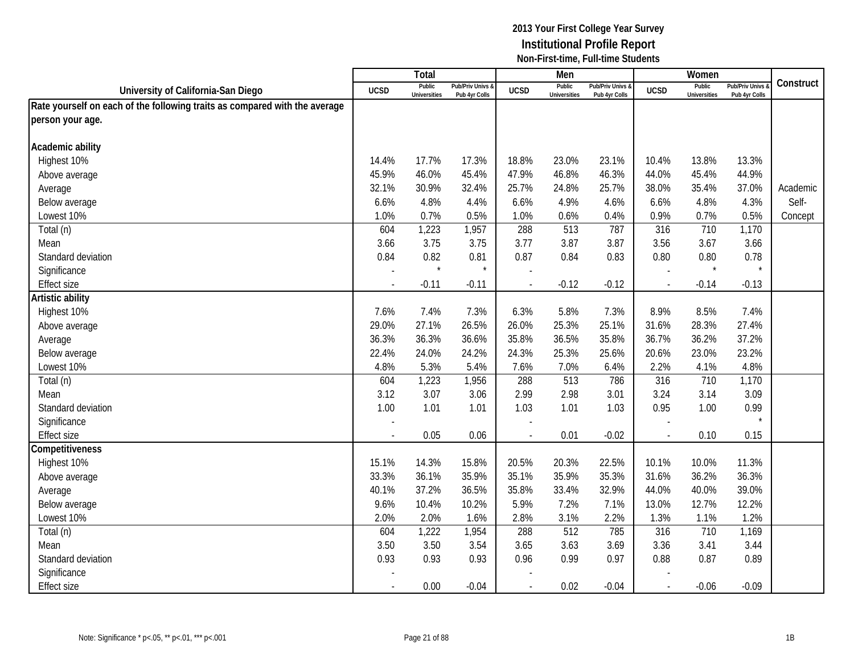|                                                                            |             | Total                         |                                   |                          | Men                           |                                   |                          | Women                         |                                        |           |
|----------------------------------------------------------------------------|-------------|-------------------------------|-----------------------------------|--------------------------|-------------------------------|-----------------------------------|--------------------------|-------------------------------|----------------------------------------|-----------|
| University of California-San Diego                                         | <b>UCSD</b> | Public<br><b>Universities</b> | Pub/Priv Univs &<br>Pub 4yr Colls | <b>UCSD</b>              | Public<br><b>Universities</b> | Pub/Priv Univs &<br>Pub 4yr Colls | <b>UCSD</b>              | Public<br><b>Universities</b> | <b>Pub/Priv Univs</b><br>Pub 4yr Colls | Construct |
| Rate yourself on each of the following traits as compared with the average |             |                               |                                   |                          |                               |                                   |                          |                               |                                        |           |
| person your age.                                                           |             |                               |                                   |                          |                               |                                   |                          |                               |                                        |           |
|                                                                            |             |                               |                                   |                          |                               |                                   |                          |                               |                                        |           |
| Academic ability                                                           |             |                               |                                   |                          |                               |                                   |                          |                               |                                        |           |
| Highest 10%                                                                | 14.4%       | 17.7%                         | 17.3%                             | 18.8%                    | 23.0%                         | 23.1%                             | 10.4%                    | 13.8%                         | 13.3%                                  |           |
| Above average                                                              | 45.9%       | 46.0%                         | 45.4%                             | 47.9%                    | 46.8%                         | 46.3%                             | 44.0%                    | 45.4%                         | 44.9%                                  |           |
| Average                                                                    | 32.1%       | 30.9%                         | 32.4%                             | 25.7%                    | 24.8%                         | 25.7%                             | 38.0%                    | 35.4%                         | 37.0%                                  | Academic  |
| Below average                                                              | 6.6%        | 4.8%                          | 4.4%                              | 6.6%                     | 4.9%                          | 4.6%                              | 6.6%                     | 4.8%                          | 4.3%                                   | Self-     |
| Lowest 10%                                                                 | 1.0%        | 0.7%                          | 0.5%                              | 1.0%                     | 0.6%                          | 0.4%                              | 0.9%                     | 0.7%                          | 0.5%                                   | Concept   |
| Total (n)                                                                  | 604         | 1,223                         | 1,957                             | 288                      | $\overline{513}$              | 787                               | 316                      | 710                           | 1,170                                  |           |
| Mean                                                                       | 3.66        | 3.75                          | 3.75                              | 3.77                     | 3.87                          | 3.87                              | 3.56                     | 3.67                          | 3.66                                   |           |
| Standard deviation                                                         | 0.84        | 0.82                          | 0.81                              | 0.87                     | 0.84                          | 0.83                              | 0.80                     | 0.80                          | 0.78                                   |           |
| Significance                                                               |             |                               | $\star$                           |                          |                               |                                   | $\overline{\phantom{a}}$ | $\star$                       | $\star$                                |           |
| <b>Effect size</b>                                                         |             | $-0.11$                       | $-0.11$                           |                          | $-0.12$                       | $-0.12$                           | $\overline{\phantom{a}}$ | $-0.14$                       | $-0.13$                                |           |
| Artistic ability                                                           |             |                               |                                   |                          |                               |                                   |                          |                               |                                        |           |
| Highest 10%                                                                | 7.6%        | 7.4%                          | 7.3%                              | 6.3%                     | 5.8%                          | 7.3%                              | 8.9%                     | 8.5%                          | 7.4%                                   |           |
| Above average                                                              | 29.0%       | 27.1%                         | 26.5%                             | 26.0%                    | 25.3%                         | 25.1%                             | 31.6%                    | 28.3%                         | 27.4%                                  |           |
| Average                                                                    | 36.3%       | 36.3%                         | 36.6%                             | 35.8%                    | 36.5%                         | 35.8%                             | 36.7%                    | 36.2%                         | 37.2%                                  |           |
| Below average                                                              | 22.4%       | 24.0%                         | 24.2%                             | 24.3%                    | 25.3%                         | 25.6%                             | 20.6%                    | 23.0%                         | 23.2%                                  |           |
| Lowest 10%                                                                 | 4.8%        | 5.3%                          | 5.4%                              | 7.6%                     | 7.0%                          | 6.4%                              | 2.2%                     | 4.1%                          | 4.8%                                   |           |
| Total (n)                                                                  | 604         | 1,223                         | 1,956                             | 288                      | 513                           | 786                               | 316                      | 710                           | 1,170                                  |           |
| Mean                                                                       | 3.12        | 3.07                          | 3.06                              | 2.99                     | 2.98                          | 3.01                              | 3.24                     | 3.14                          | 3.09                                   |           |
| Standard deviation                                                         | 1.00        | 1.01                          | 1.01                              | 1.03                     | 1.01                          | 1.03                              | 0.95                     | 1.00                          | 0.99                                   |           |
| Significance                                                               |             |                               |                                   |                          |                               |                                   |                          |                               | $\star$                                |           |
| <b>Effect size</b>                                                         |             | 0.05                          | 0.06                              |                          | 0.01                          | $-0.02$                           | $\sim$                   | 0.10                          | 0.15                                   |           |
| Competitiveness                                                            |             |                               |                                   |                          |                               |                                   |                          |                               |                                        |           |
| Highest 10%                                                                | 15.1%       | 14.3%                         | 15.8%                             | 20.5%                    | 20.3%                         | 22.5%                             | 10.1%                    | 10.0%                         | 11.3%                                  |           |
| Above average                                                              | 33.3%       | 36.1%                         | 35.9%                             | 35.1%                    | 35.9%                         | 35.3%                             | 31.6%                    | 36.2%                         | 36.3%                                  |           |
| Average                                                                    | 40.1%       | 37.2%                         | 36.5%                             | 35.8%                    | 33.4%                         | 32.9%                             | 44.0%                    | 40.0%                         | 39.0%                                  |           |
| Below average                                                              | 9.6%        | 10.4%                         | 10.2%                             | 5.9%                     | 7.2%                          | 7.1%                              | 13.0%                    | 12.7%                         | 12.2%                                  |           |
| Lowest 10%                                                                 | 2.0%        | 2.0%                          | 1.6%                              | 2.8%                     | 3.1%                          | 2.2%                              | 1.3%                     | 1.1%                          | 1.2%                                   |           |
| Total (n)                                                                  | 604         | 1,222                         | 1,954                             | 288                      | 512                           | 785                               | 316                      | 710                           | 1,169                                  |           |
| Mean                                                                       | 3.50        | 3.50                          | 3.54                              | 3.65                     | 3.63                          | 3.69                              | 3.36                     | 3.41                          | 3.44                                   |           |
| Standard deviation                                                         | 0.93        | 0.93                          | 0.93                              | 0.96                     | 0.99                          | 0.97                              | 0.88                     | 0.87                          | 0.89                                   |           |
| Significance                                                               |             |                               |                                   |                          |                               |                                   |                          |                               |                                        |           |
| <b>Effect size</b>                                                         |             | 0.00                          | $-0.04$                           | $\overline{\phantom{a}}$ | 0.02                          | $-0.04$                           | $\mathcal{L}$            | $-0.06$                       | $-0.09$                                |           |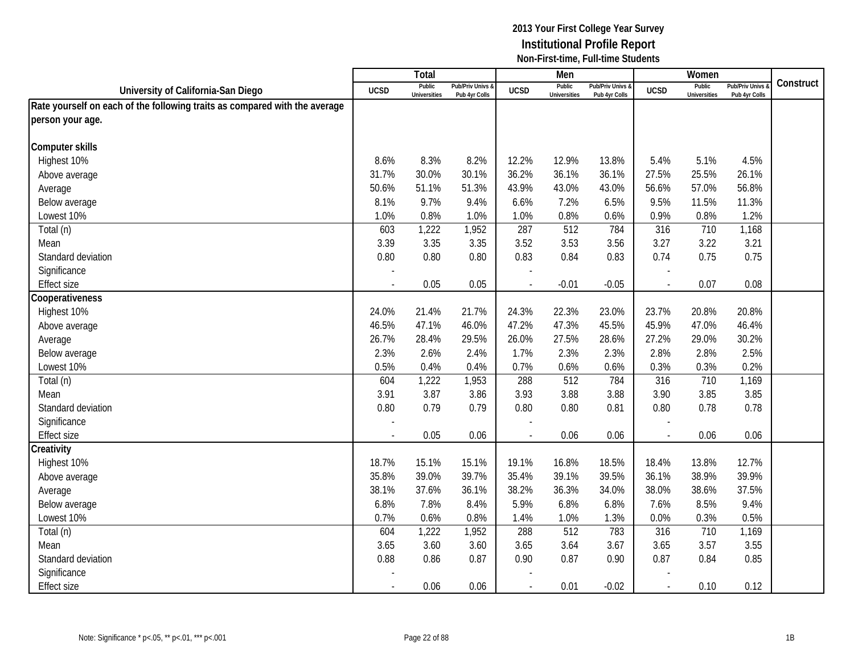|                                                                            |                | Total                         |                                 |                | Men                           |                                   |                          | Women                         |                                        |           |
|----------------------------------------------------------------------------|----------------|-------------------------------|---------------------------------|----------------|-------------------------------|-----------------------------------|--------------------------|-------------------------------|----------------------------------------|-----------|
| University of California-San Diego                                         | <b>UCSD</b>    | Public<br><b>Universities</b> | Pub/Priv Univs<br>Pub 4yr Colls | <b>UCSD</b>    | Public<br><b>Universities</b> | Pub/Priv Univs &<br>Pub 4yr Colls | <b>UCSD</b>              | Public<br><b>Universities</b> | <b>Pub/Priv Univs</b><br>Pub 4yr Colls | Construct |
| Rate yourself on each of the following traits as compared with the average |                |                               |                                 |                |                               |                                   |                          |                               |                                        |           |
| person your age.                                                           |                |                               |                                 |                |                               |                                   |                          |                               |                                        |           |
|                                                                            |                |                               |                                 |                |                               |                                   |                          |                               |                                        |           |
| <b>Computer skills</b>                                                     |                |                               |                                 |                |                               |                                   |                          |                               |                                        |           |
| Highest 10%                                                                | 8.6%           | 8.3%                          | 8.2%                            | 12.2%          | 12.9%                         | 13.8%                             | 5.4%                     | 5.1%                          | 4.5%                                   |           |
| Above average                                                              | 31.7%          | 30.0%                         | 30.1%                           | 36.2%          | 36.1%                         | 36.1%                             | 27.5%                    | 25.5%                         | 26.1%                                  |           |
| Average                                                                    | 50.6%          | 51.1%                         | 51.3%                           | 43.9%          | 43.0%                         | 43.0%                             | 56.6%                    | 57.0%                         | 56.8%                                  |           |
| Below average                                                              | 8.1%           | 9.7%                          | 9.4%                            | 6.6%           | 7.2%                          | 6.5%                              | 9.5%                     | 11.5%                         | 11.3%                                  |           |
| Lowest 10%                                                                 | 1.0%           | 0.8%                          | 1.0%                            | 1.0%           | 0.8%                          | 0.6%                              | 0.9%                     | 0.8%                          | 1.2%                                   |           |
| Total (n)                                                                  | 603            | 1,222                         | 1,952                           | 287            | 512                           | 784                               | 316                      | 710                           | 1,168                                  |           |
| Mean                                                                       | 3.39           | 3.35                          | 3.35                            | 3.52           | 3.53                          | 3.56                              | 3.27                     | 3.22                          | 3.21                                   |           |
| Standard deviation                                                         | 0.80           | 0.80                          | 0.80                            | 0.83           | 0.84                          | 0.83                              | 0.74                     | 0.75                          | 0.75                                   |           |
| Significance                                                               |                |                               |                                 |                |                               |                                   |                          |                               |                                        |           |
| <b>Effect size</b>                                                         |                | 0.05                          | 0.05                            |                | $-0.01$                       | $-0.05$                           |                          | 0.07                          | 0.08                                   |           |
| Cooperativeness                                                            |                |                               |                                 |                |                               |                                   |                          |                               |                                        |           |
| Highest 10%                                                                | 24.0%          | 21.4%                         | 21.7%                           | 24.3%          | 22.3%                         | 23.0%                             | 23.7%                    | 20.8%                         | 20.8%                                  |           |
| Above average                                                              | 46.5%          | 47.1%                         | 46.0%                           | 47.2%          | 47.3%                         | 45.5%                             | 45.9%                    | 47.0%                         | 46.4%                                  |           |
| Average                                                                    | 26.7%          | 28.4%                         | 29.5%                           | 26.0%          | 27.5%                         | 28.6%                             | 27.2%                    | 29.0%                         | 30.2%                                  |           |
| Below average                                                              | 2.3%           | 2.6%                          | 2.4%                            | 1.7%           | 2.3%                          | 2.3%                              | 2.8%                     | 2.8%                          | 2.5%                                   |           |
| Lowest 10%                                                                 | 0.5%           | 0.4%                          | 0.4%                            | 0.7%           | 0.6%                          | 0.6%                              | 0.3%                     | 0.3%                          | 0.2%                                   |           |
| Total (n)                                                                  | 604            | 1,222                         | 1,953                           | 288            | 512                           | 784                               | 316                      | 710                           | 1,169                                  |           |
| Mean                                                                       | 3.91           | 3.87                          | 3.86                            | 3.93           | 3.88                          | 3.88                              | 3.90                     | 3.85                          | 3.85                                   |           |
| Standard deviation                                                         | 0.80           | 0.79                          | 0.79                            | 0.80           | 0.80                          | 0.81                              | 0.80                     | 0.78                          | 0.78                                   |           |
| Significance                                                               |                |                               |                                 |                |                               |                                   |                          |                               |                                        |           |
| <b>Effect size</b>                                                         |                | 0.05                          | 0.06                            |                | 0.06                          | 0.06                              | $\overline{\phantom{a}}$ | 0.06                          | 0.06                                   |           |
| Creativity                                                                 |                |                               |                                 |                |                               |                                   |                          |                               |                                        |           |
| Highest 10%                                                                | 18.7%          | 15.1%                         | 15.1%                           | 19.1%          | 16.8%                         | 18.5%                             | 18.4%                    | 13.8%                         | 12.7%                                  |           |
| Above average                                                              | 35.8%          | 39.0%                         | 39.7%                           | 35.4%          | 39.1%                         | 39.5%                             | 36.1%                    | 38.9%                         | 39.9%                                  |           |
| Average                                                                    | 38.1%          | 37.6%                         | 36.1%                           | 38.2%          | 36.3%                         | 34.0%                             | 38.0%                    | 38.6%                         | 37.5%                                  |           |
| Below average                                                              | 6.8%           | 7.8%                          | 8.4%                            | 5.9%           | 6.8%                          | 6.8%                              | 7.6%                     | 8.5%                          | 9.4%                                   |           |
| Lowest 10%                                                                 | 0.7%           | 0.6%                          | 0.8%                            | 1.4%           | 1.0%                          | 1.3%                              | 0.0%                     | 0.3%                          | 0.5%                                   |           |
| Total (n)                                                                  | 604            | 1,222                         | 1,952                           | 288            | 512                           | 783                               | 316                      | 710                           | 1,169                                  |           |
| Mean                                                                       | 3.65           | 3.60                          | 3.60                            | 3.65           | 3.64                          | 3.67                              | 3.65                     | 3.57                          | 3.55                                   |           |
| Standard deviation                                                         | 0.88           | 0.86                          | 0.87                            | 0.90           | 0.87                          | 0.90                              | 0.87                     | 0.84                          | 0.85                                   |           |
| Significance                                                               |                |                               |                                 |                |                               |                                   |                          |                               |                                        |           |
| <b>Effect size</b>                                                         | $\blacksquare$ | 0.06                          | 0.06                            | $\blacksquare$ | 0.01                          | $-0.02$                           | $\mathbf{r}$             | 0.10                          | 0.12                                   |           |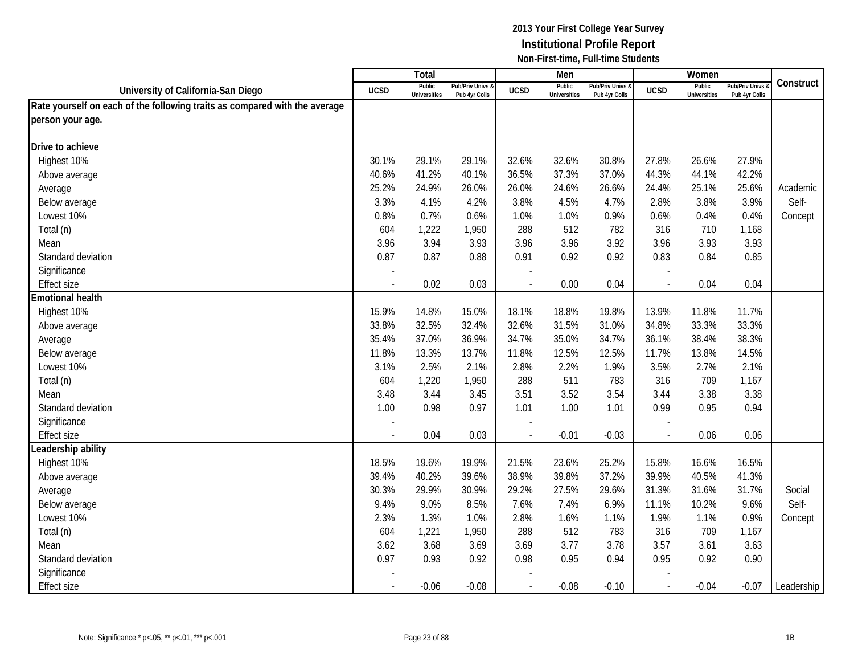|                                                                            |                | <b>Total</b>                  |                                   |                | Men                           |                                   |                          | Women                         |                                        |            |
|----------------------------------------------------------------------------|----------------|-------------------------------|-----------------------------------|----------------|-------------------------------|-----------------------------------|--------------------------|-------------------------------|----------------------------------------|------------|
| University of California-San Diego                                         | <b>UCSD</b>    | Public<br><b>Universities</b> | Pub/Priv Univs &<br>Pub 4yr Colls | <b>UCSD</b>    | Public<br><b>Universities</b> | Pub/Priv Univs &<br>Pub 4yr Colls | <b>UCSD</b>              | Public<br><b>Universities</b> | <b>Pub/Priv Univs</b><br>Pub 4yr Colls | Construct  |
| Rate yourself on each of the following traits as compared with the average |                |                               |                                   |                |                               |                                   |                          |                               |                                        |            |
| person your age.                                                           |                |                               |                                   |                |                               |                                   |                          |                               |                                        |            |
|                                                                            |                |                               |                                   |                |                               |                                   |                          |                               |                                        |            |
| Drive to achieve                                                           |                |                               |                                   |                |                               |                                   |                          |                               |                                        |            |
| Highest 10%                                                                | 30.1%          | 29.1%                         | 29.1%                             | 32.6%          | 32.6%                         | 30.8%                             | 27.8%                    | 26.6%                         | 27.9%                                  |            |
| Above average                                                              | 40.6%          | 41.2%                         | 40.1%                             | 36.5%          | 37.3%                         | 37.0%                             | 44.3%                    | 44.1%                         | 42.2%                                  |            |
| Average                                                                    | 25.2%          | 24.9%                         | 26.0%                             | 26.0%          | 24.6%                         | 26.6%                             | 24.4%                    | 25.1%                         | 25.6%                                  | Academic   |
| Below average                                                              | 3.3%           | 4.1%                          | 4.2%                              | 3.8%           | 4.5%                          | 4.7%                              | 2.8%                     | 3.8%                          | 3.9%                                   | Self-      |
| Lowest 10%                                                                 | 0.8%           | 0.7%                          | 0.6%                              | 1.0%           | 1.0%                          | 0.9%                              | 0.6%                     | 0.4%                          | 0.4%                                   | Concept    |
| Total (n)                                                                  | 604            | 1,222                         | 1,950                             | 288            | $\overline{512}$              | 782                               | 316                      | 710                           | 1,168                                  |            |
| Mean                                                                       | 3.96           | 3.94                          | 3.93                              | 3.96           | 3.96                          | 3.92                              | 3.96                     | 3.93                          | 3.93                                   |            |
| Standard deviation                                                         | 0.87           | 0.87                          | 0.88                              | 0.91           | 0.92                          | 0.92                              | 0.83                     | 0.84                          | 0.85                                   |            |
| Significance                                                               |                |                               |                                   |                |                               |                                   |                          |                               |                                        |            |
| <b>Effect size</b>                                                         |                | 0.02                          | 0.03                              |                | 0.00                          | 0.04                              | $\overline{\phantom{a}}$ | 0.04                          | 0.04                                   |            |
| <b>Emotional health</b>                                                    |                |                               |                                   |                |                               |                                   |                          |                               |                                        |            |
| Highest 10%                                                                | 15.9%          | 14.8%                         | 15.0%                             | 18.1%          | 18.8%                         | 19.8%                             | 13.9%                    | 11.8%                         | 11.7%                                  |            |
| Above average                                                              | 33.8%          | 32.5%                         | 32.4%                             | 32.6%          | 31.5%                         | 31.0%                             | 34.8%                    | 33.3%                         | 33.3%                                  |            |
| Average                                                                    | 35.4%          | 37.0%                         | 36.9%                             | 34.7%          | 35.0%                         | 34.7%                             | 36.1%                    | 38.4%                         | 38.3%                                  |            |
| Below average                                                              | 11.8%          | 13.3%                         | 13.7%                             | 11.8%          | 12.5%                         | 12.5%                             | 11.7%                    | 13.8%                         | 14.5%                                  |            |
| Lowest 10%                                                                 | 3.1%           | 2.5%                          | 2.1%                              | 2.8%           | 2.2%                          | 1.9%                              | 3.5%                     | 2.7%                          | 2.1%                                   |            |
| Total (n)                                                                  | 604            | 1,220                         | 1,950                             | 288            | 511                           | 783                               | 316                      | 709                           | 1,167                                  |            |
| Mean                                                                       | 3.48           | 3.44                          | 3.45                              | 3.51           | 3.52                          | 3.54                              | 3.44                     | 3.38                          | 3.38                                   |            |
| Standard deviation                                                         | 1.00           | 0.98                          | 0.97                              | 1.01           | 1.00                          | 1.01                              | 0.99                     | 0.95                          | 0.94                                   |            |
| Significance                                                               |                |                               |                                   |                |                               |                                   |                          |                               |                                        |            |
| <b>Effect size</b>                                                         | $\overline{a}$ | 0.04                          | 0.03                              | $\overline{a}$ | $-0.01$                       | $-0.03$                           | $\sim$                   | 0.06                          | 0.06                                   |            |
| Leadership ability                                                         |                |                               |                                   |                |                               |                                   |                          |                               |                                        |            |
| Highest 10%                                                                | 18.5%          | 19.6%                         | 19.9%                             | 21.5%          | 23.6%                         | 25.2%                             | 15.8%                    | 16.6%                         | 16.5%                                  |            |
| Above average                                                              | 39.4%          | 40.2%                         | 39.6%                             | 38.9%          | 39.8%                         | 37.2%                             | 39.9%                    | 40.5%                         | 41.3%                                  |            |
| Average                                                                    | 30.3%          | 29.9%                         | 30.9%                             | 29.2%          | 27.5%                         | 29.6%                             | 31.3%                    | 31.6%                         | 31.7%                                  | Social     |
| Below average                                                              | 9.4%           | 9.0%                          | 8.5%                              | 7.6%           | 7.4%                          | 6.9%                              | 11.1%                    | 10.2%                         | 9.6%                                   | Self-      |
| Lowest 10%                                                                 | 2.3%           | 1.3%                          | 1.0%                              | 2.8%           | 1.6%                          | 1.1%                              | 1.9%                     | 1.1%                          | 0.9%                                   | Concept    |
| Total (n)                                                                  | 604            | 1,221                         | 1,950                             | 288            | 512                           | 783                               | 316                      | 709                           | 1,167                                  |            |
| Mean                                                                       | 3.62           | 3.68                          | 3.69                              | 3.69           | 3.77                          | 3.78                              | 3.57                     | 3.61                          | 3.63                                   |            |
| Standard deviation                                                         | 0.97           | 0.93                          | 0.92                              | 0.98           | 0.95                          | 0.94                              | 0.95                     | 0.92                          | 0.90                                   |            |
| Significance                                                               |                |                               |                                   |                |                               |                                   |                          |                               |                                        |            |
| <b>Effect size</b>                                                         | $\blacksquare$ | $-0.06$                       | $-0.08$                           | $\blacksquare$ | $-0.08$                       | $-0.10$                           | $\mathcal{L}$            | $-0.04$                       | $-0.07$                                | Leadership |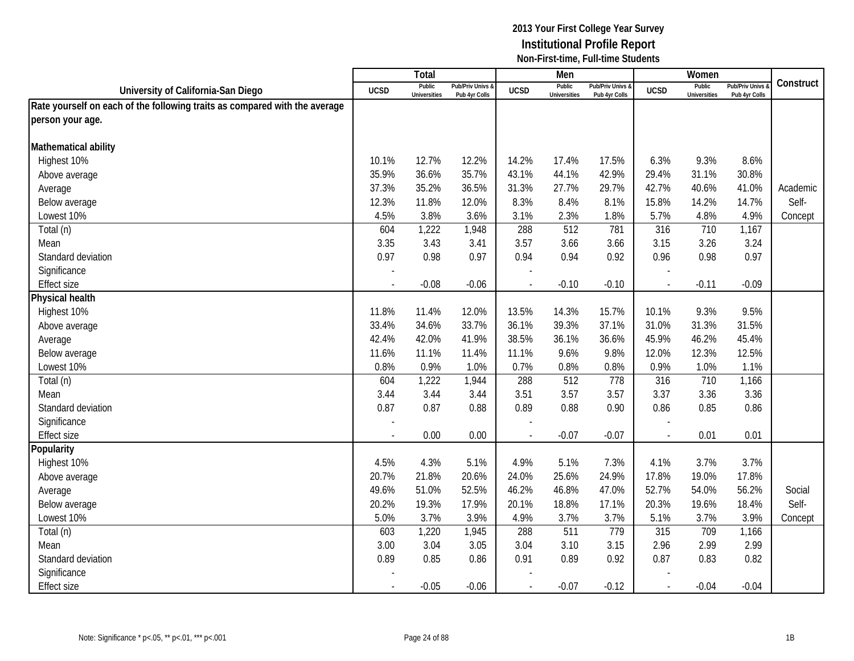|                                                                            |             | Total                         |                                   |                | Men                           |                                   |                          | Women                         |                                        |           |
|----------------------------------------------------------------------------|-------------|-------------------------------|-----------------------------------|----------------|-------------------------------|-----------------------------------|--------------------------|-------------------------------|----------------------------------------|-----------|
| University of California-San Diego                                         | <b>UCSD</b> | Public<br><b>Universities</b> | Pub/Priv Univs &<br>Pub 4yr Colls | <b>UCSD</b>    | Public<br><b>Universities</b> | Pub/Priv Univs &<br>Pub 4yr Colls | <b>UCSD</b>              | Public<br><b>Universities</b> | <b>Pub/Priv Univs</b><br>Pub 4yr Colls | Construct |
| Rate yourself on each of the following traits as compared with the average |             |                               |                                   |                |                               |                                   |                          |                               |                                        |           |
| person your age.                                                           |             |                               |                                   |                |                               |                                   |                          |                               |                                        |           |
|                                                                            |             |                               |                                   |                |                               |                                   |                          |                               |                                        |           |
| Mathematical ability                                                       |             |                               |                                   |                |                               |                                   |                          |                               |                                        |           |
| Highest 10%                                                                | 10.1%       | 12.7%                         | 12.2%                             | 14.2%          | 17.4%                         | 17.5%                             | 6.3%                     | 9.3%                          | 8.6%                                   |           |
| Above average                                                              | 35.9%       | 36.6%                         | 35.7%                             | 43.1%          | 44.1%                         | 42.9%                             | 29.4%                    | 31.1%                         | 30.8%                                  |           |
| Average                                                                    | 37.3%       | 35.2%                         | 36.5%                             | 31.3%          | 27.7%                         | 29.7%                             | 42.7%                    | 40.6%                         | 41.0%                                  | Academic  |
| Below average                                                              | 12.3%       | 11.8%                         | 12.0%                             | 8.3%           | 8.4%                          | 8.1%                              | 15.8%                    | 14.2%                         | 14.7%                                  | Self-     |
| Lowest 10%                                                                 | 4.5%        | 3.8%                          | 3.6%                              | 3.1%           | 2.3%                          | 1.8%                              | 5.7%                     | 4.8%                          | 4.9%                                   | Concept   |
| Total (n)                                                                  | 604         | 1,222                         | 1,948                             | 288            | 512                           | 781                               | 316                      | 710                           | 1,167                                  |           |
| Mean                                                                       | 3.35        | 3.43                          | 3.41                              | 3.57           | 3.66                          | 3.66                              | 3.15                     | 3.26                          | 3.24                                   |           |
| Standard deviation                                                         | 0.97        | 0.98                          | 0.97                              | 0.94           | 0.94                          | 0.92                              | 0.96                     | 0.98                          | 0.97                                   |           |
| Significance                                                               |             |                               |                                   |                |                               |                                   |                          |                               |                                        |           |
| <b>Effect size</b>                                                         |             | $-0.08$                       | $-0.06$                           |                | $-0.10$                       | $-0.10$                           | $\overline{\phantom{a}}$ | $-0.11$                       | $-0.09$                                |           |
| Physical health                                                            |             |                               |                                   |                |                               |                                   |                          |                               |                                        |           |
| Highest 10%                                                                | 11.8%       | 11.4%                         | 12.0%                             | 13.5%          | 14.3%                         | 15.7%                             | 10.1%                    | 9.3%                          | 9.5%                                   |           |
| Above average                                                              | 33.4%       | 34.6%                         | 33.7%                             | 36.1%          | 39.3%                         | 37.1%                             | 31.0%                    | 31.3%                         | 31.5%                                  |           |
| Average                                                                    | 42.4%       | 42.0%                         | 41.9%                             | 38.5%          | 36.1%                         | 36.6%                             | 45.9%                    | 46.2%                         | 45.4%                                  |           |
| Below average                                                              | 11.6%       | 11.1%                         | 11.4%                             | 11.1%          | 9.6%                          | 9.8%                              | 12.0%                    | 12.3%                         | 12.5%                                  |           |
| Lowest 10%                                                                 | 0.8%        | 0.9%                          | 1.0%                              | 0.7%           | 0.8%                          | 0.8%                              | 0.9%                     | 1.0%                          | 1.1%                                   |           |
| Total (n)                                                                  | 604         | 1,222                         | 1,944                             | 288            | 512                           | 778                               | 316                      | 710                           | 1,166                                  |           |
| Mean                                                                       | 3.44        | 3.44                          | 3.44                              | 3.51           | 3.57                          | 3.57                              | 3.37                     | 3.36                          | 3.36                                   |           |
| Standard deviation                                                         | 0.87        | 0.87                          | 0.88                              | 0.89           | 0.88                          | 0.90                              | 0.86                     | 0.85                          | 0.86                                   |           |
| Significance                                                               |             |                               |                                   |                |                               |                                   |                          |                               |                                        |           |
| <b>Effect size</b>                                                         |             | 0.00                          | 0.00                              |                | $-0.07$                       | $-0.07$                           | $\overline{\phantom{a}}$ | 0.01                          | 0.01                                   |           |
| Popularity                                                                 |             |                               |                                   |                |                               |                                   |                          |                               |                                        |           |
| Highest 10%                                                                | 4.5%        | 4.3%                          | 5.1%                              | 4.9%           | 5.1%                          | 7.3%                              | 4.1%                     | 3.7%                          | 3.7%                                   |           |
| Above average                                                              | 20.7%       | 21.8%                         | 20.6%                             | 24.0%          | 25.6%                         | 24.9%                             | 17.8%                    | 19.0%                         | 17.8%                                  |           |
| Average                                                                    | 49.6%       | 51.0%                         | 52.5%                             | 46.2%          | 46.8%                         | 47.0%                             | 52.7%                    | 54.0%                         | 56.2%                                  | Social    |
| Below average                                                              | 20.2%       | 19.3%                         | 17.9%                             | 20.1%          | 18.8%                         | 17.1%                             | 20.3%                    | 19.6%                         | 18.4%                                  | Self-     |
| Lowest 10%                                                                 | 5.0%        | 3.7%                          | 3.9%                              | 4.9%           | 3.7%                          | 3.7%                              | 5.1%                     | 3.7%                          | 3.9%                                   | Concept   |
| Total (n)                                                                  | 603         | 1,220                         | 1,945                             | 288            | 511                           | 779                               | 315                      | 709                           | 1,166                                  |           |
| Mean                                                                       | 3.00        | 3.04                          | 3.05                              | 3.04           | 3.10                          | 3.15                              | 2.96                     | 2.99                          | 2.99                                   |           |
| Standard deviation                                                         | 0.89        | 0.85                          | 0.86                              | 0.91           | 0.89                          | 0.92                              | 0.87                     | 0.83                          | 0.82                                   |           |
| Significance                                                               |             |                               |                                   |                |                               |                                   |                          |                               |                                        |           |
| <b>Effect size</b>                                                         | $\sim$      | $-0.05$                       | $-0.06$                           | $\overline{a}$ | $-0.07$                       | $-0.12$                           | $\sim$                   | $-0.04$                       | $-0.04$                                |           |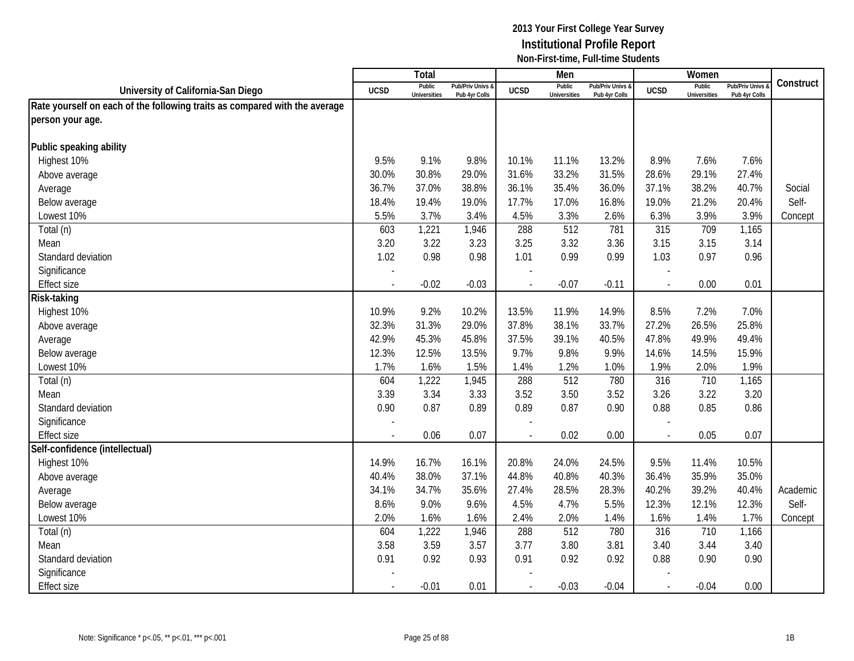|                                                                            |             | Total                         |                                   |                | Men                           |                                   |                          | Women                         |                                        |           |
|----------------------------------------------------------------------------|-------------|-------------------------------|-----------------------------------|----------------|-------------------------------|-----------------------------------|--------------------------|-------------------------------|----------------------------------------|-----------|
| University of California-San Diego                                         | <b>UCSD</b> | Public<br><b>Universities</b> | Pub/Priv Univs &<br>Pub 4yr Colls | <b>UCSD</b>    | Public<br><b>Universities</b> | Pub/Priv Univs &<br>Pub 4yr Colls | <b>UCSD</b>              | Public<br><b>Universities</b> | <b>Pub/Priv Univs</b><br>Pub 4yr Colls | Construct |
| Rate yourself on each of the following traits as compared with the average |             |                               |                                   |                |                               |                                   |                          |                               |                                        |           |
| person your age.                                                           |             |                               |                                   |                |                               |                                   |                          |                               |                                        |           |
|                                                                            |             |                               |                                   |                |                               |                                   |                          |                               |                                        |           |
| Public speaking ability                                                    |             |                               |                                   |                |                               |                                   |                          |                               |                                        |           |
| Highest 10%                                                                | 9.5%        | 9.1%                          | 9.8%                              | 10.1%          | 11.1%                         | 13.2%                             | 8.9%                     | 7.6%                          | 7.6%                                   |           |
| Above average                                                              | 30.0%       | 30.8%                         | 29.0%                             | 31.6%          | 33.2%                         | 31.5%                             | 28.6%                    | 29.1%                         | 27.4%                                  |           |
| Average                                                                    | 36.7%       | 37.0%                         | 38.8%                             | 36.1%          | 35.4%                         | 36.0%                             | 37.1%                    | 38.2%                         | 40.7%                                  | Social    |
| Below average                                                              | 18.4%       | 19.4%                         | 19.0%                             | 17.7%          | 17.0%                         | 16.8%                             | 19.0%                    | 21.2%                         | 20.4%                                  | Self-     |
| Lowest 10%                                                                 | 5.5%        | 3.7%                          | 3.4%                              | 4.5%           | 3.3%                          | 2.6%                              | 6.3%                     | 3.9%                          | 3.9%                                   | Concept   |
| Total (n)                                                                  | 603         | 1,221                         | 1,946                             | 288            | 512                           | 781                               | 315                      | 709                           | 1,165                                  |           |
| Mean                                                                       | 3.20        | 3.22                          | 3.23                              | 3.25           | 3.32                          | 3.36                              | 3.15                     | 3.15                          | 3.14                                   |           |
| Standard deviation                                                         | 1.02        | 0.98                          | 0.98                              | 1.01           | 0.99                          | 0.99                              | 1.03                     | 0.97                          | 0.96                                   |           |
| Significance                                                               |             |                               |                                   |                |                               |                                   |                          |                               |                                        |           |
| <b>Effect size</b>                                                         |             | $-0.02$                       | $-0.03$                           |                | $-0.07$                       | $-0.11$                           | $\overline{\phantom{a}}$ | 0.00                          | 0.01                                   |           |
| Risk-taking                                                                |             |                               |                                   |                |                               |                                   |                          |                               |                                        |           |
| Highest 10%                                                                | 10.9%       | 9.2%                          | 10.2%                             | 13.5%          | 11.9%                         | 14.9%                             | 8.5%                     | 7.2%                          | 7.0%                                   |           |
| Above average                                                              | 32.3%       | 31.3%                         | 29.0%                             | 37.8%          | 38.1%                         | 33.7%                             | 27.2%                    | 26.5%                         | 25.8%                                  |           |
| Average                                                                    | 42.9%       | 45.3%                         | 45.8%                             | 37.5%          | 39.1%                         | 40.5%                             | 47.8%                    | 49.9%                         | 49.4%                                  |           |
| Below average                                                              | 12.3%       | 12.5%                         | 13.5%                             | 9.7%           | 9.8%                          | 9.9%                              | 14.6%                    | 14.5%                         | 15.9%                                  |           |
| Lowest 10%                                                                 | 1.7%        | 1.6%                          | 1.5%                              | 1.4%           | 1.2%                          | 1.0%                              | 1.9%                     | 2.0%                          | 1.9%                                   |           |
| Total (n)                                                                  | 604         | 1,222                         | 1,945                             | 288            | 512                           | 780                               | 316                      | 710                           | 1,165                                  |           |
| Mean                                                                       | 3.39        | 3.34                          | 3.33                              | 3.52           | 3.50                          | 3.52                              | 3.26                     | 3.22                          | 3.20                                   |           |
| Standard deviation                                                         | 0.90        | 0.87                          | 0.89                              | 0.89           | 0.87                          | 0.90                              | 0.88                     | 0.85                          | 0.86                                   |           |
| Significance                                                               |             |                               |                                   |                |                               |                                   |                          |                               |                                        |           |
| <b>Effect size</b>                                                         |             | 0.06                          | 0.07                              |                | 0.02                          | 0.00                              | $\overline{\phantom{a}}$ | 0.05                          | 0.07                                   |           |
| Self-confidence (intellectual)                                             |             |                               |                                   |                |                               |                                   |                          |                               |                                        |           |
| Highest 10%                                                                | 14.9%       | 16.7%                         | 16.1%                             | 20.8%          | 24.0%                         | 24.5%                             | 9.5%                     | 11.4%                         | 10.5%                                  |           |
| Above average                                                              | 40.4%       | 38.0%                         | 37.1%                             | 44.8%          | 40.8%                         | 40.3%                             | 36.4%                    | 35.9%                         | 35.0%                                  |           |
| Average                                                                    | 34.1%       | 34.7%                         | 35.6%                             | 27.4%          | 28.5%                         | 28.3%                             | 40.2%                    | 39.2%                         | 40.4%                                  | Academic  |
| Below average                                                              | 8.6%        | 9.0%                          | 9.6%                              | 4.5%           | 4.7%                          | 5.5%                              | 12.3%                    | 12.1%                         | 12.3%                                  | Self-     |
| Lowest 10%                                                                 | 2.0%        | 1.6%                          | 1.6%                              | 2.4%           | 2.0%                          | 1.4%                              | 1.6%                     | 1.4%                          | 1.7%                                   | Concept   |
| Total (n)                                                                  | 604         | 1,222                         | 1,946                             | 288            | 512                           | 780                               | 316                      | 710                           | 1,166                                  |           |
| Mean                                                                       | 3.58        | 3.59                          | 3.57                              | 3.77           | 3.80                          | 3.81                              | 3.40                     | 3.44                          | 3.40                                   |           |
| Standard deviation                                                         | 0.91        | 0.92                          | 0.93                              | 0.91           | 0.92                          | 0.92                              | 0.88                     | 0.90                          | 0.90                                   |           |
| Significance                                                               |             |                               |                                   |                |                               |                                   |                          |                               |                                        |           |
| <b>Effect size</b>                                                         |             | $-0.01$                       | 0.01                              | $\overline{a}$ | $-0.03$                       | $-0.04$                           | $\overline{\phantom{a}}$ | $-0.04$                       | 0.00                                   |           |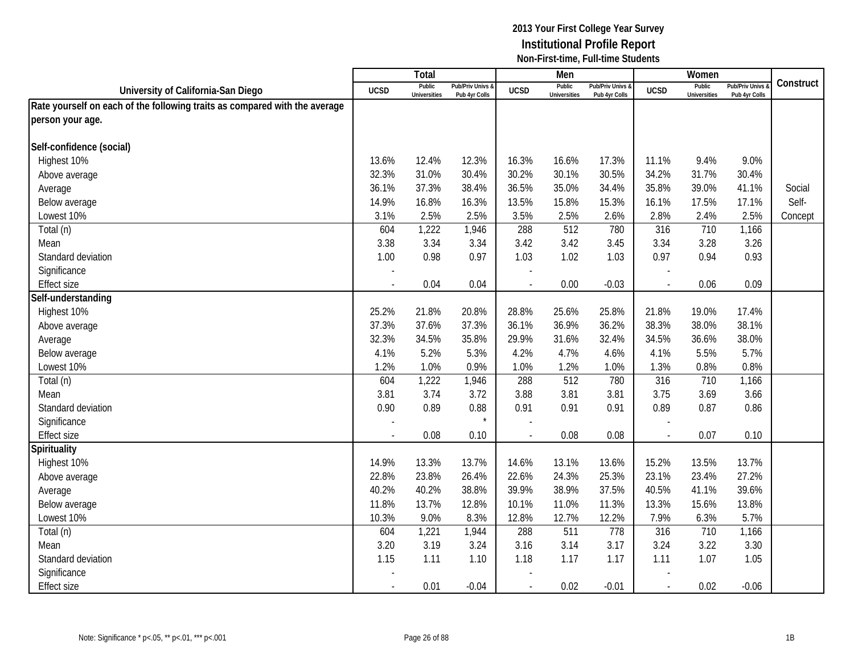|                                                                            |             | Total                         |                                   |                | Men                           |                                   |                          | Women                         |                                        |           |
|----------------------------------------------------------------------------|-------------|-------------------------------|-----------------------------------|----------------|-------------------------------|-----------------------------------|--------------------------|-------------------------------|----------------------------------------|-----------|
| University of California-San Diego                                         | <b>UCSD</b> | Public<br><b>Universities</b> | Pub/Priv Univs &<br>Pub 4yr Colls | <b>UCSD</b>    | Public<br><b>Universities</b> | Pub/Priv Univs &<br>Pub 4yr Colls | <b>UCSD</b>              | Public<br><b>Universities</b> | <b>Pub/Priv Univs</b><br>Pub 4yr Colls | Construct |
| Rate yourself on each of the following traits as compared with the average |             |                               |                                   |                |                               |                                   |                          |                               |                                        |           |
| person your age.                                                           |             |                               |                                   |                |                               |                                   |                          |                               |                                        |           |
|                                                                            |             |                               |                                   |                |                               |                                   |                          |                               |                                        |           |
| Self-confidence (social)                                                   |             |                               |                                   |                |                               |                                   |                          |                               |                                        |           |
| Highest 10%                                                                | 13.6%       | 12.4%                         | 12.3%                             | 16.3%          | 16.6%                         | 17.3%                             | 11.1%                    | 9.4%                          | 9.0%                                   |           |
| Above average                                                              | 32.3%       | 31.0%                         | 30.4%                             | 30.2%          | 30.1%                         | 30.5%                             | 34.2%                    | 31.7%                         | 30.4%                                  |           |
| Average                                                                    | 36.1%       | 37.3%                         | 38.4%                             | 36.5%          | 35.0%                         | 34.4%                             | 35.8%                    | 39.0%                         | 41.1%                                  | Social    |
| Below average                                                              | 14.9%       | 16.8%                         | 16.3%                             | 13.5%          | 15.8%                         | 15.3%                             | 16.1%                    | 17.5%                         | 17.1%                                  | Self-     |
| Lowest 10%                                                                 | 3.1%        | 2.5%                          | 2.5%                              | 3.5%           | 2.5%                          | 2.6%                              | 2.8%                     | 2.4%                          | 2.5%                                   | Concept   |
| Total (n)                                                                  | 604         | 1,222                         | 1,946                             | 288            | 512                           | 780                               | 316                      | 710                           | 1,166                                  |           |
| Mean                                                                       | 3.38        | 3.34                          | 3.34                              | 3.42           | 3.42                          | 3.45                              | 3.34                     | 3.28                          | 3.26                                   |           |
| Standard deviation                                                         | 1.00        | 0.98                          | 0.97                              | 1.03           | 1.02                          | 1.03                              | 0.97                     | 0.94                          | 0.93                                   |           |
| Significance                                                               |             |                               |                                   |                |                               |                                   |                          |                               |                                        |           |
| <b>Effect size</b>                                                         |             | 0.04                          | 0.04                              |                | 0.00                          | $-0.03$                           |                          | 0.06                          | 0.09                                   |           |
| Self-understanding                                                         |             |                               |                                   |                |                               |                                   |                          |                               |                                        |           |
| Highest 10%                                                                | 25.2%       | 21.8%                         | 20.8%                             | 28.8%          | 25.6%                         | 25.8%                             | 21.8%                    | 19.0%                         | 17.4%                                  |           |
| Above average                                                              | 37.3%       | 37.6%                         | 37.3%                             | 36.1%          | 36.9%                         | 36.2%                             | 38.3%                    | 38.0%                         | 38.1%                                  |           |
| Average                                                                    | 32.3%       | 34.5%                         | 35.8%                             | 29.9%          | 31.6%                         | 32.4%                             | 34.5%                    | 36.6%                         | 38.0%                                  |           |
| Below average                                                              | 4.1%        | 5.2%                          | 5.3%                              | 4.2%           | 4.7%                          | 4.6%                              | 4.1%                     | 5.5%                          | 5.7%                                   |           |
| Lowest 10%                                                                 | 1.2%        | 1.0%                          | 0.9%                              | 1.0%           | 1.2%                          | 1.0%                              | 1.3%                     | 0.8%                          | 0.8%                                   |           |
| Total (n)                                                                  | 604         | 1,222                         | 1,946                             | 288            | 512                           | 780                               | 316                      | 710                           | 1,166                                  |           |
| Mean                                                                       | 3.81        | 3.74                          | 3.72                              | 3.88           | 3.81                          | 3.81                              | 3.75                     | 3.69                          | 3.66                                   |           |
| Standard deviation                                                         | 0.90        | 0.89                          | 0.88                              | 0.91           | 0.91                          | 0.91                              | 0.89                     | 0.87                          | 0.86                                   |           |
| Significance                                                               |             |                               | $\star$                           |                |                               |                                   |                          |                               |                                        |           |
| Effect size                                                                |             | 0.08                          | 0.10                              |                | 0.08                          | 0.08                              | ÷,                       | 0.07                          | 0.10                                   |           |
| Spirituality                                                               |             |                               |                                   |                |                               |                                   |                          |                               |                                        |           |
| Highest 10%                                                                | 14.9%       | 13.3%                         | 13.7%                             | 14.6%          | 13.1%                         | 13.6%                             | 15.2%                    | 13.5%                         | 13.7%                                  |           |
| Above average                                                              | 22.8%       | 23.8%                         | 26.4%                             | 22.6%          | 24.3%                         | 25.3%                             | 23.1%                    | 23.4%                         | 27.2%                                  |           |
| Average                                                                    | 40.2%       | 40.2%                         | 38.8%                             | 39.9%          | 38.9%                         | 37.5%                             | 40.5%                    | 41.1%                         | 39.6%                                  |           |
| Below average                                                              | 11.8%       | 13.7%                         | 12.8%                             | 10.1%          | 11.0%                         | 11.3%                             | 13.3%                    | 15.6%                         | 13.8%                                  |           |
| Lowest 10%                                                                 | 10.3%       | 9.0%                          | 8.3%                              | 12.8%          | 12.7%                         | 12.2%                             | 7.9%                     | 6.3%                          | 5.7%                                   |           |
| Total (n)                                                                  | 604         | 1,221                         | 1,944                             | 288            | 511                           | 778                               | 316                      | 710                           | 1,166                                  |           |
| Mean                                                                       | 3.20        | 3.19                          | 3.24                              | 3.16           | 3.14                          | 3.17                              | 3.24                     | 3.22                          | 3.30                                   |           |
| Standard deviation                                                         | 1.15        | 1.11                          | 1.10                              | 1.18           | 1.17                          | 1.17                              | 1.11                     | 1.07                          | 1.05                                   |           |
| Significance                                                               |             |                               |                                   |                |                               |                                   |                          |                               |                                        |           |
| <b>Effect size</b>                                                         |             | 0.01                          | $-0.04$                           | $\blacksquare$ | 0.02                          | $-0.01$                           | $\overline{\phantom{a}}$ | 0.02                          | $-0.06$                                |           |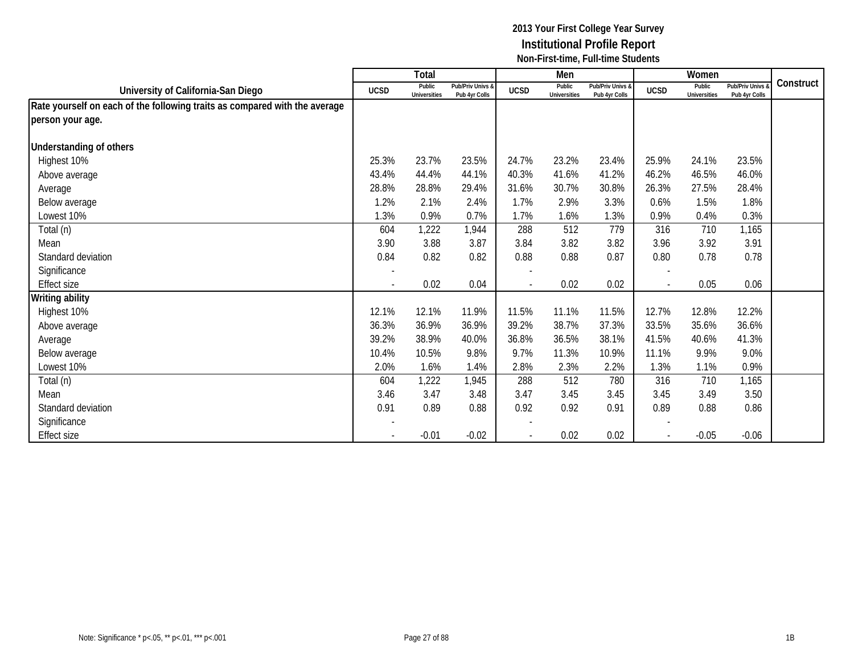|                                                                            |                          | <b>Total</b>           |                                   |             | Men                           |                                   |             | Women                         |                                 |           |
|----------------------------------------------------------------------------|--------------------------|------------------------|-----------------------------------|-------------|-------------------------------|-----------------------------------|-------------|-------------------------------|---------------------------------|-----------|
| University of California-San Diego                                         | <b>UCSD</b>              | Public<br>Universities | Pub/Priv Univs &<br>Pub 4yr Colls | <b>UCSD</b> | Public<br><b>Universities</b> | Pub/Priv Univs &<br>Pub 4yr Colls | <b>UCSD</b> | Public<br><b>Universities</b> | Pub/Priv Univs<br>Pub 4yr Colls | Construct |
| Rate yourself on each of the following traits as compared with the average |                          |                        |                                   |             |                               |                                   |             |                               |                                 |           |
| person your age.                                                           |                          |                        |                                   |             |                               |                                   |             |                               |                                 |           |
|                                                                            |                          |                        |                                   |             |                               |                                   |             |                               |                                 |           |
| <b>Understanding of others</b>                                             |                          |                        |                                   |             |                               |                                   |             |                               |                                 |           |
| Highest 10%                                                                | 25.3%                    | 23.7%                  | 23.5%                             | 24.7%       | 23.2%                         | 23.4%                             | 25.9%       | 24.1%                         | 23.5%                           |           |
| Above average                                                              | 43.4%                    | 44.4%                  | 44.1%                             | 40.3%       | 41.6%                         | 41.2%                             | 46.2%       | 46.5%                         | 46.0%                           |           |
| Average                                                                    | 28.8%                    | 28.8%                  | 29.4%                             | 31.6%       | 30.7%                         | 30.8%                             | 26.3%       | 27.5%                         | 28.4%                           |           |
| Below average                                                              | 1.2%                     | 2.1%                   | 2.4%                              | 1.7%        | 2.9%                          | 3.3%                              | 0.6%        | 1.5%                          | 1.8%                            |           |
| Lowest 10%                                                                 | 1.3%                     | 0.9%                   | 0.7%                              | 1.7%        | 1.6%                          | 1.3%                              | 0.9%        | 0.4%                          | 0.3%                            |           |
| Total (n)                                                                  | 604                      | 1,222                  | 1,944                             | 288         | 512                           | 779                               | 316         | 710                           | 1,165                           |           |
| Mean                                                                       | 3.90                     | 3.88                   | 3.87                              | 3.84        | 3.82                          | 3.82                              | 3.96        | 3.92                          | 3.91                            |           |
| Standard deviation                                                         | 0.84                     | 0.82                   | 0.82                              | 0.88        | 0.88                          | 0.87                              | 0.80        | 0.78                          | 0.78                            |           |
| Significance                                                               | $\overline{\phantom{a}}$ |                        |                                   |             |                               |                                   |             |                               |                                 |           |
| <b>Effect size</b>                                                         |                          | 0.02                   | 0.04                              |             | 0.02                          | 0.02                              |             | 0.05                          | 0.06                            |           |
| <b>Writing ability</b>                                                     |                          |                        |                                   |             |                               |                                   |             |                               |                                 |           |
| Highest 10%                                                                | 12.1%                    | 12.1%                  | 11.9%                             | 11.5%       | 11.1%                         | 11.5%                             | 12.7%       | 12.8%                         | 12.2%                           |           |
| Above average                                                              | 36.3%                    | 36.9%                  | 36.9%                             | 39.2%       | 38.7%                         | 37.3%                             | 33.5%       | 35.6%                         | 36.6%                           |           |
| Average                                                                    | 39.2%                    | 38.9%                  | 40.0%                             | 36.8%       | 36.5%                         | 38.1%                             | 41.5%       | 40.6%                         | 41.3%                           |           |
| Below average                                                              | 10.4%                    | 10.5%                  | 9.8%                              | 9.7%        | 11.3%                         | 10.9%                             | 11.1%       | 9.9%                          | 9.0%                            |           |
| Lowest 10%                                                                 | 2.0%                     | 1.6%                   | 1.4%                              | 2.8%        | 2.3%                          | 2.2%                              | 1.3%        | 1.1%                          | 0.9%                            |           |
| Total (n)                                                                  | 604                      | 1,222                  | 1,945                             | 288         | 512                           | 780                               | 316         | 710                           | 1,165                           |           |
| Mean                                                                       | 3.46                     | 3.47                   | 3.48                              | 3.47        | 3.45                          | 3.45                              | 3.45        | 3.49                          | 3.50                            |           |
| Standard deviation                                                         | 0.91                     | 0.89                   | 0.88                              | 0.92        | 0.92                          | 0.91                              | 0.89        | 0.88                          | 0.86                            |           |
| Significance                                                               |                          |                        |                                   |             |                               |                                   |             |                               |                                 |           |
| <b>Effect size</b>                                                         |                          | $-0.01$                | $-0.02$                           |             | 0.02                          | 0.02                              |             | $-0.05$                       | $-0.06$                         |           |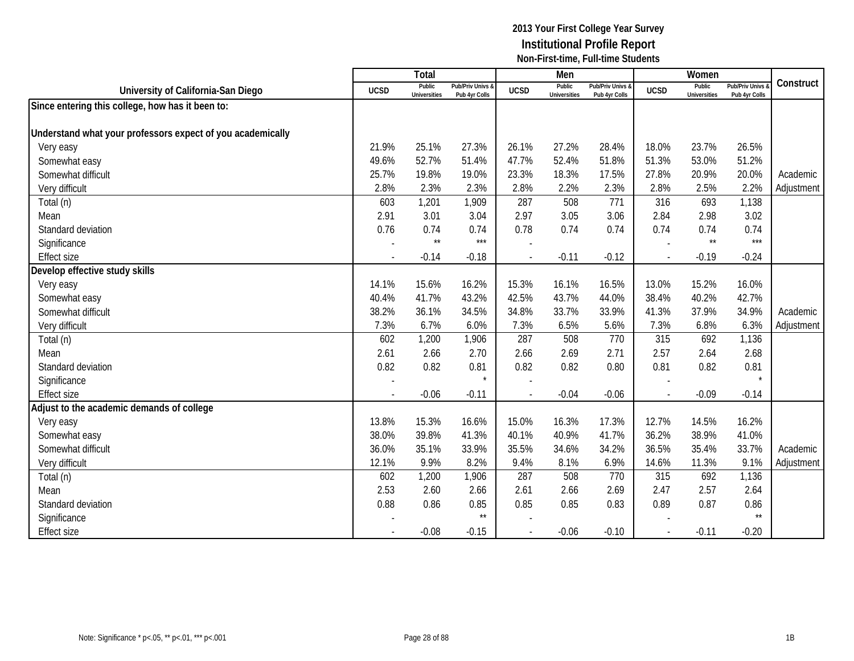|                                                            |                | Total                         |                                   |                | Men                           |                                   |             | Women                         |                                        |            |
|------------------------------------------------------------|----------------|-------------------------------|-----------------------------------|----------------|-------------------------------|-----------------------------------|-------------|-------------------------------|----------------------------------------|------------|
| University of California-San Diego                         | <b>UCSD</b>    | Public<br><b>Universities</b> | Pub/Priv Univs &<br>Pub 4yr Colls | <b>UCSD</b>    | Public<br><b>Universities</b> | Pub/Priv Univs &<br>Pub 4yr Colls | <b>UCSD</b> | Public<br><b>Universities</b> | <b>Pub/Priv Univs</b><br>Pub 4yr Colls | Construct  |
| Since entering this college, how has it been to:           |                |                               |                                   |                |                               |                                   |             |                               |                                        |            |
|                                                            |                |                               |                                   |                |                               |                                   |             |                               |                                        |            |
| Understand what your professors expect of you academically |                |                               |                                   |                |                               |                                   |             |                               |                                        |            |
| Very easy                                                  | 21.9%          | 25.1%                         | 27.3%                             | 26.1%          | 27.2%                         | 28.4%                             | 18.0%       | 23.7%                         | 26.5%                                  |            |
| Somewhat easy                                              | 49.6%          | 52.7%                         | 51.4%                             | 47.7%          | 52.4%                         | 51.8%                             | 51.3%       | 53.0%                         | 51.2%                                  |            |
| Somewhat difficult                                         | 25.7%          | 19.8%                         | 19.0%                             | 23.3%          | 18.3%                         | 17.5%                             | 27.8%       | 20.9%                         | 20.0%                                  | Academic   |
| Very difficult                                             | 2.8%           | 2.3%                          | 2.3%                              | 2.8%           | 2.2%                          | 2.3%                              | 2.8%        | 2.5%                          | 2.2%                                   | Adjustment |
| Total (n)                                                  | 603            | 1,201                         | 1,909                             | 287            | 508                           | 771                               | 316         | 693                           | 1,138                                  |            |
| Mean                                                       | 2.91           | 3.01                          | 3.04                              | 2.97           | 3.05                          | 3.06                              | 2.84        | 2.98                          | 3.02                                   |            |
| Standard deviation                                         | 0.76           | 0.74                          | 0.74                              | 0.78           | 0.74                          | 0.74                              | 0.74        | 0.74                          | 0.74                                   |            |
| Significance                                               |                | $\star\star$                  | ***                               |                |                               |                                   |             | $\star\star$                  | $***$                                  |            |
| <b>Effect size</b>                                         | $\overline{a}$ | $-0.14$                       | $-0.18$                           | $\overline{a}$ | $-0.11$                       | $-0.12$                           |             | $-0.19$                       | $-0.24$                                |            |
| Develop effective study skills                             |                |                               |                                   |                |                               |                                   |             |                               |                                        |            |
| Very easy                                                  | 14.1%          | 15.6%                         | 16.2%                             | 15.3%          | 16.1%                         | 16.5%                             | 13.0%       | 15.2%                         | 16.0%                                  |            |
| Somewhat easy                                              | 40.4%          | 41.7%                         | 43.2%                             | 42.5%          | 43.7%                         | 44.0%                             | 38.4%       | 40.2%                         | 42.7%                                  |            |
| Somewhat difficult                                         | 38.2%          | 36.1%                         | 34.5%                             | 34.8%          | 33.7%                         | 33.9%                             | 41.3%       | 37.9%                         | 34.9%                                  | Academic   |
| Very difficult                                             | 7.3%           | 6.7%                          | 6.0%                              | 7.3%           | 6.5%                          | 5.6%                              | 7.3%        | 6.8%                          | 6.3%                                   | Adjustment |
| Total (n)                                                  | 602            | 1,200                         | 1,906                             | 287            | 508                           | 770                               | 315         | 692                           | 1,136                                  |            |
| Mean                                                       | 2.61           | 2.66                          | 2.70                              | 2.66           | 2.69                          | 2.71                              | 2.57        | 2.64                          | 2.68                                   |            |
| Standard deviation                                         | 0.82           | 0.82                          | 0.81                              | 0.82           | 0.82                          | 0.80                              | 0.81        | 0.82                          | 0.81                                   |            |
| Significance                                               |                |                               |                                   |                |                               |                                   |             |                               |                                        |            |
| <b>Effect size</b>                                         |                | $-0.06$                       | $-0.11$                           |                | $-0.04$                       | $-0.06$                           |             | $-0.09$                       | $-0.14$                                |            |
| Adjust to the academic demands of college                  |                |                               |                                   |                |                               |                                   |             |                               |                                        |            |
| Very easy                                                  | 13.8%          | 15.3%                         | 16.6%                             | 15.0%          | 16.3%                         | 17.3%                             | 12.7%       | 14.5%                         | 16.2%                                  |            |
| Somewhat easy                                              | 38.0%          | 39.8%                         | 41.3%                             | 40.1%          | 40.9%                         | 41.7%                             | 36.2%       | 38.9%                         | 41.0%                                  |            |
| Somewhat difficult                                         | 36.0%          | 35.1%                         | 33.9%                             | 35.5%          | 34.6%                         | 34.2%                             | 36.5%       | 35.4%                         | 33.7%                                  | Academic   |
| Very difficult                                             | 12.1%          | 9.9%                          | 8.2%                              | 9.4%           | 8.1%                          | 6.9%                              | 14.6%       | 11.3%                         | 9.1%                                   | Adjustment |
| Total (n)                                                  | 602            | 1,200                         | 1,906                             | 287            | 508                           | 770                               | 315         | 692                           | 1,136                                  |            |
| Mean                                                       | 2.53           | 2.60                          | 2.66                              | 2.61           | 2.66                          | 2.69                              | 2.47        | 2.57                          | 2.64                                   |            |
| Standard deviation                                         | 0.88           | 0.86                          | 0.85                              | 0.85           | 0.85                          | 0.83                              | 0.89        | 0.87                          | 0.86                                   |            |
| Significance                                               |                |                               | $^{\star\star}$                   |                |                               |                                   |             |                               | $\star\star$                           |            |
| <b>Effect size</b>                                         |                | $-0.08$                       | $-0.15$                           | $\blacksquare$ | $-0.06$                       | $-0.10$                           |             | $-0.11$                       | $-0.20$                                |            |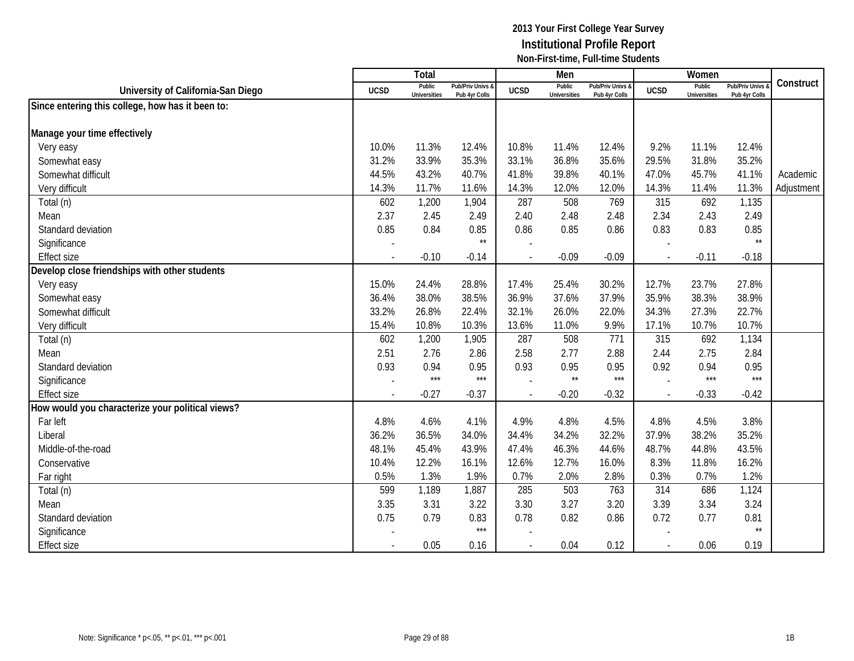|                                                  |             | Total                         |                                   |                          | Men                           |                                 |             | Women                         |                                        |            |
|--------------------------------------------------|-------------|-------------------------------|-----------------------------------|--------------------------|-------------------------------|---------------------------------|-------------|-------------------------------|----------------------------------------|------------|
| University of California-San Diego               | <b>UCSD</b> | Public<br><b>Universities</b> | Pub/Priv Univs &<br>Pub 4yr Colls | <b>UCSD</b>              | Public<br><b>Universities</b> | Pub/Priv Univs<br>Pub 4yr Colls | <b>UCSD</b> | Public<br><b>Universities</b> | <b>Pub/Priv Univs</b><br>Pub 4yr Colls | Construct  |
| Since entering this college, how has it been to: |             |                               |                                   |                          |                               |                                 |             |                               |                                        |            |
|                                                  |             |                               |                                   |                          |                               |                                 |             |                               |                                        |            |
| Manage your time effectively                     |             |                               |                                   |                          |                               |                                 |             |                               |                                        |            |
| Very easy                                        | 10.0%       | 11.3%                         | 12.4%                             | 10.8%                    | 11.4%                         | 12.4%                           | 9.2%        | 11.1%                         | 12.4%                                  |            |
| Somewhat easy                                    | 31.2%       | 33.9%                         | 35.3%                             | 33.1%                    | 36.8%                         | 35.6%                           | 29.5%       | 31.8%                         | 35.2%                                  |            |
| Somewhat difficult                               | 44.5%       | 43.2%                         | 40.7%                             | 41.8%                    | 39.8%                         | 40.1%                           | 47.0%       | 45.7%                         | 41.1%                                  | Academic   |
| Very difficult                                   | 14.3%       | 11.7%                         | 11.6%                             | 14.3%                    | 12.0%                         | 12.0%                           | 14.3%       | 11.4%                         | 11.3%                                  | Adjustment |
| Total (n)                                        | 602         | 1,200                         | 1,904                             | 287                      | 508                           | 769                             | 315         | 692                           | 1,135                                  |            |
| Mean                                             | 2.37        | 2.45                          | 2.49                              | 2.40                     | 2.48                          | 2.48                            | 2.34        | 2.43                          | 2.49                                   |            |
| Standard deviation                               | 0.85        | 0.84                          | 0.85                              | 0.86                     | 0.85                          | 0.86                            | 0.83        | 0.83                          | 0.85                                   |            |
| Significance                                     |             |                               | $^{\star\star}$                   |                          |                               |                                 |             |                               | $\star\star$                           |            |
| <b>Effect size</b>                               |             | $-0.10$                       | $-0.14$                           |                          | $-0.09$                       | $-0.09$                         |             | $-0.11$                       | $-0.18$                                |            |
| Develop close friendships with other students    |             |                               |                                   |                          |                               |                                 |             |                               |                                        |            |
| Very easy                                        | 15.0%       | 24.4%                         | 28.8%                             | 17.4%                    | 25.4%                         | 30.2%                           | 12.7%       | 23.7%                         | 27.8%                                  |            |
| Somewhat easy                                    | 36.4%       | 38.0%                         | 38.5%                             | 36.9%                    | 37.6%                         | 37.9%                           | 35.9%       | 38.3%                         | 38.9%                                  |            |
| Somewhat difficult                               | 33.2%       | 26.8%                         | 22.4%                             | 32.1%                    | 26.0%                         | 22.0%                           | 34.3%       | 27.3%                         | 22.7%                                  |            |
| Very difficult                                   | 15.4%       | 10.8%                         | 10.3%                             | 13.6%                    | 11.0%                         | 9.9%                            | 17.1%       | 10.7%                         | 10.7%                                  |            |
| Total (n)                                        | 602         | 1,200                         | 1,905                             | 287                      | 508                           | 771                             | 315         | 692                           | 1,134                                  |            |
| Mean                                             | 2.51        | 2.76                          | 2.86                              | 2.58                     | 2.77                          | 2.88                            | 2.44        | 2.75                          | 2.84                                   |            |
| Standard deviation                               | 0.93        | 0.94                          | 0.95                              | 0.93                     | 0.95                          | 0.95                            | 0.92        | 0.94                          | 0.95                                   |            |
| Significance                                     |             | $***$                         | ***                               |                          | $\star\star$                  | $***$                           |             | $***$                         | $***$                                  |            |
| <b>Effect size</b>                               |             | $-0.27$                       | $-0.37$                           |                          | $-0.20$                       | $-0.32$                         |             | $-0.33$                       | $-0.42$                                |            |
| How would you characterize your political views? |             |                               |                                   |                          |                               |                                 |             |                               |                                        |            |
| Far left                                         | 4.8%        | 4.6%                          | 4.1%                              | 4.9%                     | 4.8%                          | 4.5%                            | 4.8%        | 4.5%                          | 3.8%                                   |            |
| Liberal                                          | 36.2%       | 36.5%                         | 34.0%                             | 34.4%                    | 34.2%                         | 32.2%                           | 37.9%       | 38.2%                         | 35.2%                                  |            |
| Middle-of-the-road                               | 48.1%       | 45.4%                         | 43.9%                             | 47.4%                    | 46.3%                         | 44.6%                           | 48.7%       | 44.8%                         | 43.5%                                  |            |
| Conservative                                     | 10.4%       | 12.2%                         | 16.1%                             | 12.6%                    | 12.7%                         | 16.0%                           | 8.3%        | 11.8%                         | 16.2%                                  |            |
| Far right                                        | 0.5%        | 1.3%                          | 1.9%                              | 0.7%                     | 2.0%                          | 2.8%                            | 0.3%        | 0.7%                          | 1.2%                                   |            |
| Total (n)                                        | 599         | 1,189                         | 1,887                             | 285                      | 503                           | 763                             | 314         | 686                           | 1,124                                  |            |
| Mean                                             | 3.35        | 3.31                          | 3.22                              | 3.30                     | 3.27                          | 3.20                            | 3.39        | 3.34                          | 3.24                                   |            |
| Standard deviation                               | 0.75        | 0.79                          | 0.83                              | 0.78                     | 0.82                          | 0.86                            | 0.72        | 0.77                          | 0.81                                   |            |
| Significance                                     |             |                               | $***$                             |                          |                               |                                 |             |                               | $\star\star$                           |            |
| <b>Effect size</b>                               |             | 0.05                          | 0.16                              | $\overline{\phantom{a}}$ | 0.04                          | 0.12                            |             | 0.06                          | 0.19                                   |            |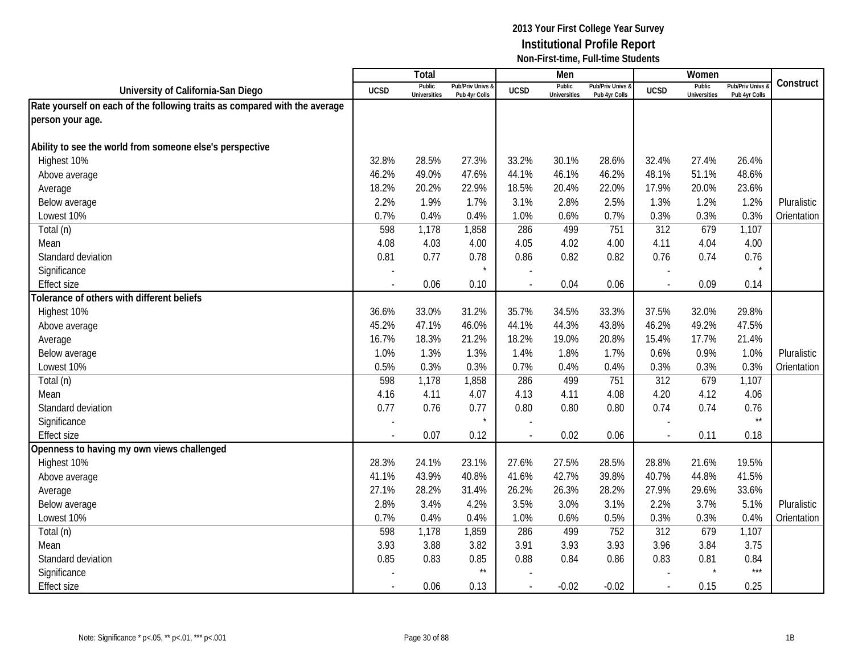|                                                                            |             | <b>Total</b>                  |                                   |                | Men                           |                                   |                | Women                         |                                        |             |
|----------------------------------------------------------------------------|-------------|-------------------------------|-----------------------------------|----------------|-------------------------------|-----------------------------------|----------------|-------------------------------|----------------------------------------|-------------|
| University of California-San Diego                                         | <b>UCSD</b> | Public<br><b>Universities</b> | Pub/Priv Univs &<br>Pub 4yr Colls | <b>UCSD</b>    | Public<br><b>Universities</b> | Pub/Priv Univs &<br>Pub 4yr Colls | <b>UCSD</b>    | Public<br><b>Universities</b> | <b>Pub/Priv Univs</b><br>Pub 4yr Colls | Construct   |
| Rate yourself on each of the following traits as compared with the average |             |                               |                                   |                |                               |                                   |                |                               |                                        |             |
| person your age.                                                           |             |                               |                                   |                |                               |                                   |                |                               |                                        |             |
|                                                                            |             |                               |                                   |                |                               |                                   |                |                               |                                        |             |
| Ability to see the world from someone else's perspective                   |             |                               |                                   |                |                               |                                   |                |                               |                                        |             |
| Highest 10%                                                                | 32.8%       | 28.5%                         | 27.3%                             | 33.2%          | 30.1%                         | 28.6%                             | 32.4%          | 27.4%                         | 26.4%                                  |             |
| Above average                                                              | 46.2%       | 49.0%                         | 47.6%                             | 44.1%          | 46.1%                         | 46.2%                             | 48.1%          | 51.1%                         | 48.6%                                  |             |
| Average                                                                    | 18.2%       | 20.2%                         | 22.9%                             | 18.5%          | 20.4%                         | 22.0%                             | 17.9%          | 20.0%                         | 23.6%                                  |             |
| Below average                                                              | 2.2%        | 1.9%                          | 1.7%                              | 3.1%           | 2.8%                          | 2.5%                              | 1.3%           | 1.2%                          | 1.2%                                   | Pluralistic |
| Lowest 10%                                                                 | 0.7%        | 0.4%                          | 0.4%                              | 1.0%           | 0.6%                          | 0.7%                              | 0.3%           | 0.3%                          | 0.3%                                   | Orientation |
| Total (n)                                                                  | 598         | 1,178                         | 1,858                             | 286            | 499                           | 751                               | 312            | 679                           | 1,107                                  |             |
| Mean                                                                       | 4.08        | 4.03                          | 4.00                              | 4.05           | 4.02                          | 4.00                              | 4.11           | 4.04                          | 4.00                                   |             |
| Standard deviation                                                         | 0.81        | 0.77                          | 0.78                              | 0.86           | 0.82                          | 0.82                              | 0.76           | 0.74                          | 0.76                                   |             |
| Significance                                                               |             |                               | $\star$                           |                |                               |                                   |                |                               | $\star$                                |             |
| <b>Effect size</b>                                                         |             | 0.06                          | 0.10                              |                | 0.04                          | 0.06                              |                | 0.09                          | 0.14                                   |             |
| Tolerance of others with different beliefs                                 |             |                               |                                   |                |                               |                                   |                |                               |                                        |             |
| Highest 10%                                                                | 36.6%       | 33.0%                         | 31.2%                             | 35.7%          | 34.5%                         | 33.3%                             | 37.5%          | 32.0%                         | 29.8%                                  |             |
| Above average                                                              | 45.2%       | 47.1%                         | 46.0%                             | 44.1%          | 44.3%                         | 43.8%                             | 46.2%          | 49.2%                         | 47.5%                                  |             |
| Average                                                                    | 16.7%       | 18.3%                         | 21.2%                             | 18.2%          | 19.0%                         | 20.8%                             | 15.4%          | 17.7%                         | 21.4%                                  |             |
| Below average                                                              | 1.0%        | 1.3%                          | 1.3%                              | 1.4%           | 1.8%                          | 1.7%                              | 0.6%           | 0.9%                          | 1.0%                                   | Pluralistic |
| Lowest 10%                                                                 | 0.5%        | 0.3%                          | 0.3%                              | 0.7%           | 0.4%                          | 0.4%                              | 0.3%           | 0.3%                          | 0.3%                                   | Orientation |
| Total (n)                                                                  | 598         | 1,178                         | 1,858                             | 286            | 499                           | 751                               | 312            | 679                           | 1,107                                  |             |
| Mean                                                                       | 4.16        | 4.11                          | 4.07                              | 4.13           | 4.11                          | 4.08                              | 4.20           | 4.12                          | 4.06                                   |             |
| Standard deviation                                                         | 0.77        | 0.76                          | 0.77                              | 0.80           | 0.80                          | 0.80                              | 0.74           | 0.74                          | 0.76                                   |             |
| Significance                                                               |             |                               | $\star$                           |                |                               |                                   |                |                               | $\star\star$                           |             |
| <b>Effect size</b>                                                         |             | 0.07                          | 0.12                              |                | 0.02                          | 0.06                              | $\overline{a}$ | 0.11                          | 0.18                                   |             |
| Openness to having my own views challenged                                 |             |                               |                                   |                |                               |                                   |                |                               |                                        |             |
| Highest 10%                                                                | 28.3%       | 24.1%                         | 23.1%                             | 27.6%          | 27.5%                         | 28.5%                             | 28.8%          | 21.6%                         | 19.5%                                  |             |
| Above average                                                              | 41.1%       | 43.9%                         | 40.8%                             | 41.6%          | 42.7%                         | 39.8%                             | 40.7%          | 44.8%                         | 41.5%                                  |             |
| Average                                                                    | 27.1%       | 28.2%                         | 31.4%                             | 26.2%          | 26.3%                         | 28.2%                             | 27.9%          | 29.6%                         | 33.6%                                  |             |
| Below average                                                              | 2.8%        | 3.4%                          | 4.2%                              | 3.5%           | 3.0%                          | 3.1%                              | 2.2%           | 3.7%                          | 5.1%                                   | Pluralistic |
| Lowest 10%                                                                 | 0.7%        | 0.4%                          | 0.4%                              | 1.0%           | 0.6%                          | 0.5%                              | 0.3%           | 0.3%                          | 0.4%                                   | Orientation |
| Total (n)                                                                  | 598         | 1,178                         | 1,859                             | 286            | 499                           | 752                               | 312            | 679                           | 1,107                                  |             |
| Mean                                                                       | 3.93        | 3.88                          | 3.82                              | 3.91           | 3.93                          | 3.93                              | 3.96           | 3.84                          | 3.75                                   |             |
| Standard deviation                                                         | 0.85        | 0.83                          | 0.85                              | 0.88           | 0.84                          | 0.86                              | 0.83           | 0.81                          | 0.84                                   |             |
| Significance                                                               |             |                               | $^{\star\star}$                   |                |                               |                                   |                |                               | $***$                                  |             |
| <b>Effect size</b>                                                         | $\sim$      | 0.06                          | 0.13                              | $\overline{a}$ | $-0.02$                       | $-0.02$                           | $\sim$         | 0.15                          | 0.25                                   |             |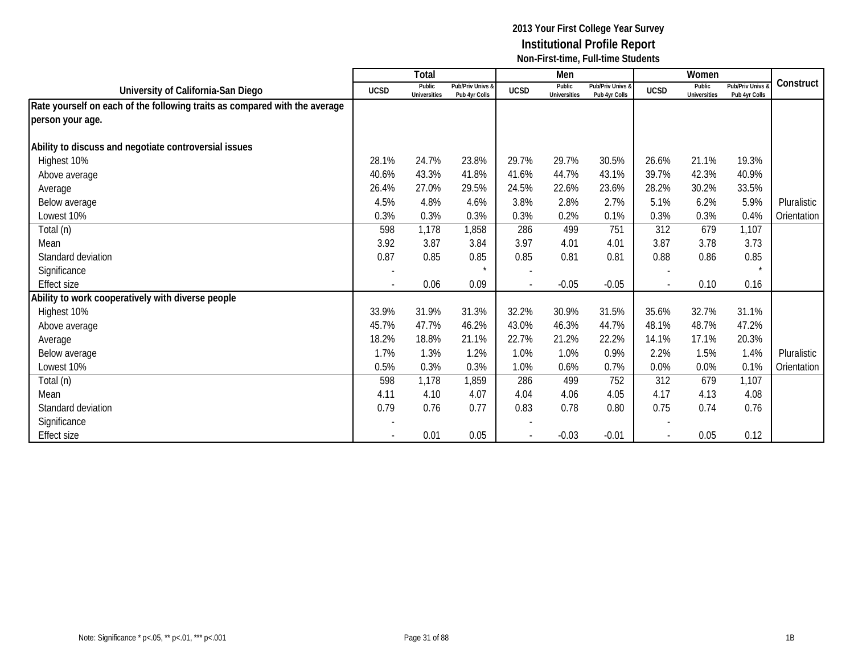|                                                                            |             | Total                         |                                   |             | Men                           |                                   |             | Women                         |                                        |             |
|----------------------------------------------------------------------------|-------------|-------------------------------|-----------------------------------|-------------|-------------------------------|-----------------------------------|-------------|-------------------------------|----------------------------------------|-------------|
| University of California-San Diego                                         | <b>UCSD</b> | Public<br><b>Universities</b> | Pub/Priv Univs &<br>Pub 4yr Colls | <b>UCSD</b> | Public<br><b>Universities</b> | Pub/Priv Univs &<br>Pub 4yr Colls | <b>UCSD</b> | Public<br><b>Universities</b> | <b>Pub/Priv Univs</b><br>Pub 4yr Colls | Construct   |
| Rate yourself on each of the following traits as compared with the average |             |                               |                                   |             |                               |                                   |             |                               |                                        |             |
| person your age.                                                           |             |                               |                                   |             |                               |                                   |             |                               |                                        |             |
| Ability to discuss and negotiate controversial issues                      |             |                               |                                   |             |                               |                                   |             |                               |                                        |             |
| Highest 10%                                                                | 28.1%       | 24.7%                         | 23.8%                             | 29.7%       | 29.7%                         | 30.5%                             | 26.6%       | 21.1%                         | 19.3%                                  |             |
| Above average                                                              | 40.6%       | 43.3%                         | 41.8%                             | 41.6%       | 44.7%                         | 43.1%                             | 39.7%       | 42.3%                         | 40.9%                                  |             |
| Average                                                                    | 26.4%       | 27.0%                         | 29.5%                             | 24.5%       | 22.6%                         | 23.6%                             | 28.2%       | 30.2%                         | 33.5%                                  |             |
| Below average                                                              | 4.5%        | 4.8%                          | 4.6%                              | 3.8%        | 2.8%                          | 2.7%                              | 5.1%        | 6.2%                          | 5.9%                                   | Pluralistic |
| Lowest 10%                                                                 | 0.3%        | 0.3%                          | 0.3%                              | 0.3%        | 0.2%                          | 0.1%                              | 0.3%        | 0.3%                          | 0.4%                                   | Orientation |
| Total (n)                                                                  | 598         | 1,178                         | 1,858                             | 286         | 499                           | 751                               | 312         | 679                           | 1,107                                  |             |
| Mean                                                                       | 3.92        | 3.87                          | 3.84                              | 3.97        | 4.01                          | 4.01                              | 3.87        | 3.78                          | 3.73                                   |             |
| Standard deviation                                                         | 0.87        | 0.85                          | 0.85                              | 0.85        | 0.81                          | 0.81                              | 0.88        | 0.86                          | 0.85                                   |             |
| Significance                                                               |             |                               | $\star$                           |             |                               |                                   |             |                               | $\star$                                |             |
| <b>Effect size</b>                                                         |             | 0.06                          | 0.09                              |             | $-0.05$                       | $-0.05$                           |             | 0.10                          | 0.16                                   |             |
| Ability to work cooperatively with diverse people                          |             |                               |                                   |             |                               |                                   |             |                               |                                        |             |
| Highest 10%                                                                | 33.9%       | 31.9%                         | 31.3%                             | 32.2%       | 30.9%                         | 31.5%                             | 35.6%       | 32.7%                         | 31.1%                                  |             |
| Above average                                                              | 45.7%       | 47.7%                         | 46.2%                             | 43.0%       | 46.3%                         | 44.7%                             | 48.1%       | 48.7%                         | 47.2%                                  |             |
| Average                                                                    | 18.2%       | 18.8%                         | 21.1%                             | 22.7%       | 21.2%                         | 22.2%                             | 14.1%       | 17.1%                         | 20.3%                                  |             |
| Below average                                                              | 1.7%        | 1.3%                          | 1.2%                              | 1.0%        | 1.0%                          | 0.9%                              | 2.2%        | 1.5%                          | 1.4%                                   | Pluralistic |
| Lowest 10%                                                                 | 0.5%        | 0.3%                          | 0.3%                              | 1.0%        | 0.6%                          | 0.7%                              | 0.0%        | 0.0%                          | 0.1%                                   | Orientation |
| Total (n)                                                                  | 598         | 1,178                         | 1,859                             | 286         | 499                           | 752                               | 312         | 679                           | 1,107                                  |             |
| Mean                                                                       | 4.11        | 4.10                          | 4.07                              | 4.04        | 4.06                          | 4.05                              | 4.17        | 4.13                          | 4.08                                   |             |
| Standard deviation                                                         | 0.79        | 0.76                          | 0.77                              | 0.83        | 0.78                          | 0.80                              | 0.75        | 0.74                          | 0.76                                   |             |
| Significance                                                               |             |                               |                                   |             |                               |                                   |             |                               |                                        |             |
| <b>Effect size</b>                                                         |             | 0.01                          | 0.05                              |             | $-0.03$                       | $-0.01$                           |             | 0.05                          | 0.12                                   |             |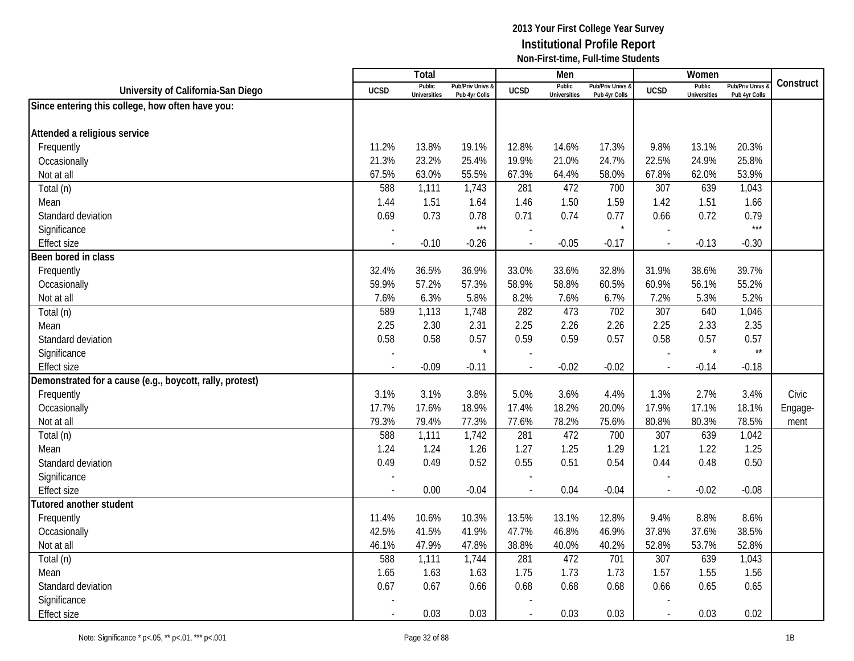|                                                          |             | <b>Total</b>                  |                                   |                | Men                           |                                   |                          | Women                         |                                        |           |
|----------------------------------------------------------|-------------|-------------------------------|-----------------------------------|----------------|-------------------------------|-----------------------------------|--------------------------|-------------------------------|----------------------------------------|-----------|
| University of California-San Diego                       | <b>UCSD</b> | Public<br><b>Universities</b> | Pub/Priv Univs &<br>Pub 4yr Colls | <b>UCSD</b>    | Public<br><b>Universities</b> | Pub/Priv Univs &<br>Pub 4yr Colls | <b>UCSD</b>              | Public<br><b>Universities</b> | <b>Pub/Priv Univs</b><br>Pub 4yr Colls | Construct |
| Since entering this college, how often have you:         |             |                               |                                   |                |                               |                                   |                          |                               |                                        |           |
|                                                          |             |                               |                                   |                |                               |                                   |                          |                               |                                        |           |
| Attended a religious service                             |             |                               |                                   |                |                               |                                   |                          |                               |                                        |           |
| Frequently                                               | 11.2%       | 13.8%                         | 19.1%                             | 12.8%          | 14.6%                         | 17.3%                             | 9.8%                     | 13.1%                         | 20.3%                                  |           |
| Occasionally                                             | 21.3%       | 23.2%                         | 25.4%                             | 19.9%          | 21.0%                         | 24.7%                             | 22.5%                    | 24.9%                         | 25.8%                                  |           |
| Not at all                                               | 67.5%       | 63.0%                         | 55.5%                             | 67.3%          | 64.4%                         | 58.0%                             | 67.8%                    | 62.0%                         | 53.9%                                  |           |
| Total (n)                                                | 588         | 1,111                         | 1,743                             | 281            | 472                           | 700                               | 307                      | 639                           | 1,043                                  |           |
| Mean                                                     | 1.44        | 1.51                          | 1.64                              | 1.46           | 1.50                          | 1.59                              | 1.42                     | 1.51                          | 1.66                                   |           |
| Standard deviation                                       | 0.69        | 0.73                          | 0.78                              | 0.71           | 0.74                          | 0.77                              | 0.66                     | 0.72                          | 0.79                                   |           |
| Significance                                             |             |                               | $***$                             |                |                               |                                   |                          |                               | $***$                                  |           |
| <b>Effect size</b>                                       | $\sim$      | $-0.10$                       | $-0.26$                           |                | $-0.05$                       | $-0.17$                           | $\overline{\phantom{a}}$ | $-0.13$                       | $-0.30$                                |           |
| Been bored in class                                      |             |                               |                                   |                |                               |                                   |                          |                               |                                        |           |
| Frequently                                               | 32.4%       | 36.5%                         | 36.9%                             | 33.0%          | 33.6%                         | 32.8%                             | 31.9%                    | 38.6%                         | 39.7%                                  |           |
| Occasionally                                             | 59.9%       | 57.2%                         | 57.3%                             | 58.9%          | 58.8%                         | 60.5%                             | 60.9%                    | 56.1%                         | 55.2%                                  |           |
| Not at all                                               | 7.6%        | 6.3%                          | 5.8%                              | 8.2%           | 7.6%                          | 6.7%                              | 7.2%                     | 5.3%                          | 5.2%                                   |           |
| Total (n)                                                | 589         | 1,113                         | 1,748                             | 282            | 473                           | 702                               | 307                      | 640                           | 1,046                                  |           |
| Mean                                                     | 2.25        | 2.30                          | 2.31                              | 2.25           | 2.26                          | 2.26                              | 2.25                     | 2.33                          | 2.35                                   |           |
| Standard deviation                                       | 0.58        | 0.58                          | 0.57                              | 0.59           | 0.59                          | 0.57                              | 0.58                     | 0.57                          | 0.57                                   |           |
| Significance                                             |             |                               | $\star$                           |                |                               |                                   |                          | $\star$                       | $\star\star$                           |           |
| <b>Effect size</b>                                       |             | $-0.09$                       | $-0.11$                           |                | $-0.02$                       | $-0.02$                           | $\overline{\phantom{a}}$ | $-0.14$                       | $-0.18$                                |           |
| Demonstrated for a cause (e.g., boycott, rally, protest) |             |                               |                                   |                |                               |                                   |                          |                               |                                        |           |
| Frequently                                               | 3.1%        | 3.1%                          | 3.8%                              | 5.0%           | 3.6%                          | 4.4%                              | 1.3%                     | 2.7%                          | 3.4%                                   | Civic     |
| Occasionally                                             | 17.7%       | 17.6%                         | 18.9%                             | 17.4%          | 18.2%                         | 20.0%                             | 17.9%                    | 17.1%                         | 18.1%                                  | Engage-   |
| Not at all                                               | 79.3%       | 79.4%                         | 77.3%                             | 77.6%          | 78.2%                         | 75.6%                             | 80.8%                    | 80.3%                         | 78.5%                                  | ment      |
| Total (n)                                                | 588         | 1,111                         | 1,742                             | 281            | 472                           | 700                               | 307                      | 639                           | 1,042                                  |           |
| Mean                                                     | 1.24        | 1.24                          | 1.26                              | 1.27           | 1.25                          | 1.29                              | 1.21                     | 1.22                          | 1.25                                   |           |
| Standard deviation                                       | 0.49        | 0.49                          | 0.52                              | 0.55           | 0.51                          | 0.54                              | 0.44                     | 0.48                          | 0.50                                   |           |
| Significance                                             |             |                               |                                   |                |                               |                                   |                          |                               |                                        |           |
| <b>Effect size</b>                                       |             | 0.00                          | $-0.04$                           | $\overline{a}$ | 0.04                          | $-0.04$                           | $\overline{\phantom{a}}$ | $-0.02$                       | $-0.08$                                |           |
| <b>Tutored another student</b>                           |             |                               |                                   |                |                               |                                   |                          |                               |                                        |           |
| Frequently                                               | 11.4%       | 10.6%                         | 10.3%                             | 13.5%          | 13.1%                         | 12.8%                             | 9.4%                     | 8.8%                          | 8.6%                                   |           |
| Occasionally                                             | 42.5%       | 41.5%                         | 41.9%                             | 47.7%          | 46.8%                         | 46.9%                             | 37.8%                    | 37.6%                         | 38.5%                                  |           |
| Not at all                                               | 46.1%       | 47.9%                         | 47.8%                             | 38.8%          | 40.0%                         | 40.2%                             | 52.8%                    | 53.7%                         | 52.8%                                  |           |
| Total (n)                                                | 588         | 1,111                         | 1,744                             | 281            | 472                           | 701                               | 307                      | 639                           | 1,043                                  |           |
| Mean                                                     | 1.65        | 1.63                          | 1.63                              | 1.75           | 1.73                          | 1.73                              | 1.57                     | 1.55                          | 1.56                                   |           |
| Standard deviation                                       | 0.67        | 0.67                          | 0.66                              | 0.68           | 0.68                          | 0.68                              | 0.66                     | 0.65                          | 0.65                                   |           |
| Significance                                             |             |                               |                                   |                |                               |                                   |                          |                               |                                        |           |
| <b>Effect size</b>                                       |             | 0.03                          | 0.03                              |                | 0.03                          | 0.03                              | $\overline{\phantom{a}}$ | 0.03                          | 0.02                                   |           |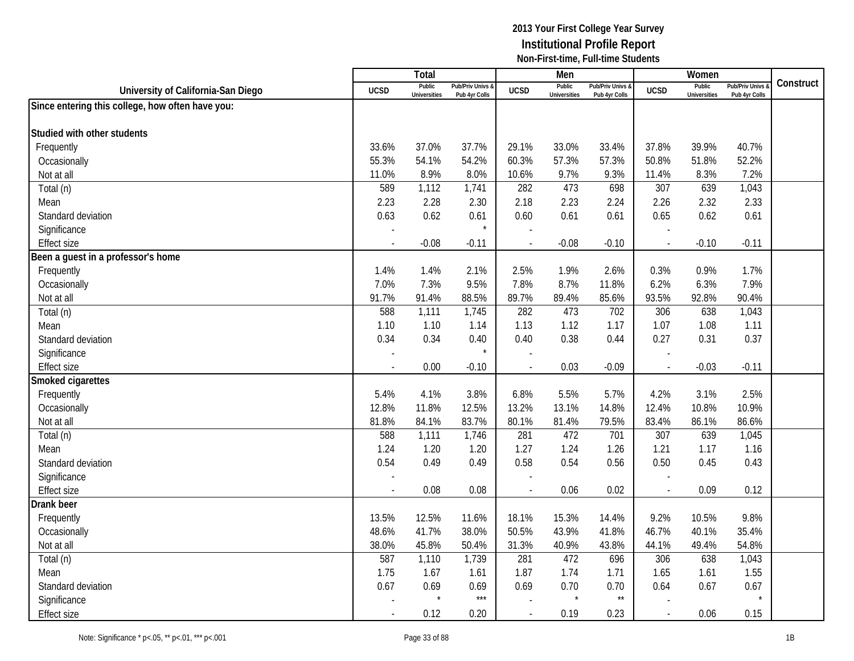|                                                  |                          | Total                         |                                   |                          | Men                           |                                   |                          | Women                         |                                        |           |
|--------------------------------------------------|--------------------------|-------------------------------|-----------------------------------|--------------------------|-------------------------------|-----------------------------------|--------------------------|-------------------------------|----------------------------------------|-----------|
| University of California-San Diego               | <b>UCSD</b>              | Public<br><b>Universities</b> | Pub/Priv Univs &<br>Pub 4yr Colls | <b>UCSD</b>              | Public<br><b>Universities</b> | Pub/Priv Univs &<br>Pub 4yr Colls | <b>UCSD</b>              | Public<br><b>Universities</b> | <b>Pub/Priv Univs</b><br>Pub 4yr Colls | Construct |
| Since entering this college, how often have you: |                          |                               |                                   |                          |                               |                                   |                          |                               |                                        |           |
|                                                  |                          |                               |                                   |                          |                               |                                   |                          |                               |                                        |           |
| Studied with other students                      |                          |                               |                                   |                          |                               |                                   |                          |                               |                                        |           |
| Frequently                                       | 33.6%                    | 37.0%                         | 37.7%                             | 29.1%                    | 33.0%                         | 33.4%                             | 37.8%                    | 39.9%                         | 40.7%                                  |           |
| Occasionally                                     | 55.3%                    | 54.1%                         | 54.2%                             | 60.3%                    | 57.3%                         | 57.3%                             | 50.8%                    | 51.8%                         | 52.2%                                  |           |
| Not at all                                       | 11.0%                    | 8.9%                          | 8.0%                              | 10.6%                    | 9.7%                          | 9.3%                              | 11.4%                    | 8.3%                          | 7.2%                                   |           |
| Total (n)                                        | 589                      | 1,112                         | 1,741                             | 282                      | 473                           | 698                               | 307                      | 639                           | 1,043                                  |           |
| Mean                                             | 2.23                     | 2.28                          | 2.30                              | 2.18                     | 2.23                          | 2.24                              | 2.26                     | 2.32                          | 2.33                                   |           |
| Standard deviation                               | 0.63                     | 0.62                          | 0.61                              | 0.60                     | 0.61                          | 0.61                              | 0.65                     | 0.62                          | 0.61                                   |           |
| Significance                                     |                          |                               | $\star$                           |                          |                               |                                   |                          |                               |                                        |           |
| <b>Effect size</b>                               |                          | $-0.08$                       | $-0.11$                           | $\overline{a}$           | $-0.08$                       | $-0.10$                           | $\sim$                   | $-0.10$                       | $-0.11$                                |           |
| Been a guest in a professor's home               |                          |                               |                                   |                          |                               |                                   |                          |                               |                                        |           |
| Frequently                                       | 1.4%                     | 1.4%                          | 2.1%                              | 2.5%                     | 1.9%                          | 2.6%                              | 0.3%                     | 0.9%                          | 1.7%                                   |           |
| Occasionally                                     | 7.0%                     | 7.3%                          | 9.5%                              | 7.8%                     | 8.7%                          | 11.8%                             | 6.2%                     | 6.3%                          | 7.9%                                   |           |
| Not at all                                       | 91.7%                    | 91.4%                         | 88.5%                             | 89.7%                    | 89.4%                         | 85.6%                             | 93.5%                    | 92.8%                         | 90.4%                                  |           |
| Total (n)                                        | 588                      | 1,111                         | 1,745                             | 282                      | 473                           | 702                               | 306                      | 638                           | 1,043                                  |           |
| Mean                                             | 1.10                     | 1.10                          | 1.14                              | 1.13                     | 1.12                          | 1.17                              | 1.07                     | 1.08                          | 1.11                                   |           |
| Standard deviation                               | 0.34                     | 0.34                          | 0.40                              | 0.40                     | 0.38                          | 0.44                              | 0.27                     | 0.31                          | 0.37                                   |           |
| Significance                                     |                          |                               | $\star$                           |                          |                               |                                   |                          |                               |                                        |           |
| <b>Effect size</b>                               | $\overline{\phantom{a}}$ | 0.00                          | $-0.10$                           |                          | 0.03                          | $-0.09$                           | $\overline{\phantom{a}}$ | $-0.03$                       | $-0.11$                                |           |
| Smoked cigarettes                                |                          |                               |                                   |                          |                               |                                   |                          |                               |                                        |           |
| Frequently                                       | 5.4%                     | 4.1%                          | 3.8%                              | 6.8%                     | 5.5%                          | 5.7%                              | 4.2%                     | 3.1%                          | 2.5%                                   |           |
| Occasionally                                     | 12.8%                    | 11.8%                         | 12.5%                             | 13.2%                    | 13.1%                         | 14.8%                             | 12.4%                    | 10.8%                         | 10.9%                                  |           |
| Not at all                                       | 81.8%                    | 84.1%                         | 83.7%                             | 80.1%                    | 81.4%                         | 79.5%                             | 83.4%                    | 86.1%                         | 86.6%                                  |           |
| Total (n)                                        | 588                      | 1,111                         | 1,746                             | 281                      | 472                           | 701                               | 307                      | 639                           | 1,045                                  |           |
| Mean                                             | 1.24                     | 1.20                          | 1.20                              | 1.27                     | 1.24                          | 1.26                              | 1.21                     | 1.17                          | 1.16                                   |           |
| Standard deviation                               | 0.54                     | 0.49                          | 0.49                              | 0.58                     | 0.54                          | 0.56                              | 0.50                     | 0.45                          | 0.43                                   |           |
| Significance                                     |                          |                               |                                   |                          |                               |                                   |                          |                               |                                        |           |
| <b>Effect size</b>                               | $\sim$                   | 0.08                          | 0.08                              | $\overline{\phantom{a}}$ | 0.06                          | 0.02                              | $\sim$                   | 0.09                          | 0.12                                   |           |
| Drank beer                                       |                          |                               |                                   |                          |                               |                                   |                          |                               |                                        |           |
| Frequently                                       | 13.5%                    | 12.5%                         | 11.6%                             | 18.1%                    | 15.3%                         | 14.4%                             | 9.2%                     | 10.5%                         | 9.8%                                   |           |
| Occasionally                                     | 48.6%                    | 41.7%                         | 38.0%                             | 50.5%                    | 43.9%                         | 41.8%                             | 46.7%                    | 40.1%                         | 35.4%                                  |           |
| Not at all                                       | 38.0%                    | 45.8%                         | 50.4%                             | 31.3%                    | 40.9%                         | 43.8%                             | 44.1%                    | 49.4%                         | 54.8%                                  |           |
| Total (n)                                        | 587                      | 1,110                         | 1,739                             | 281                      | 472                           | 696                               | 306                      | 638                           | 1,043                                  |           |
| Mean                                             | 1.75                     | 1.67                          | 1.61                              | 1.87                     | 1.74                          | 1.71                              | 1.65                     | 1.61                          | 1.55                                   |           |
| Standard deviation                               | 0.67                     | 0.69                          | 0.69                              | 0.69                     | 0.70                          | 0.70                              | 0.64                     | 0.67                          | 0.67                                   |           |
| Significance                                     |                          |                               | $***$                             |                          | $\star$                       | $\star\star$                      |                          |                               |                                        |           |
| <b>Effect size</b>                               |                          | 0.12                          | 0.20                              |                          | 0.19                          | 0.23                              | $\mathbf{r}$             | 0.06                          | 0.15                                   |           |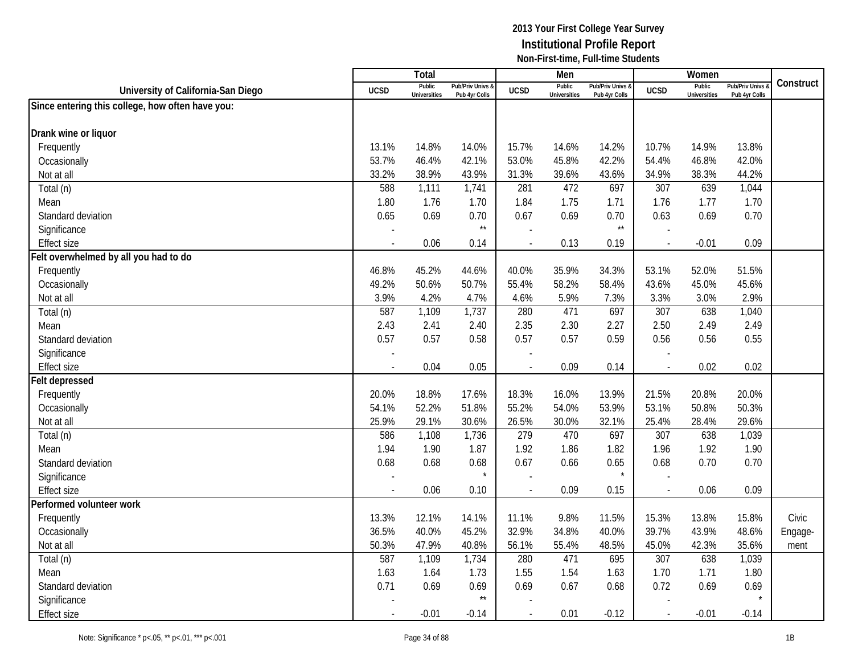|                                                  |                          | Total                         |                                   |                          | Men                           |                                   |                          | Women                         |                                        |           |
|--------------------------------------------------|--------------------------|-------------------------------|-----------------------------------|--------------------------|-------------------------------|-----------------------------------|--------------------------|-------------------------------|----------------------------------------|-----------|
| University of California-San Diego               | <b>UCSD</b>              | Public<br><b>Universities</b> | Pub/Priv Univs &<br>Pub 4yr Colls | <b>UCSD</b>              | Public<br><b>Universities</b> | Pub/Priv Univs &<br>Pub 4yr Colls | <b>UCSD</b>              | Public<br><b>Universities</b> | <b>Pub/Priv Univs</b><br>Pub 4yr Colls | Construct |
| Since entering this college, how often have you: |                          |                               |                                   |                          |                               |                                   |                          |                               |                                        |           |
|                                                  |                          |                               |                                   |                          |                               |                                   |                          |                               |                                        |           |
| Drank wine or liquor                             |                          |                               |                                   |                          |                               |                                   |                          |                               |                                        |           |
| Frequently                                       | 13.1%                    | 14.8%                         | 14.0%                             | 15.7%                    | 14.6%                         | 14.2%                             | 10.7%                    | 14.9%                         | 13.8%                                  |           |
| Occasionally                                     | 53.7%                    | 46.4%                         | 42.1%                             | 53.0%                    | 45.8%                         | 42.2%                             | 54.4%                    | 46.8%                         | 42.0%                                  |           |
| Not at all                                       | 33.2%                    | 38.9%                         | 43.9%                             | 31.3%                    | 39.6%                         | 43.6%                             | 34.9%                    | 38.3%                         | 44.2%                                  |           |
| Total (n)                                        | 588                      | 1,111                         | 1,741                             | 281                      | 472                           | 697                               | 307                      | 639                           | 1,044                                  |           |
| Mean                                             | 1.80                     | 1.76                          | 1.70                              | 1.84                     | 1.75                          | 1.71                              | 1.76                     | 1.77                          | 1.70                                   |           |
| Standard deviation                               | 0.65                     | 0.69                          | 0.70                              | 0.67                     | 0.69                          | 0.70                              | 0.63                     | 0.69                          | 0.70                                   |           |
| Significance                                     |                          |                               | $\star\star$                      |                          |                               | $\star\star$                      |                          |                               |                                        |           |
| <b>Effect size</b>                               | $\sim$                   | 0.06                          | 0.14                              |                          | 0.13                          | 0.19                              | $\sim$                   | $-0.01$                       | 0.09                                   |           |
| Felt overwhelmed by all you had to do            |                          |                               |                                   |                          |                               |                                   |                          |                               |                                        |           |
| Frequently                                       | 46.8%                    | 45.2%                         | 44.6%                             | 40.0%                    | 35.9%                         | 34.3%                             | 53.1%                    | 52.0%                         | 51.5%                                  |           |
| Occasionally                                     | 49.2%                    | 50.6%                         | 50.7%                             | 55.4%                    | 58.2%                         | 58.4%                             | 43.6%                    | 45.0%                         | 45.6%                                  |           |
| Not at all                                       | 3.9%                     | 4.2%                          | 4.7%                              | 4.6%                     | 5.9%                          | 7.3%                              | 3.3%                     | 3.0%                          | 2.9%                                   |           |
| Total (n)                                        | 587                      | 1,109                         | 1,737                             | 280                      | 471                           | 697                               | 307                      | 638                           | 1,040                                  |           |
| Mean                                             | 2.43                     | 2.41                          | 2.40                              | 2.35                     | 2.30                          | 2.27                              | 2.50                     | 2.49                          | 2.49                                   |           |
| Standard deviation                               | 0.57                     | 0.57                          | 0.58                              | 0.57                     | 0.57                          | 0.59                              | 0.56                     | 0.56                          | 0.55                                   |           |
| Significance                                     |                          |                               |                                   |                          |                               |                                   |                          |                               |                                        |           |
| <b>Effect size</b>                               | $\overline{\phantom{a}}$ | 0.04                          | 0.05                              |                          | 0.09                          | 0.14                              | $\overline{\phantom{a}}$ | 0.02                          | 0.02                                   |           |
| <b>Felt depressed</b>                            |                          |                               |                                   |                          |                               |                                   |                          |                               |                                        |           |
| Frequently                                       | 20.0%                    | 18.8%                         | 17.6%                             | 18.3%                    | 16.0%                         | 13.9%                             | 21.5%                    | 20.8%                         | 20.0%                                  |           |
| Occasionally                                     | 54.1%                    | 52.2%                         | 51.8%                             | 55.2%                    | 54.0%                         | 53.9%                             | 53.1%                    | 50.8%                         | 50.3%                                  |           |
| Not at all                                       | 25.9%                    | 29.1%                         | 30.6%                             | 26.5%                    | 30.0%                         | 32.1%                             | 25.4%                    | 28.4%                         | 29.6%                                  |           |
| Total (n)                                        | 586                      | 1,108                         | 1,736                             | 279                      | 470                           | 697                               | 307                      | 638                           | 1,039                                  |           |
| Mean                                             | 1.94                     | 1.90                          | 1.87                              | 1.92                     | 1.86                          | 1.82                              | 1.96                     | 1.92                          | 1.90                                   |           |
| Standard deviation                               | 0.68                     | 0.68                          | 0.68                              | 0.67                     | 0.66                          | 0.65                              | 0.68                     | 0.70                          | 0.70                                   |           |
| Significance                                     |                          |                               | $\star$                           |                          |                               |                                   |                          |                               |                                        |           |
| <b>Effect size</b>                               | $\overline{\phantom{a}}$ | 0.06                          | 0.10                              | $\overline{\phantom{a}}$ | 0.09                          | 0.15                              | $\overline{a}$           | 0.06                          | 0.09                                   |           |
| Performed volunteer work                         |                          |                               |                                   |                          |                               |                                   |                          |                               |                                        |           |
| Frequently                                       | 13.3%                    | 12.1%                         | 14.1%                             | 11.1%                    | 9.8%                          | 11.5%                             | 15.3%                    | 13.8%                         | 15.8%                                  | Civic     |
| Occasionally                                     | 36.5%                    | 40.0%                         | 45.2%                             | 32.9%                    | 34.8%                         | 40.0%                             | 39.7%                    | 43.9%                         | 48.6%                                  | Engage-   |
| Not at all                                       | 50.3%                    | 47.9%                         | 40.8%                             | 56.1%                    | 55.4%                         | 48.5%                             | 45.0%                    | 42.3%                         | 35.6%                                  | ment      |
| Total (n)                                        | 587                      | 1,109                         | 1,734                             | 280                      | 471                           | 695                               | 307                      | 638                           | 1,039                                  |           |
| Mean                                             | 1.63                     | 1.64                          | 1.73                              | 1.55                     | 1.54                          | 1.63                              | 1.70                     | 1.71                          | 1.80                                   |           |
| Standard deviation                               | 0.71                     | 0.69                          | 0.69                              | 0.69                     | 0.67                          | 0.68                              | 0.72                     | 0.69                          | 0.69                                   |           |
| Significance                                     |                          |                               | $^{\star\star}$                   |                          |                               |                                   |                          |                               |                                        |           |
| <b>Effect size</b>                               |                          | $-0.01$                       | $-0.14$                           |                          | 0.01                          | $-0.12$                           | $\overline{\phantom{a}}$ | $-0.01$                       | $-0.14$                                |           |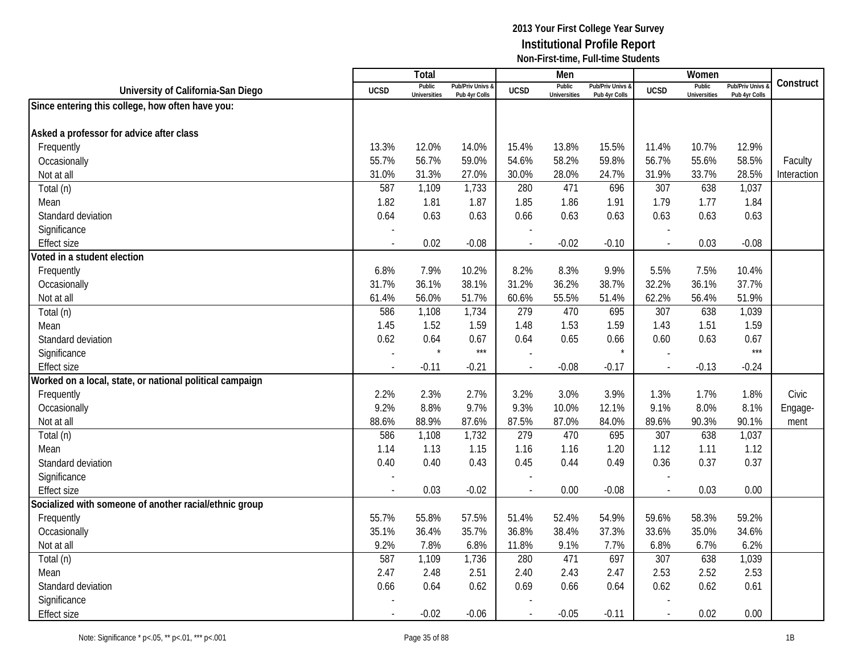|                                                          |                          | Total                         |                                              |             | Men                           |                                              |                          | Women                         |                                        |             |
|----------------------------------------------------------|--------------------------|-------------------------------|----------------------------------------------|-------------|-------------------------------|----------------------------------------------|--------------------------|-------------------------------|----------------------------------------|-------------|
| University of California-San Diego                       | <b>UCSD</b>              | Public<br><b>Universities</b> | <b>Pub/Priv Univs &amp;</b><br>Pub 4yr Colls | <b>UCSD</b> | Public<br><b>Universities</b> | <b>Pub/Priv Univs &amp;</b><br>Pub 4yr Colls | <b>UCSD</b>              | Public<br><b>Universities</b> | <b>Pub/Priv Univs</b><br>Pub 4yr Colls | Construct   |
| Since entering this college, how often have you:         |                          |                               |                                              |             |                               |                                              |                          |                               |                                        |             |
|                                                          |                          |                               |                                              |             |                               |                                              |                          |                               |                                        |             |
| Asked a professor for advice after class                 |                          |                               |                                              |             |                               |                                              |                          |                               |                                        |             |
| Frequently                                               | 13.3%                    | 12.0%                         | 14.0%                                        | 15.4%       | 13.8%                         | 15.5%                                        | 11.4%                    | 10.7%                         | 12.9%                                  |             |
| Occasionally                                             | 55.7%                    | 56.7%                         | 59.0%                                        | 54.6%       | 58.2%                         | 59.8%                                        | 56.7%                    | 55.6%                         | 58.5%                                  | Faculty     |
| Not at all                                               | 31.0%                    | 31.3%                         | 27.0%                                        | 30.0%       | 28.0%                         | 24.7%                                        | 31.9%                    | 33.7%                         | 28.5%                                  | Interaction |
| Total (n)                                                | 587                      | 1,109                         | 1,733                                        | 280         | 471                           | 696                                          | 307                      | 638                           | 1,037                                  |             |
| Mean                                                     | 1.82                     | 1.81                          | 1.87                                         | 1.85        | 1.86                          | 1.91                                         | 1.79                     | 1.77                          | 1.84                                   |             |
| Standard deviation                                       | 0.64                     | 0.63                          | 0.63                                         | 0.66        | 0.63                          | 0.63                                         | 0.63                     | 0.63                          | 0.63                                   |             |
| Significance                                             |                          |                               |                                              |             |                               |                                              |                          |                               |                                        |             |
| <b>Effect size</b>                                       | $\blacksquare$           | 0.02                          | $-0.08$                                      |             | $-0.02$                       | $-0.10$                                      | $\overline{a}$           | 0.03                          | $-0.08$                                |             |
| Voted in a student election                              |                          |                               |                                              |             |                               |                                              |                          |                               |                                        |             |
| Frequently                                               | 6.8%                     | 7.9%                          | 10.2%                                        | 8.2%        | 8.3%                          | 9.9%                                         | 5.5%                     | 7.5%                          | 10.4%                                  |             |
| Occasionally                                             | 31.7%                    | 36.1%                         | 38.1%                                        | 31.2%       | 36.2%                         | 38.7%                                        | 32.2%                    | 36.1%                         | 37.7%                                  |             |
| Not at all                                               | 61.4%                    | 56.0%                         | 51.7%                                        | 60.6%       | 55.5%                         | 51.4%                                        | 62.2%                    | 56.4%                         | 51.9%                                  |             |
| Total (n)                                                | 586                      | 1,108                         | 1,734                                        | 279         | 470                           | 695                                          | 307                      | 638                           | 1,039                                  |             |
| Mean                                                     | 1.45                     | 1.52                          | 1.59                                         | 1.48        | 1.53                          | 1.59                                         | 1.43                     | 1.51                          | 1.59                                   |             |
| Standard deviation                                       | 0.62                     | 0.64                          | 0.67                                         | 0.64        | 0.65                          | 0.66                                         | 0.60                     | 0.63                          | 0.67                                   |             |
| Significance                                             |                          |                               | $***$                                        |             |                               |                                              |                          |                               | $***$                                  |             |
| <b>Effect size</b>                                       | $\overline{\phantom{a}}$ | $-0.11$                       | $-0.21$                                      |             | $-0.08$                       | $-0.17$                                      | $\overline{\phantom{a}}$ | $-0.13$                       | $-0.24$                                |             |
| Worked on a local, state, or national political campaign |                          |                               |                                              |             |                               |                                              |                          |                               |                                        |             |
| Frequently                                               | 2.2%                     | 2.3%                          | 2.7%                                         | 3.2%        | 3.0%                          | 3.9%                                         | 1.3%                     | 1.7%                          | 1.8%                                   | Civic       |
| Occasionally                                             | 9.2%                     | 8.8%                          | 9.7%                                         | 9.3%        | 10.0%                         | 12.1%                                        | 9.1%                     | 8.0%                          | 8.1%                                   | Engage-     |
| Not at all                                               | 88.6%                    | 88.9%                         | 87.6%                                        | 87.5%       | 87.0%                         | 84.0%                                        | 89.6%                    | 90.3%                         | 90.1%                                  | ment        |
| Total (n)                                                | 586                      | 1,108                         | 1,732                                        | 279         | 470                           | 695                                          | 307                      | 638                           | 1,037                                  |             |
| Mean                                                     | 1.14                     | 1.13                          | 1.15                                         | 1.16        | 1.16                          | 1.20                                         | 1.12                     | 1.11                          | 1.12                                   |             |
| Standard deviation                                       | 0.40                     | 0.40                          | 0.43                                         | 0.45        | 0.44                          | 0.49                                         | 0.36                     | 0.37                          | 0.37                                   |             |
| Significance                                             |                          |                               |                                              |             |                               |                                              |                          |                               |                                        |             |
| <b>Effect size</b>                                       |                          | 0.03                          | $-0.02$                                      |             | 0.00                          | $-0.08$                                      | $\overline{a}$           | 0.03                          | 0.00                                   |             |
| Socialized with someone of another racial/ethnic group   |                          |                               |                                              |             |                               |                                              |                          |                               |                                        |             |
| Frequently                                               | 55.7%                    | 55.8%                         | 57.5%                                        | 51.4%       | 52.4%                         | 54.9%                                        | 59.6%                    | 58.3%                         | 59.2%                                  |             |
| Occasionally                                             | 35.1%                    | 36.4%                         | 35.7%                                        | 36.8%       | 38.4%                         | 37.3%                                        | 33.6%                    | 35.0%                         | 34.6%                                  |             |
| Not at all                                               | 9.2%                     | 7.8%                          | 6.8%                                         | 11.8%       | 9.1%                          | 7.7%                                         | 6.8%                     | 6.7%                          | 6.2%                                   |             |
| Total (n)                                                | 587                      | 1,109                         | 1,736                                        | 280         | 471                           | 697                                          | $\overline{307}$         | 638                           | 1,039                                  |             |
| Mean                                                     | 2.47                     | 2.48                          | 2.51                                         | 2.40        | 2.43                          | 2.47                                         | 2.53                     | 2.52                          | 2.53                                   |             |
| Standard deviation                                       | 0.66                     | 0.64                          | 0.62                                         | 0.69        | 0.66                          | 0.64                                         | 0.62                     | 0.62                          | 0.61                                   |             |
| Significance                                             |                          |                               |                                              |             |                               |                                              |                          |                               |                                        |             |
| <b>Effect size</b>                                       |                          | $-0.02$                       | $-0.06$                                      |             | $-0.05$                       | $-0.11$                                      | $\sim$                   | 0.02                          | 0.00                                   |             |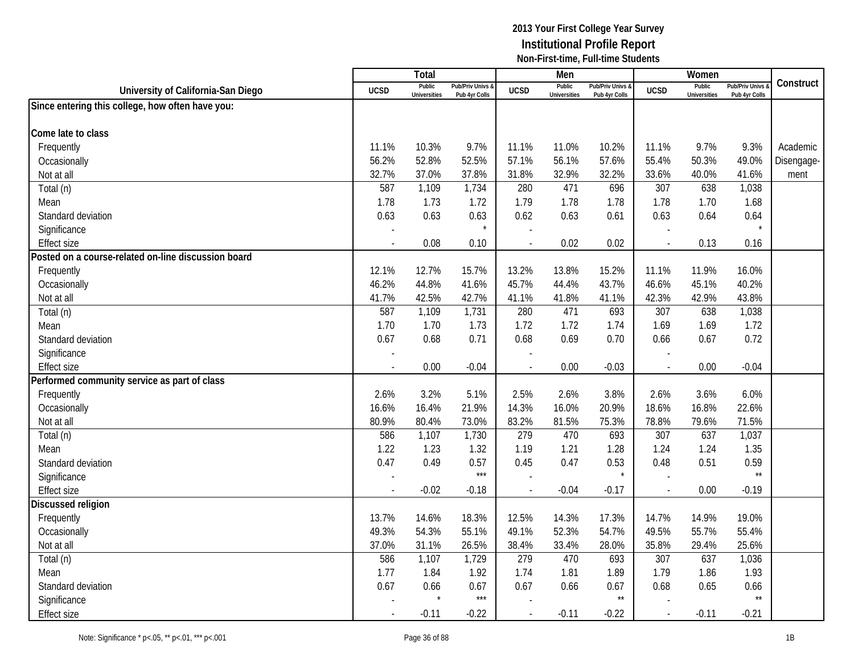|                                                     |                          | Total                         |                                              |                | Men                           |                                   |                | Women                         |                                        |            |
|-----------------------------------------------------|--------------------------|-------------------------------|----------------------------------------------|----------------|-------------------------------|-----------------------------------|----------------|-------------------------------|----------------------------------------|------------|
| University of California-San Diego                  | <b>UCSD</b>              | Public<br><b>Universities</b> | <b>Pub/Priv Univs &amp;</b><br>Pub 4yr Colls | <b>UCSD</b>    | Public<br><b>Universities</b> | Pub/Priv Univs &<br>Pub 4yr Colls | <b>UCSD</b>    | Public<br><b>Universities</b> | <b>Pub/Priv Univs</b><br>Pub 4yr Colls | Construct  |
| Since entering this college, how often have you:    |                          |                               |                                              |                |                               |                                   |                |                               |                                        |            |
|                                                     |                          |                               |                                              |                |                               |                                   |                |                               |                                        |            |
| Come late to class                                  |                          |                               |                                              |                |                               |                                   |                |                               |                                        |            |
| Frequently                                          | 11.1%                    | 10.3%                         | 9.7%                                         | 11.1%          | 11.0%                         | 10.2%                             | 11.1%          | 9.7%                          | 9.3%                                   | Academic   |
| Occasionally                                        | 56.2%                    | 52.8%                         | 52.5%                                        | 57.1%          | 56.1%                         | 57.6%                             | 55.4%          | 50.3%                         | 49.0%                                  | Disengage- |
| Not at all                                          | 32.7%                    | 37.0%                         | 37.8%                                        | 31.8%          | 32.9%                         | 32.2%                             | 33.6%          | 40.0%                         | 41.6%                                  | ment       |
| Total (n)                                           | 587                      | 1,109                         | 1,734                                        | 280            | 471                           | 696                               | 307            | 638                           | 1,038                                  |            |
| Mean                                                | 1.78                     | 1.73                          | 1.72                                         | 1.79           | 1.78                          | 1.78                              | 1.78           | 1.70                          | 1.68                                   |            |
| Standard deviation                                  | 0.63                     | 0.63                          | 0.63                                         | 0.62           | 0.63                          | 0.61                              | 0.63           | 0.64                          | 0.64                                   |            |
| Significance                                        |                          |                               |                                              |                |                               |                                   |                |                               |                                        |            |
| <b>Effect size</b>                                  | $\overline{a}$           | 0.08                          | 0.10                                         | $\overline{a}$ | 0.02                          | 0.02                              |                | 0.13                          | 0.16                                   |            |
| Posted on a course-related on-line discussion board |                          |                               |                                              |                |                               |                                   |                |                               |                                        |            |
| Frequently                                          | 12.1%                    | 12.7%                         | 15.7%                                        | 13.2%          | 13.8%                         | 15.2%                             | 11.1%          | 11.9%                         | 16.0%                                  |            |
| Occasionally                                        | 46.2%                    | 44.8%                         | 41.6%                                        | 45.7%          | 44.4%                         | 43.7%                             | 46.6%          | 45.1%                         | 40.2%                                  |            |
| Not at all                                          | 41.7%                    | 42.5%                         | 42.7%                                        | 41.1%          | 41.8%                         | 41.1%                             | 42.3%          | 42.9%                         | 43.8%                                  |            |
| Total (n)                                           | 587                      | 1,109                         | 1,731                                        | 280            | 471                           | 693                               | 307            | 638                           | 1,038                                  |            |
| Mean                                                | 1.70                     | 1.70                          | 1.73                                         | 1.72           | 1.72                          | 1.74                              | 1.69           | 1.69                          | 1.72                                   |            |
| Standard deviation                                  | 0.67                     | 0.68                          | 0.71                                         | 0.68           | 0.69                          | 0.70                              | 0.66           | 0.67                          | 0.72                                   |            |
| Significance                                        |                          |                               |                                              |                |                               |                                   |                |                               |                                        |            |
| <b>Effect size</b>                                  | $\overline{\phantom{a}}$ | 0.00                          | $-0.04$                                      |                | 0.00                          | $-0.03$                           |                | 0.00                          | $-0.04$                                |            |
| Performed community service as part of class        |                          |                               |                                              |                |                               |                                   |                |                               |                                        |            |
| Frequently                                          | 2.6%                     | 3.2%                          | 5.1%                                         | 2.5%           | 2.6%                          | 3.8%                              | 2.6%           | 3.6%                          | 6.0%                                   |            |
| Occasionally                                        | 16.6%                    | 16.4%                         | 21.9%                                        | 14.3%          | 16.0%                         | 20.9%                             | 18.6%          | 16.8%                         | 22.6%                                  |            |
| Not at all                                          | 80.9%                    | 80.4%                         | 73.0%                                        | 83.2%          | 81.5%                         | 75.3%                             | 78.8%          | 79.6%                         | 71.5%                                  |            |
| Total (n)                                           | 586                      | 1,107                         | 1,730                                        | 279            | 470                           | 693                               | 307            | 637                           | 1,037                                  |            |
| Mean                                                | 1.22                     | 1.23                          | 1.32                                         | 1.19           | 1.21                          | 1.28                              | 1.24           | 1.24                          | 1.35                                   |            |
| Standard deviation                                  | 0.47                     | 0.49                          | 0.57                                         | 0.45           | 0.47                          | 0.53                              | 0.48           | 0.51                          | 0.59                                   |            |
| Significance                                        |                          |                               | $***$                                        |                |                               |                                   |                |                               | $\star\star$                           |            |
| <b>Effect size</b>                                  |                          | $-0.02$                       | $-0.18$                                      | $\overline{a}$ | $-0.04$                       | $-0.17$                           | $\overline{a}$ | 0.00                          | $-0.19$                                |            |
| <b>Discussed religion</b>                           |                          |                               |                                              |                |                               |                                   |                |                               |                                        |            |
| Frequently                                          | 13.7%                    | 14.6%                         | 18.3%                                        | 12.5%          | 14.3%                         | 17.3%                             | 14.7%          | 14.9%                         | 19.0%                                  |            |
| Occasionally                                        | 49.3%                    | 54.3%                         | 55.1%                                        | 49.1%          | 52.3%                         | 54.7%                             | 49.5%          | 55.7%                         | 55.4%                                  |            |
| Not at all                                          | 37.0%                    | 31.1%                         | 26.5%                                        | 38.4%          | 33.4%                         | 28.0%                             | 35.8%          | 29.4%                         | 25.6%                                  |            |
| Total (n)                                           | 586                      | 1,107                         | 1,729                                        | 279            | 470                           | 693                               | 307            | 637                           | 1,036                                  |            |
| Mean                                                | 1.77                     | 1.84                          | 1.92                                         | 1.74           | 1.81                          | 1.89                              | 1.79           | 1.86                          | 1.93                                   |            |
| Standard deviation                                  | 0.67                     | 0.66                          | 0.67                                         | 0.67           | 0.66                          | 0.67                              | 0.68           | 0.65                          | 0.66                                   |            |
| Significance                                        |                          | $\star$                       | $***$                                        |                |                               | $\star\star$                      |                |                               | $\star\star$                           |            |
| <b>Effect size</b>                                  |                          | $-0.11$                       | $-0.22$                                      | $\overline{a}$ | $-0.11$                       | $-0.22$                           |                | $-0.11$                       | $-0.21$                                |            |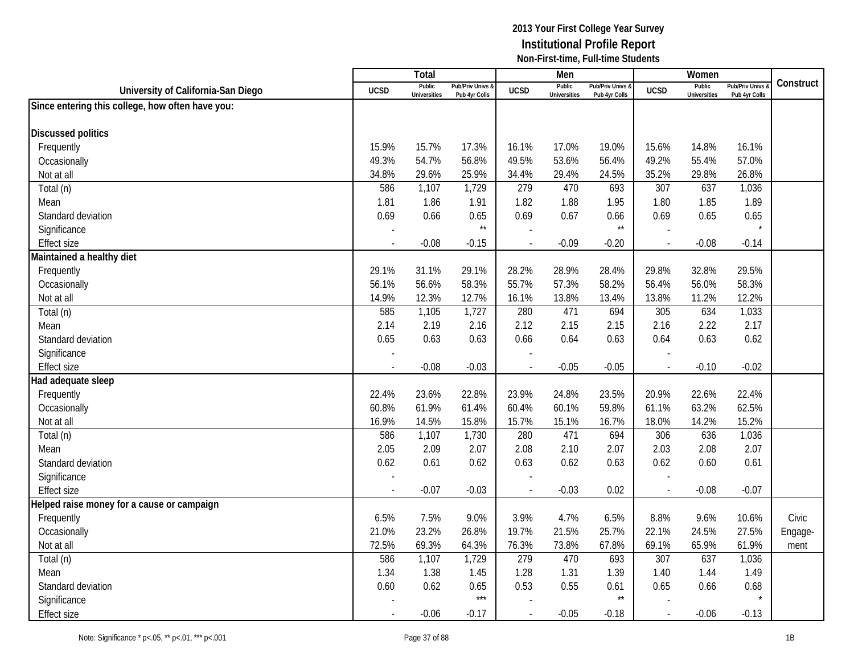|                                                  |             | <b>Total</b>                  |                                   |                | Men                           |                                   |                          | Women                         |                                        |           |
|--------------------------------------------------|-------------|-------------------------------|-----------------------------------|----------------|-------------------------------|-----------------------------------|--------------------------|-------------------------------|----------------------------------------|-----------|
| University of California-San Diego               | <b>UCSD</b> | Public<br><b>Universities</b> | Pub/Priv Univs &<br>Pub 4yr Colls | <b>UCSD</b>    | Public<br><b>Universities</b> | Pub/Priv Univs &<br>Pub 4yr Colls | <b>UCSD</b>              | Public<br><b>Universities</b> | <b>Pub/Priv Univs</b><br>Pub 4yr Colls | Construct |
| Since entering this college, how often have you: |             |                               |                                   |                |                               |                                   |                          |                               |                                        |           |
|                                                  |             |                               |                                   |                |                               |                                   |                          |                               |                                        |           |
| <b>Discussed politics</b>                        |             |                               |                                   |                |                               |                                   |                          |                               |                                        |           |
| Frequently                                       | 15.9%       | 15.7%                         | 17.3%                             | 16.1%          | 17.0%                         | 19.0%                             | 15.6%                    | 14.8%                         | 16.1%                                  |           |
| Occasionally                                     | 49.3%       | 54.7%                         | 56.8%                             | 49.5%          | 53.6%                         | 56.4%                             | 49.2%                    | 55.4%                         | 57.0%                                  |           |
| Not at all                                       | 34.8%       | 29.6%                         | 25.9%                             | 34.4%          | 29.4%                         | 24.5%                             | 35.2%                    | 29.8%                         | 26.8%                                  |           |
| Total (n)                                        | 586         | 1,107                         | 1,729                             | 279            | 470                           | 693                               | 307                      | 637                           | 1,036                                  |           |
| Mean                                             | 1.81        | 1.86                          | 1.91                              | 1.82           | 1.88                          | 1.95                              | 1.80                     | 1.85                          | 1.89                                   |           |
| Standard deviation                               | 0.69        | 0.66                          | 0.65                              | 0.69           | 0.67                          | 0.66                              | 0.69                     | 0.65                          | 0.65                                   |           |
| Significance                                     |             |                               | $\star\star$                      |                |                               | $\star\star$                      |                          |                               |                                        |           |
| <b>Effect size</b>                               |             | $-0.08$                       | $-0.15$                           |                | $-0.09$                       | $-0.20$                           | $\overline{\phantom{a}}$ | $-0.08$                       | $-0.14$                                |           |
| Maintained a healthy diet                        |             |                               |                                   |                |                               |                                   |                          |                               |                                        |           |
| Frequently                                       | 29.1%       | 31.1%                         | 29.1%                             | 28.2%          | 28.9%                         | 28.4%                             | 29.8%                    | 32.8%                         | 29.5%                                  |           |
| Occasionally                                     | 56.1%       | 56.6%                         | 58.3%                             | 55.7%          | 57.3%                         | 58.2%                             | 56.4%                    | 56.0%                         | 58.3%                                  |           |
| Not at all                                       | 14.9%       | 12.3%                         | 12.7%                             | 16.1%          | 13.8%                         | 13.4%                             | 13.8%                    | 11.2%                         | 12.2%                                  |           |
| Total (n)                                        | 585         | 1,105                         | 1,727                             | 280            | 471                           | 694                               | 305                      | 634                           | 1,033                                  |           |
| Mean                                             | 2.14        | 2.19                          | 2.16                              | 2.12           | 2.15                          | 2.15                              | 2.16                     | 2.22                          | 2.17                                   |           |
| Standard deviation                               | 0.65        | 0.63                          | 0.63                              | 0.66           | 0.64                          | 0.63                              | 0.64                     | 0.63                          | 0.62                                   |           |
| Significance                                     |             |                               |                                   |                |                               |                                   |                          |                               |                                        |           |
| <b>Effect size</b>                               |             | $-0.08$                       | $-0.03$                           |                | $-0.05$                       | $-0.05$                           | $\overline{\phantom{a}}$ | $-0.10$                       | $-0.02$                                |           |
| Had adequate sleep                               |             |                               |                                   |                |                               |                                   |                          |                               |                                        |           |
| Frequently                                       | 22.4%       | 23.6%                         | 22.8%                             | 23.9%          | 24.8%                         | 23.5%                             | 20.9%                    | 22.6%                         | 22.4%                                  |           |
| Occasionally                                     | 60.8%       | 61.9%                         | 61.4%                             | 60.4%          | 60.1%                         | 59.8%                             | 61.1%                    | 63.2%                         | 62.5%                                  |           |
| Not at all                                       | 16.9%       | 14.5%                         | 15.8%                             | 15.7%          | 15.1%                         | 16.7%                             | 18.0%                    | 14.2%                         | 15.2%                                  |           |
| Total (n)                                        | 586         | 1,107                         | 1,730                             | 280            | 471                           | 694                               | 306                      | 636                           | 1,036                                  |           |
| Mean                                             | 2.05        | 2.09                          | 2.07                              | 2.08           | 2.10                          | 2.07                              | 2.03                     | 2.08                          | 2.07                                   |           |
| Standard deviation                               | 0.62        | 0.61                          | 0.62                              | 0.63           | 0.62                          | 0.63                              | 0.62                     | 0.60                          | 0.61                                   |           |
| Significance                                     |             |                               |                                   |                |                               |                                   |                          |                               |                                        |           |
| <b>Effect size</b>                               |             | $-0.07$                       | $-0.03$                           | $\overline{a}$ | $-0.03$                       | 0.02                              | $\overline{\phantom{a}}$ | $-0.08$                       | $-0.07$                                |           |
| Helped raise money for a cause or campaign       |             |                               |                                   |                |                               |                                   |                          |                               |                                        |           |
| Frequently                                       | 6.5%        | 7.5%                          | 9.0%                              | 3.9%           | 4.7%                          | 6.5%                              | 8.8%                     | 9.6%                          | 10.6%                                  | Civic     |
| Occasionally                                     | 21.0%       | 23.2%                         | 26.8%                             | 19.7%          | 21.5%                         | 25.7%                             | 22.1%                    | 24.5%                         | 27.5%                                  | Engage-   |
| Not at all                                       | 72.5%       | 69.3%                         | 64.3%                             | 76.3%          | 73.8%                         | 67.8%                             | 69.1%                    | 65.9%                         | 61.9%                                  | ment      |
| Total (n)                                        | 586         | 1,107                         | 1,729                             | 279            | 470                           | 693                               | 307                      | 637                           | 1,036                                  |           |
| Mean                                             | 1.34        | 1.38                          | 1.45                              | 1.28           | 1.31                          | 1.39                              | 1.40                     | 1.44                          | 1.49                                   |           |
| Standard deviation                               | 0.60        | 0.62                          | 0.65                              | 0.53           | 0.55                          | 0.61                              | 0.65                     | 0.66                          | 0.68                                   |           |
| Significance                                     |             |                               | $***$                             |                |                               | $\star\star$                      |                          |                               |                                        |           |
| <b>Effect size</b>                               |             | $-0.06$                       | $-0.17$                           | $\overline{a}$ | $-0.05$                       | $-0.18$                           | $\overline{\phantom{a}}$ | $-0.06$                       | $-0.13$                                |           |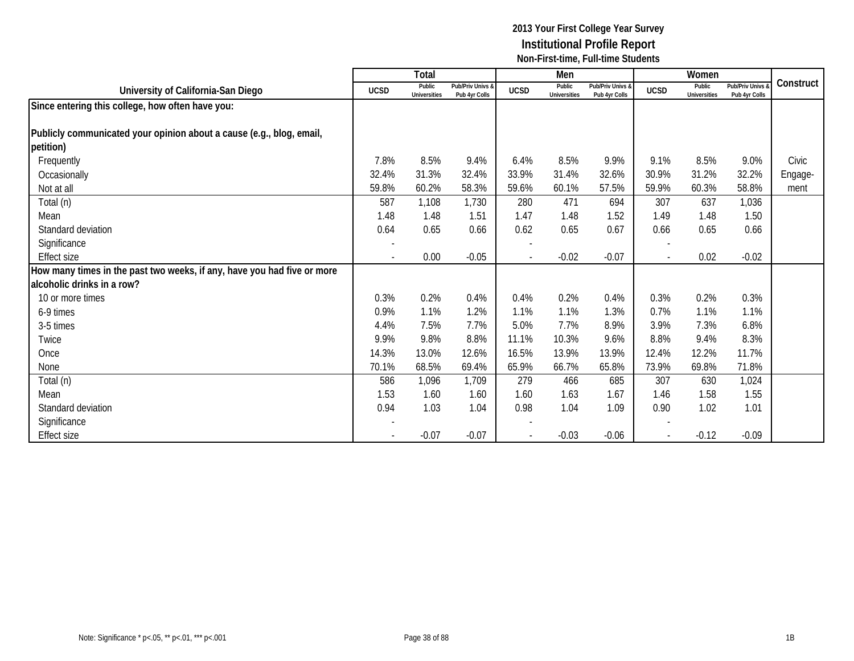|                                                                         |                          | Total                         |                                   |                          | Men                           |                                   |                | Women                         |                                 |           |
|-------------------------------------------------------------------------|--------------------------|-------------------------------|-----------------------------------|--------------------------|-------------------------------|-----------------------------------|----------------|-------------------------------|---------------------------------|-----------|
| University of California-San Diego                                      | <b>UCSD</b>              | Public<br><b>Universities</b> | Pub/Priv Univs &<br>Pub 4yr Colls | <b>UCSD</b>              | Public<br><b>Universities</b> | Pub/Priv Univs &<br>Pub 4yr Colls | <b>UCSD</b>    | Public<br><b>Universities</b> | Pub/Priv Univs<br>Pub 4yr Colls | Construct |
| Since entering this college, how often have you:                        |                          |                               |                                   |                          |                               |                                   |                |                               |                                 |           |
|                                                                         |                          |                               |                                   |                          |                               |                                   |                |                               |                                 |           |
| Publicly communicated your opinion about a cause (e.g., blog, email,    |                          |                               |                                   |                          |                               |                                   |                |                               |                                 |           |
| petition)                                                               |                          |                               |                                   |                          |                               |                                   |                |                               |                                 |           |
| Frequently                                                              | 7.8%                     | 8.5%                          | 9.4%                              | 6.4%                     | 8.5%                          | 9.9%                              | 9.1%           | 8.5%                          | 9.0%                            | Civic     |
| Occasionally                                                            | 32.4%                    | 31.3%                         | 32.4%                             | 33.9%                    | 31.4%                         | 32.6%                             | 30.9%          | 31.2%                         | 32.2%                           | Engage-   |
| Not at all                                                              | 59.8%                    | 60.2%                         | 58.3%                             | 59.6%                    | 60.1%                         | 57.5%                             | 59.9%          | 60.3%                         | 58.8%                           | ment      |
| Total (n)                                                               | 587                      | 1,108                         | 1,730                             | 280                      | 471                           | 694                               | 307            | 637                           | 1,036                           |           |
| Mean                                                                    | 1.48                     | 1.48                          | 1.51                              | 1.47                     | 1.48                          | 1.52                              | 1.49           | 1.48                          | 1.50                            |           |
| Standard deviation                                                      | 0.64                     | 0.65                          | 0.66                              | 0.62                     | 0.65                          | 0.67                              | 0.66           | 0.65                          | 0.66                            |           |
| Significance                                                            |                          |                               |                                   |                          |                               |                                   |                |                               |                                 |           |
| <b>Effect size</b>                                                      | $\overline{\phantom{0}}$ | 0.00                          | $-0.05$                           | $\overline{\phantom{a}}$ | $-0.02$                       | $-0.07$                           | $\blacksquare$ | 0.02                          | $-0.02$                         |           |
| How many times in the past two weeks, if any, have you had five or more |                          |                               |                                   |                          |                               |                                   |                |                               |                                 |           |
| alcoholic drinks in a row?                                              |                          |                               |                                   |                          |                               |                                   |                |                               |                                 |           |
| 10 or more times                                                        | 0.3%                     | 0.2%                          | 0.4%                              | 0.4%                     | 0.2%                          | 0.4%                              | 0.3%           | 0.2%                          | 0.3%                            |           |
| 6-9 times                                                               | 0.9%                     | 1.1%                          | 1.2%                              | 1.1%                     | 1.1%                          | 1.3%                              | 0.7%           | 1.1%                          | 1.1%                            |           |
| 3-5 times                                                               | 4.4%                     | 7.5%                          | 7.7%                              | 5.0%                     | 7.7%                          | 8.9%                              | 3.9%           | 7.3%                          | 6.8%                            |           |
| Twice                                                                   | 9.9%                     | 9.8%                          | 8.8%                              | 11.1%                    | 10.3%                         | 9.6%                              | 8.8%           | 9.4%                          | 8.3%                            |           |
| Once                                                                    | 14.3%                    | 13.0%                         | 12.6%                             | 16.5%                    | 13.9%                         | 13.9%                             | 12.4%          | 12.2%                         | 11.7%                           |           |
| None                                                                    | 70.1%                    | 68.5%                         | 69.4%                             | 65.9%                    | 66.7%                         | 65.8%                             | 73.9%          | 69.8%                         | 71.8%                           |           |
| Total (n)                                                               | 586                      | 1,096                         | 1,709                             | 279                      | 466                           | 685                               | 307            | 630                           | 1,024                           |           |
| Mean                                                                    | 1.53                     | 1.60                          | 1.60                              | 1.60                     | 1.63                          | 1.67                              | 1.46           | 1.58                          | 1.55                            |           |
| Standard deviation                                                      | 0.94                     | 1.03                          | 1.04                              | 0.98                     | 1.04                          | 1.09                              | 0.90           | 1.02                          | 1.01                            |           |
| Significance                                                            |                          |                               |                                   |                          |                               |                                   |                |                               |                                 |           |
| Effect size                                                             |                          | $-0.07$                       | $-0.07$                           |                          | $-0.03$                       | $-0.06$                           |                | $-0.12$                       | $-0.09$                         |           |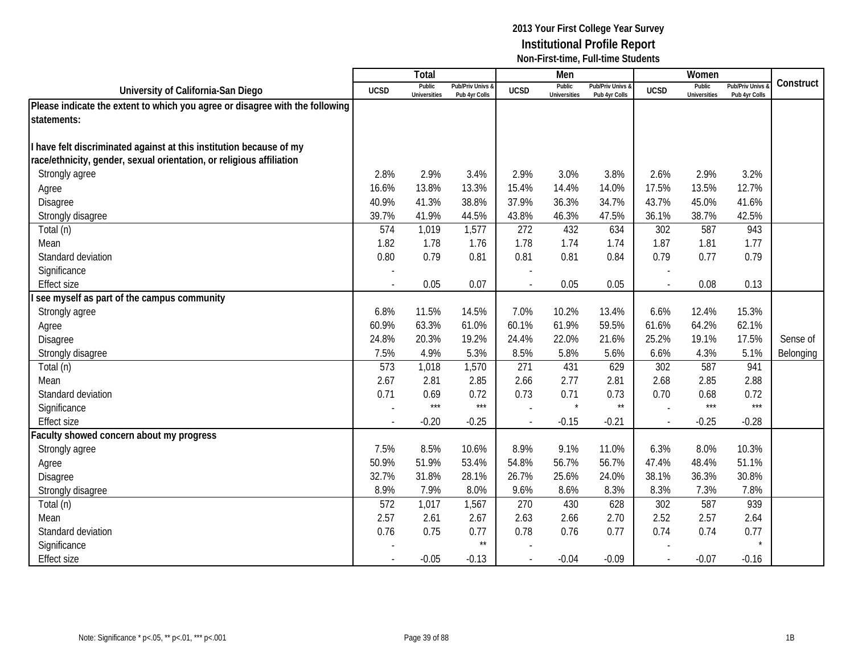|                                                                              |                | Total                         |                                   |                          | Men                           |                                 |                | Women                         |                                        |           |
|------------------------------------------------------------------------------|----------------|-------------------------------|-----------------------------------|--------------------------|-------------------------------|---------------------------------|----------------|-------------------------------|----------------------------------------|-----------|
| University of California-San Diego                                           | <b>UCSD</b>    | Public<br><b>Universities</b> | Pub/Priv Univs &<br>Pub 4yr Colls | <b>UCSD</b>              | Public<br><b>Universities</b> | Pub/Priv Univs<br>Pub 4yr Colls | <b>UCSD</b>    | Public<br><b>Universities</b> | <b>Pub/Priv Univs</b><br>Pub 4yr Colls | Construct |
| Please indicate the extent to which you agree or disagree with the following |                |                               |                                   |                          |                               |                                 |                |                               |                                        |           |
| statements:                                                                  |                |                               |                                   |                          |                               |                                 |                |                               |                                        |           |
|                                                                              |                |                               |                                   |                          |                               |                                 |                |                               |                                        |           |
| have felt discriminated against at this institution because of my            |                |                               |                                   |                          |                               |                                 |                |                               |                                        |           |
| race/ethnicity, gender, sexual orientation, or religious affiliation         |                |                               |                                   |                          |                               |                                 |                |                               |                                        |           |
| Strongly agree                                                               | 2.8%           | 2.9%                          | 3.4%                              | 2.9%                     | 3.0%                          | 3.8%                            | 2.6%           | 2.9%                          | 3.2%                                   |           |
| Agree                                                                        | 16.6%          | 13.8%                         | 13.3%                             | 15.4%                    | 14.4%                         | 14.0%                           | 17.5%          | 13.5%                         | 12.7%                                  |           |
| Disagree                                                                     | 40.9%          | 41.3%                         | 38.8%                             | 37.9%                    | 36.3%                         | 34.7%                           | 43.7%          | 45.0%                         | 41.6%                                  |           |
| Strongly disagree                                                            | 39.7%          | 41.9%                         | 44.5%                             | 43.8%                    | 46.3%                         | 47.5%                           | 36.1%          | 38.7%                         | 42.5%                                  |           |
| Total (n)                                                                    | 574            | 1,019                         | 1,577                             | 272                      | 432                           | 634                             | 302            | 587                           | 943                                    |           |
| Mean                                                                         | 1.82           | 1.78                          | 1.76                              | 1.78                     | 1.74                          | 1.74                            | 1.87           | 1.81                          | 1.77                                   |           |
| Standard deviation                                                           | 0.80           | 0.79                          | 0.81                              | 0.81                     | 0.81                          | 0.84                            | 0.79           | 0.77                          | 0.79                                   |           |
| Significance                                                                 |                |                               |                                   | $\overline{\phantom{a}}$ |                               |                                 |                |                               |                                        |           |
| <b>Effect size</b>                                                           | $\overline{a}$ | 0.05                          | 0.07                              | $\overline{\phantom{a}}$ | 0.05                          | 0.05                            | $\sim$         | 0.08                          | 0.13                                   |           |
| see myself as part of the campus community                                   |                |                               |                                   |                          |                               |                                 |                |                               |                                        |           |
| Strongly agree                                                               | 6.8%           | 11.5%                         | 14.5%                             | 7.0%                     | 10.2%                         | 13.4%                           | 6.6%           | 12.4%                         | 15.3%                                  |           |
| Agree                                                                        | 60.9%          | 63.3%                         | 61.0%                             | 60.1%                    | 61.9%                         | 59.5%                           | 61.6%          | 64.2%                         | 62.1%                                  |           |
| Disagree                                                                     | 24.8%          | 20.3%                         | 19.2%                             | 24.4%                    | 22.0%                         | 21.6%                           | 25.2%          | 19.1%                         | 17.5%                                  | Sense of  |
| Strongly disagree                                                            | 7.5%           | 4.9%                          | 5.3%                              | 8.5%                     | 5.8%                          | 5.6%                            | 6.6%           | 4.3%                          | 5.1%                                   | Belonging |
| Total (n)                                                                    | 573            | 1,018                         | 1,570                             | 271                      | 431                           | 629                             | 302            | 587                           | 941                                    |           |
| Mean                                                                         | 2.67           | 2.81                          | 2.85                              | 2.66                     | 2.77                          | 2.81                            | 2.68           | 2.85                          | 2.88                                   |           |
| Standard deviation                                                           | 0.71           | 0.69                          | 0.72                              | 0.73                     | 0.71                          | 0.73                            | 0.70           | 0.68                          | 0.72                                   |           |
| Significance                                                                 |                | $***$                         | $***$                             | $\overline{\phantom{a}}$ | $\star$                       | $\star\star$                    | $\sim$         | $***$                         | $***$                                  |           |
| <b>Effect size</b>                                                           |                | $-0.20$                       | $-0.25$                           | $\overline{\phantom{a}}$ | $-0.15$                       | $-0.21$                         | $\mathbf{r}$   | $-0.25$                       | $-0.28$                                |           |
| aculty showed concern about my progress                                      |                |                               |                                   |                          |                               |                                 |                |                               |                                        |           |
| Strongly agree                                                               | 7.5%           | 8.5%                          | 10.6%                             | 8.9%                     | 9.1%                          | 11.0%                           | 6.3%           | 8.0%                          | 10.3%                                  |           |
| Agree                                                                        | 50.9%          | 51.9%                         | 53.4%                             | 54.8%                    | 56.7%                         | 56.7%                           | 47.4%          | 48.4%                         | 51.1%                                  |           |
| Disagree                                                                     | 32.7%          | 31.8%                         | 28.1%                             | 26.7%                    | 25.6%                         | 24.0%                           | 38.1%          | 36.3%                         | 30.8%                                  |           |
| Strongly disagree                                                            | 8.9%           | 7.9%                          | 8.0%                              | 9.6%                     | 8.6%                          | 8.3%                            | 8.3%           | 7.3%                          | 7.8%                                   |           |
| Total (n)                                                                    | 572            | 1,017                         | 1,567                             | 270                      | 430                           | 628                             | 302            | 587                           | 939                                    |           |
| Mean                                                                         | 2.57           | 2.61                          | 2.67                              | 2.63                     | 2.66                          | 2.70                            | 2.52           | 2.57                          | 2.64                                   |           |
| Standard deviation                                                           | 0.76           | 0.75                          | 0.77                              | 0.78                     | 0.76                          | 0.77                            | 0.74           | 0.74                          | 0.77                                   |           |
| Significance                                                                 |                |                               | $\star\star$                      |                          |                               |                                 |                |                               |                                        |           |
| <b>Effect size</b>                                                           |                | $-0.05$                       | $-0.13$                           | $\overline{\phantom{a}}$ | $-0.04$                       | $-0.09$                         | $\blacksquare$ | $-0.07$                       | $-0.16$                                |           |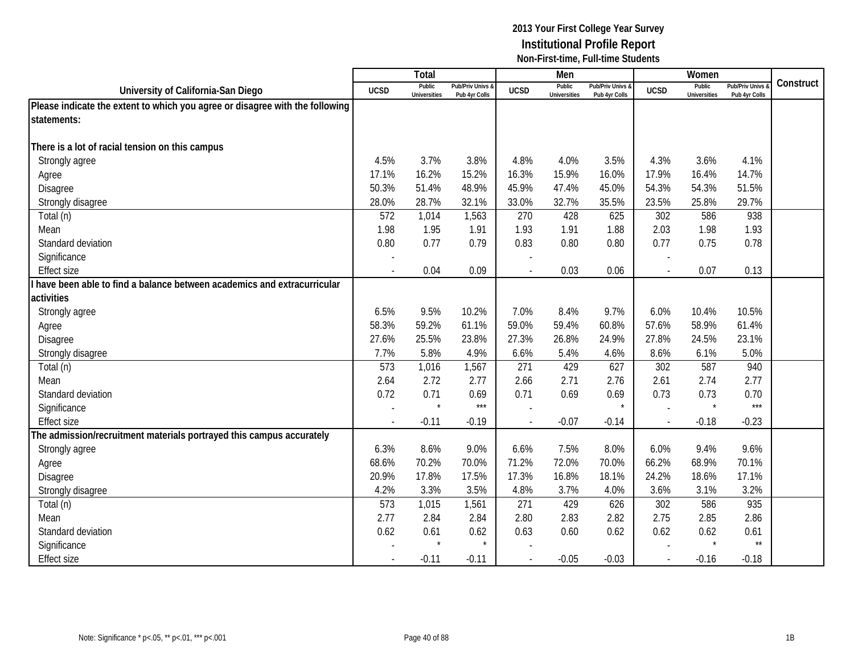|                                                                              |                          | Total                         |                                   |                | Men                           |                                   |                          | Women                         |                                        |           |
|------------------------------------------------------------------------------|--------------------------|-------------------------------|-----------------------------------|----------------|-------------------------------|-----------------------------------|--------------------------|-------------------------------|----------------------------------------|-----------|
| University of California-San Diego                                           | <b>UCSD</b>              | Public<br><b>Universities</b> | Pub/Priv Univs 8<br>Pub 4yr Colls | <b>UCSD</b>    | Public<br><b>Universities</b> | Pub/Priv Univs &<br>Pub 4yr Colls | <b>UCSD</b>              | Public<br><b>Universities</b> | <b>Pub/Priv Univs</b><br>Pub 4yr Colls | Construct |
| Please indicate the extent to which you agree or disagree with the following |                          |                               |                                   |                |                               |                                   |                          |                               |                                        |           |
| statements:                                                                  |                          |                               |                                   |                |                               |                                   |                          |                               |                                        |           |
|                                                                              |                          |                               |                                   |                |                               |                                   |                          |                               |                                        |           |
| There is a lot of racial tension on this campus                              |                          |                               |                                   |                |                               |                                   |                          |                               |                                        |           |
| Strongly agree                                                               | 4.5%                     | 3.7%                          | 3.8%                              | 4.8%           | 4.0%                          | 3.5%                              | 4.3%                     | 3.6%                          | 4.1%                                   |           |
| Agree                                                                        | 17.1%                    | 16.2%                         | 15.2%                             | 16.3%          | 15.9%                         | 16.0%                             | 17.9%                    | 16.4%                         | 14.7%                                  |           |
| Disagree                                                                     | 50.3%                    | 51.4%                         | 48.9%                             | 45.9%          | 47.4%                         | 45.0%                             | 54.3%                    | 54.3%                         | 51.5%                                  |           |
| Strongly disagree                                                            | 28.0%                    | 28.7%                         | 32.1%                             | 33.0%          | 32.7%                         | 35.5%                             | 23.5%                    | 25.8%                         | 29.7%                                  |           |
| Total (n)                                                                    | 572                      | 1,014                         | 1,563                             | 270            | 428                           | 625                               | 302                      | 586                           | 938                                    |           |
| Mean                                                                         | 1.98                     | 1.95                          | 1.91                              | 1.93           | 1.91                          | 1.88                              | 2.03                     | 1.98                          | 1.93                                   |           |
| Standard deviation                                                           | 0.80                     | 0.77                          | 0.79                              | 0.83           | 0.80                          | 0.80                              | 0.77                     | 0.75                          | 0.78                                   |           |
| Significance                                                                 |                          |                               |                                   |                |                               |                                   |                          |                               |                                        |           |
| <b>Effect size</b>                                                           | $\overline{a}$           | 0.04                          | 0.09                              |                | 0.03                          | 0.06                              | $\blacksquare$           | 0.07                          | 0.13                                   |           |
| have been able to find a balance between academics and extracurricular       |                          |                               |                                   |                |                               |                                   |                          |                               |                                        |           |
| activities                                                                   |                          |                               |                                   |                |                               |                                   |                          |                               |                                        |           |
| Strongly agree                                                               | 6.5%                     | 9.5%                          | 10.2%                             | 7.0%           | 8.4%                          | 9.7%                              | 6.0%                     | 10.4%                         | 10.5%                                  |           |
| Agree                                                                        | 58.3%                    | 59.2%                         | 61.1%                             | 59.0%          | 59.4%                         | 60.8%                             | 57.6%                    | 58.9%                         | 61.4%                                  |           |
| Disagree                                                                     | 27.6%                    | 25.5%                         | 23.8%                             | 27.3%          | 26.8%                         | 24.9%                             | 27.8%                    | 24.5%                         | 23.1%                                  |           |
| Strongly disagree                                                            | 7.7%                     | 5.8%                          | 4.9%                              | 6.6%           | 5.4%                          | 4.6%                              | 8.6%                     | 6.1%                          | 5.0%                                   |           |
| Total (n)                                                                    | 573                      | 1,016                         | 1,567                             | 271            | 429                           | 627                               | 302                      | 587                           | 940                                    |           |
| Mean                                                                         | 2.64                     | 2.72                          | 2.77                              | 2.66           | 2.71                          | 2.76                              | 2.61                     | 2.74                          | 2.77                                   |           |
| Standard deviation                                                           | 0.72                     | 0.71                          | 0.69                              | 0.71           | 0.69                          | 0.69                              | 0.73                     | 0.73                          | 0.70                                   |           |
| Significance                                                                 | $\overline{\phantom{a}}$ | $\star$                       | $***$                             |                |                               |                                   | $\overline{\phantom{a}}$ | $\star$                       | ***                                    |           |
| <b>Effect size</b>                                                           |                          | $-0.11$                       | $-0.19$                           | $\overline{a}$ | $-0.07$                       | $-0.14$                           | $\overline{\phantom{a}}$ | $-0.18$                       | $-0.23$                                |           |
| The admission/recruitment materials portrayed this campus accurately         |                          |                               |                                   |                |                               |                                   |                          |                               |                                        |           |
| Strongly agree                                                               | 6.3%                     | 8.6%                          | 9.0%                              | 6.6%           | 7.5%                          | 8.0%                              | 6.0%                     | 9.4%                          | 9.6%                                   |           |
| Agree                                                                        | 68.6%                    | 70.2%                         | 70.0%                             | 71.2%          | 72.0%                         | 70.0%                             | 66.2%                    | 68.9%                         | 70.1%                                  |           |
| Disagree                                                                     | 20.9%                    | 17.8%                         | 17.5%                             | 17.3%          | 16.8%                         | 18.1%                             | 24.2%                    | 18.6%                         | 17.1%                                  |           |
| Strongly disagree                                                            | 4.2%                     | 3.3%                          | 3.5%                              | 4.8%           | 3.7%                          | 4.0%                              | 3.6%                     | 3.1%                          | 3.2%                                   |           |
| Total (n)                                                                    | 573                      | 1,015                         | 1,561                             | 271            | 429                           | 626                               | 302                      | 586                           | 935                                    |           |
| Mean                                                                         | 2.77                     | 2.84                          | 2.84                              | 2.80           | 2.83                          | 2.82                              | 2.75                     | 2.85                          | 2.86                                   |           |
| Standard deviation                                                           | 0.62                     | 0.61                          | 0.62                              | 0.63           | 0.60                          | 0.62                              | 0.62                     | 0.62                          | 0.61                                   |           |
| Significance                                                                 |                          |                               |                                   |                |                               |                                   |                          |                               | $\star\star$                           |           |
| <b>Effect size</b>                                                           |                          | $-0.11$                       | $-0.11$                           |                | $-0.05$                       | $-0.03$                           |                          | $-0.16$                       | $-0.18$                                |           |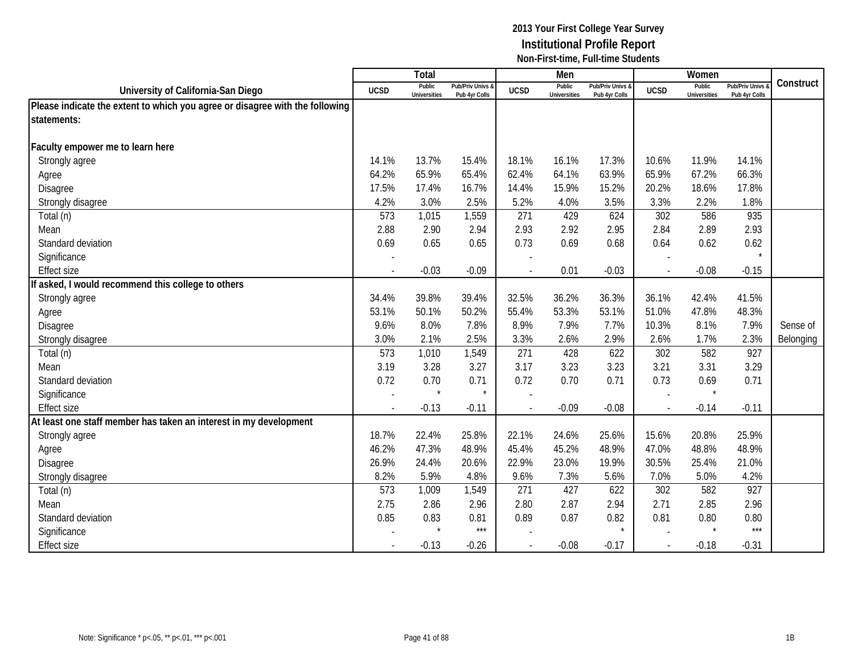|                                                                              |                          | <b>Total</b>                  |                                   |             | Men                           |                                   |                          | Women                         |                                        |           |
|------------------------------------------------------------------------------|--------------------------|-------------------------------|-----------------------------------|-------------|-------------------------------|-----------------------------------|--------------------------|-------------------------------|----------------------------------------|-----------|
| University of California-San Diego                                           | <b>UCSD</b>              | Public<br><b>Universities</b> | Pub/Priv Univs &<br>Pub 4yr Colls | <b>UCSD</b> | Public<br><b>Universities</b> | Pub/Priv Univs &<br>Pub 4yr Colls | <b>UCSD</b>              | Public<br><b>Universities</b> | <b>Pub/Priv Univs</b><br>Pub 4yr Colls | Construct |
| Please indicate the extent to which you agree or disagree with the following |                          |                               |                                   |             |                               |                                   |                          |                               |                                        |           |
| statements:                                                                  |                          |                               |                                   |             |                               |                                   |                          |                               |                                        |           |
|                                                                              |                          |                               |                                   |             |                               |                                   |                          |                               |                                        |           |
| Faculty empower me to learn here                                             |                          |                               |                                   |             |                               |                                   |                          |                               |                                        |           |
| Strongly agree                                                               | 14.1%                    | 13.7%                         | 15.4%                             | 18.1%       | 16.1%                         | 17.3%                             | 10.6%                    | 11.9%                         | 14.1%                                  |           |
| Agree                                                                        | 64.2%                    | 65.9%                         | 65.4%                             | 62.4%       | 64.1%                         | 63.9%                             | 65.9%                    | 67.2%                         | 66.3%                                  |           |
| Disagree                                                                     | 17.5%                    | 17.4%                         | 16.7%                             | 14.4%       | 15.9%                         | 15.2%                             | 20.2%                    | 18.6%                         | 17.8%                                  |           |
| Strongly disagree                                                            | 4.2%                     | 3.0%                          | 2.5%                              | 5.2%        | 4.0%                          | 3.5%                              | 3.3%                     | 2.2%                          | 1.8%                                   |           |
| Total (n)                                                                    | 573                      | 1,015                         | 1,559                             | 271         | 429                           | 624                               | 302                      | 586                           | 935                                    |           |
| Mean                                                                         | 2.88                     | 2.90                          | 2.94                              | 2.93        | 2.92                          | 2.95                              | 2.84                     | 2.89                          | 2.93                                   |           |
| Standard deviation                                                           | 0.69                     | 0.65                          | 0.65                              | 0.73        | 0.69                          | 0.68                              | 0.64                     | 0.62                          | 0.62                                   |           |
| Significance                                                                 |                          |                               |                                   |             |                               |                                   |                          |                               |                                        |           |
| <b>Effect size</b>                                                           |                          | $-0.03$                       | $-0.09$                           |             | 0.01                          | $-0.03$                           |                          | $-0.08$                       | $-0.15$                                |           |
| fasked, I would recommend this college to others                             |                          |                               |                                   |             |                               |                                   |                          |                               |                                        |           |
| Strongly agree                                                               | 34.4%                    | 39.8%                         | 39.4%                             | 32.5%       | 36.2%                         | 36.3%                             | 36.1%                    | 42.4%                         | 41.5%                                  |           |
| Agree                                                                        | 53.1%                    | 50.1%                         | 50.2%                             | 55.4%       | 53.3%                         | 53.1%                             | 51.0%                    | 47.8%                         | 48.3%                                  |           |
| Disagree                                                                     | 9.6%                     | 8.0%                          | 7.8%                              | 8.9%        | 7.9%                          | 7.7%                              | 10.3%                    | 8.1%                          | 7.9%                                   | Sense of  |
| Strongly disagree                                                            | 3.0%                     | 2.1%                          | 2.5%                              | 3.3%        | 2.6%                          | 2.9%                              | 2.6%                     | 1.7%                          | 2.3%                                   | Belonging |
| Total (n)                                                                    | 573                      | 1,010                         | 1,549                             | 271         | 428                           | 622                               | 302                      | 582                           | 927                                    |           |
| Mean                                                                         | 3.19                     | 3.28                          | 3.27                              | 3.17        | 3.23                          | 3.23                              | 3.21                     | 3.31                          | 3.29                                   |           |
| Standard deviation                                                           | 0.72                     | 0.70                          | 0.71                              | 0.72        | 0.70                          | 0.71                              | 0.73                     | 0.69                          | 0.71                                   |           |
| Significance                                                                 |                          |                               | $\star$                           |             |                               |                                   |                          | $\star$                       |                                        |           |
| <b>Effect size</b>                                                           | $\overline{\phantom{a}}$ | $-0.13$                       | $-0.11$                           |             | $-0.09$                       | $-0.08$                           | $\overline{\phantom{a}}$ | $-0.14$                       | $-0.11$                                |           |
| At least one staff member has taken an interest in my development            |                          |                               |                                   |             |                               |                                   |                          |                               |                                        |           |
| Strongly agree                                                               | 18.7%                    | 22.4%                         | 25.8%                             | 22.1%       | 24.6%                         | 25.6%                             | 15.6%                    | 20.8%                         | 25.9%                                  |           |
| Agree                                                                        | 46.2%                    | 47.3%                         | 48.9%                             | 45.4%       | 45.2%                         | 48.9%                             | 47.0%                    | 48.8%                         | 48.9%                                  |           |
| Disagree                                                                     | 26.9%                    | 24.4%                         | 20.6%                             | 22.9%       | 23.0%                         | 19.9%                             | 30.5%                    | 25.4%                         | 21.0%                                  |           |
| Strongly disagree                                                            | 8.2%                     | 5.9%                          | 4.8%                              | 9.6%        | 7.3%                          | 5.6%                              | 7.0%                     | 5.0%                          | 4.2%                                   |           |
| Total (n)                                                                    | 573                      | 1,009                         | 1,549                             | 271         | 427                           | 622                               | 302                      | 582                           | 927                                    |           |
| Mean                                                                         | 2.75                     | 2.86                          | 2.96                              | 2.80        | 2.87                          | 2.94                              | 2.71                     | 2.85                          | 2.96                                   |           |
| Standard deviation                                                           | 0.85                     | 0.83                          | 0.81                              | 0.89        | 0.87                          | 0.82                              | 0.81                     | 0.80                          | 0.80                                   |           |
| Significance                                                                 |                          |                               | $***$                             |             |                               | $\star$                           | $\sim$                   | $\star$                       | $***$                                  |           |
| <b>Effect size</b>                                                           |                          | $-0.13$                       | $-0.26$                           |             | $-0.08$                       | $-0.17$                           | $\overline{\phantom{a}}$ | $-0.18$                       | $-0.31$                                |           |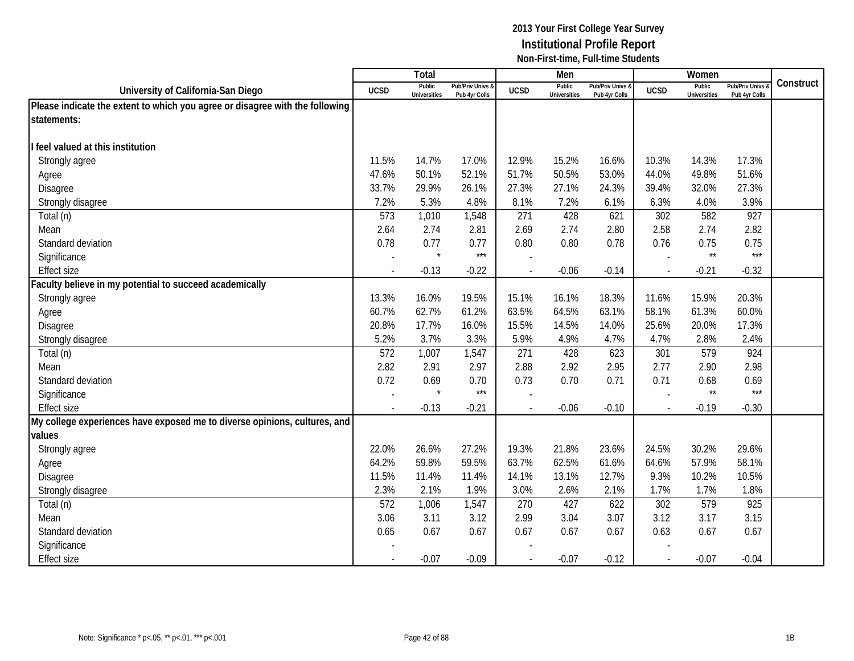|                                                                              |                          | Total                         |                                   |                          | Men                           |                                   |                | Women                         |                                        |           |
|------------------------------------------------------------------------------|--------------------------|-------------------------------|-----------------------------------|--------------------------|-------------------------------|-----------------------------------|----------------|-------------------------------|----------------------------------------|-----------|
| University of California-San Diego                                           | <b>UCSD</b>              | Public<br><b>Universities</b> | Pub/Priv Univs &<br>Pub 4yr Colls | <b>UCSD</b>              | Public<br><b>Universities</b> | Pub/Priv Univs &<br>Pub 4yr Colls | <b>UCSD</b>    | Public<br><b>Universities</b> | <b>Pub/Priv Univs</b><br>Pub 4yr Colls | Construct |
| Please indicate the extent to which you agree or disagree with the following |                          |                               |                                   |                          |                               |                                   |                |                               |                                        |           |
| statements:                                                                  |                          |                               |                                   |                          |                               |                                   |                |                               |                                        |           |
|                                                                              |                          |                               |                                   |                          |                               |                                   |                |                               |                                        |           |
| feel valued at this institution                                              |                          |                               |                                   |                          |                               |                                   |                |                               |                                        |           |
| Strongly agree                                                               | 11.5%                    | 14.7%                         | 17.0%                             | 12.9%                    | 15.2%                         | 16.6%                             | 10.3%          | 14.3%                         | 17.3%                                  |           |
| Agree                                                                        | 47.6%                    | 50.1%                         | 52.1%                             | 51.7%                    | 50.5%                         | 53.0%                             | 44.0%          | 49.8%                         | 51.6%                                  |           |
| Disagree                                                                     | 33.7%                    | 29.9%                         | 26.1%                             | 27.3%                    | 27.1%                         | 24.3%                             | 39.4%          | 32.0%                         | 27.3%                                  |           |
| Strongly disagree                                                            | 7.2%                     | 5.3%                          | 4.8%                              | 8.1%                     | 7.2%                          | 6.1%                              | 6.3%           | 4.0%                          | 3.9%                                   |           |
| Total (n)                                                                    | 573                      | 1,010                         | 1,548                             | 271                      | 428                           | 621                               | 302            | 582                           | 927                                    |           |
| Mean                                                                         | 2.64                     | 2.74                          | 2.81                              | 2.69                     | 2.74                          | 2.80                              | 2.58           | 2.74                          | 2.82                                   |           |
| Standard deviation                                                           | 0.78                     | 0.77                          | 0.77                              | 0.80                     | 0.80                          | 0.78                              | 0.76           | 0.75                          | 0.75                                   |           |
| Significance                                                                 |                          | $\star$                       | $***$                             |                          |                               |                                   |                | $\star\star$                  | $***$                                  |           |
| <b>Effect size</b>                                                           | $\overline{a}$           | $-0.13$                       | $-0.22$                           | $\overline{a}$           | $-0.06$                       | $-0.14$                           | $\overline{a}$ | $-0.21$                       | $-0.32$                                |           |
| Faculty believe in my potential to succeed academically                      |                          |                               |                                   |                          |                               |                                   |                |                               |                                        |           |
| Strongly agree                                                               | 13.3%                    | 16.0%                         | 19.5%                             | 15.1%                    | 16.1%                         | 18.3%                             | 11.6%          | 15.9%                         | 20.3%                                  |           |
| Agree                                                                        | 60.7%                    | 62.7%                         | 61.2%                             | 63.5%                    | 64.5%                         | 63.1%                             | 58.1%          | 61.3%                         | 60.0%                                  |           |
| Disagree                                                                     | 20.8%                    | 17.7%                         | 16.0%                             | 15.5%                    | 14.5%                         | 14.0%                             | 25.6%          | 20.0%                         | 17.3%                                  |           |
| Strongly disagree                                                            | 5.2%                     | 3.7%                          | 3.3%                              | 5.9%                     | 4.9%                          | 4.7%                              | 4.7%           | 2.8%                          | 2.4%                                   |           |
| Total (n)                                                                    | 572                      | 1,007                         | 1,547                             | 271                      | 428                           | 623                               | 301            | 579                           | 924                                    |           |
| Mean                                                                         | 2.82                     | 2.91                          | 2.97                              | 2.88                     | 2.92                          | 2.95                              | 2.77           | 2.90                          | 2.98                                   |           |
| Standard deviation                                                           | 0.72                     | 0.69                          | 0.70                              | 0.73                     | 0.70                          | 0.71                              | 0.71           | 0.68                          | 0.69                                   |           |
| Significance                                                                 | $\overline{\phantom{a}}$ | $\star$                       | $***$                             |                          |                               |                                   |                | $\star\star$                  | $***$                                  |           |
| <b>Effect size</b>                                                           |                          | $-0.13$                       | $-0.21$                           | $\overline{\phantom{a}}$ | $-0.06$                       | $-0.10$                           |                | $-0.19$                       | $-0.30$                                |           |
| My college experiences have exposed me to diverse opinions, cultures, and    |                          |                               |                                   |                          |                               |                                   |                |                               |                                        |           |
| values                                                                       |                          |                               |                                   |                          |                               |                                   |                |                               |                                        |           |
| Strongly agree                                                               | 22.0%                    | 26.6%                         | 27.2%                             | 19.3%                    | 21.8%                         | 23.6%                             | 24.5%          | 30.2%                         | 29.6%                                  |           |
| Agree                                                                        | 64.2%                    | 59.8%                         | 59.5%                             | 63.7%                    | 62.5%                         | 61.6%                             | 64.6%          | 57.9%                         | 58.1%                                  |           |
| Disagree                                                                     | 11.5%                    | 11.4%                         | 11.4%                             | 14.1%                    | 13.1%                         | 12.7%                             | 9.3%           | 10.2%                         | 10.5%                                  |           |
| Strongly disagree                                                            | 2.3%                     | 2.1%                          | 1.9%                              | 3.0%                     | 2.6%                          | 2.1%                              | 1.7%           | 1.7%                          | 1.8%                                   |           |
| Total (n)                                                                    | 572                      | 1,006                         | 1,547                             | 270                      | 427                           | 622                               | 302            | 579                           | 925                                    |           |
| Mean                                                                         | 3.06                     | 3.11                          | 3.12                              | 2.99                     | 3.04                          | 3.07                              | 3.12           | 3.17                          | 3.15                                   |           |
| Standard deviation                                                           | 0.65                     | 0.67                          | 0.67                              | 0.67                     | 0.67                          | 0.67                              | 0.63           | 0.67                          | 0.67                                   |           |
| Significance                                                                 |                          |                               |                                   |                          |                               |                                   |                |                               |                                        |           |
| <b>Effect size</b>                                                           |                          | $-0.07$                       | $-0.09$                           |                          | $-0.07$                       | $-0.12$                           |                | $-0.07$                       | $-0.04$                                |           |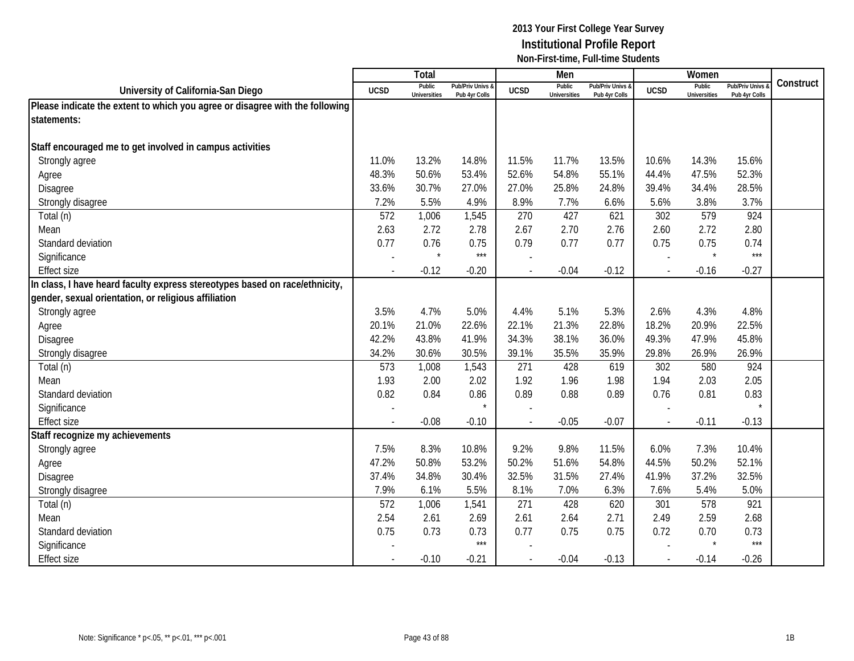|                                                                              |                          | Total                         |                                   |                          | Men                           |                                   |                | Women                         |                                        |           |
|------------------------------------------------------------------------------|--------------------------|-------------------------------|-----------------------------------|--------------------------|-------------------------------|-----------------------------------|----------------|-------------------------------|----------------------------------------|-----------|
| University of California-San Diego                                           | <b>UCSD</b>              | Public<br><b>Universities</b> | Pub/Priv Univs &<br>Pub 4yr Colls | <b>UCSD</b>              | Public<br><b>Universities</b> | Pub/Priv Univs &<br>Pub 4yr Colls | <b>UCSD</b>    | Public<br><b>Universities</b> | <b>Pub/Priv Univs</b><br>Pub 4yr Colls | Construct |
| Please indicate the extent to which you agree or disagree with the following |                          |                               |                                   |                          |                               |                                   |                |                               |                                        |           |
| statements:                                                                  |                          |                               |                                   |                          |                               |                                   |                |                               |                                        |           |
|                                                                              |                          |                               |                                   |                          |                               |                                   |                |                               |                                        |           |
| Staff encouraged me to get involved in campus activities                     |                          |                               |                                   |                          |                               |                                   |                |                               |                                        |           |
| Strongly agree                                                               | 11.0%                    | 13.2%                         | 14.8%                             | 11.5%                    | 11.7%                         | 13.5%                             | 10.6%          | 14.3%                         | 15.6%                                  |           |
| Agree                                                                        | 48.3%                    | 50.6%                         | 53.4%                             | 52.6%                    | 54.8%                         | 55.1%                             | 44.4%          | 47.5%                         | 52.3%                                  |           |
| Disagree                                                                     | 33.6%                    | 30.7%                         | 27.0%                             | 27.0%                    | 25.8%                         | 24.8%                             | 39.4%          | 34.4%                         | 28.5%                                  |           |
| Strongly disagree                                                            | 7.2%                     | 5.5%                          | 4.9%                              | 8.9%                     | 7.7%                          | 6.6%                              | 5.6%           | 3.8%                          | 3.7%                                   |           |
| Total (n)                                                                    | 572                      | 1,006                         | 1,545                             | 270                      | 427                           | 621                               | 302            | 579                           | 924                                    |           |
| Mean                                                                         | 2.63                     | 2.72                          | 2.78                              | 2.67                     | 2.70                          | 2.76                              | 2.60           | 2.72                          | 2.80                                   |           |
| Standard deviation                                                           | 0.77                     | 0.76                          | 0.75                              | 0.79                     | 0.77                          | 0.77                              | 0.75           | 0.75                          | 0.74                                   |           |
| Significance                                                                 |                          | $\star$                       | $***$                             |                          |                               |                                   |                | $\star$                       | $***$                                  |           |
| <b>Effect size</b>                                                           | $\overline{\phantom{a}}$ | $-0.12$                       | $-0.20$                           |                          | $-0.04$                       | $-0.12$                           | $\mathbf{r}$   | $-0.16$                       | $-0.27$                                |           |
| In class, I have heard faculty express stereotypes based on race/ethnicity,  |                          |                               |                                   |                          |                               |                                   |                |                               |                                        |           |
| gender, sexual orientation, or religious affiliation                         |                          |                               |                                   |                          |                               |                                   |                |                               |                                        |           |
| Strongly agree                                                               | 3.5%                     | 4.7%                          | 5.0%                              | 4.4%                     | 5.1%                          | 5.3%                              | 2.6%           | 4.3%                          | 4.8%                                   |           |
| Agree                                                                        | 20.1%                    | 21.0%                         | 22.6%                             | 22.1%                    | 21.3%                         | 22.8%                             | 18.2%          | 20.9%                         | 22.5%                                  |           |
| Disagree                                                                     | 42.2%                    | 43.8%                         | 41.9%                             | 34.3%                    | 38.1%                         | 36.0%                             | 49.3%          | 47.9%                         | 45.8%                                  |           |
| Strongly disagree                                                            | 34.2%                    | 30.6%                         | 30.5%                             | 39.1%                    | 35.5%                         | 35.9%                             | 29.8%          | 26.9%                         | 26.9%                                  |           |
| Total (n)                                                                    | 573                      | 1,008                         | 1,543                             | 271                      | 428                           | 619                               | 302            | 580                           | 924                                    |           |
| Mean                                                                         | 1.93                     | 2.00                          | 2.02                              | 1.92                     | 1.96                          | 1.98                              | 1.94           | 2.03                          | 2.05                                   |           |
| Standard deviation                                                           | 0.82                     | 0.84                          | 0.86                              | 0.89                     | 0.88                          | 0.89                              | 0.76           | 0.81                          | 0.83                                   |           |
| Significance                                                                 |                          |                               |                                   |                          |                               |                                   |                |                               |                                        |           |
| <b>Effect size</b>                                                           |                          | $-0.08$                       | $-0.10$                           |                          | $-0.05$                       | $-0.07$                           | $\blacksquare$ | $-0.11$                       | $-0.13$                                |           |
| Staff recognize my achievements                                              |                          |                               |                                   |                          |                               |                                   |                |                               |                                        |           |
| Strongly agree                                                               | 7.5%                     | 8.3%                          | 10.8%                             | 9.2%                     | 9.8%                          | 11.5%                             | 6.0%           | 7.3%                          | 10.4%                                  |           |
| Agree                                                                        | 47.2%                    | 50.8%                         | 53.2%                             | 50.2%                    | 51.6%                         | 54.8%                             | 44.5%          | 50.2%                         | 52.1%                                  |           |
| <b>Disagree</b>                                                              | 37.4%                    | 34.8%                         | 30.4%                             | 32.5%                    | 31.5%                         | 27.4%                             | 41.9%          | 37.2%                         | 32.5%                                  |           |
| Strongly disagree                                                            | 7.9%                     | 6.1%                          | 5.5%                              | 8.1%                     | 7.0%                          | 6.3%                              | 7.6%           | 5.4%                          | 5.0%                                   |           |
| Total (n)                                                                    | 572                      | 1,006                         | 1,541                             | 271                      | 428                           | 620                               | 301            | 578                           | 921                                    |           |
| Mean                                                                         | 2.54                     | 2.61                          | 2.69                              | 2.61                     | 2.64                          | 2.71                              | 2.49           | 2.59                          | 2.68                                   |           |
| Standard deviation                                                           | 0.75                     | 0.73                          | 0.73                              | 0.77                     | 0.75                          | 0.75                              | 0.72           | 0.70                          | 0.73                                   |           |
| Significance                                                                 |                          |                               | $***$                             |                          |                               |                                   |                | $\star$                       | $***$                                  |           |
| <b>Effect size</b>                                                           |                          | $-0.10$                       | $-0.21$                           | $\overline{\phantom{a}}$ | $-0.04$                       | $-0.13$                           | $\mathbf{r}$   | $-0.14$                       | $-0.26$                                |           |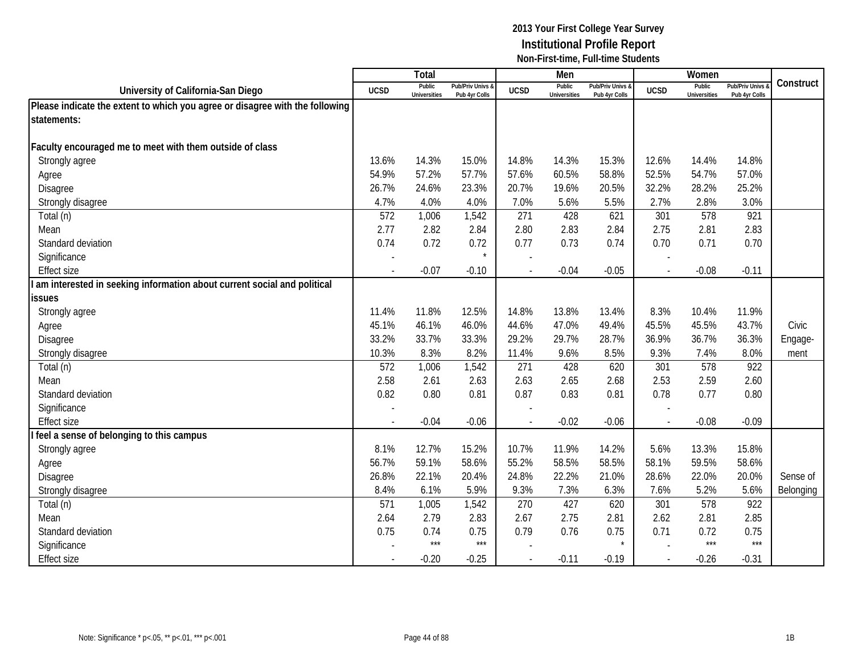|                                                                              |                          | Total                         |                                   |                          | Men                           |                                   |                          | Women                         |                                        |           |
|------------------------------------------------------------------------------|--------------------------|-------------------------------|-----------------------------------|--------------------------|-------------------------------|-----------------------------------|--------------------------|-------------------------------|----------------------------------------|-----------|
| University of California-San Diego                                           | <b>UCSD</b>              | Public<br><b>Universities</b> | Pub/Priv Univs &<br>Pub 4yr Colls | <b>UCSD</b>              | Public<br><b>Universities</b> | Pub/Priv Univs &<br>Pub 4yr Colls | <b>UCSD</b>              | Public<br><b>Universities</b> | <b>Pub/Priv Univs</b><br>Pub 4yr Colls | Construct |
| Please indicate the extent to which you agree or disagree with the following |                          |                               |                                   |                          |                               |                                   |                          |                               |                                        |           |
| statements:                                                                  |                          |                               |                                   |                          |                               |                                   |                          |                               |                                        |           |
|                                                                              |                          |                               |                                   |                          |                               |                                   |                          |                               |                                        |           |
| Faculty encouraged me to meet with them outside of class                     |                          |                               |                                   |                          |                               |                                   |                          |                               |                                        |           |
| Strongly agree                                                               | 13.6%                    | 14.3%                         | 15.0%                             | 14.8%                    | 14.3%                         | 15.3%                             | 12.6%                    | 14.4%                         | 14.8%                                  |           |
| Agree                                                                        | 54.9%                    | 57.2%                         | 57.7%                             | 57.6%                    | 60.5%                         | 58.8%                             | 52.5%                    | 54.7%                         | 57.0%                                  |           |
| Disagree                                                                     | 26.7%                    | 24.6%                         | 23.3%                             | 20.7%                    | 19.6%                         | 20.5%                             | 32.2%                    | 28.2%                         | 25.2%                                  |           |
| Strongly disagree                                                            | 4.7%                     | 4.0%                          | 4.0%                              | 7.0%                     | 5.6%                          | 5.5%                              | 2.7%                     | 2.8%                          | 3.0%                                   |           |
| Total (n)                                                                    | 572                      | 1,006                         | 1,542                             | 271                      | 428                           | 621                               | 301                      | 578                           | 921                                    |           |
| Mean                                                                         | 2.77                     | 2.82                          | 2.84                              | 2.80                     | 2.83                          | 2.84                              | 2.75                     | 2.81                          | 2.83                                   |           |
| Standard deviation                                                           | 0.74                     | 0.72                          | 0.72                              | 0.77                     | 0.73                          | 0.74                              | 0.70                     | 0.71                          | 0.70                                   |           |
| Significance                                                                 |                          |                               | $\star$                           |                          |                               |                                   |                          |                               |                                        |           |
| <b>Effect size</b>                                                           | $\overline{\phantom{a}}$ | $-0.07$                       | $-0.10$                           |                          | $-0.04$                       | $-0.05$                           | $\overline{\phantom{a}}$ | $-0.08$                       | $-0.11$                                |           |
| am interested in seeking information about current social and political      |                          |                               |                                   |                          |                               |                                   |                          |                               |                                        |           |
| <b>issues</b>                                                                |                          |                               |                                   |                          |                               |                                   |                          |                               |                                        |           |
| Strongly agree                                                               | 11.4%                    | 11.8%                         | 12.5%                             | 14.8%                    | 13.8%                         | 13.4%                             | 8.3%                     | 10.4%                         | 11.9%                                  |           |
| Agree                                                                        | 45.1%                    | 46.1%                         | 46.0%                             | 44.6%                    | 47.0%                         | 49.4%                             | 45.5%                    | 45.5%                         | 43.7%                                  | Civic     |
| Disagree                                                                     | 33.2%                    | 33.7%                         | 33.3%                             | 29.2%                    | 29.7%                         | 28.7%                             | 36.9%                    | 36.7%                         | 36.3%                                  | Engage-   |
| Strongly disagree                                                            | 10.3%                    | 8.3%                          | 8.2%                              | 11.4%                    | 9.6%                          | 8.5%                              | 9.3%                     | 7.4%                          | 8.0%                                   | ment      |
| Total (n)                                                                    | 572                      | 1,006                         | 1,542                             | 271                      | 428                           | 620                               | 301                      | 578                           | 922                                    |           |
| Mean                                                                         | 2.58                     | 2.61                          | 2.63                              | 2.63                     | 2.65                          | 2.68                              | 2.53                     | 2.59                          | 2.60                                   |           |
| Standard deviation                                                           | 0.82                     | 0.80                          | 0.81                              | 0.87                     | 0.83                          | 0.81                              | 0.78                     | 0.77                          | 0.80                                   |           |
| Significance                                                                 |                          |                               |                                   |                          |                               |                                   |                          |                               |                                        |           |
| <b>Effect size</b>                                                           |                          | $-0.04$                       | $-0.06$                           | $\overline{\phantom{a}}$ | $-0.02$                       | $-0.06$                           | $\sim$                   | $-0.08$                       | $-0.09$                                |           |
| feel a sense of belonging to this campus                                     |                          |                               |                                   |                          |                               |                                   |                          |                               |                                        |           |
| Strongly agree                                                               | 8.1%                     | 12.7%                         | 15.2%                             | 10.7%                    | 11.9%                         | 14.2%                             | 5.6%                     | 13.3%                         | 15.8%                                  |           |
| Agree                                                                        | 56.7%                    | 59.1%                         | 58.6%                             | 55.2%                    | 58.5%                         | 58.5%                             | 58.1%                    | 59.5%                         | 58.6%                                  |           |
| <b>Disagree</b>                                                              | 26.8%                    | 22.1%                         | 20.4%                             | 24.8%                    | 22.2%                         | 21.0%                             | 28.6%                    | 22.0%                         | 20.0%                                  | Sense of  |
| Strongly disagree                                                            | 8.4%                     | 6.1%                          | 5.9%                              | 9.3%                     | 7.3%                          | 6.3%                              | 7.6%                     | 5.2%                          | 5.6%                                   | Belonging |
| Total (n)                                                                    | 571                      | 1,005                         | 1,542                             | 270                      | 427                           | 620                               | 301                      | 578                           | 922                                    |           |
| Mean                                                                         | 2.64                     | 2.79                          | 2.83                              | 2.67                     | 2.75                          | 2.81                              | 2.62                     | 2.81                          | 2.85                                   |           |
| Standard deviation                                                           | 0.75                     | 0.74                          | 0.75                              | 0.79                     | 0.76                          | 0.75                              | 0.71                     | 0.72                          | 0.75                                   |           |
| Significance                                                                 |                          | $***$                         | $***$                             |                          |                               |                                   |                          | $***$                         | $***$                                  |           |
| <b>Effect size</b>                                                           |                          | $-0.20$                       | $-0.25$                           |                          | $-0.11$                       | $-0.19$                           | $\overline{a}$           | $-0.26$                       | $-0.31$                                |           |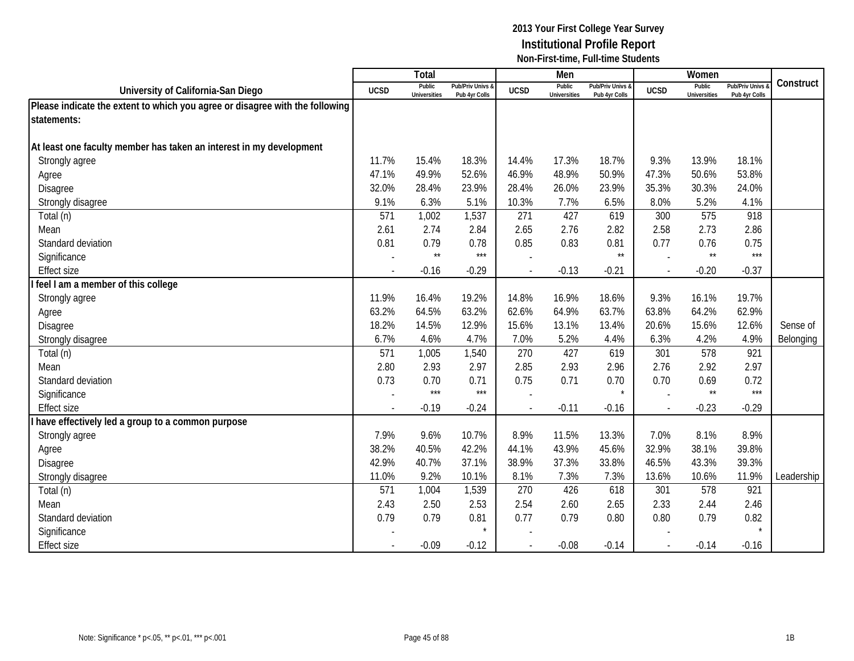|                                                                              |                          | <b>Total</b>                  |                                   |             | Men                           |                                   |                | Women                         |                                        |            |
|------------------------------------------------------------------------------|--------------------------|-------------------------------|-----------------------------------|-------------|-------------------------------|-----------------------------------|----------------|-------------------------------|----------------------------------------|------------|
| University of California-San Diego                                           | <b>UCSD</b>              | Public<br><b>Universities</b> | Pub/Priv Univs &<br>Pub 4yr Colls | <b>UCSD</b> | Public<br><b>Universities</b> | Pub/Priv Univs &<br>Pub 4yr Colls | <b>UCSD</b>    | Public<br><b>Universities</b> | <b>Pub/Priv Univs</b><br>Pub 4yr Colls | Construct  |
| Please indicate the extent to which you agree or disagree with the following |                          |                               |                                   |             |                               |                                   |                |                               |                                        |            |
| statements:                                                                  |                          |                               |                                   |             |                               |                                   |                |                               |                                        |            |
|                                                                              |                          |                               |                                   |             |                               |                                   |                |                               |                                        |            |
| At least one faculty member has taken an interest in my development          |                          |                               |                                   |             |                               |                                   |                |                               |                                        |            |
| Strongly agree                                                               | 11.7%                    | 15.4%                         | 18.3%                             | 14.4%       | 17.3%                         | 18.7%                             | 9.3%           | 13.9%                         | 18.1%                                  |            |
| Agree                                                                        | 47.1%                    | 49.9%                         | 52.6%                             | 46.9%       | 48.9%                         | 50.9%                             | 47.3%          | 50.6%                         | 53.8%                                  |            |
| Disagree                                                                     | 32.0%                    | 28.4%                         | 23.9%                             | 28.4%       | 26.0%                         | 23.9%                             | 35.3%          | 30.3%                         | 24.0%                                  |            |
| Strongly disagree                                                            | 9.1%                     | 6.3%                          | 5.1%                              | 10.3%       | 7.7%                          | 6.5%                              | 8.0%           | 5.2%                          | 4.1%                                   |            |
| Total (n)                                                                    | 571                      | 1,002                         | 1,537                             | 271         | 427                           | 619                               | 300            | 575                           | 918                                    |            |
| Mean                                                                         | 2.61                     | 2.74                          | 2.84                              | 2.65        | 2.76                          | 2.82                              | 2.58           | 2.73                          | 2.86                                   |            |
| Standard deviation                                                           | 0.81                     | 0.79                          | 0.78                              | 0.85        | 0.83                          | 0.81                              | 0.77           | 0.76                          | 0.75                                   |            |
| Significance                                                                 |                          | $\star\star$                  | $***$                             |             |                               | $\star\star$                      |                | $\star\star$                  | $***$                                  |            |
| <b>Effect size</b>                                                           |                          | $-0.16$                       | $-0.29$                           |             | $-0.13$                       | $-0.21$                           |                | $-0.20$                       | $-0.37$                                |            |
| feel I am a member of this college                                           |                          |                               |                                   |             |                               |                                   |                |                               |                                        |            |
| Strongly agree                                                               | 11.9%                    | 16.4%                         | 19.2%                             | 14.8%       | 16.9%                         | 18.6%                             | 9.3%           | 16.1%                         | 19.7%                                  |            |
| Agree                                                                        | 63.2%                    | 64.5%                         | 63.2%                             | 62.6%       | 64.9%                         | 63.7%                             | 63.8%          | 64.2%                         | 62.9%                                  |            |
| Disagree                                                                     | 18.2%                    | 14.5%                         | 12.9%                             | 15.6%       | 13.1%                         | 13.4%                             | 20.6%          | 15.6%                         | 12.6%                                  | Sense of   |
| Strongly disagree                                                            | 6.7%                     | 4.6%                          | 4.7%                              | 7.0%        | 5.2%                          | 4.4%                              | 6.3%           | 4.2%                          | 4.9%                                   | Belonging  |
| Total (n)                                                                    | 571                      | 1,005                         | 1,540                             | 270         | 427                           | 619                               | 301            | 578                           | 921                                    |            |
| Mean                                                                         | 2.80                     | 2.93                          | 2.97                              | 2.85        | 2.93                          | 2.96                              | 2.76           | 2.92                          | 2.97                                   |            |
| Standard deviation                                                           | 0.73                     | 0.70                          | 0.71                              | 0.75        | 0.71                          | 0.70                              | 0.70           | 0.69                          | 0.72                                   |            |
| Significance                                                                 |                          | $***$                         | $***$                             |             |                               | $\star$                           |                | $\star\star$                  | $***$                                  |            |
| <b>Effect size</b>                                                           | $\overline{\phantom{a}}$ | $-0.19$                       | $-0.24$                           |             | $-0.11$                       | $-0.16$                           | $\sim$         | $-0.23$                       | $-0.29$                                |            |
| have effectively led a group to a common purpose                             |                          |                               |                                   |             |                               |                                   |                |                               |                                        |            |
| Strongly agree                                                               | 7.9%                     | 9.6%                          | 10.7%                             | 8.9%        | 11.5%                         | 13.3%                             | 7.0%           | 8.1%                          | 8.9%                                   |            |
| Agree                                                                        | 38.2%                    | 40.5%                         | 42.2%                             | 44.1%       | 43.9%                         | 45.6%                             | 32.9%          | 38.1%                         | 39.8%                                  |            |
| Disagree                                                                     | 42.9%                    | 40.7%                         | 37.1%                             | 38.9%       | 37.3%                         | 33.8%                             | 46.5%          | 43.3%                         | 39.3%                                  |            |
| Strongly disagree                                                            | 11.0%                    | 9.2%                          | 10.1%                             | 8.1%        | 7.3%                          | 7.3%                              | 13.6%          | 10.6%                         | 11.9%                                  | Leadership |
| Total (n)                                                                    | 571                      | 1,004                         | 1,539                             | 270         | 426                           | 618                               | 301            | 578                           | 921                                    |            |
| Mean                                                                         | 2.43                     | 2.50                          | 2.53                              | 2.54        | 2.60                          | 2.65                              | 2.33           | 2.44                          | 2.46                                   |            |
| Standard deviation                                                           | 0.79                     | 0.79                          | 0.81                              | 0.77        | 0.79                          | 0.80                              | 0.80           | 0.79                          | 0.82                                   |            |
| Significance                                                                 |                          |                               | $\star$                           |             |                               |                                   |                |                               |                                        |            |
| <b>Effect size</b>                                                           |                          | $-0.09$                       | $-0.12$                           |             | $-0.08$                       | $-0.14$                           | $\overline{a}$ | $-0.14$                       | $-0.16$                                |            |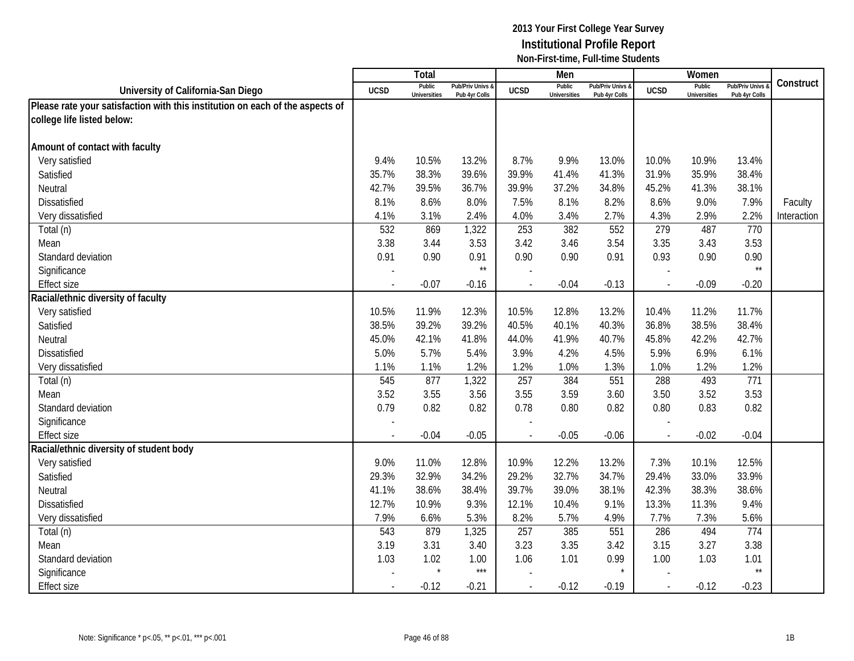|                                                                               |             | Total                         |                                   |                          | Men                           |                                   |                | Women                         |                                        |             |
|-------------------------------------------------------------------------------|-------------|-------------------------------|-----------------------------------|--------------------------|-------------------------------|-----------------------------------|----------------|-------------------------------|----------------------------------------|-------------|
| University of California-San Diego                                            | <b>UCSD</b> | Public<br><b>Universities</b> | Pub/Priv Univs &<br>Pub 4yr Colls | <b>UCSD</b>              | Public<br><b>Universities</b> | Pub/Priv Univs &<br>Pub 4yr Colls | <b>UCSD</b>    | Public<br><b>Universities</b> | <b>Pub/Priv Univs</b><br>Pub 4yr Colls | Construct   |
| Please rate your satisfaction with this institution on each of the aspects of |             |                               |                                   |                          |                               |                                   |                |                               |                                        |             |
| college life listed below:                                                    |             |                               |                                   |                          |                               |                                   |                |                               |                                        |             |
|                                                                               |             |                               |                                   |                          |                               |                                   |                |                               |                                        |             |
| Amount of contact with faculty                                                |             |                               |                                   |                          |                               |                                   |                |                               |                                        |             |
| Very satisfied                                                                | 9.4%        | 10.5%                         | 13.2%                             | 8.7%                     | 9.9%                          | 13.0%                             | 10.0%          | 10.9%                         | 13.4%                                  |             |
| Satisfied                                                                     | 35.7%       | 38.3%                         | 39.6%                             | 39.9%                    | 41.4%                         | 41.3%                             | 31.9%          | 35.9%                         | 38.4%                                  |             |
| Neutral                                                                       | 42.7%       | 39.5%                         | 36.7%                             | 39.9%                    | 37.2%                         | 34.8%                             | 45.2%          | 41.3%                         | 38.1%                                  |             |
| Dissatisfied                                                                  | 8.1%        | 8.6%                          | 8.0%                              | 7.5%                     | 8.1%                          | 8.2%                              | 8.6%           | 9.0%                          | 7.9%                                   | Faculty     |
| Very dissatisfied                                                             | 4.1%        | 3.1%                          | 2.4%                              | 4.0%                     | 3.4%                          | 2.7%                              | 4.3%           | 2.9%                          | 2.2%                                   | Interaction |
| Total (n)                                                                     | 532         | 869                           | 1,322                             | 253                      | 382                           | 552                               | 279            | 487                           | 770                                    |             |
| Mean                                                                          | 3.38        | 3.44                          | 3.53                              | 3.42                     | 3.46                          | 3.54                              | 3.35           | 3.43                          | 3.53                                   |             |
| Standard deviation                                                            | 0.91        | 0.90                          | 0.91                              | 0.90                     | 0.90                          | 0.91                              | 0.93           | 0.90                          | 0.90                                   |             |
| Significance                                                                  |             |                               | $\star\star$                      |                          |                               |                                   |                |                               | $\star\star$                           |             |
| <b>Effect size</b>                                                            |             | $-0.07$                       | $-0.16$                           |                          | $-0.04$                       | $-0.13$                           |                | $-0.09$                       | $-0.20$                                |             |
| Racial/ethnic diversity of faculty                                            |             |                               |                                   |                          |                               |                                   |                |                               |                                        |             |
| Very satisfied                                                                | 10.5%       | 11.9%                         | 12.3%                             | 10.5%                    | 12.8%                         | 13.2%                             | 10.4%          | 11.2%                         | 11.7%                                  |             |
| Satisfied                                                                     | 38.5%       | 39.2%                         | 39.2%                             | 40.5%                    | 40.1%                         | 40.3%                             | 36.8%          | 38.5%                         | 38.4%                                  |             |
| Neutral                                                                       | 45.0%       | 42.1%                         | 41.8%                             | 44.0%                    | 41.9%                         | 40.7%                             | 45.8%          | 42.2%                         | 42.7%                                  |             |
| <b>Dissatisfied</b>                                                           | 5.0%        | 5.7%                          | 5.4%                              | 3.9%                     | 4.2%                          | 4.5%                              | 5.9%           | 6.9%                          | 6.1%                                   |             |
| Very dissatisfied                                                             | 1.1%        | 1.1%                          | 1.2%                              | 1.2%                     | 1.0%                          | 1.3%                              | 1.0%           | 1.2%                          | 1.2%                                   |             |
| Total (n)                                                                     | 545         | 877                           | 1,322                             | 257                      | 384                           | 551                               | 288            | 493                           | 771                                    |             |
| Mean                                                                          | 3.52        | 3.55                          | 3.56                              | 3.55                     | 3.59                          | 3.60                              | 3.50           | 3.52                          | 3.53                                   |             |
| Standard deviation                                                            | 0.79        | 0.82                          | 0.82                              | 0.78                     | 0.80                          | 0.82                              | 0.80           | 0.83                          | 0.82                                   |             |
| Significance                                                                  |             |                               |                                   |                          |                               |                                   |                |                               |                                        |             |
| <b>Effect size</b>                                                            |             | $-0.04$                       | $-0.05$                           |                          | $-0.05$                       | $-0.06$                           | $\overline{a}$ | $-0.02$                       | $-0.04$                                |             |
| Racial/ethnic diversity of student body                                       |             |                               |                                   |                          |                               |                                   |                |                               |                                        |             |
| Very satisfied                                                                | 9.0%        | 11.0%                         | 12.8%                             | 10.9%                    | 12.2%                         | 13.2%                             | 7.3%           | 10.1%                         | 12.5%                                  |             |
| Satisfied                                                                     | 29.3%       | 32.9%                         | 34.2%                             | 29.2%                    | 32.7%                         | 34.7%                             | 29.4%          | 33.0%                         | 33.9%                                  |             |
| Neutral                                                                       | 41.1%       | 38.6%                         | 38.4%                             | 39.7%                    | 39.0%                         | 38.1%                             | 42.3%          | 38.3%                         | 38.6%                                  |             |
| <b>Dissatisfied</b>                                                           | 12.7%       | 10.9%                         | 9.3%                              | 12.1%                    | 10.4%                         | 9.1%                              | 13.3%          | 11.3%                         | 9.4%                                   |             |
| Very dissatisfied                                                             | 7.9%        | 6.6%                          | 5.3%                              | 8.2%                     | 5.7%                          | 4.9%                              | 7.7%           | 7.3%                          | 5.6%                                   |             |
| Total (n)                                                                     | 543         | 879                           | 1,325                             | 257                      | 385                           | 551                               | 286            | 494                           | 774                                    |             |
| Mean                                                                          | 3.19        | 3.31                          | 3.40                              | 3.23                     | 3.35                          | 3.42                              | 3.15           | 3.27                          | 3.38                                   |             |
| Standard deviation                                                            | 1.03        | 1.02<br>$\star$               | 1.00                              | 1.06                     | 1.01                          | 0.99                              | 1.00           | 1.03                          | 1.01                                   |             |
| Significance                                                                  |             |                               | $***$                             |                          |                               |                                   |                |                               | $\star\star$                           |             |
| <b>Effect size</b>                                                            |             | $-0.12$                       | $-0.21$                           | $\overline{\phantom{a}}$ | $-0.12$                       | $-0.19$                           | $\mathcal{L}$  | $-0.12$                       | $-0.23$                                |             |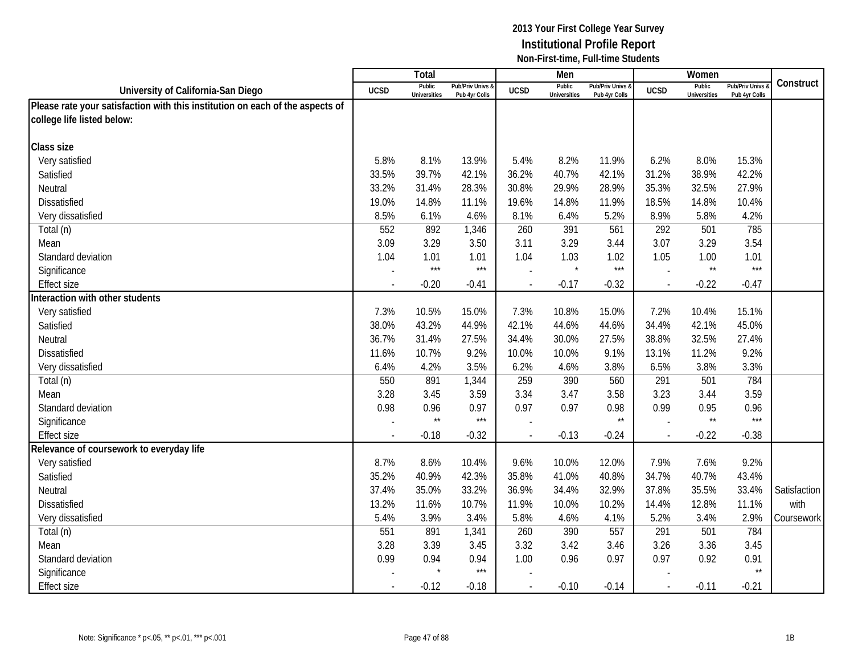|                                                                               |             | Total                         |                                   |                | Men                           |                                 |             | Women                         |                                        |              |
|-------------------------------------------------------------------------------|-------------|-------------------------------|-----------------------------------|----------------|-------------------------------|---------------------------------|-------------|-------------------------------|----------------------------------------|--------------|
| University of California-San Diego                                            | <b>UCSD</b> | Public<br><b>Universities</b> | Pub/Priv Univs &<br>Pub 4yr Colls | <b>UCSD</b>    | Public<br><b>Universities</b> | Pub/Priv Univs<br>Pub 4yr Colls | <b>UCSD</b> | Public<br><b>Universities</b> | <b>Pub/Priv Univs</b><br>Pub 4yr Colls | Construct    |
| Please rate your satisfaction with this institution on each of the aspects of |             |                               |                                   |                |                               |                                 |             |                               |                                        |              |
| college life listed below:                                                    |             |                               |                                   |                |                               |                                 |             |                               |                                        |              |
|                                                                               |             |                               |                                   |                |                               |                                 |             |                               |                                        |              |
| Class size                                                                    |             |                               |                                   |                |                               |                                 |             |                               |                                        |              |
| Very satisfied                                                                | 5.8%        | 8.1%                          | 13.9%                             | 5.4%           | 8.2%                          | 11.9%                           | 6.2%        | 8.0%                          | 15.3%                                  |              |
| Satisfied                                                                     | 33.5%       | 39.7%                         | 42.1%                             | 36.2%          | 40.7%                         | 42.1%                           | 31.2%       | 38.9%                         | 42.2%                                  |              |
| Neutral                                                                       | 33.2%       | 31.4%                         | 28.3%                             | 30.8%          | 29.9%                         | 28.9%                           | 35.3%       | 32.5%                         | 27.9%                                  |              |
| Dissatisfied                                                                  | 19.0%       | 14.8%                         | 11.1%                             | 19.6%          | 14.8%                         | 11.9%                           | 18.5%       | 14.8%                         | 10.4%                                  |              |
| Very dissatisfied                                                             | 8.5%        | 6.1%                          | 4.6%                              | 8.1%           | 6.4%                          | 5.2%                            | 8.9%        | 5.8%                          | 4.2%                                   |              |
| Total (n)                                                                     | 552         | 892                           | 1,346                             | 260            | 391                           | 561                             | 292         | 501                           | 785                                    |              |
| Mean                                                                          | 3.09        | 3.29                          | 3.50                              | 3.11           | 3.29                          | 3.44                            | 3.07        | 3.29                          | 3.54                                   |              |
| Standard deviation                                                            | 1.04        | 1.01                          | 1.01                              | 1.04           | 1.03                          | 1.02                            | 1.05        | 1.00                          | 1.01                                   |              |
| Significance                                                                  |             | $***$                         | $***$                             | $\overline{a}$ | $\star$                       | $***$                           |             | $\star\star$                  | $***$                                  |              |
| <b>Effect size</b>                                                            |             | $-0.20$                       | $-0.41$                           | $\blacksquare$ | $-0.17$                       | $-0.32$                         |             | $-0.22$                       | $-0.47$                                |              |
| Interaction with other students                                               |             |                               |                                   |                |                               |                                 |             |                               |                                        |              |
| Very satisfied                                                                | 7.3%        | 10.5%                         | 15.0%                             | 7.3%           | 10.8%                         | 15.0%                           | 7.2%        | 10.4%                         | 15.1%                                  |              |
| Satisfied                                                                     | 38.0%       | 43.2%                         | 44.9%                             | 42.1%          | 44.6%                         | 44.6%                           | 34.4%       | 42.1%                         | 45.0%                                  |              |
| Neutral                                                                       | 36.7%       | 31.4%                         | 27.5%                             | 34.4%          | 30.0%                         | 27.5%                           | 38.8%       | 32.5%                         | 27.4%                                  |              |
| <b>Dissatisfied</b>                                                           | 11.6%       | 10.7%                         | 9.2%                              | 10.0%          | 10.0%                         | 9.1%                            | 13.1%       | 11.2%                         | 9.2%                                   |              |
| Very dissatisfied                                                             | 6.4%        | 4.2%                          | 3.5%                              | 6.2%           | 4.6%                          | 3.8%                            | 6.5%        | 3.8%                          | 3.3%                                   |              |
| Total (n)                                                                     | 550         | 891                           | 1,344                             | 259            | 390                           | 560                             | 291         | 501                           | 784                                    |              |
| Mean                                                                          | 3.28        | 3.45                          | 3.59                              | 3.34           | 3.47                          | 3.58                            | 3.23        | 3.44                          | 3.59                                   |              |
| Standard deviation                                                            | 0.98        | 0.96                          | 0.97                              | 0.97           | 0.97                          | 0.98                            | 0.99        | 0.95                          | 0.96                                   |              |
| Significance                                                                  |             | $\star\star$                  | $***$                             |                |                               | $\star\star$                    |             | $\star\star$                  | $***$                                  |              |
| <b>Effect size</b>                                                            |             | $-0.18$                       | $-0.32$                           |                | $-0.13$                       | $-0.24$                         |             | $-0.22$                       | $-0.38$                                |              |
| Relevance of coursework to everyday life                                      |             |                               |                                   |                |                               |                                 |             |                               |                                        |              |
| Very satisfied                                                                | 8.7%        | 8.6%                          | 10.4%                             | 9.6%           | 10.0%                         | 12.0%                           | 7.9%        | 7.6%                          | 9.2%                                   |              |
| Satisfied                                                                     | 35.2%       | 40.9%                         | 42.3%                             | 35.8%          | 41.0%                         | 40.8%                           | 34.7%       | 40.7%                         | 43.4%                                  |              |
| Neutral                                                                       | 37.4%       | 35.0%                         | 33.2%                             | 36.9%          | 34.4%                         | 32.9%                           | 37.8%       | 35.5%                         | 33.4%                                  | Satisfaction |
| <b>Dissatisfied</b>                                                           | 13.2%       | 11.6%                         | 10.7%                             | 11.9%          | 10.0%                         | 10.2%                           | 14.4%       | 12.8%                         | 11.1%                                  | with         |
| Very dissatisfied                                                             | 5.4%        | 3.9%                          | 3.4%                              | 5.8%           | 4.6%                          | 4.1%                            | 5.2%        | 3.4%                          | 2.9%                                   | Coursework   |
| Total (n)                                                                     | 551         | 891                           | 1,341                             | 260            | 390                           | 557                             | 291         | 501                           | 784                                    |              |
| Mean                                                                          | 3.28        | 3.39                          | 3.45                              | 3.32           | 3.42                          | 3.46                            | 3.26        | 3.36                          | 3.45                                   |              |
| Standard deviation                                                            | 0.99        | 0.94                          | 0.94                              | 1.00           | 0.96                          | 0.97                            | 0.97        | 0.92                          | 0.91                                   |              |
| Significance                                                                  |             |                               | $***$                             |                |                               |                                 |             |                               | $\star\star$                           |              |
| <b>Effect size</b>                                                            |             | $-0.12$                       | $-0.18$                           |                | $-0.10$                       | $-0.14$                         |             | $-0.11$                       | $-0.21$                                |              |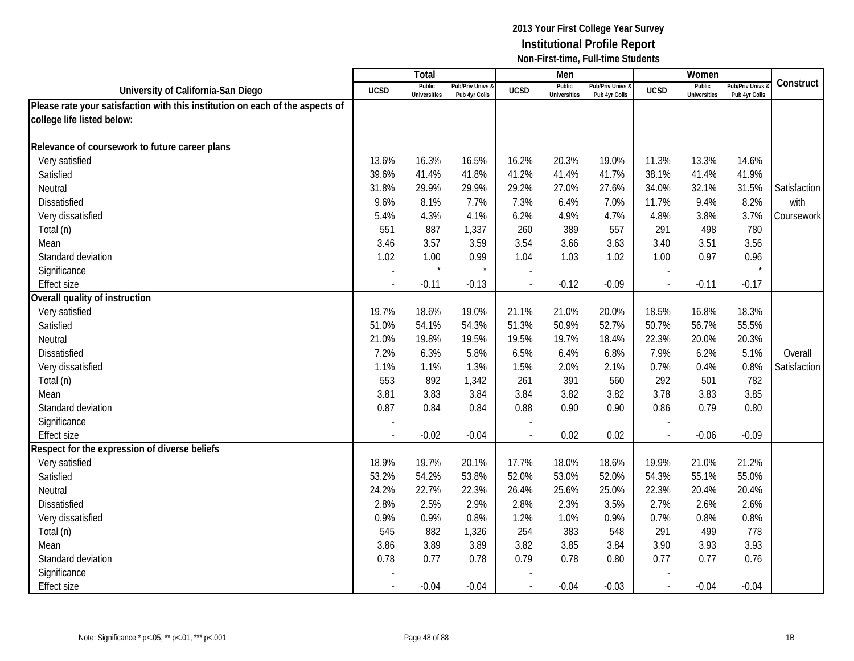|                                                                               |             | Total                         |                                   |                          | Men                           |                                   |               | Women                         |                                        |              |
|-------------------------------------------------------------------------------|-------------|-------------------------------|-----------------------------------|--------------------------|-------------------------------|-----------------------------------|---------------|-------------------------------|----------------------------------------|--------------|
| University of California-San Diego                                            | <b>UCSD</b> | Public<br><b>Universities</b> | Pub/Priv Univs &<br>Pub 4yr Colls | <b>UCSD</b>              | Public<br><b>Universities</b> | Pub/Priv Univs &<br>Pub 4yr Colls | <b>UCSD</b>   | Public<br><b>Universities</b> | <b>Pub/Priv Univs</b><br>Pub 4yr Colls | Construct    |
| Please rate your satisfaction with this institution on each of the aspects of |             |                               |                                   |                          |                               |                                   |               |                               |                                        |              |
| college life listed below:                                                    |             |                               |                                   |                          |                               |                                   |               |                               |                                        |              |
|                                                                               |             |                               |                                   |                          |                               |                                   |               |                               |                                        |              |
| Relevance of coursework to future career plans                                |             |                               |                                   |                          |                               |                                   |               |                               |                                        |              |
| Very satisfied                                                                | 13.6%       | 16.3%                         | 16.5%                             | 16.2%                    | 20.3%                         | 19.0%                             | 11.3%         | 13.3%                         | 14.6%                                  |              |
| Satisfied                                                                     | 39.6%       | 41.4%                         | 41.8%                             | 41.2%                    | 41.4%                         | 41.7%                             | 38.1%         | 41.4%                         | 41.9%                                  |              |
| Neutral                                                                       | 31.8%       | 29.9%                         | 29.9%                             | 29.2%                    | 27.0%                         | 27.6%                             | 34.0%         | 32.1%                         | 31.5%                                  | Satisfaction |
| <b>Dissatisfied</b>                                                           | 9.6%        | 8.1%                          | 7.7%                              | 7.3%                     | 6.4%                          | 7.0%                              | 11.7%         | 9.4%                          | 8.2%                                   | with         |
| Very dissatisfied                                                             | 5.4%        | 4.3%                          | 4.1%                              | 6.2%                     | 4.9%                          | 4.7%                              | 4.8%          | 3.8%                          | 3.7%                                   | Coursework   |
| Total (n)                                                                     | 551         | 887                           | 1,337                             | 260                      | 389                           | 557                               | 291           | 498                           | 780                                    |              |
| Mean                                                                          | 3.46        | 3.57                          | 3.59                              | 3.54                     | 3.66                          | 3.63                              | 3.40          | 3.51                          | 3.56                                   |              |
| Standard deviation                                                            | 1.02        | 1.00                          | 0.99                              | 1.04                     | 1.03                          | 1.02                              | 1.00          | 0.97                          | 0.96                                   |              |
| Significance                                                                  |             |                               | $\star$                           |                          |                               |                                   |               |                               |                                        |              |
| <b>Effect size</b>                                                            |             | $-0.11$                       | $-0.13$                           |                          | $-0.12$                       | $-0.09$                           |               | $-0.11$                       | $-0.17$                                |              |
| Overall quality of instruction                                                |             |                               |                                   |                          |                               |                                   |               |                               |                                        |              |
| Very satisfied                                                                | 19.7%       | 18.6%                         | 19.0%                             | 21.1%                    | 21.0%                         | 20.0%                             | 18.5%         | 16.8%                         | 18.3%                                  |              |
| Satisfied                                                                     | 51.0%       | 54.1%                         | 54.3%                             | 51.3%                    | 50.9%                         | 52.7%                             | 50.7%         | 56.7%                         | 55.5%                                  |              |
| Neutral                                                                       | 21.0%       | 19.8%                         | 19.5%                             | 19.5%                    | 19.7%                         | 18.4%                             | 22.3%         | 20.0%                         | 20.3%                                  |              |
| Dissatisfied                                                                  | 7.2%        | 6.3%                          | 5.8%                              | 6.5%                     | 6.4%                          | 6.8%                              | 7.9%          | 6.2%                          | 5.1%                                   | Overall      |
| Very dissatisfied                                                             | 1.1%        | 1.1%                          | 1.3%                              | 1.5%                     | 2.0%                          | 2.1%                              | 0.7%          | 0.4%                          | 0.8%                                   | Satisfaction |
| Total (n)                                                                     | 553         | 892                           | 1,342                             | 261                      | 391                           | 560                               | 292           | 501                           | 782                                    |              |
| Mean                                                                          | 3.81        | 3.83                          | 3.84                              | 3.84                     | 3.82                          | 3.82                              | 3.78          | 3.83                          | 3.85                                   |              |
| Standard deviation                                                            | 0.87        | 0.84                          | 0.84                              | 0.88                     | 0.90                          | 0.90                              | 0.86          | 0.79                          | 0.80                                   |              |
| Significance                                                                  |             |                               |                                   |                          |                               |                                   |               |                               |                                        |              |
| <b>Effect size</b>                                                            |             | $-0.02$                       | $-0.04$                           |                          | 0.02                          | 0.02                              | $\sim$        | $-0.06$                       | $-0.09$                                |              |
| Respect for the expression of diverse beliefs                                 |             |                               |                                   |                          |                               |                                   |               |                               |                                        |              |
| Very satisfied                                                                | 18.9%       | 19.7%                         | 20.1%                             | 17.7%                    | 18.0%                         | 18.6%                             | 19.9%         | 21.0%                         | 21.2%                                  |              |
| Satisfied                                                                     | 53.2%       | 54.2%                         | 53.8%                             | 52.0%                    | 53.0%                         | 52.0%                             | 54.3%         | 55.1%                         | 55.0%                                  |              |
| Neutral                                                                       | 24.2%       | 22.7%                         | 22.3%                             | 26.4%                    | 25.6%                         | 25.0%                             | 22.3%         | 20.4%                         | 20.4%                                  |              |
| <b>Dissatisfied</b>                                                           | 2.8%        | 2.5%                          | 2.9%                              | 2.8%                     | 2.3%                          | 3.5%                              | 2.7%          | 2.6%                          | 2.6%                                   |              |
| Very dissatisfied                                                             | 0.9%        | 0.9%                          | 0.8%                              | 1.2%                     | 1.0%                          | 0.9%                              | 0.7%          | 0.8%                          | 0.8%                                   |              |
| Total (n)                                                                     | 545         | 882                           | 1,326                             | 254                      | 383                           | 548                               | 291           | 499                           | 778                                    |              |
| Mean                                                                          | 3.86        | 3.89                          | 3.89                              | 3.82                     | 3.85                          | 3.84                              | 3.90          | 3.93                          | 3.93                                   |              |
| Standard deviation                                                            | 0.78        | 0.77                          | 0.78                              | 0.79                     | 0.78                          | 0.80                              | 0.77          | 0.77                          | 0.76                                   |              |
| Significance                                                                  |             |                               |                                   |                          |                               |                                   |               |                               |                                        |              |
| <b>Effect size</b>                                                            |             | $-0.04$                       | $-0.04$                           | $\overline{\phantom{a}}$ | $-0.04$                       | $-0.03$                           | $\mathcal{L}$ | $-0.04$                       | $-0.04$                                |              |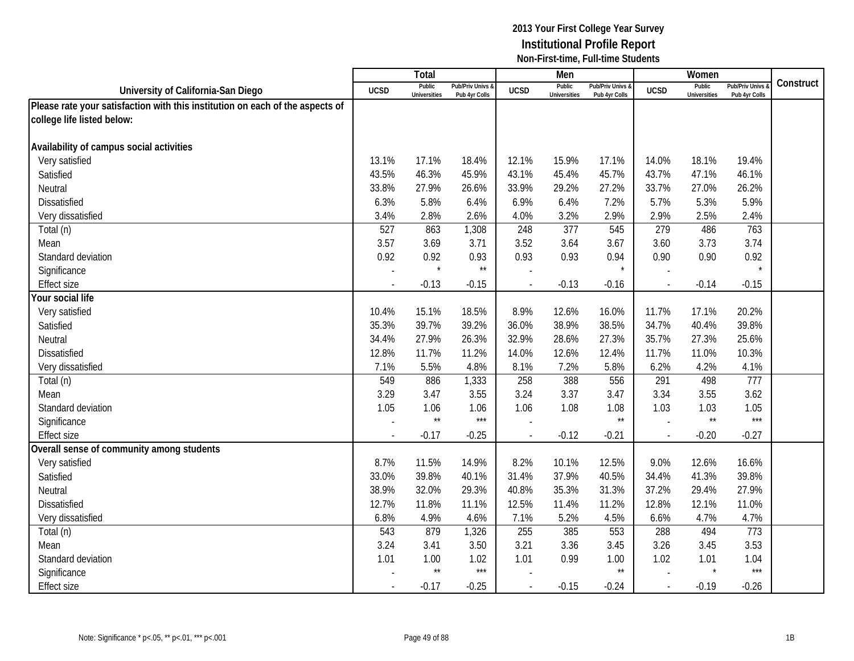|                                                                               |             | Total                         |                                   |                          | Men                           |                                   |                          | Women                         |                                        |           |
|-------------------------------------------------------------------------------|-------------|-------------------------------|-----------------------------------|--------------------------|-------------------------------|-----------------------------------|--------------------------|-------------------------------|----------------------------------------|-----------|
| University of California-San Diego                                            | <b>UCSD</b> | Public<br><b>Universities</b> | Pub/Priv Univs &<br>Pub 4yr Colls | <b>UCSD</b>              | Public<br><b>Universities</b> | Pub/Priv Univs &<br>Pub 4yr Colls | <b>UCSD</b>              | Public<br><b>Universities</b> | <b>Pub/Priv Univs</b><br>Pub 4yr Colls | Construct |
| Please rate your satisfaction with this institution on each of the aspects of |             |                               |                                   |                          |                               |                                   |                          |                               |                                        |           |
| college life listed below:                                                    |             |                               |                                   |                          |                               |                                   |                          |                               |                                        |           |
|                                                                               |             |                               |                                   |                          |                               |                                   |                          |                               |                                        |           |
| Availability of campus social activities                                      |             |                               |                                   |                          |                               |                                   |                          |                               |                                        |           |
| Very satisfied                                                                | 13.1%       | 17.1%                         | 18.4%                             | 12.1%                    | 15.9%                         | 17.1%                             | 14.0%                    | 18.1%                         | 19.4%                                  |           |
| Satisfied                                                                     | 43.5%       | 46.3%                         | 45.9%                             | 43.1%                    | 45.4%                         | 45.7%                             | 43.7%                    | 47.1%                         | 46.1%                                  |           |
| Neutral                                                                       | 33.8%       | 27.9%                         | 26.6%                             | 33.9%                    | 29.2%                         | 27.2%                             | 33.7%                    | 27.0%                         | 26.2%                                  |           |
| Dissatisfied                                                                  | 6.3%        | 5.8%                          | 6.4%                              | 6.9%                     | 6.4%                          | 7.2%                              | 5.7%                     | 5.3%                          | 5.9%                                   |           |
| Very dissatisfied                                                             | 3.4%        | 2.8%                          | 2.6%                              | 4.0%                     | 3.2%                          | 2.9%                              | 2.9%                     | 2.5%                          | 2.4%                                   |           |
| Total (n)                                                                     | 527         | 863                           | 1,308                             | 248                      | 377                           | 545                               | 279                      | 486                           | 763                                    |           |
| Mean                                                                          | 3.57        | 3.69                          | 3.71                              | 3.52                     | 3.64                          | 3.67                              | 3.60                     | 3.73                          | 3.74                                   |           |
| Standard deviation                                                            | 0.92        | 0.92                          | 0.93                              | 0.93                     | 0.93                          | 0.94                              | 0.90                     | 0.90                          | 0.92                                   |           |
| Significance                                                                  |             |                               | $^{\star\star}$                   |                          |                               |                                   |                          |                               | $\star$                                |           |
| <b>Effect size</b>                                                            |             | $-0.13$                       | $-0.15$                           |                          | $-0.13$                       | $-0.16$                           |                          | $-0.14$                       | $-0.15$                                |           |
| Your social life                                                              |             |                               |                                   |                          |                               |                                   |                          |                               |                                        |           |
| Very satisfied                                                                | 10.4%       | 15.1%                         | 18.5%                             | 8.9%                     | 12.6%                         | 16.0%                             | 11.7%                    | 17.1%                         | 20.2%                                  |           |
| Satisfied                                                                     | 35.3%       | 39.7%                         | 39.2%                             | 36.0%                    | 38.9%                         | 38.5%                             | 34.7%                    | 40.4%                         | 39.8%                                  |           |
| Neutral                                                                       | 34.4%       | 27.9%                         | 26.3%                             | 32.9%                    | 28.6%                         | 27.3%                             | 35.7%                    | 27.3%                         | 25.6%                                  |           |
| <b>Dissatisfied</b>                                                           | 12.8%       | 11.7%                         | 11.2%                             | 14.0%                    | 12.6%                         | 12.4%                             | 11.7%                    | 11.0%                         | 10.3%                                  |           |
| Very dissatisfied                                                             | 7.1%        | 5.5%                          | 4.8%                              | 8.1%                     | 7.2%                          | 5.8%                              | 6.2%                     | 4.2%                          | 4.1%                                   |           |
| Total (n)                                                                     | 549         | 886                           | 1,333                             | 258                      | 388                           | 556                               | 291                      | 498                           | 777                                    |           |
| Mean                                                                          | 3.29        | 3.47                          | 3.55                              | 3.24                     | 3.37                          | 3.47                              | 3.34                     | 3.55                          | 3.62                                   |           |
| Standard deviation                                                            | 1.05        | 1.06                          | 1.06                              | 1.06                     | 1.08                          | 1.08                              | 1.03                     | 1.03                          | 1.05                                   |           |
| Significance                                                                  |             | $\star\star$                  | $***$                             |                          |                               | $\star\star$                      |                          | $\star\star$                  | $***$                                  |           |
| <b>Effect size</b>                                                            |             | $-0.17$                       | $-0.25$                           |                          | $-0.12$                       | $-0.21$                           | $\overline{\phantom{a}}$ | $-0.20$                       | $-0.27$                                |           |
| Overall sense of community among students                                     |             |                               |                                   |                          |                               |                                   |                          |                               |                                        |           |
| Very satisfied                                                                | 8.7%        | 11.5%                         | 14.9%                             | 8.2%                     | 10.1%                         | 12.5%                             | 9.0%                     | 12.6%                         | 16.6%                                  |           |
| Satisfied                                                                     | 33.0%       | 39.8%                         | 40.1%                             | 31.4%                    | 37.9%                         | 40.5%                             | 34.4%                    | 41.3%                         | 39.8%                                  |           |
| Neutral                                                                       | 38.9%       | 32.0%                         | 29.3%                             | 40.8%                    | 35.3%                         | 31.3%                             | 37.2%                    | 29.4%                         | 27.9%                                  |           |
| <b>Dissatisfied</b>                                                           | 12.7%       | 11.8%                         | 11.1%                             | 12.5%                    | 11.4%                         | 11.2%                             | 12.8%                    | 12.1%                         | 11.0%                                  |           |
| Very dissatisfied                                                             | 6.8%        | 4.9%                          | 4.6%                              | 7.1%                     | 5.2%                          | 4.5%                              | 6.6%                     | 4.7%                          | 4.7%                                   |           |
| Total (n)                                                                     | 543         | 879                           | 1,326                             | 255                      | 385                           | 553                               | 288                      | 494                           | 773                                    |           |
| Mean                                                                          | 3.24        | 3.41                          | 3.50                              | 3.21                     | 3.36                          | 3.45                              | 3.26                     | 3.45                          | 3.53                                   |           |
| Standard deviation                                                            | 1.01        | 1.00                          | 1.02                              | 1.01                     | 0.99                          | 1.00                              | 1.02                     | 1.01                          | 1.04                                   |           |
| Significance                                                                  |             | $\star\star$                  | $***$                             |                          |                               | $^{\star\star}$                   |                          |                               | $***$                                  |           |
| <b>Effect size</b>                                                            |             | $-0.17$                       | $-0.25$                           | $\overline{\phantom{a}}$ | $-0.15$                       | $-0.24$                           | $\mathcal{L}$            | $-0.19$                       | $-0.26$                                |           |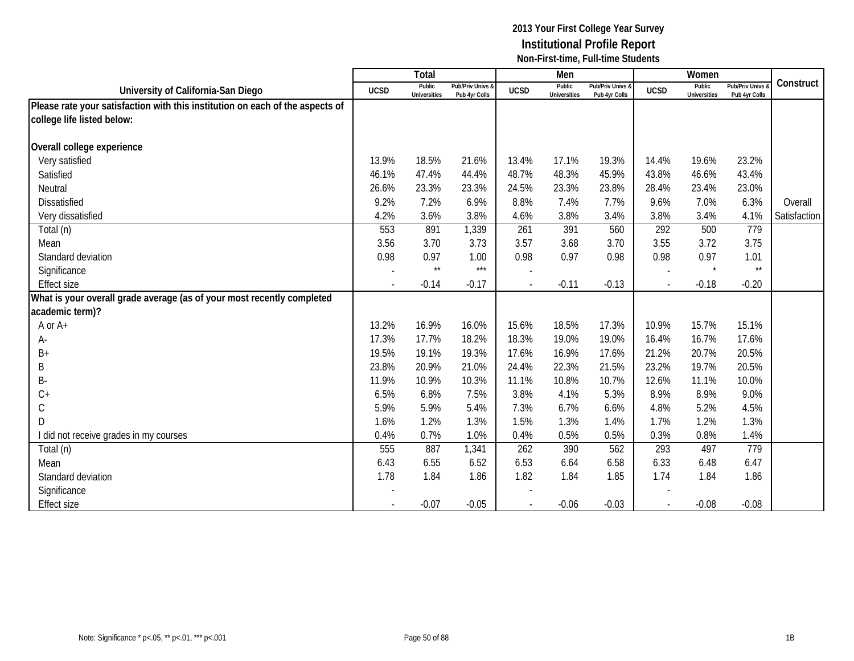|                                                                               |             | Total                         |                                   |             | Men                           |                                   |             | Women                         |                                        |              |
|-------------------------------------------------------------------------------|-------------|-------------------------------|-----------------------------------|-------------|-------------------------------|-----------------------------------|-------------|-------------------------------|----------------------------------------|--------------|
| University of California-San Diego                                            | <b>UCSD</b> | Public<br><b>Universities</b> | Pub/Priv Univs &<br>Pub 4yr Colls | <b>UCSD</b> | Public<br><b>Universities</b> | Pub/Priv Univs &<br>Pub 4yr Colls | <b>UCSD</b> | Public<br><b>Universities</b> | <b>Pub/Priv Univs</b><br>Pub 4yr Colls | Construct    |
| Please rate your satisfaction with this institution on each of the aspects of |             |                               |                                   |             |                               |                                   |             |                               |                                        |              |
| college life listed below:                                                    |             |                               |                                   |             |                               |                                   |             |                               |                                        |              |
|                                                                               |             |                               |                                   |             |                               |                                   |             |                               |                                        |              |
| Overall college experience                                                    |             |                               |                                   |             |                               |                                   |             |                               |                                        |              |
| Very satisfied                                                                | 13.9%       | 18.5%                         | 21.6%                             | 13.4%       | 17.1%                         | 19.3%                             | 14.4%       | 19.6%                         | 23.2%                                  |              |
| Satisfied                                                                     | 46.1%       | 47.4%                         | 44.4%                             | 48.7%       | 48.3%                         | 45.9%                             | 43.8%       | 46.6%                         | 43.4%                                  |              |
| Neutral                                                                       | 26.6%       | 23.3%                         | 23.3%                             | 24.5%       | 23.3%                         | 23.8%                             | 28.4%       | 23.4%                         | 23.0%                                  |              |
| <b>Dissatisfied</b>                                                           | 9.2%        | 7.2%                          | 6.9%                              | 8.8%        | 7.4%                          | 7.7%                              | 9.6%        | 7.0%                          | 6.3%                                   | Overall      |
| Very dissatisfied                                                             | 4.2%        | 3.6%                          | 3.8%                              | 4.6%        | 3.8%                          | 3.4%                              | 3.8%        | 3.4%                          | 4.1%                                   | Satisfaction |
| Total (n)                                                                     | 553         | 891                           | 1,339                             | 261         | 391                           | 560                               | 292         | 500                           | 779                                    |              |
| Mean                                                                          | 3.56        | 3.70                          | 3.73                              | 3.57        | 3.68                          | 3.70                              | 3.55        | 3.72                          | 3.75                                   |              |
| Standard deviation                                                            | 0.98        | 0.97                          | 1.00                              | 0.98        | 0.97                          | 0.98                              | 0.98        | 0.97                          | 1.01                                   |              |
| Significance                                                                  |             | $\star\star$                  | $***$                             |             |                               |                                   |             | $\star$                       | $\star\star$                           |              |
| <b>Effect size</b>                                                            |             | $-0.14$                       | $-0.17$                           |             | $-0.11$                       | $-0.13$                           |             | $-0.18$                       | $-0.20$                                |              |
| What is your overall grade average (as of your most recently completed        |             |                               |                                   |             |                               |                                   |             |                               |                                        |              |
| academic term)?                                                               |             |                               |                                   |             |                               |                                   |             |                               |                                        |              |
| A or A+                                                                       | 13.2%       | 16.9%                         | 16.0%                             | 15.6%       | 18.5%                         | 17.3%                             | 10.9%       | 15.7%                         | 15.1%                                  |              |
| А-                                                                            | 17.3%       | 17.7%                         | 18.2%                             | 18.3%       | 19.0%                         | 19.0%                             | 16.4%       | 16.7%                         | 17.6%                                  |              |
| B+                                                                            | 19.5%       | 19.1%                         | 19.3%                             | 17.6%       | 16.9%                         | 17.6%                             | 21.2%       | 20.7%                         | 20.5%                                  |              |
| Β                                                                             | 23.8%       | 20.9%                         | 21.0%                             | 24.4%       | 22.3%                         | 21.5%                             | 23.2%       | 19.7%                         | 20.5%                                  |              |
| B-                                                                            | 11.9%       | 10.9%                         | 10.3%                             | 11.1%       | 10.8%                         | 10.7%                             | 12.6%       | 11.1%                         | 10.0%                                  |              |
| $C +$                                                                         | 6.5%        | 6.8%                          | 7.5%                              | 3.8%        | 4.1%                          | 5.3%                              | 8.9%        | 8.9%                          | 9.0%                                   |              |
| $\mathsf C$                                                                   | 5.9%        | 5.9%                          | 5.4%                              | 7.3%        | 6.7%                          | 6.6%                              | 4.8%        | 5.2%                          | 4.5%                                   |              |
| D                                                                             | 1.6%        | 1.2%                          | 1.3%                              | 1.5%        | 1.3%                          | 1.4%                              | 1.7%        | 1.2%                          | 1.3%                                   |              |
| I did not receive grades in my courses                                        | 0.4%        | 0.7%                          | 1.0%                              | 0.4%        | 0.5%                          | 0.5%                              | 0.3%        | 0.8%                          | 1.4%                                   |              |
| Total (n)                                                                     | 555         | 887                           | 1,341                             | 262         | 390                           | 562                               | 293         | 497                           | 779                                    |              |
| Mean                                                                          | 6.43        | 6.55                          | 6.52                              | 6.53        | 6.64                          | 6.58                              | 6.33        | 6.48                          | 6.47                                   |              |
| Standard deviation                                                            | 1.78        | 1.84                          | 1.86                              | 1.82        | 1.84                          | 1.85                              | 1.74        | 1.84                          | 1.86                                   |              |
| Significance                                                                  |             |                               |                                   |             |                               |                                   |             |                               |                                        |              |
| <b>Effect size</b>                                                            |             | $-0.07$                       | $-0.05$                           |             | $-0.06$                       | $-0.03$                           |             | $-0.08$                       | $-0.08$                                |              |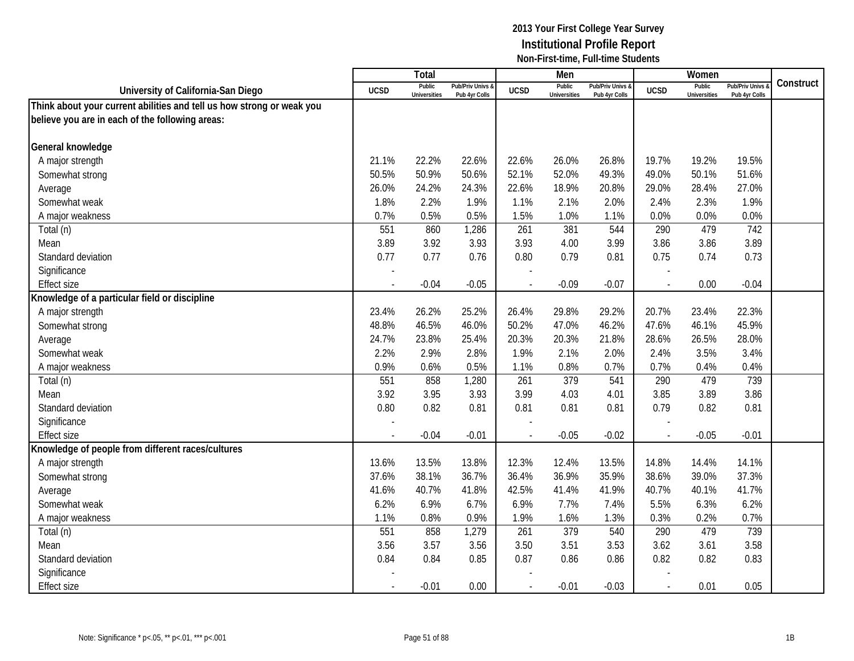|                                                                       |             | Total                         |                                   |                | Men                           |                                   |             | Women                         |                                        |           |
|-----------------------------------------------------------------------|-------------|-------------------------------|-----------------------------------|----------------|-------------------------------|-----------------------------------|-------------|-------------------------------|----------------------------------------|-----------|
| University of California-San Diego                                    | <b>UCSD</b> | Public<br><b>Universities</b> | Pub/Priv Univs &<br>Pub 4yr Colls | <b>UCSD</b>    | Public<br><b>Universities</b> | Pub/Priv Univs &<br>Pub 4yr Colls | <b>UCSD</b> | Public<br><b>Universities</b> | <b>Pub/Priv Univs</b><br>Pub 4yr Colls | Construct |
| Think about your current abilities and tell us how strong or weak you |             |                               |                                   |                |                               |                                   |             |                               |                                        |           |
| believe you are in each of the following areas:                       |             |                               |                                   |                |                               |                                   |             |                               |                                        |           |
|                                                                       |             |                               |                                   |                |                               |                                   |             |                               |                                        |           |
| General knowledge                                                     |             |                               |                                   |                |                               |                                   |             |                               |                                        |           |
| A major strength                                                      | 21.1%       | 22.2%                         | 22.6%                             | 22.6%          | 26.0%                         | 26.8%                             | 19.7%       | 19.2%                         | 19.5%                                  |           |
| Somewhat strong                                                       | 50.5%       | 50.9%                         | 50.6%                             | 52.1%          | 52.0%                         | 49.3%                             | 49.0%       | 50.1%                         | 51.6%                                  |           |
| Average                                                               | 26.0%       | 24.2%                         | 24.3%                             | 22.6%          | 18.9%                         | 20.8%                             | 29.0%       | 28.4%                         | 27.0%                                  |           |
| Somewhat weak                                                         | 1.8%        | 2.2%                          | 1.9%                              | 1.1%           | 2.1%                          | 2.0%                              | 2.4%        | 2.3%                          | 1.9%                                   |           |
| A major weakness                                                      | 0.7%        | 0.5%                          | 0.5%                              | 1.5%           | 1.0%                          | 1.1%                              | 0.0%        | 0.0%                          | 0.0%                                   |           |
| Total (n)                                                             | 551         | 860                           | 1,286                             | 261            | 381                           | 544                               | 290         | 479                           | 742                                    |           |
| Mean                                                                  | 3.89        | 3.92                          | 3.93                              | 3.93           | 4.00                          | 3.99                              | 3.86        | 3.86                          | 3.89                                   |           |
| Standard deviation                                                    | 0.77        | 0.77                          | 0.76                              | 0.80           | 0.79                          | 0.81                              | 0.75        | 0.74                          | 0.73                                   |           |
| Significance                                                          |             |                               |                                   |                |                               |                                   |             |                               |                                        |           |
| <b>Effect size</b>                                                    |             | $-0.04$                       | $-0.05$                           |                | $-0.09$                       | $-0.07$                           |             | 0.00                          | $-0.04$                                |           |
| Knowledge of a particular field or discipline                         |             |                               |                                   |                |                               |                                   |             |                               |                                        |           |
| A major strength                                                      | 23.4%       | 26.2%                         | 25.2%                             | 26.4%          | 29.8%                         | 29.2%                             | 20.7%       | 23.4%                         | 22.3%                                  |           |
| Somewhat strong                                                       | 48.8%       | 46.5%                         | 46.0%                             | 50.2%          | 47.0%                         | 46.2%                             | 47.6%       | 46.1%                         | 45.9%                                  |           |
| Average                                                               | 24.7%       | 23.8%                         | 25.4%                             | 20.3%          | 20.3%                         | 21.8%                             | 28.6%       | 26.5%                         | 28.0%                                  |           |
| Somewhat weak                                                         | 2.2%        | 2.9%                          | 2.8%                              | 1.9%           | 2.1%                          | 2.0%                              | 2.4%        | 3.5%                          | 3.4%                                   |           |
| A major weakness                                                      | 0.9%        | 0.6%                          | 0.5%                              | 1.1%           | 0.8%                          | 0.7%                              | 0.7%        | 0.4%                          | 0.4%                                   |           |
| Total (n)                                                             | 551         | 858                           | 1,280                             | 261            | 379                           | 541                               | 290         | 479                           | 739                                    |           |
| Mean                                                                  | 3.92        | 3.95                          | 3.93                              | 3.99           | 4.03                          | 4.01                              | 3.85        | 3.89                          | 3.86                                   |           |
| Standard deviation                                                    | 0.80        | 0.82                          | 0.81                              | 0.81           | 0.81                          | 0.81                              | 0.79        | 0.82                          | 0.81                                   |           |
| Significance                                                          |             |                               |                                   |                |                               |                                   |             |                               |                                        |           |
| <b>Effect size</b>                                                    |             | $-0.04$                       | $-0.01$                           |                | $-0.05$                       | $-0.02$                           | ÷,          | $-0.05$                       | $-0.01$                                |           |
| Knowledge of people from different races/cultures                     |             |                               |                                   |                |                               |                                   |             |                               |                                        |           |
| A major strength                                                      | 13.6%       | 13.5%                         | 13.8%                             | 12.3%          | 12.4%                         | 13.5%                             | 14.8%       | 14.4%                         | 14.1%                                  |           |
| Somewhat strong                                                       | 37.6%       | 38.1%                         | 36.7%                             | 36.4%          | 36.9%                         | 35.9%                             | 38.6%       | 39.0%                         | 37.3%                                  |           |
| Average                                                               | 41.6%       | 40.7%                         | 41.8%                             | 42.5%          | 41.4%                         | 41.9%                             | 40.7%       | 40.1%                         | 41.7%                                  |           |
| Somewhat weak                                                         | 6.2%        | 6.9%                          | 6.7%                              | 6.9%           | 7.7%                          | 7.4%                              | 5.5%        | 6.3%                          | 6.2%                                   |           |
| A major weakness                                                      | 1.1%        | 0.8%                          | 0.9%                              | 1.9%           | 1.6%                          | 1.3%                              | 0.3%        | 0.2%                          | 0.7%                                   |           |
| Total (n)                                                             | 551         | 858                           | 1,279                             | 261            | 379                           | 540                               | 290         | 479                           | 739                                    |           |
| Mean                                                                  | 3.56        | 3.57                          | 3.56                              | 3.50           | 3.51                          | 3.53                              | 3.62        | 3.61                          | 3.58                                   |           |
| Standard deviation                                                    | 0.84        | 0.84                          | 0.85                              | 0.87           | 0.86                          | 0.86                              | 0.82        | 0.82                          | 0.83                                   |           |
| Significance                                                          |             |                               |                                   |                |                               |                                   |             |                               |                                        |           |
| <b>Effect size</b>                                                    | $\sim$      | $-0.01$                       | 0.00                              | $\blacksquare$ | $-0.01$                       | $-0.03$                           | $\sim$      | 0.01                          | 0.05                                   |           |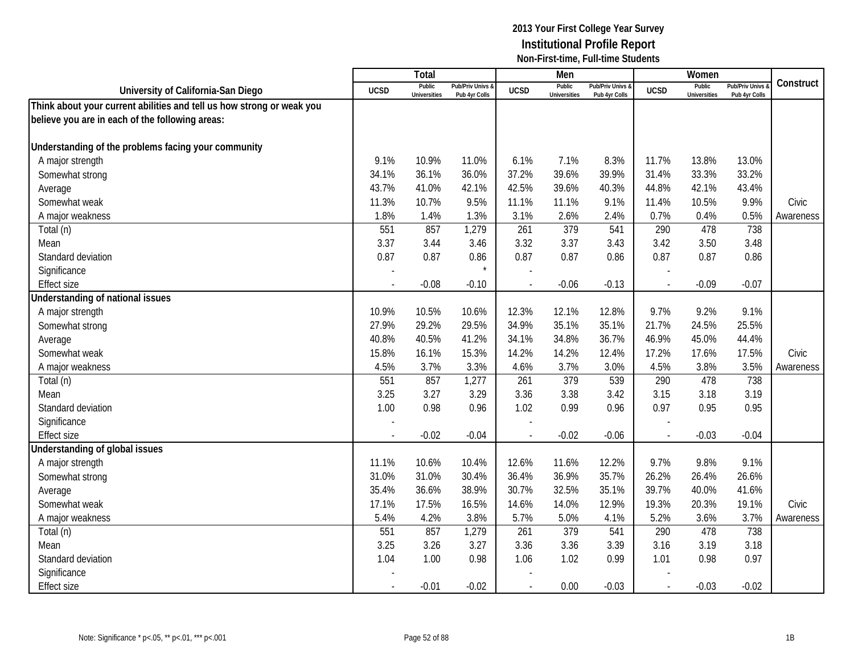|                                                                       |                | <b>Total</b>                  |                                   |                | Men                           |                                   |             | Women                         |                                        |           |
|-----------------------------------------------------------------------|----------------|-------------------------------|-----------------------------------|----------------|-------------------------------|-----------------------------------|-------------|-------------------------------|----------------------------------------|-----------|
| University of California-San Diego                                    | <b>UCSD</b>    | Public<br><b>Universities</b> | Pub/Priv Univs &<br>Pub 4yr Colls | <b>UCSD</b>    | Public<br><b>Universities</b> | Pub/Priv Univs &<br>Pub 4yr Colls | <b>UCSD</b> | Public<br><b>Universities</b> | <b>Pub/Priv Univs</b><br>Pub 4yr Colls | Construct |
| Think about your current abilities and tell us how strong or weak you |                |                               |                                   |                |                               |                                   |             |                               |                                        |           |
| believe you are in each of the following areas:                       |                |                               |                                   |                |                               |                                   |             |                               |                                        |           |
|                                                                       |                |                               |                                   |                |                               |                                   |             |                               |                                        |           |
| Understanding of the problems facing your community                   |                |                               |                                   |                |                               |                                   |             |                               |                                        |           |
| A major strength                                                      | 9.1%           | 10.9%                         | 11.0%                             | 6.1%           | 7.1%                          | 8.3%                              | 11.7%       | 13.8%                         | 13.0%                                  |           |
| Somewhat strong                                                       | 34.1%          | 36.1%                         | 36.0%                             | 37.2%          | 39.6%                         | 39.9%                             | 31.4%       | 33.3%                         | 33.2%                                  |           |
| Average                                                               | 43.7%          | 41.0%                         | 42.1%                             | 42.5%          | 39.6%                         | 40.3%                             | 44.8%       | 42.1%                         | 43.4%                                  |           |
| Somewhat weak                                                         | 11.3%          | 10.7%                         | 9.5%                              | 11.1%          | 11.1%                         | 9.1%                              | 11.4%       | 10.5%                         | 9.9%                                   | Civic     |
| A major weakness                                                      | 1.8%           | 1.4%                          | 1.3%                              | 3.1%           | 2.6%                          | 2.4%                              | 0.7%        | 0.4%                          | 0.5%                                   | Awareness |
| Total (n)                                                             | 551            | 857                           | 1,279                             | 261            | 379                           | 541                               | 290         | 478                           | 738                                    |           |
| Mean                                                                  | 3.37           | 3.44                          | 3.46                              | 3.32           | 3.37                          | 3.43                              | 3.42        | 3.50                          | 3.48                                   |           |
| Standard deviation                                                    | 0.87           | 0.87                          | 0.86                              | 0.87           | 0.87                          | 0.86                              | 0.87        | 0.87                          | 0.86                                   |           |
| Significance                                                          |                |                               | $\star$                           |                |                               |                                   |             |                               |                                        |           |
| <b>Effect size</b>                                                    |                | $-0.08$                       | $-0.10$                           |                | $-0.06$                       | $-0.13$                           |             | $-0.09$                       | $-0.07$                                |           |
| Understanding of national issues                                      |                |                               |                                   |                |                               |                                   |             |                               |                                        |           |
| A major strength                                                      | 10.9%          | 10.5%                         | 10.6%                             | 12.3%          | 12.1%                         | 12.8%                             | 9.7%        | 9.2%                          | 9.1%                                   |           |
| Somewhat strong                                                       | 27.9%          | 29.2%                         | 29.5%                             | 34.9%          | 35.1%                         | 35.1%                             | 21.7%       | 24.5%                         | 25.5%                                  |           |
| Average                                                               | 40.8%          | 40.5%                         | 41.2%                             | 34.1%          | 34.8%                         | 36.7%                             | 46.9%       | 45.0%                         | 44.4%                                  |           |
| Somewhat weak                                                         | 15.8%          | 16.1%                         | 15.3%                             | 14.2%          | 14.2%                         | 12.4%                             | 17.2%       | 17.6%                         | 17.5%                                  | Civic     |
| A major weakness                                                      | 4.5%           | 3.7%                          | 3.3%                              | 4.6%           | 3.7%                          | 3.0%                              | 4.5%        | 3.8%                          | 3.5%                                   | Awareness |
| Total (n)                                                             | 551            | 857                           | 1,277                             | 261            | 379                           | 539                               | 290         | 478                           | 738                                    |           |
| Mean                                                                  | 3.25           | 3.27                          | 3.29                              | 3.36           | 3.38                          | 3.42                              | 3.15        | 3.18                          | 3.19                                   |           |
| Standard deviation                                                    | 1.00           | 0.98                          | 0.96                              | 1.02           | 0.99                          | 0.96                              | 0.97        | 0.95                          | 0.95                                   |           |
| Significance                                                          |                |                               |                                   |                |                               |                                   |             |                               |                                        |           |
| <b>Effect size</b>                                                    |                | $-0.02$                       | $-0.04$                           |                | $-0.02$                       | $-0.06$                           | $\sim$      | $-0.03$                       | $-0.04$                                |           |
| <b>Understanding of global issues</b>                                 |                |                               |                                   |                |                               |                                   |             |                               |                                        |           |
| A major strength                                                      | 11.1%          | 10.6%                         | 10.4%                             | 12.6%          | 11.6%                         | 12.2%                             | 9.7%        | 9.8%                          | 9.1%                                   |           |
| Somewhat strong                                                       | 31.0%          | 31.0%                         | 30.4%                             | 36.4%          | 36.9%                         | 35.7%                             | 26.2%       | 26.4%                         | 26.6%                                  |           |
| Average                                                               | 35.4%          | 36.6%                         | 38.9%                             | 30.7%          | 32.5%                         | 35.1%                             | 39.7%       | 40.0%                         | 41.6%                                  |           |
| Somewhat weak                                                         | 17.1%          | 17.5%                         | 16.5%                             | 14.6%          | 14.0%                         | 12.9%                             | 19.3%       | 20.3%                         | 19.1%                                  | Civic     |
| A major weakness                                                      | 5.4%           | 4.2%                          | 3.8%                              | 5.7%           | 5.0%                          | 4.1%                              | 5.2%        | 3.6%                          | 3.7%                                   | Awareness |
| Total (n)                                                             | 551            | 857                           | 1,279                             | 261            | 379                           | 541                               | 290         | 478                           | 738                                    |           |
| Mean                                                                  | 3.25           | 3.26                          | 3.27                              | 3.36           | 3.36                          | 3.39                              | 3.16        | 3.19                          | 3.18                                   |           |
| Standard deviation                                                    | 1.04           | 1.00                          | 0.98                              | 1.06           | 1.02                          | 0.99                              | 1.01        | 0.98                          | 0.97                                   |           |
| Significance                                                          |                |                               |                                   |                |                               |                                   |             |                               |                                        |           |
| <b>Effect size</b>                                                    | $\blacksquare$ | $-0.01$                       | $-0.02$                           | $\overline{a}$ | 0.00                          | $-0.03$                           | $\sim$      | $-0.03$                       | $-0.02$                                |           |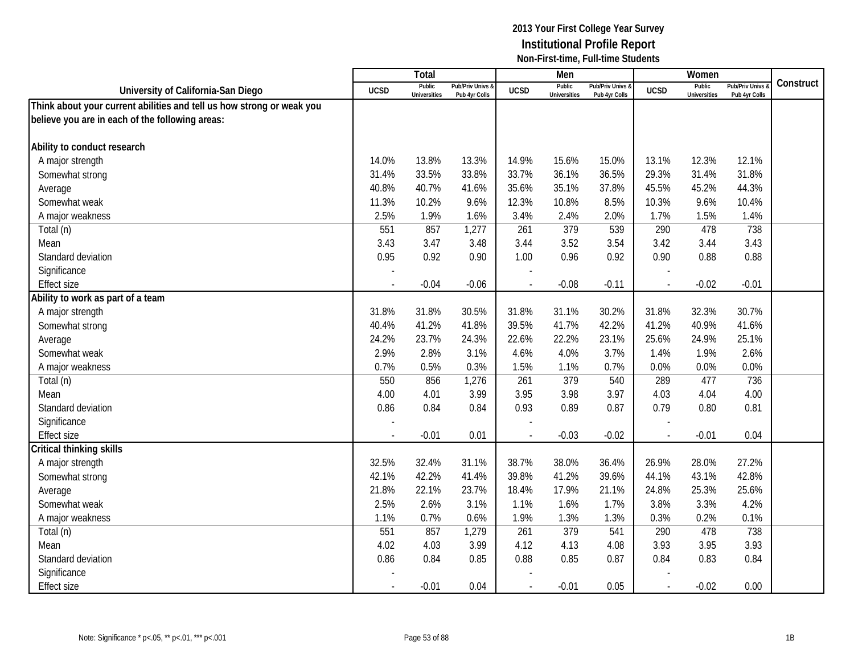|                                                                       |             | <b>Total</b>                  |                                   |                | Men                           |                                   |                          | Women                         |                                        |           |
|-----------------------------------------------------------------------|-------------|-------------------------------|-----------------------------------|----------------|-------------------------------|-----------------------------------|--------------------------|-------------------------------|----------------------------------------|-----------|
| University of California-San Diego                                    | <b>UCSD</b> | Public<br><b>Universities</b> | Pub/Priv Univs &<br>Pub 4yr Colls | <b>UCSD</b>    | Public<br><b>Universities</b> | Pub/Priv Univs &<br>Pub 4yr Colls | <b>UCSD</b>              | Public<br><b>Universities</b> | <b>Pub/Priv Univs</b><br>Pub 4yr Colls | Construct |
| Think about your current abilities and tell us how strong or weak you |             |                               |                                   |                |                               |                                   |                          |                               |                                        |           |
| believe you are in each of the following areas:                       |             |                               |                                   |                |                               |                                   |                          |                               |                                        |           |
|                                                                       |             |                               |                                   |                |                               |                                   |                          |                               |                                        |           |
| Ability to conduct research                                           |             |                               |                                   |                |                               |                                   |                          |                               |                                        |           |
| A major strength                                                      | 14.0%       | 13.8%                         | 13.3%                             | 14.9%          | 15.6%                         | 15.0%                             | 13.1%                    | 12.3%                         | 12.1%                                  |           |
| Somewhat strong                                                       | 31.4%       | 33.5%                         | 33.8%                             | 33.7%          | 36.1%                         | 36.5%                             | 29.3%                    | 31.4%                         | 31.8%                                  |           |
| Average                                                               | 40.8%       | 40.7%                         | 41.6%                             | 35.6%          | 35.1%                         | 37.8%                             | 45.5%                    | 45.2%                         | 44.3%                                  |           |
| Somewhat weak                                                         | 11.3%       | 10.2%                         | 9.6%                              | 12.3%          | 10.8%                         | 8.5%                              | 10.3%                    | 9.6%                          | 10.4%                                  |           |
| A major weakness                                                      | 2.5%        | 1.9%                          | 1.6%                              | 3.4%           | 2.4%                          | 2.0%                              | 1.7%                     | 1.5%                          | 1.4%                                   |           |
| Total (n)                                                             | 551         | 857                           | 1,277                             | 261            | 379                           | 539                               | 290                      | 478                           | 738                                    |           |
| Mean                                                                  | 3.43        | 3.47                          | 3.48                              | 3.44           | 3.52                          | 3.54                              | 3.42                     | 3.44                          | 3.43                                   |           |
| Standard deviation                                                    | 0.95        | 0.92                          | 0.90                              | 1.00           | 0.96                          | 0.92                              | 0.90                     | 0.88                          | 0.88                                   |           |
| Significance                                                          |             |                               |                                   |                |                               |                                   |                          |                               |                                        |           |
| <b>Effect size</b>                                                    |             | $-0.04$                       | $-0.06$                           |                | $-0.08$                       | $-0.11$                           |                          | $-0.02$                       | $-0.01$                                |           |
| Ability to work as part of a team                                     |             |                               |                                   |                |                               |                                   |                          |                               |                                        |           |
| A major strength                                                      | 31.8%       | 31.8%                         | 30.5%                             | 31.8%          | 31.1%                         | 30.2%                             | 31.8%                    | 32.3%                         | 30.7%                                  |           |
| Somewhat strong                                                       | 40.4%       | 41.2%                         | 41.8%                             | 39.5%          | 41.7%                         | 42.2%                             | 41.2%                    | 40.9%                         | 41.6%                                  |           |
| Average                                                               | 24.2%       | 23.7%                         | 24.3%                             | 22.6%          | 22.2%                         | 23.1%                             | 25.6%                    | 24.9%                         | 25.1%                                  |           |
| Somewhat weak                                                         | 2.9%        | 2.8%                          | 3.1%                              | 4.6%           | 4.0%                          | 3.7%                              | 1.4%                     | 1.9%                          | 2.6%                                   |           |
| A major weakness                                                      | 0.7%        | 0.5%                          | 0.3%                              | 1.5%           | 1.1%                          | 0.7%                              | 0.0%                     | 0.0%                          | 0.0%                                   |           |
| Total (n)                                                             | 550         | 856                           | 1,276                             | 261            | 379                           | 540                               | 289                      | 477                           | 736                                    |           |
| Mean                                                                  | 4.00        | 4.01                          | 3.99                              | 3.95           | 3.98                          | 3.97                              | 4.03                     | 4.04                          | 4.00                                   |           |
| Standard deviation                                                    | 0.86        | 0.84                          | 0.84                              | 0.93           | 0.89                          | 0.87                              | 0.79                     | 0.80                          | 0.81                                   |           |
| Significance                                                          |             |                               |                                   |                |                               |                                   |                          |                               |                                        |           |
| <b>Effect size</b>                                                    |             | $-0.01$                       | 0.01                              |                | $-0.03$                       | $-0.02$                           | $\overline{a}$           | $-0.01$                       | 0.04                                   |           |
| Critical thinking skills                                              |             |                               |                                   |                |                               |                                   |                          |                               |                                        |           |
| A major strength                                                      | 32.5%       | 32.4%                         | 31.1%                             | 38.7%          | 38.0%                         | 36.4%                             | 26.9%                    | 28.0%                         | 27.2%                                  |           |
| Somewhat strong                                                       | 42.1%       | 42.2%                         | 41.4%                             | 39.8%          | 41.2%                         | 39.6%                             | 44.1%                    | 43.1%                         | 42.8%                                  |           |
| Average                                                               | 21.8%       | 22.1%                         | 23.7%                             | 18.4%          | 17.9%                         | 21.1%                             | 24.8%                    | 25.3%                         | 25.6%                                  |           |
| Somewhat weak                                                         | 2.5%        | 2.6%                          | 3.1%                              | 1.1%           | 1.6%                          | 1.7%                              | 3.8%                     | 3.3%                          | 4.2%                                   |           |
| A major weakness                                                      | 1.1%        | 0.7%                          | 0.6%                              | 1.9%           | 1.3%                          | 1.3%                              | 0.3%                     | 0.2%                          | 0.1%                                   |           |
| Total (n)                                                             | 551         | 857                           | 1,279                             | 261            | 379                           | 541                               | 290                      | 478                           | 738                                    |           |
| Mean                                                                  | 4.02        | 4.03                          | 3.99                              | 4.12           | 4.13                          | 4.08                              | 3.93                     | 3.95                          | 3.93                                   |           |
| Standard deviation                                                    | 0.86        | 0.84                          | 0.85                              | 0.88           | 0.85                          | 0.87                              | 0.84                     | 0.83                          | 0.84                                   |           |
| Significance                                                          |             |                               |                                   |                |                               |                                   |                          |                               |                                        |           |
| <b>Effect size</b>                                                    |             | $-0.01$                       | 0.04                              | $\blacksquare$ | $-0.01$                       | 0.05                              | $\overline{\phantom{a}}$ | $-0.02$                       | 0.00                                   |           |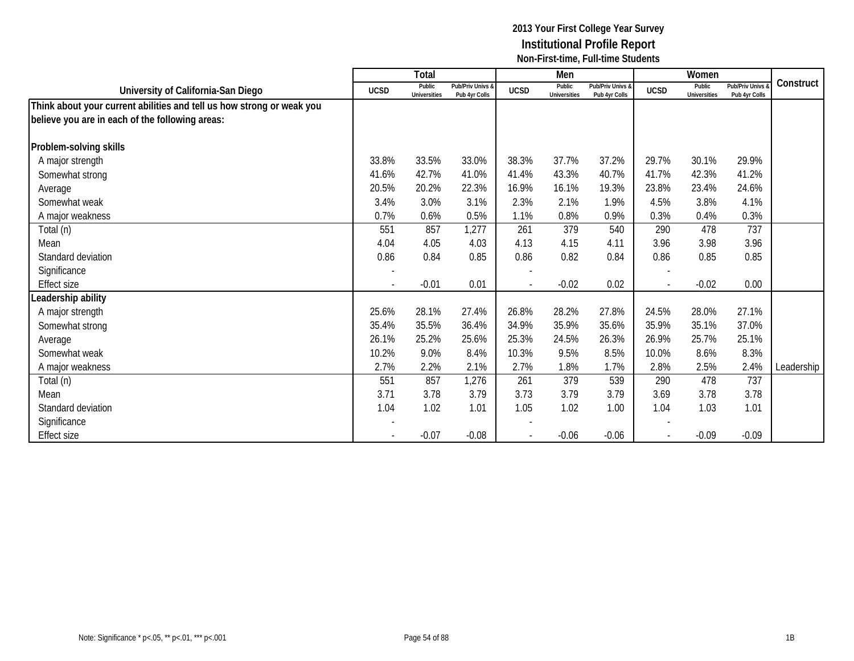|                                                                       |             | Total                         |                                   |                          | Men                           |                                   |             | Women                         |                                 |            |
|-----------------------------------------------------------------------|-------------|-------------------------------|-----------------------------------|--------------------------|-------------------------------|-----------------------------------|-------------|-------------------------------|---------------------------------|------------|
| University of California-San Diego                                    | <b>UCSD</b> | Public<br><b>Universities</b> | Pub/Priv Univs &<br>Pub 4yr Colls | <b>UCSD</b>              | Public<br><b>Universities</b> | Pub/Priv Univs &<br>Pub 4yr Colls | <b>UCSD</b> | Public<br><b>Universities</b> | Pub/Priv Univs<br>Pub 4yr Colls | Construct  |
| Think about your current abilities and tell us how strong or weak you |             |                               |                                   |                          |                               |                                   |             |                               |                                 |            |
| believe you are in each of the following areas:                       |             |                               |                                   |                          |                               |                                   |             |                               |                                 |            |
| Problem-solving skills                                                |             |                               |                                   |                          |                               |                                   |             |                               |                                 |            |
| A major strength                                                      | 33.8%       | 33.5%                         | 33.0%                             | 38.3%                    | 37.7%                         | 37.2%                             | 29.7%       | 30.1%                         | 29.9%                           |            |
| Somewhat strong                                                       | 41.6%       | 42.7%                         | 41.0%                             | 41.4%                    | 43.3%                         | 40.7%                             | 41.7%       | 42.3%                         | 41.2%                           |            |
| Average                                                               | 20.5%       | 20.2%                         | 22.3%                             | 16.9%                    | 16.1%                         | 19.3%                             | 23.8%       | 23.4%                         | 24.6%                           |            |
| Somewhat weak                                                         | 3.4%        | 3.0%                          | 3.1%                              | 2.3%                     | 2.1%                          | 1.9%                              | 4.5%        | 3.8%                          | 4.1%                            |            |
| A major weakness                                                      | 0.7%        | 0.6%                          | 0.5%                              | 1.1%                     | 0.8%                          | 0.9%                              | 0.3%        | 0.4%                          | 0.3%                            |            |
| Total (n)                                                             | 551         | 857                           | 1,277                             | 261                      | 379                           | 540                               | 290         | 478                           | 737                             |            |
| Mean                                                                  | 4.04        | 4.05                          | 4.03                              | 4.13                     | 4.15                          | 4.11                              | 3.96        | 3.98                          | 3.96                            |            |
| Standard deviation                                                    | 0.86        | 0.84                          | 0.85                              | 0.86                     | 0.82                          | 0.84                              | 0.86        | 0.85                          | 0.85                            |            |
| Significance                                                          |             |                               |                                   | $\overline{\phantom{a}}$ |                               |                                   |             |                               |                                 |            |
| <b>Effect size</b>                                                    |             | $-0.01$                       | 0.01                              |                          | $-0.02$                       | 0.02                              |             | $-0.02$                       | 0.00                            |            |
| Leadership ability                                                    |             |                               |                                   |                          |                               |                                   |             |                               |                                 |            |
| A major strength                                                      | 25.6%       | 28.1%                         | 27.4%                             | 26.8%                    | 28.2%                         | 27.8%                             | 24.5%       | 28.0%                         | 27.1%                           |            |
| Somewhat strong                                                       | 35.4%       | 35.5%                         | 36.4%                             | 34.9%                    | 35.9%                         | 35.6%                             | 35.9%       | 35.1%                         | 37.0%                           |            |
| Average                                                               | 26.1%       | 25.2%                         | 25.6%                             | 25.3%                    | 24.5%                         | 26.3%                             | 26.9%       | 25.7%                         | 25.1%                           |            |
| Somewhat weak                                                         | 10.2%       | 9.0%                          | 8.4%                              | 10.3%                    | 9.5%                          | 8.5%                              | 10.0%       | 8.6%                          | 8.3%                            |            |
| A major weakness                                                      | 2.7%        | 2.2%                          | 2.1%                              | 2.7%                     | 1.8%                          | 1.7%                              | 2.8%        | 2.5%                          | 2.4%                            | Leadership |
| Total (n)                                                             | 551         | 857                           | 1,276                             | 261                      | 379                           | 539                               | 290         | 478                           | 737                             |            |
| Mean                                                                  | 3.71        | 3.78                          | 3.79                              | 3.73                     | 3.79                          | 3.79                              | 3.69        | 3.78                          | 3.78                            |            |
| Standard deviation                                                    | 1.04        | 1.02                          | 1.01                              | 1.05                     | 1.02                          | 1.00                              | 1.04        | 1.03                          | 1.01                            |            |
| Significance                                                          |             |                               |                                   |                          |                               |                                   |             |                               |                                 |            |
| <b>Effect size</b>                                                    |             | $-0.07$                       | $-0.08$                           |                          | $-0.06$                       | $-0.06$                           |             | $-0.09$                       | $-0.09$                         |            |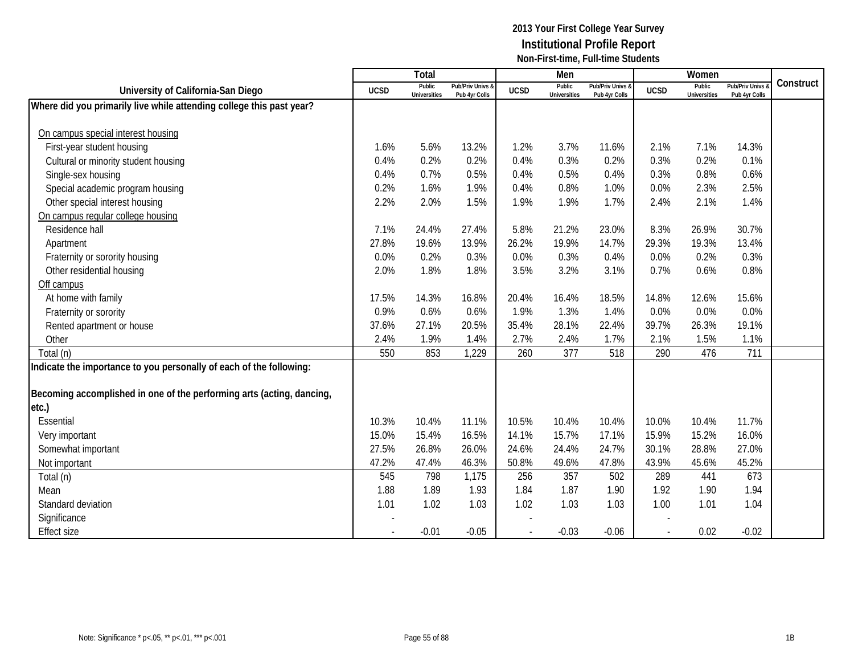|                                                                       |             | Total                         |                                   |             | Men                           |                                   |             | Women                         |                                        |           |
|-----------------------------------------------------------------------|-------------|-------------------------------|-----------------------------------|-------------|-------------------------------|-----------------------------------|-------------|-------------------------------|----------------------------------------|-----------|
| University of California-San Diego                                    | <b>UCSD</b> | Public<br><b>Universities</b> | Pub/Priv Univs &<br>Pub 4yr Colls | <b>UCSD</b> | Public<br><b>Universities</b> | Pub/Priv Univs &<br>Pub 4yr Colls | <b>UCSD</b> | Public<br><b>Universities</b> | <b>Pub/Priv Univs</b><br>Pub 4yr Colls | Construct |
| Where did you primarily live while attending college this past year?  |             |                               |                                   |             |                               |                                   |             |                               |                                        |           |
|                                                                       |             |                               |                                   |             |                               |                                   |             |                               |                                        |           |
| On campus special interest housing                                    |             |                               |                                   |             |                               |                                   |             |                               |                                        |           |
| First-year student housing                                            | 1.6%        | 5.6%                          | 13.2%                             | 1.2%        | 3.7%                          | 11.6%                             | 2.1%        | 7.1%                          | 14.3%                                  |           |
| Cultural or minority student housing                                  | 0.4%        | 0.2%                          | 0.2%                              | 0.4%        | 0.3%                          | 0.2%                              | 0.3%        | 0.2%                          | 0.1%                                   |           |
| Single-sex housing                                                    | 0.4%        | 0.7%                          | 0.5%                              | 0.4%        | 0.5%                          | 0.4%                              | 0.3%        | 0.8%                          | 0.6%                                   |           |
| Special academic program housing                                      | 0.2%        | 1.6%                          | 1.9%                              | 0.4%        | 0.8%                          | 1.0%                              | 0.0%        | 2.3%                          | 2.5%                                   |           |
| Other special interest housing                                        | 2.2%        | 2.0%                          | 1.5%                              | 1.9%        | 1.9%                          | 1.7%                              | 2.4%        | 2.1%                          | 1.4%                                   |           |
| On campus regular college housing                                     |             |                               |                                   |             |                               |                                   |             |                               |                                        |           |
| Residence hall                                                        | 7.1%        | 24.4%                         | 27.4%                             | 5.8%        | 21.2%                         | 23.0%                             | 8.3%        | 26.9%                         | 30.7%                                  |           |
| Apartment                                                             | 27.8%       | 19.6%                         | 13.9%                             | 26.2%       | 19.9%                         | 14.7%                             | 29.3%       | 19.3%                         | 13.4%                                  |           |
| Fraternity or sorority housing                                        | 0.0%        | 0.2%                          | 0.3%                              | 0.0%        | 0.3%                          | 0.4%                              | 0.0%        | 0.2%                          | 0.3%                                   |           |
| Other residential housing                                             | 2.0%        | 1.8%                          | 1.8%                              | 3.5%        | 3.2%                          | 3.1%                              | 0.7%        | 0.6%                          | 0.8%                                   |           |
| Off campus                                                            |             |                               |                                   |             |                               |                                   |             |                               |                                        |           |
| At home with family                                                   | 17.5%       | 14.3%                         | 16.8%                             | 20.4%       | 16.4%                         | 18.5%                             | 14.8%       | 12.6%                         | 15.6%                                  |           |
| Fraternity or sorority                                                | 0.9%        | 0.6%                          | 0.6%                              | 1.9%        | 1.3%                          | 1.4%                              | 0.0%        | 0.0%                          | 0.0%                                   |           |
| Rented apartment or house                                             | 37.6%       | 27.1%                         | 20.5%                             | 35.4%       | 28.1%                         | 22.4%                             | 39.7%       | 26.3%                         | 19.1%                                  |           |
| Other                                                                 | 2.4%        | 1.9%                          | 1.4%                              | 2.7%        | 2.4%                          | 1.7%                              | 2.1%        | 1.5%                          | 1.1%                                   |           |
| Total (n)                                                             | 550         | 853                           | 1,229                             | 260         | 377                           | 518                               | 290         | 476                           | 711                                    |           |
| Indicate the importance to you personally of each of the following:   |             |                               |                                   |             |                               |                                   |             |                               |                                        |           |
|                                                                       |             |                               |                                   |             |                               |                                   |             |                               |                                        |           |
| Becoming accomplished in one of the performing arts (acting, dancing, |             |                               |                                   |             |                               |                                   |             |                               |                                        |           |
| etc.)                                                                 |             |                               |                                   |             |                               |                                   |             |                               |                                        |           |
| Essential                                                             | 10.3%       | 10.4%                         | 11.1%                             | 10.5%       | 10.4%                         | 10.4%                             | 10.0%       | 10.4%                         | 11.7%                                  |           |
| Very important                                                        | 15.0%       | 15.4%                         | 16.5%                             | 14.1%       | 15.7%                         | 17.1%                             | 15.9%       | 15.2%                         | 16.0%                                  |           |
| Somewhat important                                                    | 27.5%       | 26.8%                         | 26.0%                             | 24.6%       | 24.4%                         | 24.7%                             | 30.1%       | 28.8%                         | 27.0%                                  |           |
| Not important                                                         | 47.2%       | 47.4%                         | 46.3%                             | 50.8%       | 49.6%                         | 47.8%                             | 43.9%       | 45.6%                         | 45.2%                                  |           |
| Total (n)                                                             | 545         | 798                           | 1,175                             | 256         | 357                           | 502                               | 289         | 441                           | 673                                    |           |
| Mean                                                                  | 1.88        | 1.89                          | 1.93                              | 1.84        | 1.87                          | 1.90                              | 1.92        | 1.90                          | 1.94                                   |           |
| Standard deviation                                                    | 1.01        | 1.02                          | 1.03                              | 1.02        | 1.03                          | 1.03                              | 1.00        | 1.01                          | 1.04                                   |           |
| Significance                                                          |             |                               |                                   |             |                               |                                   |             |                               |                                        |           |
| <b>Effect size</b>                                                    | $\sim$      | $-0.01$                       | $-0.05$                           |             | $-0.03$                       | $-0.06$                           | $\sim$      | 0.02                          | $-0.02$                                |           |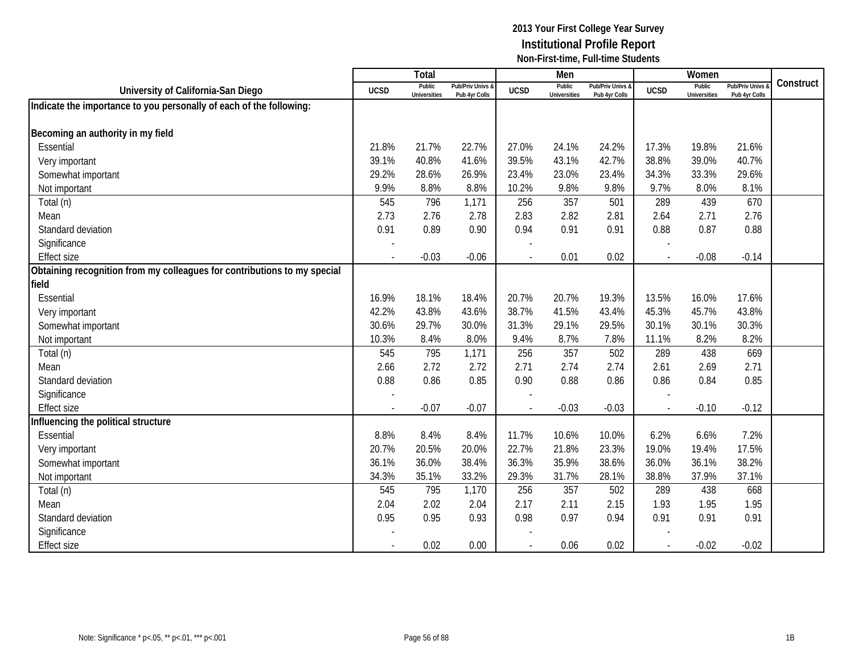|                                                                          |                | Total                         |                                   |                          | Men                           |                                   |             | Women                         |                                        |           |
|--------------------------------------------------------------------------|----------------|-------------------------------|-----------------------------------|--------------------------|-------------------------------|-----------------------------------|-------------|-------------------------------|----------------------------------------|-----------|
| University of California-San Diego                                       | <b>UCSD</b>    | Public<br><b>Universities</b> | Pub/Priv Univs &<br>Pub 4yr Colls | <b>UCSD</b>              | Public<br><b>Universities</b> | Pub/Priv Univs &<br>Pub 4yr Colls | <b>UCSD</b> | Public<br><b>Universities</b> | <b>Pub/Priv Univs</b><br>Pub 4yr Colls | Construct |
| Indicate the importance to you personally of each of the following:      |                |                               |                                   |                          |                               |                                   |             |                               |                                        |           |
|                                                                          |                |                               |                                   |                          |                               |                                   |             |                               |                                        |           |
| Becoming an authority in my field                                        |                |                               |                                   |                          |                               |                                   |             |                               |                                        |           |
| Essential                                                                | 21.8%          | 21.7%                         | 22.7%                             | 27.0%                    | 24.1%                         | 24.2%                             | 17.3%       | 19.8%                         | 21.6%                                  |           |
| Very important                                                           | 39.1%          | 40.8%                         | 41.6%                             | 39.5%                    | 43.1%                         | 42.7%                             | 38.8%       | 39.0%                         | 40.7%                                  |           |
| Somewhat important                                                       | 29.2%          | 28.6%                         | 26.9%                             | 23.4%                    | 23.0%                         | 23.4%                             | 34.3%       | 33.3%                         | 29.6%                                  |           |
| Not important                                                            | 9.9%           | 8.8%                          | 8.8%                              | 10.2%                    | 9.8%                          | 9.8%                              | 9.7%        | 8.0%                          | 8.1%                                   |           |
| Total (n)                                                                | 545            | 796                           | 1,171                             | 256                      | 357                           | 501                               | 289         | 439                           | 670                                    |           |
| Mean                                                                     | 2.73           | 2.76                          | 2.78                              | 2.83                     | 2.82                          | 2.81                              | 2.64        | 2.71                          | 2.76                                   |           |
| Standard deviation                                                       | 0.91           | 0.89                          | 0.90                              | 0.94                     | 0.91                          | 0.91                              | 0.88        | 0.87                          | 0.88                                   |           |
| Significance                                                             |                |                               |                                   |                          |                               |                                   |             |                               |                                        |           |
| <b>Effect size</b>                                                       |                | $-0.03$                       | $-0.06$                           |                          | 0.01                          | 0.02                              |             | $-0.08$                       | $-0.14$                                |           |
| Obtaining recognition from my colleagues for contributions to my special |                |                               |                                   |                          |                               |                                   |             |                               |                                        |           |
| field                                                                    |                |                               |                                   |                          |                               |                                   |             |                               |                                        |           |
| Essential                                                                | 16.9%          | 18.1%                         | 18.4%                             | 20.7%                    | 20.7%                         | 19.3%                             | 13.5%       | 16.0%                         | 17.6%                                  |           |
| Very important                                                           | 42.2%          | 43.8%                         | 43.6%                             | 38.7%                    | 41.5%                         | 43.4%                             | 45.3%       | 45.7%                         | 43.8%                                  |           |
| Somewhat important                                                       | 30.6%          | 29.7%                         | 30.0%                             | 31.3%                    | 29.1%                         | 29.5%                             | 30.1%       | 30.1%                         | 30.3%                                  |           |
| Not important                                                            | 10.3%          | 8.4%                          | 8.0%                              | 9.4%                     | 8.7%                          | 7.8%                              | 11.1%       | 8.2%                          | 8.2%                                   |           |
| Total (n)                                                                | 545            | 795                           | 1,171                             | 256                      | 357                           | 502                               | 289         | 438                           | 669                                    |           |
| Mean                                                                     | 2.66           | 2.72                          | 2.72                              | 2.71                     | 2.74                          | 2.74                              | 2.61        | 2.69                          | 2.71                                   |           |
| Standard deviation                                                       | 0.88           | 0.86                          | 0.85                              | 0.90                     | 0.88                          | 0.86                              | 0.86        | 0.84                          | 0.85                                   |           |
| Significance                                                             |                |                               |                                   |                          |                               |                                   |             |                               |                                        |           |
| <b>Effect size</b>                                                       | $\overline{a}$ | $-0.07$                       | $-0.07$                           | $\overline{\phantom{a}}$ | $-0.03$                       | $-0.03$                           |             | $-0.10$                       | $-0.12$                                |           |
| nfluencing the political structure                                       |                |                               |                                   |                          |                               |                                   |             |                               |                                        |           |
| Essential                                                                | 8.8%           | 8.4%                          | 8.4%                              | 11.7%                    | 10.6%                         | 10.0%                             | 6.2%        | 6.6%                          | 7.2%                                   |           |
| Very important                                                           | 20.7%          | 20.5%                         | 20.0%                             | 22.7%                    | 21.8%                         | 23.3%                             | 19.0%       | 19.4%                         | 17.5%                                  |           |
| Somewhat important                                                       | 36.1%          | 36.0%                         | 38.4%                             | 36.3%                    | 35.9%                         | 38.6%                             | 36.0%       | 36.1%                         | 38.2%                                  |           |
| Not important                                                            | 34.3%          | 35.1%                         | 33.2%                             | 29.3%                    | 31.7%                         | 28.1%                             | 38.8%       | 37.9%                         | 37.1%                                  |           |
| Total (n)                                                                | 545            | 795                           | 1,170                             | 256                      | 357                           | 502                               | 289         | 438                           | 668                                    |           |
| Mean                                                                     | 2.04           | 2.02                          | 2.04                              | 2.17                     | 2.11                          | 2.15                              | 1.93        | 1.95                          | 1.95                                   |           |
| Standard deviation                                                       | 0.95           | 0.95                          | 0.93                              | 0.98                     | 0.97                          | 0.94                              | 0.91        | 0.91                          | 0.91                                   |           |
| Significance                                                             |                |                               |                                   |                          |                               |                                   |             |                               |                                        |           |
| <b>Effect size</b>                                                       |                | 0.02                          | 0.00                              |                          | 0.06                          | 0.02                              |             | $-0.02$                       | $-0.02$                                |           |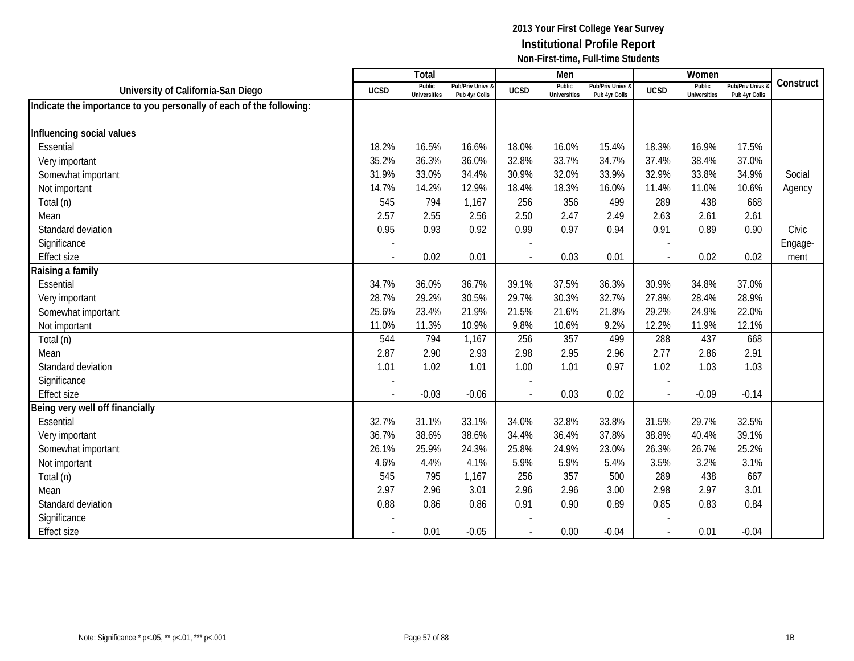|                                                                     |                          | <b>Total</b>                  |                                   |                | Men                           |                                   |                | Women                         |                                        |           |
|---------------------------------------------------------------------|--------------------------|-------------------------------|-----------------------------------|----------------|-------------------------------|-----------------------------------|----------------|-------------------------------|----------------------------------------|-----------|
| University of California-San Diego                                  | <b>UCSD</b>              | Public<br><b>Universities</b> | Pub/Priv Univs &<br>Pub 4yr Colls | <b>UCSD</b>    | Public<br><b>Universities</b> | Pub/Priv Univs &<br>Pub 4yr Colls | <b>UCSD</b>    | Public<br><b>Universities</b> | <b>Pub/Priv Univs</b><br>Pub 4yr Colls | Construct |
| Indicate the importance to you personally of each of the following: |                          |                               |                                   |                |                               |                                   |                |                               |                                        |           |
|                                                                     |                          |                               |                                   |                |                               |                                   |                |                               |                                        |           |
| Influencing social values                                           |                          |                               |                                   |                |                               |                                   |                |                               |                                        |           |
| Essential                                                           | 18.2%                    | 16.5%                         | 16.6%                             | 18.0%          | 16.0%                         | 15.4%                             | 18.3%          | 16.9%                         | 17.5%                                  |           |
| Very important                                                      | 35.2%                    | 36.3%                         | 36.0%                             | 32.8%          | 33.7%                         | 34.7%                             | 37.4%          | 38.4%                         | 37.0%                                  |           |
| Somewhat important                                                  | 31.9%                    | 33.0%                         | 34.4%                             | 30.9%          | 32.0%                         | 33.9%                             | 32.9%          | 33.8%                         | 34.9%                                  | Social    |
| Not important                                                       | 14.7%                    | 14.2%                         | 12.9%                             | 18.4%          | 18.3%                         | 16.0%                             | 11.4%          | 11.0%                         | 10.6%                                  | Agency    |
| Total (n)                                                           | 545                      | 794                           | 1,167                             | 256            | 356                           | 499                               | 289            | 438                           | 668                                    |           |
| Mean                                                                | 2.57                     | 2.55                          | 2.56                              | 2.50           | 2.47                          | 2.49                              | 2.63           | 2.61                          | 2.61                                   |           |
| Standard deviation                                                  | 0.95                     | 0.93                          | 0.92                              | 0.99           | 0.97                          | 0.94                              | 0.91           | 0.89                          | 0.90                                   | Civic     |
| Significance                                                        |                          |                               |                                   |                |                               |                                   |                |                               |                                        | Engage-   |
| <b>Effect size</b>                                                  | $\overline{\phantom{a}}$ | 0.02                          | 0.01                              | $\overline{a}$ | 0.03                          | 0.01                              | $\sim$         | 0.02                          | 0.02                                   | ment      |
| Raising a family                                                    |                          |                               |                                   |                |                               |                                   |                |                               |                                        |           |
| Essential                                                           | 34.7%                    | 36.0%                         | 36.7%                             | 39.1%          | 37.5%                         | 36.3%                             | 30.9%          | 34.8%                         | 37.0%                                  |           |
| Very important                                                      | 28.7%                    | 29.2%                         | 30.5%                             | 29.7%          | 30.3%                         | 32.7%                             | 27.8%          | 28.4%                         | 28.9%                                  |           |
| Somewhat important                                                  | 25.6%                    | 23.4%                         | 21.9%                             | 21.5%          | 21.6%                         | 21.8%                             | 29.2%          | 24.9%                         | 22.0%                                  |           |
| Not important                                                       | 11.0%                    | 11.3%                         | 10.9%                             | 9.8%           | 10.6%                         | 9.2%                              | 12.2%          | 11.9%                         | 12.1%                                  |           |
| Total (n)                                                           | 544                      | 794                           | 1,167                             | 256            | 357                           | 499                               | 288            | 437                           | 668                                    |           |
| Mean                                                                | 2.87                     | 2.90                          | 2.93                              | 2.98           | 2.95                          | 2.96                              | 2.77           | 2.86                          | 2.91                                   |           |
| Standard deviation                                                  | 1.01                     | 1.02                          | 1.01                              | 1.00           | 1.01                          | 0.97                              | 1.02           | 1.03                          | 1.03                                   |           |
| Significance                                                        |                          |                               |                                   |                |                               |                                   |                |                               |                                        |           |
| <b>Effect size</b>                                                  |                          | $-0.03$                       | $-0.06$                           |                | 0.03                          | 0.02                              |                | $-0.09$                       | $-0.14$                                |           |
| Being very well off financially                                     |                          |                               |                                   |                |                               |                                   |                |                               |                                        |           |
| Essential                                                           | 32.7%                    | 31.1%                         | 33.1%                             | 34.0%          | 32.8%                         | 33.8%                             | 31.5%          | 29.7%                         | 32.5%                                  |           |
| Very important                                                      | 36.7%                    | 38.6%                         | 38.6%                             | 34.4%          | 36.4%                         | 37.8%                             | 38.8%          | 40.4%                         | 39.1%                                  |           |
| Somewhat important                                                  | 26.1%                    | 25.9%                         | 24.3%                             | 25.8%          | 24.9%                         | 23.0%                             | 26.3%          | 26.7%                         | 25.2%                                  |           |
| Not important                                                       | 4.6%                     | 4.4%                          | 4.1%                              | 5.9%           | 5.9%                          | 5.4%                              | 3.5%           | 3.2%                          | 3.1%                                   |           |
| Total (n)                                                           | 545                      | 795                           | 1,167                             | 256            | 357                           | 500                               | 289            | 438                           | 667                                    |           |
| Mean                                                                | 2.97                     | 2.96                          | 3.01                              | 2.96           | 2.96                          | 3.00                              | 2.98           | 2.97                          | 3.01                                   |           |
| Standard deviation                                                  | 0.88                     | 0.86                          | 0.86                              | 0.91           | 0.90                          | 0.89                              | 0.85           | 0.83                          | 0.84                                   |           |
| Significance                                                        |                          |                               |                                   |                |                               |                                   |                |                               |                                        |           |
| <b>Effect size</b>                                                  |                          | 0.01                          | $-0.05$                           | $\overline{a}$ | 0.00                          | $-0.04$                           | $\blacksquare$ | 0.01                          | $-0.04$                                |           |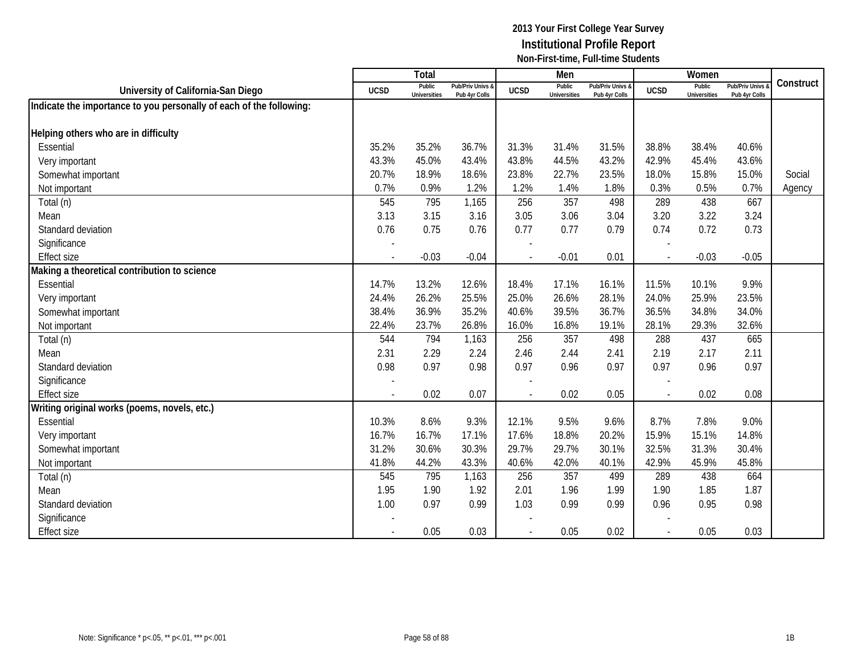|                                                                     |                | Total                         |                                   |                          | Men                           |                                   |             | Women                         |                                        |           |
|---------------------------------------------------------------------|----------------|-------------------------------|-----------------------------------|--------------------------|-------------------------------|-----------------------------------|-------------|-------------------------------|----------------------------------------|-----------|
| University of California-San Diego                                  | <b>UCSD</b>    | Public<br><b>Universities</b> | Pub/Priv Univs &<br>Pub 4yr Colls | <b>UCSD</b>              | Public<br><b>Universities</b> | Pub/Priv Univs &<br>Pub 4yr Colls | <b>UCSD</b> | Public<br><b>Universities</b> | <b>Pub/Priv Univs</b><br>Pub 4yr Colls | Construct |
| Indicate the importance to you personally of each of the following: |                |                               |                                   |                          |                               |                                   |             |                               |                                        |           |
|                                                                     |                |                               |                                   |                          |                               |                                   |             |                               |                                        |           |
| Helping others who are in difficulty                                |                |                               |                                   |                          |                               |                                   |             |                               |                                        |           |
| Essential                                                           | 35.2%          | 35.2%                         | 36.7%                             | 31.3%                    | 31.4%                         | 31.5%                             | 38.8%       | 38.4%                         | 40.6%                                  |           |
| Very important                                                      | 43.3%          | 45.0%                         | 43.4%                             | 43.8%                    | 44.5%                         | 43.2%                             | 42.9%       | 45.4%                         | 43.6%                                  |           |
| Somewhat important                                                  | 20.7%          | 18.9%                         | 18.6%                             | 23.8%                    | 22.7%                         | 23.5%                             | 18.0%       | 15.8%                         | 15.0%                                  | Social    |
| Not important                                                       | 0.7%           | 0.9%                          | 1.2%                              | 1.2%                     | 1.4%                          | 1.8%                              | 0.3%        | 0.5%                          | 0.7%                                   | Agency    |
| Total (n)                                                           | 545            | 795                           | 1,165                             | 256                      | 357                           | 498                               | 289         | 438                           | 667                                    |           |
| Mean                                                                | 3.13           | 3.15                          | 3.16                              | 3.05                     | 3.06                          | 3.04                              | 3.20        | 3.22                          | 3.24                                   |           |
| Standard deviation                                                  | 0.76           | 0.75                          | 0.76                              | 0.77                     | 0.77                          | 0.79                              | 0.74        | 0.72                          | 0.73                                   |           |
| Significance                                                        |                |                               |                                   |                          |                               |                                   |             |                               |                                        |           |
| <b>Effect size</b>                                                  | $\overline{a}$ | $-0.03$                       | $-0.04$                           | $\overline{\phantom{a}}$ | $-0.01$                       | 0.01                              |             | $-0.03$                       | $-0.05$                                |           |
| Making a theoretical contribution to science                        |                |                               |                                   |                          |                               |                                   |             |                               |                                        |           |
| <b>Essential</b>                                                    | 14.7%          | 13.2%                         | 12.6%                             | 18.4%                    | 17.1%                         | 16.1%                             | 11.5%       | 10.1%                         | 9.9%                                   |           |
| Very important                                                      | 24.4%          | 26.2%                         | 25.5%                             | 25.0%                    | 26.6%                         | 28.1%                             | 24.0%       | 25.9%                         | 23.5%                                  |           |
| Somewhat important                                                  | 38.4%          | 36.9%                         | 35.2%                             | 40.6%                    | 39.5%                         | 36.7%                             | 36.5%       | 34.8%                         | 34.0%                                  |           |
| Not important                                                       | 22.4%          | 23.7%                         | 26.8%                             | 16.0%                    | 16.8%                         | 19.1%                             | 28.1%       | 29.3%                         | 32.6%                                  |           |
| Total (n)                                                           | 544            | 794                           | 1,163                             | 256                      | 357                           | 498                               | 288         | 437                           | 665                                    |           |
| Mean                                                                | 2.31           | 2.29                          | 2.24                              | 2.46                     | 2.44                          | 2.41                              | 2.19        | 2.17                          | 2.11                                   |           |
| Standard deviation                                                  | 0.98           | 0.97                          | 0.98                              | 0.97                     | 0.96                          | 0.97                              | 0.97        | 0.96                          | 0.97                                   |           |
| Significance                                                        |                |                               |                                   |                          |                               |                                   |             |                               |                                        |           |
| <b>Effect size</b>                                                  |                | 0.02                          | 0.07                              |                          | 0.02                          | 0.05                              |             | 0.02                          | 0.08                                   |           |
| Writing original works (poems, novels, etc.)                        |                |                               |                                   |                          |                               |                                   |             |                               |                                        |           |
| Essential                                                           | 10.3%          | 8.6%                          | 9.3%                              | 12.1%                    | 9.5%                          | 9.6%                              | 8.7%        | 7.8%                          | 9.0%                                   |           |
| Very important                                                      | 16.7%          | 16.7%                         | 17.1%                             | 17.6%                    | 18.8%                         | 20.2%                             | 15.9%       | 15.1%                         | 14.8%                                  |           |
| Somewhat important                                                  | 31.2%          | 30.6%                         | 30.3%                             | 29.7%                    | 29.7%                         | 30.1%                             | 32.5%       | 31.3%                         | 30.4%                                  |           |
| Not important                                                       | 41.8%          | 44.2%                         | 43.3%                             | 40.6%                    | 42.0%                         | 40.1%                             | 42.9%       | 45.9%                         | 45.8%                                  |           |
| Total (n)                                                           | 545            | 795                           | 1,163                             | 256                      | 357                           | 499                               | 289         | 438                           | 664                                    |           |
| Mean                                                                | 1.95           | 1.90                          | 1.92                              | 2.01                     | 1.96                          | 1.99                              | 1.90        | 1.85                          | 1.87                                   |           |
| Standard deviation                                                  | 1.00           | 0.97                          | 0.99                              | 1.03                     | 0.99                          | 0.99                              | 0.96        | 0.95                          | 0.98                                   |           |
| Significance                                                        |                |                               |                                   |                          |                               |                                   |             |                               |                                        |           |
| <b>Effect size</b>                                                  |                | 0.05                          | 0.03                              | $\blacksquare$           | 0.05                          | 0.02                              |             | 0.05                          | 0.03                                   |           |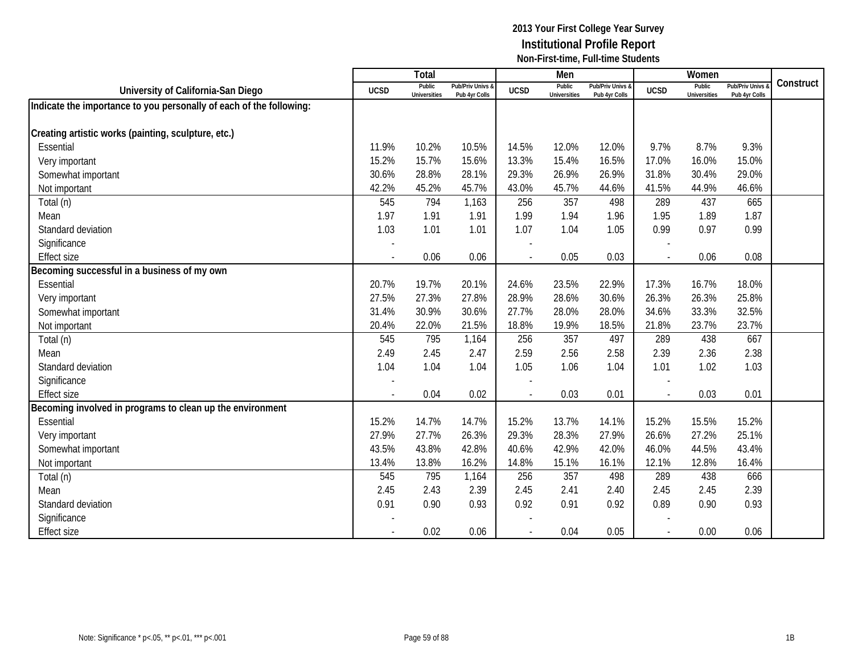|                                                                     |                          | <b>Total</b>                  |                                   |                          | Men                           |                                   |                | Women                         |                                        |           |
|---------------------------------------------------------------------|--------------------------|-------------------------------|-----------------------------------|--------------------------|-------------------------------|-----------------------------------|----------------|-------------------------------|----------------------------------------|-----------|
| University of California-San Diego                                  | <b>UCSD</b>              | Public<br><b>Universities</b> | Pub/Priv Univs &<br>Pub 4yr Colls | <b>UCSD</b>              | Public<br><b>Universities</b> | Pub/Priv Univs &<br>Pub 4yr Colls | <b>UCSD</b>    | Public<br><b>Universities</b> | <b>Pub/Priv Univs</b><br>Pub 4yr Colls | Construct |
| Indicate the importance to you personally of each of the following: |                          |                               |                                   |                          |                               |                                   |                |                               |                                        |           |
|                                                                     |                          |                               |                                   |                          |                               |                                   |                |                               |                                        |           |
| Creating artistic works (painting, sculpture, etc.)                 |                          |                               |                                   |                          |                               |                                   |                |                               |                                        |           |
| Essential                                                           | 11.9%                    | 10.2%                         | 10.5%                             | 14.5%                    | 12.0%                         | 12.0%                             | 9.7%           | 8.7%                          | 9.3%                                   |           |
| Very important                                                      | 15.2%                    | 15.7%                         | 15.6%                             | 13.3%                    | 15.4%                         | 16.5%                             | 17.0%          | 16.0%                         | 15.0%                                  |           |
| Somewhat important                                                  | 30.6%                    | 28.8%                         | 28.1%                             | 29.3%                    | 26.9%                         | 26.9%                             | 31.8%          | 30.4%                         | 29.0%                                  |           |
| Not important                                                       | 42.2%                    | 45.2%                         | 45.7%                             | 43.0%                    | 45.7%                         | 44.6%                             | 41.5%          | 44.9%                         | 46.6%                                  |           |
| Total (n)                                                           | 545                      | 794                           | 1,163                             | 256                      | 357                           | 498                               | 289            | 437                           | 665                                    |           |
| Mean                                                                | 1.97                     | 1.91                          | 1.91                              | 1.99                     | 1.94                          | 1.96                              | 1.95           | 1.89                          | 1.87                                   |           |
| Standard deviation                                                  | 1.03                     | 1.01                          | 1.01                              | 1.07                     | 1.04                          | 1.05                              | 0.99           | 0.97                          | 0.99                                   |           |
| Significance                                                        |                          |                               |                                   |                          |                               |                                   |                |                               |                                        |           |
| <b>Effect size</b>                                                  | $\overline{\phantom{a}}$ | 0.06                          | 0.06                              | $\overline{\phantom{a}}$ | 0.05                          | 0.03                              |                | 0.06                          | 0.08                                   |           |
| Becoming successful in a business of my own                         |                          |                               |                                   |                          |                               |                                   |                |                               |                                        |           |
| <b>Essential</b>                                                    | 20.7%                    | 19.7%                         | 20.1%                             | 24.6%                    | 23.5%                         | 22.9%                             | 17.3%          | 16.7%                         | 18.0%                                  |           |
| Very important                                                      | 27.5%                    | 27.3%                         | 27.8%                             | 28.9%                    | 28.6%                         | 30.6%                             | 26.3%          | 26.3%                         | 25.8%                                  |           |
| Somewhat important                                                  | 31.4%                    | 30.9%                         | 30.6%                             | 27.7%                    | 28.0%                         | 28.0%                             | 34.6%          | 33.3%                         | 32.5%                                  |           |
| Not important                                                       | 20.4%                    | 22.0%                         | 21.5%                             | 18.8%                    | 19.9%                         | 18.5%                             | 21.8%          | 23.7%                         | 23.7%                                  |           |
| Total (n)                                                           | 545                      | 795                           | 1,164                             | 256                      | 357                           | 497                               | 289            | 438                           | 667                                    |           |
| Mean                                                                | 2.49                     | 2.45                          | 2.47                              | 2.59                     | 2.56                          | 2.58                              | 2.39           | 2.36                          | 2.38                                   |           |
| Standard deviation                                                  | 1.04                     | 1.04                          | 1.04                              | 1.05                     | 1.06                          | 1.04                              | 1.01           | 1.02                          | 1.03                                   |           |
| Significance                                                        |                          |                               |                                   |                          |                               |                                   |                |                               |                                        |           |
| <b>Effect size</b>                                                  |                          | 0.04                          | 0.02                              |                          | 0.03                          | 0.01                              |                | 0.03                          | 0.01                                   |           |
| Becoming involved in programs to clean up the environment           |                          |                               |                                   |                          |                               |                                   |                |                               |                                        |           |
| Essential                                                           | 15.2%                    | 14.7%                         | 14.7%                             | 15.2%                    | 13.7%                         | 14.1%                             | 15.2%          | 15.5%                         | 15.2%                                  |           |
| Very important                                                      | 27.9%                    | 27.7%                         | 26.3%                             | 29.3%                    | 28.3%                         | 27.9%                             | 26.6%          | 27.2%                         | 25.1%                                  |           |
| Somewhat important                                                  | 43.5%                    | 43.8%                         | 42.8%                             | 40.6%                    | 42.9%                         | 42.0%                             | 46.0%          | 44.5%                         | 43.4%                                  |           |
| Not important                                                       | 13.4%                    | 13.8%                         | 16.2%                             | 14.8%                    | 15.1%                         | 16.1%                             | 12.1%          | 12.8%                         | 16.4%                                  |           |
| Total (n)                                                           | 545                      | 795                           | 1,164                             | 256                      | 357                           | 498                               | 289            | 438                           | 666                                    |           |
| Mean                                                                | 2.45                     | 2.43                          | 2.39                              | 2.45                     | 2.41                          | 2.40                              | 2.45           | 2.45                          | 2.39                                   |           |
| Standard deviation                                                  | 0.91                     | 0.90                          | 0.93                              | 0.92                     | 0.91                          | 0.92                              | 0.89           | 0.90                          | 0.93                                   |           |
| Significance                                                        |                          |                               |                                   |                          |                               |                                   |                |                               |                                        |           |
| <b>Effect size</b>                                                  |                          | 0.02                          | 0.06                              |                          | 0.04                          | 0.05                              | $\blacksquare$ | 0.00                          | 0.06                                   |           |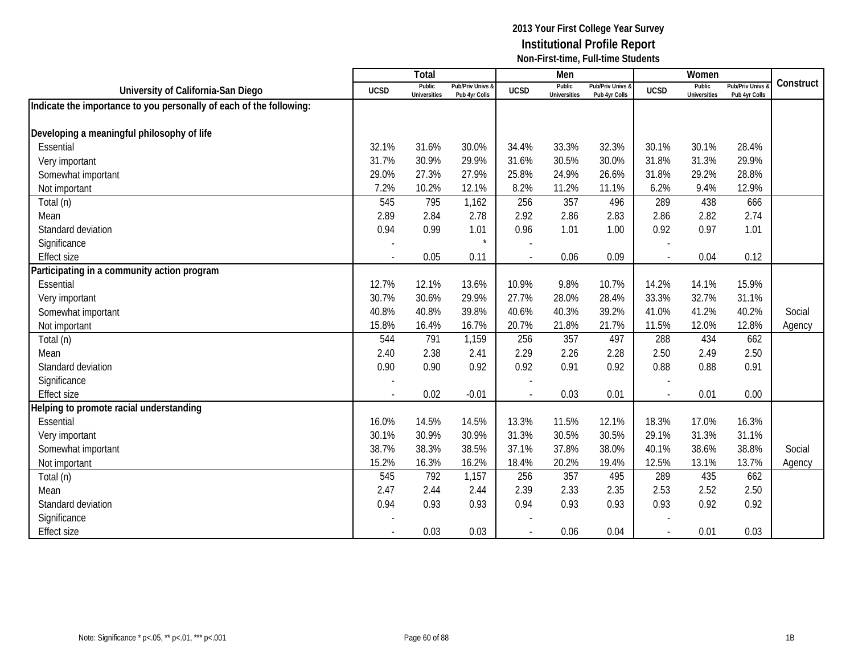|                                                                     |                          | <b>Total</b>                  |                                   |                | Men                           |                                   |                | Women                         |                                        |           |
|---------------------------------------------------------------------|--------------------------|-------------------------------|-----------------------------------|----------------|-------------------------------|-----------------------------------|----------------|-------------------------------|----------------------------------------|-----------|
| University of California-San Diego                                  | <b>UCSD</b>              | Public<br><b>Universities</b> | Pub/Priv Univs &<br>Pub 4yr Colls | <b>UCSD</b>    | Public<br><b>Universities</b> | Pub/Priv Univs &<br>Pub 4yr Colls | <b>UCSD</b>    | Public<br><b>Universities</b> | <b>Pub/Priv Univs</b><br>Pub 4yr Colls | Construct |
| Indicate the importance to you personally of each of the following: |                          |                               |                                   |                |                               |                                   |                |                               |                                        |           |
|                                                                     |                          |                               |                                   |                |                               |                                   |                |                               |                                        |           |
| Developing a meaningful philosophy of life                          |                          |                               |                                   |                |                               |                                   |                |                               |                                        |           |
| Essential                                                           | 32.1%                    | 31.6%                         | 30.0%                             | 34.4%          | 33.3%                         | 32.3%                             | 30.1%          | 30.1%                         | 28.4%                                  |           |
| Very important                                                      | 31.7%                    | 30.9%                         | 29.9%                             | 31.6%          | 30.5%                         | 30.0%                             | 31.8%          | 31.3%                         | 29.9%                                  |           |
| Somewhat important                                                  | 29.0%                    | 27.3%                         | 27.9%                             | 25.8%          | 24.9%                         | 26.6%                             | 31.8%          | 29.2%                         | 28.8%                                  |           |
| Not important                                                       | 7.2%                     | 10.2%                         | 12.1%                             | 8.2%           | 11.2%                         | 11.1%                             | 6.2%           | 9.4%                          | 12.9%                                  |           |
| Total (n)                                                           | 545                      | 795                           | 1,162                             | 256            | 357                           | 496                               | 289            | 438                           | 666                                    |           |
| Mean                                                                | 2.89                     | 2.84                          | 2.78                              | 2.92           | 2.86                          | 2.83                              | 2.86           | 2.82                          | 2.74                                   |           |
| Standard deviation                                                  | 0.94                     | 0.99                          | 1.01                              | 0.96           | 1.01                          | 1.00                              | 0.92           | 0.97                          | 1.01                                   |           |
| Significance                                                        |                          |                               | $\star$                           |                |                               |                                   |                |                               |                                        |           |
| <b>Effect size</b>                                                  | $\overline{\phantom{a}}$ | 0.05                          | 0.11                              | $\blacksquare$ | 0.06                          | 0.09                              | $\sim$         | 0.04                          | 0.12                                   |           |
| Participating in a community action program                         |                          |                               |                                   |                |                               |                                   |                |                               |                                        |           |
| Essential                                                           | 12.7%                    | 12.1%                         | 13.6%                             | 10.9%          | 9.8%                          | 10.7%                             | 14.2%          | 14.1%                         | 15.9%                                  |           |
| Very important                                                      | 30.7%                    | 30.6%                         | 29.9%                             | 27.7%          | 28.0%                         | 28.4%                             | 33.3%          | 32.7%                         | 31.1%                                  |           |
| Somewhat important                                                  | 40.8%                    | 40.8%                         | 39.8%                             | 40.6%          | 40.3%                         | 39.2%                             | 41.0%          | 41.2%                         | 40.2%                                  | Social    |
| Not important                                                       | 15.8%                    | 16.4%                         | 16.7%                             | 20.7%          | 21.8%                         | 21.7%                             | 11.5%          | 12.0%                         | 12.8%                                  | Agency    |
| Total (n)                                                           | 544                      | 791                           | 1,159                             | 256            | 357                           | 497                               | 288            | 434                           | 662                                    |           |
| Mean                                                                | 2.40                     | 2.38                          | 2.41                              | 2.29           | 2.26                          | 2.28                              | 2.50           | 2.49                          | 2.50                                   |           |
| Standard deviation                                                  | 0.90                     | 0.90                          | 0.92                              | 0.92           | 0.91                          | 0.92                              | 0.88           | 0.88                          | 0.91                                   |           |
| Significance                                                        |                          |                               |                                   |                |                               |                                   |                |                               |                                        |           |
| <b>Effect size</b>                                                  |                          | 0.02                          | $-0.01$                           |                | 0.03                          | 0.01                              |                | 0.01                          | 0.00                                   |           |
| Helping to promote racial understanding                             |                          |                               |                                   |                |                               |                                   |                |                               |                                        |           |
| Essential                                                           | 16.0%                    | 14.5%                         | 14.5%                             | 13.3%          | 11.5%                         | 12.1%                             | 18.3%          | 17.0%                         | 16.3%                                  |           |
| Very important                                                      | 30.1%                    | 30.9%                         | 30.9%                             | 31.3%          | 30.5%                         | 30.5%                             | 29.1%          | 31.3%                         | 31.1%                                  |           |
| Somewhat important                                                  | 38.7%                    | 38.3%                         | 38.5%                             | 37.1%          | 37.8%                         | 38.0%                             | 40.1%          | 38.6%                         | 38.8%                                  | Social    |
| Not important                                                       | 15.2%                    | 16.3%                         | 16.2%                             | 18.4%          | 20.2%                         | 19.4%                             | 12.5%          | 13.1%                         | 13.7%                                  | Agency    |
| Total (n)                                                           | 545                      | 792                           | 1,157                             | 256            | 357                           | 495                               | 289            | 435                           | 662                                    |           |
| Mean                                                                | 2.47                     | 2.44                          | 2.44                              | 2.39           | 2.33                          | 2.35                              | 2.53           | 2.52                          | 2.50                                   |           |
| Standard deviation                                                  | 0.94                     | 0.93                          | 0.93                              | 0.94           | 0.93                          | 0.93                              | 0.93           | 0.92                          | 0.92                                   |           |
| Significance                                                        |                          |                               |                                   |                |                               |                                   |                |                               |                                        |           |
| <b>Effect size</b>                                                  |                          | 0.03                          | 0.03                              |                | 0.06                          | 0.04                              | $\blacksquare$ | 0.01                          | 0.03                                   |           |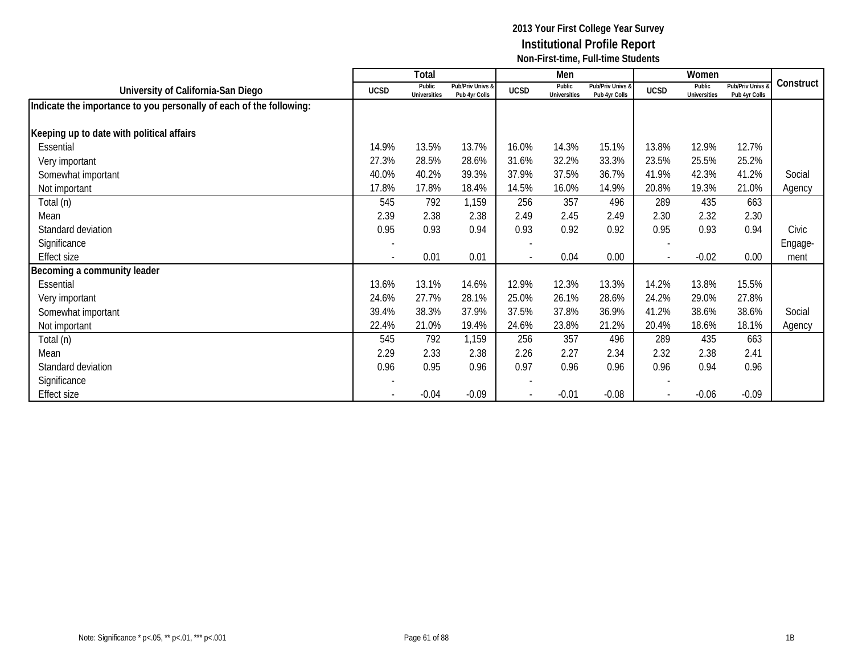|                                                                     |                          | Total                  |                                   |                          | Men                           |                                   |             | Women                         |                                        |           |
|---------------------------------------------------------------------|--------------------------|------------------------|-----------------------------------|--------------------------|-------------------------------|-----------------------------------|-------------|-------------------------------|----------------------------------------|-----------|
| University of California-San Diego                                  | <b>UCSD</b>              | Public<br>Universities | Pub/Priv Univs &<br>Pub 4yr Colls | <b>UCSD</b>              | Public<br><b>Universities</b> | Pub/Priv Univs &<br>Pub 4yr Colls | <b>UCSD</b> | Public<br><b>Universities</b> | <b>Pub/Priv Univs</b><br>Pub 4yr Colls | Construct |
| Indicate the importance to you personally of each of the following: |                          |                        |                                   |                          |                               |                                   |             |                               |                                        |           |
| Keeping up to date with political affairs                           |                          |                        |                                   |                          |                               |                                   |             |                               |                                        |           |
| Essential                                                           | 14.9%                    | 13.5%                  | 13.7%                             | 16.0%                    | 14.3%                         | 15.1%                             | 13.8%       | 12.9%                         | 12.7%                                  |           |
| Very important                                                      | 27.3%                    | 28.5%                  | 28.6%                             | 31.6%                    | 32.2%                         | 33.3%                             | 23.5%       | 25.5%                         | 25.2%                                  |           |
| Somewhat important                                                  | 40.0%                    | 40.2%                  | 39.3%                             | 37.9%                    | 37.5%                         | 36.7%                             | 41.9%       | 42.3%                         | 41.2%                                  | Social    |
| Not important                                                       | 17.8%                    | 17.8%                  | 18.4%                             | 14.5%                    | 16.0%                         | 14.9%                             | 20.8%       | 19.3%                         | 21.0%                                  | Agency    |
| Total (n)                                                           | 545                      | 792                    | 1,159                             | 256                      | 357                           | 496                               | 289         | 435                           | 663                                    |           |
| Mean                                                                | 2.39                     | 2.38                   | 2.38                              | 2.49                     | 2.45                          | 2.49                              | 2.30        | 2.32                          | 2.30                                   |           |
| Standard deviation                                                  | 0.95                     | 0.93                   | 0.94                              | 0.93                     | 0.92                          | 0.92                              | 0.95        | 0.93                          | 0.94                                   | Civic     |
| Significance                                                        | $\overline{\phantom{a}}$ |                        |                                   |                          |                               |                                   |             |                               |                                        | Engage-   |
| Effect size                                                         | $\overline{\phantom{a}}$ | 0.01                   | 0.01                              | $\overline{\phantom{a}}$ | 0.04                          | 0.00                              | $\sim$      | $-0.02$                       | 0.00                                   | ment      |
| Becoming a community leader                                         |                          |                        |                                   |                          |                               |                                   |             |                               |                                        |           |
| Essential                                                           | 13.6%                    | 13.1%                  | 14.6%                             | 12.9%                    | 12.3%                         | 13.3%                             | 14.2%       | 13.8%                         | 15.5%                                  |           |
| Very important                                                      | 24.6%                    | 27.7%                  | 28.1%                             | 25.0%                    | 26.1%                         | 28.6%                             | 24.2%       | 29.0%                         | 27.8%                                  |           |
| Somewhat important                                                  | 39.4%                    | 38.3%                  | 37.9%                             | 37.5%                    | 37.8%                         | 36.9%                             | 41.2%       | 38.6%                         | 38.6%                                  | Social    |
| Not important                                                       | 22.4%                    | 21.0%                  | 19.4%                             | 24.6%                    | 23.8%                         | 21.2%                             | 20.4%       | 18.6%                         | 18.1%                                  | Agency    |
| Total (n)                                                           | 545                      | 792                    | 1,159                             | 256                      | 357                           | 496                               | 289         | 435                           | 663                                    |           |
| Mean                                                                | 2.29                     | 2.33                   | 2.38                              | 2.26                     | 2.27                          | 2.34                              | 2.32        | 2.38                          | 2.41                                   |           |
| Standard deviation                                                  | 0.96                     | 0.95                   | 0.96                              | 0.97                     | 0.96                          | 0.96                              | 0.96        | 0.94                          | 0.96                                   |           |
| Significance                                                        |                          |                        |                                   |                          |                               |                                   |             |                               |                                        |           |
| Effect size                                                         |                          | $-0.04$                | $-0.09$                           |                          | $-0.01$                       | $-0.08$                           |             | $-0.06$                       | $-0.09$                                |           |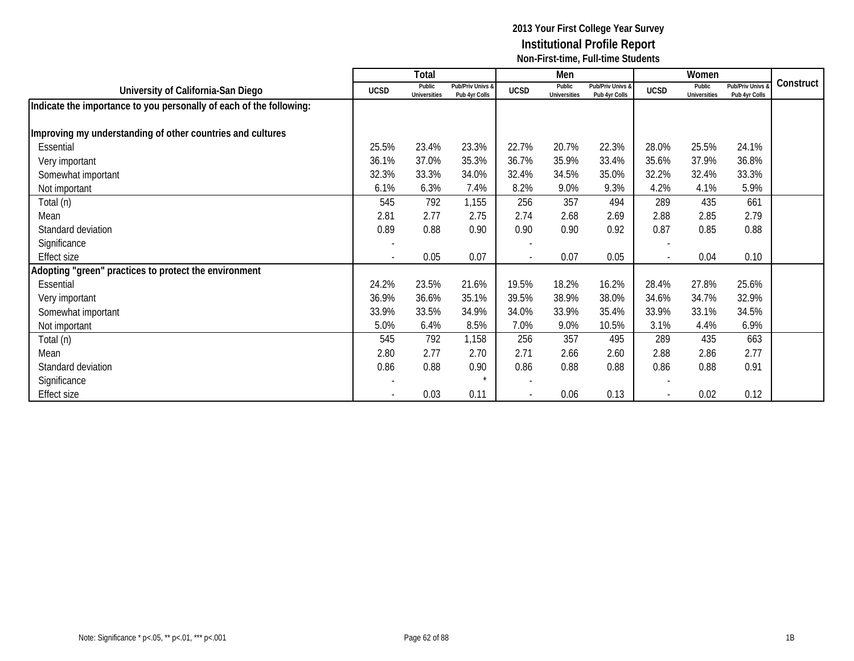|                                                                     |                          | Total                         |                                   |                          | Men                           |                                   |                          | Women                         |                                   |           |
|---------------------------------------------------------------------|--------------------------|-------------------------------|-----------------------------------|--------------------------|-------------------------------|-----------------------------------|--------------------------|-------------------------------|-----------------------------------|-----------|
| University of California-San Diego                                  | <b>UCSD</b>              | Public<br><b>Universities</b> | Pub/Priv Univs &<br>Pub 4yr Colls | <b>UCSD</b>              | Public<br><b>Universities</b> | Pub/Priv Univs &<br>Pub 4yr Colls | <b>UCSD</b>              | Public<br><b>Universities</b> | Pub/Priv Univs &<br>Pub 4yr Colls | Construct |
| Indicate the importance to you personally of each of the following: |                          |                               |                                   |                          |                               |                                   |                          |                               |                                   |           |
|                                                                     |                          |                               |                                   |                          |                               |                                   |                          |                               |                                   |           |
| Improving my understanding of other countries and cultures          |                          |                               |                                   |                          |                               |                                   |                          |                               |                                   |           |
| Essential                                                           | 25.5%                    | 23.4%                         | 23.3%                             | 22.7%                    | 20.7%                         | 22.3%                             | 28.0%                    | 25.5%                         | 24.1%                             |           |
| Very important                                                      | 36.1%                    | 37.0%                         | 35.3%                             | 36.7%                    | 35.9%                         | 33.4%                             | 35.6%                    | 37.9%                         | 36.8%                             |           |
| Somewhat important                                                  | 32.3%                    | 33.3%                         | 34.0%                             | 32.4%                    | 34.5%                         | 35.0%                             | 32.2%                    | 32.4%                         | 33.3%                             |           |
| Not important                                                       | 6.1%                     | 6.3%                          | 7.4%                              | 8.2%                     | 9.0%                          | 9.3%                              | 4.2%                     | 4.1%                          | 5.9%                              |           |
| Total (n)                                                           | 545                      | 792                           | 1,155                             | 256                      | 357                           | 494                               | 289                      | 435                           | 661                               |           |
| Mean                                                                | 2.81                     | 2.77                          | 2.75                              | 2.74                     | 2.68                          | 2.69                              | 2.88                     | 2.85                          | 2.79                              |           |
| Standard deviation                                                  | 0.89                     | 0.88                          | 0.90                              | 0.90                     | 0.90                          | 0.92                              | 0.87                     | 0.85                          | 0.88                              |           |
| Significance                                                        | $\overline{\phantom{a}}$ |                               |                                   |                          |                               |                                   |                          |                               |                                   |           |
| <b>Effect size</b>                                                  | $\overline{\phantom{a}}$ | 0.05                          | 0.07                              | $\overline{\phantom{a}}$ | 0.07                          | 0.05                              | $\overline{\phantom{a}}$ | 0.04                          | 0.10                              |           |
| Adopting "green" practices to protect the environment               |                          |                               |                                   |                          |                               |                                   |                          |                               |                                   |           |
| Essential                                                           | 24.2%                    | 23.5%                         | 21.6%                             | 19.5%                    | 18.2%                         | 16.2%                             | 28.4%                    | 27.8%                         | 25.6%                             |           |
| Very important                                                      | 36.9%                    | 36.6%                         | 35.1%                             | 39.5%                    | 38.9%                         | 38.0%                             | 34.6%                    | 34.7%                         | 32.9%                             |           |
| Somewhat important                                                  | 33.9%                    | 33.5%                         | 34.9%                             | 34.0%                    | 33.9%                         | 35.4%                             | 33.9%                    | 33.1%                         | 34.5%                             |           |
| Not important                                                       | 5.0%                     | 6.4%                          | 8.5%                              | 7.0%                     | 9.0%                          | 10.5%                             | 3.1%                     | 4.4%                          | 6.9%                              |           |
| Total (n)                                                           | 545                      | 792                           | 1,158                             | 256                      | 357                           | 495                               | 289                      | 435                           | 663                               |           |
| Mean                                                                | 2.80                     | 2.77                          | 2.70                              | 2.71                     | 2.66                          | 2.60                              | 2.88                     | 2.86                          | 2.77                              |           |
| Standard deviation                                                  | 0.86                     | 0.88                          | 0.90                              | 0.86                     | 0.88                          | 0.88                              | 0.86                     | 0.88                          | 0.91                              |           |
| Significance                                                        |                          |                               |                                   |                          |                               |                                   |                          |                               |                                   |           |
| <b>Effect size</b>                                                  |                          | 0.03                          | 0.11                              |                          | 0.06                          | 0.13                              |                          | 0.02                          | 0.12                              |           |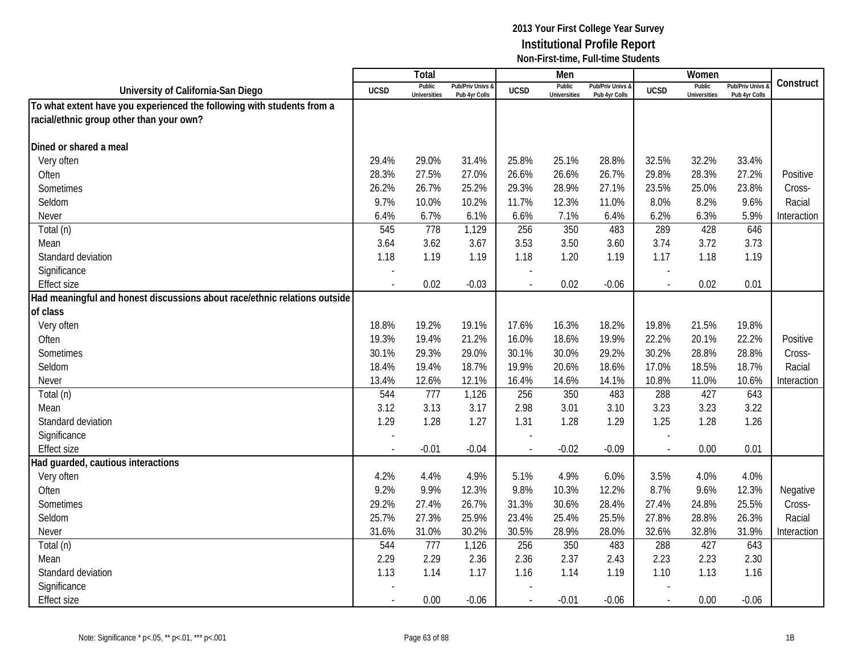|                                                                           |                          | <b>Total</b>                  |                                   |                          | Men                           |                                   |                          | Women                         |                                 |             |
|---------------------------------------------------------------------------|--------------------------|-------------------------------|-----------------------------------|--------------------------|-------------------------------|-----------------------------------|--------------------------|-------------------------------|---------------------------------|-------------|
| University of California-San Diego                                        | <b>UCSD</b>              | Public<br><b>Universities</b> | Pub/Priv Univs &<br>Pub 4yr Colls | <b>UCSD</b>              | Public<br><b>Universities</b> | Pub/Priv Univs &<br>Pub 4yr Colls | <b>UCSD</b>              | Public<br><b>Universities</b> | Pub/Priv Univs<br>Pub 4yr Colls | Construct   |
| To what extent have you experienced the following with students from a    |                          |                               |                                   |                          |                               |                                   |                          |                               |                                 |             |
| racial/ethnic group other than your own?                                  |                          |                               |                                   |                          |                               |                                   |                          |                               |                                 |             |
|                                                                           |                          |                               |                                   |                          |                               |                                   |                          |                               |                                 |             |
| Dined or shared a meal                                                    |                          |                               |                                   |                          |                               |                                   |                          |                               |                                 |             |
| Very often                                                                | 29.4%                    | 29.0%                         | 31.4%                             | 25.8%                    | 25.1%                         | 28.8%                             | 32.5%                    | 32.2%                         | 33.4%                           |             |
| Often                                                                     | 28.3%                    | 27.5%                         | 27.0%                             | 26.6%                    | 26.6%                         | 26.7%                             | 29.8%                    | 28.3%                         | 27.2%                           | Positive    |
| Sometimes                                                                 | 26.2%                    | 26.7%                         | 25.2%                             | 29.3%                    | 28.9%                         | 27.1%                             | 23.5%                    | 25.0%                         | 23.8%                           | Cross-      |
| Seldom                                                                    | 9.7%                     | 10.0%                         | 10.2%                             | 11.7%                    | 12.3%                         | 11.0%                             | 8.0%                     | 8.2%                          | 9.6%                            | Racial      |
| Never                                                                     | 6.4%                     | 6.7%                          | 6.1%                              | 6.6%                     | 7.1%                          | 6.4%                              | 6.2%                     | 6.3%                          | 5.9%                            | Interaction |
| Total (n)                                                                 | 545                      | 778                           | 1,129                             | 256                      | 350                           | 483                               | 289                      | 428                           | 646                             |             |
| Mean                                                                      | 3.64                     | 3.62                          | 3.67                              | 3.53                     | 3.50                          | 3.60                              | 3.74                     | 3.72                          | 3.73                            |             |
| Standard deviation                                                        | 1.18                     | 1.19                          | 1.19                              | 1.18                     | 1.20                          | 1.19                              | 1.17                     | 1.18                          | 1.19                            |             |
| Significance                                                              | $\overline{a}$           |                               |                                   |                          |                               |                                   |                          |                               |                                 |             |
| <b>Effect size</b>                                                        | $\blacksquare$           | 0.02                          | $-0.03$                           | $\overline{a}$           | 0.02                          | $-0.06$                           | $\blacksquare$           | 0.02                          | 0.01                            |             |
| Had meaningful and honest discussions about race/ethnic relations outside |                          |                               |                                   |                          |                               |                                   |                          |                               |                                 |             |
| of class                                                                  |                          |                               |                                   |                          |                               |                                   |                          |                               |                                 |             |
| Very often                                                                | 18.8%                    | 19.2%                         | 19.1%                             | 17.6%                    | 16.3%                         | 18.2%                             | 19.8%                    | 21.5%                         | 19.8%                           |             |
| Often                                                                     | 19.3%                    | 19.4%                         | 21.2%                             | 16.0%                    | 18.6%                         | 19.9%                             | 22.2%                    | 20.1%                         | 22.2%                           | Positive    |
| Sometimes                                                                 | 30.1%                    | 29.3%                         | 29.0%                             | 30.1%                    | 30.0%                         | 29.2%                             | 30.2%                    | 28.8%                         | 28.8%                           | Cross-      |
| Seldom                                                                    | 18.4%                    | 19.4%                         | 18.7%                             | 19.9%                    | 20.6%                         | 18.6%                             | 17.0%                    | 18.5%                         | 18.7%                           | Racial      |
| Never                                                                     | 13.4%                    | 12.6%                         | 12.1%                             | 16.4%                    | 14.6%                         | 14.1%                             | 10.8%                    | 11.0%                         | 10.6%                           | Interaction |
| Total (n)                                                                 | 544                      | 777                           | 1,126                             | 256                      | 350                           | 483                               | 288                      | 427                           | 643                             |             |
| Mean                                                                      | 3.12                     | 3.13                          | 3.17                              | 2.98                     | 3.01                          | 3.10                              | 3.23                     | 3.23                          | 3.22                            |             |
| Standard deviation                                                        | 1.29                     | 1.28                          | 1.27                              | 1.31                     | 1.28                          | 1.29                              | 1.25                     | 1.28                          | 1.26                            |             |
| Significance                                                              |                          |                               |                                   |                          |                               |                                   |                          |                               |                                 |             |
| <b>Effect size</b>                                                        |                          | $-0.01$                       | $-0.04$                           |                          | $-0.02$                       | $-0.09$                           |                          | 0.00                          | 0.01                            |             |
| Had guarded, cautious interactions                                        |                          |                               |                                   |                          |                               |                                   |                          |                               |                                 |             |
| Very often                                                                | 4.2%                     | 4.4%                          | 4.9%                              | 5.1%                     | 4.9%                          | 6.0%                              | 3.5%                     | 4.0%                          | 4.0%                            |             |
| Often                                                                     | 9.2%                     | 9.9%                          | 12.3%                             | 9.8%                     | 10.3%                         | 12.2%                             | 8.7%                     | 9.6%                          | 12.3%                           | Negative    |
| Sometimes                                                                 | 29.2%                    | 27.4%                         | 26.7%                             | 31.3%                    | 30.6%                         | 28.4%                             | 27.4%                    | 24.8%                         | 25.5%                           | Cross-      |
| Seldom                                                                    | 25.7%                    | 27.3%                         | 25.9%                             | 23.4%                    | 25.4%                         | 25.5%                             | 27.8%                    | 28.8%                         | 26.3%                           | Racial      |
| Never                                                                     | 31.6%                    | 31.0%                         | 30.2%                             | 30.5%                    | 28.9%                         | 28.0%                             | 32.6%                    | 32.8%                         | 31.9%                           | Interaction |
| Total (n)                                                                 | 544                      | 777                           | 1,126                             | 256                      | 350                           | 483                               | 288                      | 427                           | 643                             |             |
| Mean                                                                      | 2.29                     | 2.29                          | 2.36                              | 2.36                     | 2.37                          | 2.43                              | 2.23                     | 2.23                          | 2.30                            |             |
| Standard deviation                                                        | 1.13                     | 1.14                          | 1.17                              | 1.16                     | 1.14                          | 1.19                              | 1.10                     | 1.13                          | 1.16                            |             |
| Significance                                                              |                          |                               |                                   |                          |                               |                                   |                          |                               |                                 |             |
| <b>Effect size</b>                                                        | $\overline{\phantom{a}}$ | 0.00                          | $-0.06$                           | $\overline{\phantom{a}}$ | $-0.01$                       | $-0.06$                           | $\overline{\phantom{a}}$ | 0.00                          | $-0.06$                         |             |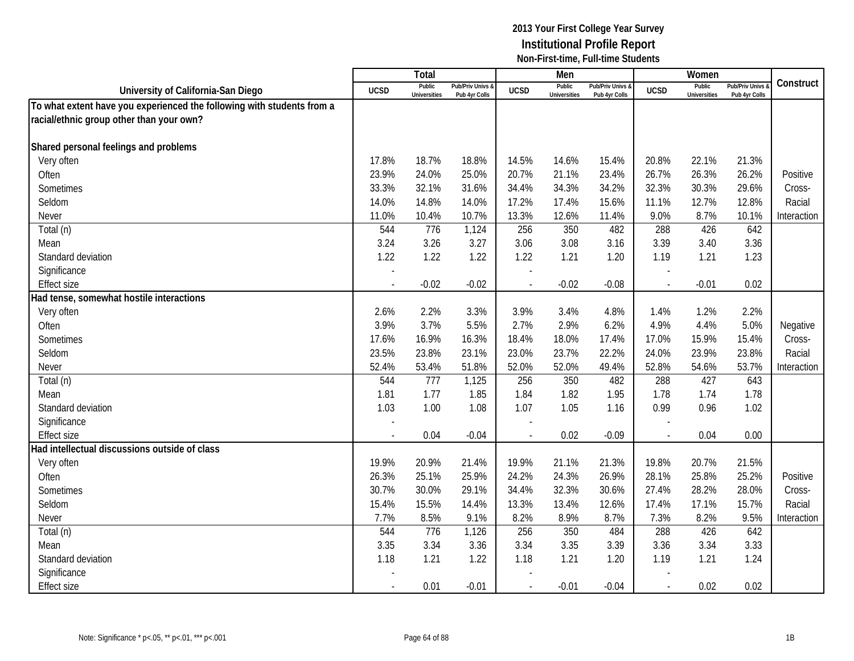|                                                                        |                | Total                         |                                   |                | Men                           |                                 |              | Women                         |                                        |             |
|------------------------------------------------------------------------|----------------|-------------------------------|-----------------------------------|----------------|-------------------------------|---------------------------------|--------------|-------------------------------|----------------------------------------|-------------|
| University of California-San Diego                                     | <b>UCSD</b>    | Public<br><b>Universities</b> | Pub/Priv Univs &<br>Pub 4yr Colls | <b>UCSD</b>    | Public<br><b>Universities</b> | Pub/Priv Univs<br>Pub 4yr Colls | <b>UCSD</b>  | Public<br><b>Universities</b> | <b>Pub/Priv Univs</b><br>Pub 4yr Colls | Construct   |
| To what extent have you experienced the following with students from a |                |                               |                                   |                |                               |                                 |              |                               |                                        |             |
| racial/ethnic group other than your own?                               |                |                               |                                   |                |                               |                                 |              |                               |                                        |             |
|                                                                        |                |                               |                                   |                |                               |                                 |              |                               |                                        |             |
| Shared personal feelings and problems                                  |                |                               |                                   |                |                               |                                 |              |                               |                                        |             |
| Very often                                                             | 17.8%          | 18.7%                         | 18.8%                             | 14.5%          | 14.6%                         | 15.4%                           | 20.8%        | 22.1%                         | 21.3%                                  |             |
| Often                                                                  | 23.9%          | 24.0%                         | 25.0%                             | 20.7%          | 21.1%                         | 23.4%                           | 26.7%        | 26.3%                         | 26.2%                                  | Positive    |
| Sometimes                                                              | 33.3%          | 32.1%                         | 31.6%                             | 34.4%          | 34.3%                         | 34.2%                           | 32.3%        | 30.3%                         | 29.6%                                  | Cross-      |
| Seldom                                                                 | 14.0%          | 14.8%                         | 14.0%                             | 17.2%          | 17.4%                         | 15.6%                           | 11.1%        | 12.7%                         | 12.8%                                  | Racial      |
| Never                                                                  | 11.0%          | 10.4%                         | 10.7%                             | 13.3%          | 12.6%                         | 11.4%                           | 9.0%         | 8.7%                          | 10.1%                                  | Interaction |
| Total (n)                                                              | 544            | 776                           | 1,124                             | 256            | 350                           | 482                             | 288          | 426                           | 642                                    |             |
| Mean                                                                   | 3.24           | 3.26                          | 3.27                              | 3.06           | 3.08                          | 3.16                            | 3.39         | 3.40                          | 3.36                                   |             |
| Standard deviation                                                     | 1.22           | 1.22                          | 1.22                              | 1.22           | 1.21                          | 1.20                            | 1.19         | 1.21                          | 1.23                                   |             |
| Significance                                                           |                |                               |                                   |                |                               |                                 |              |                               |                                        |             |
| <b>Effect size</b>                                                     |                | $-0.02$                       | $-0.02$                           | $\overline{a}$ | $-0.02$                       | $-0.08$                         | $\mathbf{r}$ | $-0.01$                       | 0.02                                   |             |
| Had tense, somewhat hostile interactions                               |                |                               |                                   |                |                               |                                 |              |                               |                                        |             |
| Very often                                                             | 2.6%           | 2.2%                          | 3.3%                              | 3.9%           | 3.4%                          | 4.8%                            | 1.4%         | 1.2%                          | 2.2%                                   |             |
| Often                                                                  | 3.9%           | 3.7%                          | 5.5%                              | 2.7%           | 2.9%                          | 6.2%                            | 4.9%         | 4.4%                          | 5.0%                                   | Negative    |
| Sometimes                                                              | 17.6%          | 16.9%                         | 16.3%                             | 18.4%          | 18.0%                         | 17.4%                           | 17.0%        | 15.9%                         | 15.4%                                  | Cross-      |
| Seldom                                                                 | 23.5%          | 23.8%                         | 23.1%                             | 23.0%          | 23.7%                         | 22.2%                           | 24.0%        | 23.9%                         | 23.8%                                  | Racial      |
| Never                                                                  | 52.4%          | 53.4%                         | 51.8%                             | 52.0%          | 52.0%                         | 49.4%                           | 52.8%        | 54.6%                         | 53.7%                                  | Interaction |
| Total (n)                                                              | 544            | 777                           | 1,125                             | 256            | 350                           | 482                             | 288          | 427                           | 643                                    |             |
| Mean                                                                   | 1.81           | 1.77                          | 1.85                              | 1.84           | 1.82                          | 1.95                            | 1.78         | 1.74                          | 1.78                                   |             |
| Standard deviation                                                     | 1.03           | 1.00                          | 1.08                              | 1.07           | 1.05                          | 1.16                            | 0.99         | 0.96                          | 1.02                                   |             |
| Significance                                                           |                |                               |                                   |                |                               |                                 |              |                               |                                        |             |
| <b>Effect size</b>                                                     |                | 0.04                          | $-0.04$                           | $\blacksquare$ | 0.02                          | $-0.09$                         | $\sim$       | 0.04                          | 0.00                                   |             |
| Had intellectual discussions outside of class                          |                |                               |                                   |                |                               |                                 |              |                               |                                        |             |
| Very often                                                             | 19.9%          | 20.9%                         | 21.4%                             | 19.9%          | 21.1%                         | 21.3%                           | 19.8%        | 20.7%                         | 21.5%                                  |             |
| Often                                                                  | 26.3%          | 25.1%                         | 25.9%                             | 24.2%          | 24.3%                         | 26.9%                           | 28.1%        | 25.8%                         | 25.2%                                  | Positive    |
| Sometimes                                                              | 30.7%          | 30.0%                         | 29.1%                             | 34.4%          | 32.3%                         | 30.6%                           | 27.4%        | 28.2%                         | 28.0%                                  | Cross-      |
| Seldom                                                                 | 15.4%          | 15.5%                         | 14.4%                             | 13.3%          | 13.4%                         | 12.6%                           | 17.4%        | 17.1%                         | 15.7%                                  | Racial      |
| Never                                                                  | 7.7%           | 8.5%                          | 9.1%                              | 8.2%           | 8.9%                          | 8.7%                            | 7.3%         | 8.2%                          | 9.5%                                   | Interaction |
| Total (n)                                                              | 544            | 776                           | 1,126                             | 256            | 350                           | 484                             | 288          | 426                           | 642                                    |             |
| Mean                                                                   | 3.35           | 3.34                          | 3.36                              | 3.34           | 3.35                          | 3.39                            | 3.36         | 3.34                          | 3.33                                   |             |
| Standard deviation                                                     | 1.18           | 1.21                          | 1.22                              | 1.18           | 1.21                          | 1.20                            | 1.19         | 1.21                          | 1.24                                   |             |
| Significance                                                           |                |                               |                                   |                |                               |                                 |              |                               |                                        |             |
| <b>Effect size</b>                                                     | $\blacksquare$ | 0.01                          | $-0.01$                           | $\blacksquare$ | $-0.01$                       | $-0.04$                         | $\sim$       | 0.02                          | 0.02                                   |             |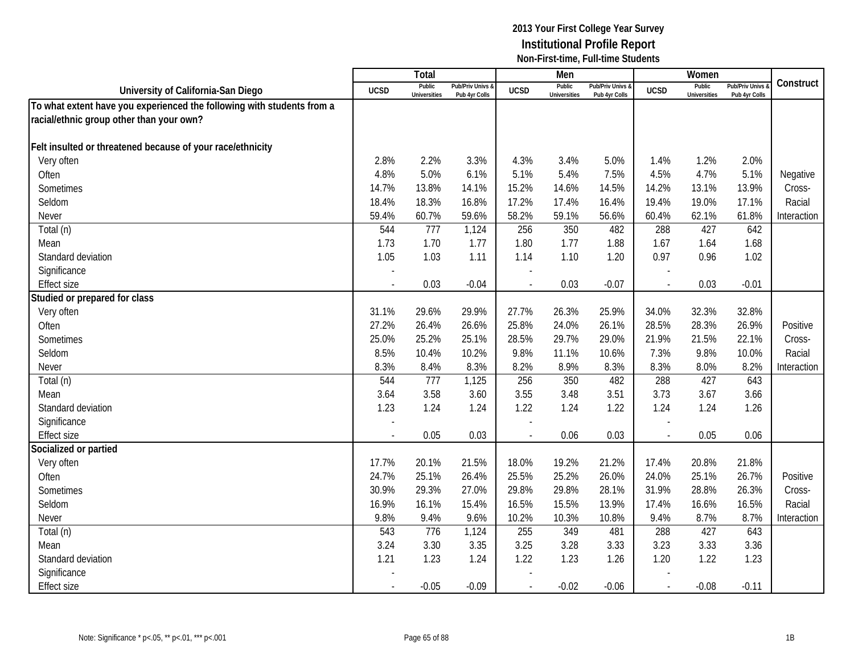|                                                                        |                | Total                         |                                   |                | Men                           |                                   |                          | Women                         |                                        |             |
|------------------------------------------------------------------------|----------------|-------------------------------|-----------------------------------|----------------|-------------------------------|-----------------------------------|--------------------------|-------------------------------|----------------------------------------|-------------|
| University of California-San Diego                                     | <b>UCSD</b>    | Public<br><b>Universities</b> | Pub/Priv Univs &<br>Pub 4yr Colls | <b>UCSD</b>    | Public<br><b>Universities</b> | Pub/Priv Univs &<br>Pub 4yr Colls | <b>UCSD</b>              | Public<br><b>Universities</b> | <b>Pub/Priv Univs</b><br>Pub 4yr Colls | Construct   |
| To what extent have you experienced the following with students from a |                |                               |                                   |                |                               |                                   |                          |                               |                                        |             |
| racial/ethnic group other than your own?                               |                |                               |                                   |                |                               |                                   |                          |                               |                                        |             |
|                                                                        |                |                               |                                   |                |                               |                                   |                          |                               |                                        |             |
| Felt insulted or threatened because of your race/ethnicity             |                |                               |                                   |                |                               |                                   |                          |                               |                                        |             |
| Very often                                                             | 2.8%           | 2.2%                          | 3.3%                              | 4.3%           | 3.4%                          | 5.0%                              | 1.4%                     | 1.2%                          | 2.0%                                   |             |
| Often                                                                  | 4.8%           | 5.0%                          | 6.1%                              | 5.1%           | 5.4%                          | 7.5%                              | 4.5%                     | 4.7%                          | 5.1%                                   | Negative    |
| Sometimes                                                              | 14.7%          | 13.8%                         | 14.1%                             | 15.2%          | 14.6%                         | 14.5%                             | 14.2%                    | 13.1%                         | 13.9%                                  | Cross-      |
| Seldom                                                                 | 18.4%          | 18.3%                         | 16.8%                             | 17.2%          | 17.4%                         | 16.4%                             | 19.4%                    | 19.0%                         | 17.1%                                  | Racial      |
| Never                                                                  | 59.4%          | 60.7%                         | 59.6%                             | 58.2%          | 59.1%                         | 56.6%                             | 60.4%                    | 62.1%                         | 61.8%                                  | Interaction |
| Total (n)                                                              | 544            | 777                           | 1,124                             | 256            | 350                           | 482                               | 288                      | 427                           | 642                                    |             |
| Mean                                                                   | 1.73           | 1.70                          | 1.77                              | 1.80           | 1.77                          | 1.88                              | 1.67                     | 1.64                          | 1.68                                   |             |
| Standard deviation                                                     | 1.05           | 1.03                          | 1.11                              | 1.14           | 1.10                          | 1.20                              | 0.97                     | 0.96                          | 1.02                                   |             |
| Significance                                                           |                |                               |                                   |                |                               |                                   |                          |                               |                                        |             |
| <b>Effect size</b>                                                     |                | 0.03                          | $-0.04$                           |                | 0.03                          | $-0.07$                           | $\overline{a}$           | 0.03                          | $-0.01$                                |             |
| Studied or prepared for class                                          |                |                               |                                   |                |                               |                                   |                          |                               |                                        |             |
| Very often                                                             | 31.1%          | 29.6%                         | 29.9%                             | 27.7%          | 26.3%                         | 25.9%                             | 34.0%                    | 32.3%                         | 32.8%                                  |             |
| Often                                                                  | 27.2%          | 26.4%                         | 26.6%                             | 25.8%          | 24.0%                         | 26.1%                             | 28.5%                    | 28.3%                         | 26.9%                                  | Positive    |
| Sometimes                                                              | 25.0%          | 25.2%                         | 25.1%                             | 28.5%          | 29.7%                         | 29.0%                             | 21.9%                    | 21.5%                         | 22.1%                                  | Cross-      |
| Seldom                                                                 | 8.5%           | 10.4%                         | 10.2%                             | 9.8%           | 11.1%                         | 10.6%                             | 7.3%                     | 9.8%                          | 10.0%                                  | Racial      |
| Never                                                                  | 8.3%           | 8.4%                          | 8.3%                              | 8.2%           | 8.9%                          | 8.3%                              | 8.3%                     | 8.0%                          | 8.2%                                   | Interaction |
| Total (n)                                                              | 544            | 777                           | 1,125                             | 256            | 350                           | 482                               | 288                      | 427                           | 643                                    |             |
| Mean                                                                   | 3.64           | 3.58                          | 3.60                              | 3.55           | 3.48                          | 3.51                              | 3.73                     | 3.67                          | 3.66                                   |             |
| Standard deviation                                                     | 1.23           | 1.24                          | 1.24                              | 1.22           | 1.24                          | 1.22                              | 1.24                     | 1.24                          | 1.26                                   |             |
| Significance                                                           |                |                               |                                   |                |                               |                                   |                          |                               |                                        |             |
| <b>Effect size</b>                                                     |                | 0.05                          | 0.03                              | ÷,             | 0.06                          | 0.03                              | $\overline{\phantom{a}}$ | 0.05                          | 0.06                                   |             |
| Socialized or partied                                                  |                |                               |                                   |                |                               |                                   |                          |                               |                                        |             |
| Very often                                                             | 17.7%          | 20.1%                         | 21.5%                             | 18.0%          | 19.2%                         | 21.2%                             | 17.4%                    | 20.8%                         | 21.8%                                  |             |
| Often                                                                  | 24.7%          | 25.1%                         | 26.4%                             | 25.5%          | 25.2%                         | 26.0%                             | 24.0%                    | 25.1%                         | 26.7%                                  | Positive    |
| Sometimes                                                              | 30.9%          | 29.3%                         | 27.0%                             | 29.8%          | 29.8%                         | 28.1%                             | 31.9%                    | 28.8%                         | 26.3%                                  | Cross-      |
| Seldom                                                                 | 16.9%          | 16.1%                         | 15.4%                             | 16.5%          | 15.5%                         | 13.9%                             | 17.4%                    | 16.6%                         | 16.5%                                  | Racial      |
| Never                                                                  | 9.8%           | 9.4%                          | 9.6%                              | 10.2%          | 10.3%                         | 10.8%                             | 9.4%                     | 8.7%                          | 8.7%                                   | Interaction |
| Total (n)                                                              | 543            | 776                           | 1,124                             | 255            | 349                           | 481                               | 288                      | 427                           | 643                                    |             |
| Mean                                                                   | 3.24           | 3.30                          | 3.35                              | 3.25           | 3.28                          | 3.33                              | 3.23                     | 3.33                          | 3.36                                   |             |
| Standard deviation                                                     | 1.21           | 1.23                          | 1.24                              | 1.22           | 1.23                          | 1.26                              | 1.20                     | 1.22                          | 1.23                                   |             |
| Significance                                                           |                |                               |                                   |                |                               |                                   |                          |                               |                                        |             |
| <b>Effect size</b>                                                     | $\blacksquare$ | $-0.05$                       | $-0.09$                           | $\blacksquare$ | $-0.02$                       | $-0.06$                           | $\sim$                   | $-0.08$                       | $-0.11$                                |             |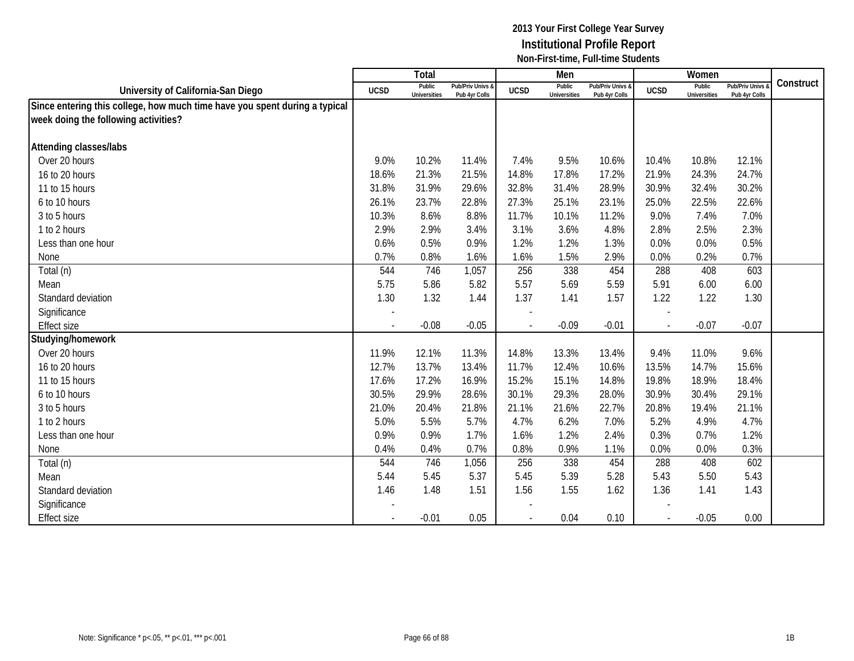|                                                                            |                          | Total                         |                                   |                          | Men                           |                                   |                          | Women                         |                                 |           |
|----------------------------------------------------------------------------|--------------------------|-------------------------------|-----------------------------------|--------------------------|-------------------------------|-----------------------------------|--------------------------|-------------------------------|---------------------------------|-----------|
| University of California-San Diego                                         | <b>UCSD</b>              | Public<br><b>Universities</b> | Pub/Priv Univs &<br>Pub 4yr Colls | <b>UCSD</b>              | Public<br><b>Universities</b> | Pub/Priv Univs &<br>Pub 4yr Colls | <b>UCSD</b>              | Public<br><b>Universities</b> | Pub/Priv Univs<br>Pub 4yr Colls | Construct |
| Since entering this college, how much time have you spent during a typical |                          |                               |                                   |                          |                               |                                   |                          |                               |                                 |           |
| week doing the following activities?                                       |                          |                               |                                   |                          |                               |                                   |                          |                               |                                 |           |
|                                                                            |                          |                               |                                   |                          |                               |                                   |                          |                               |                                 |           |
| Attending classes/labs                                                     |                          |                               |                                   |                          |                               |                                   |                          |                               |                                 |           |
| Over 20 hours                                                              | 9.0%                     | 10.2%                         | 11.4%                             | 7.4%                     | 9.5%                          | 10.6%                             | 10.4%                    | 10.8%                         | 12.1%                           |           |
| 16 to 20 hours                                                             | 18.6%                    | 21.3%                         | 21.5%                             | 14.8%                    | 17.8%                         | 17.2%                             | 21.9%                    | 24.3%                         | 24.7%                           |           |
| 11 to 15 hours                                                             | 31.8%                    | 31.9%                         | 29.6%                             | 32.8%                    | 31.4%                         | 28.9%                             | 30.9%                    | 32.4%                         | 30.2%                           |           |
| 6 to 10 hours                                                              | 26.1%                    | 23.7%                         | 22.8%                             | 27.3%                    | 25.1%                         | 23.1%                             | 25.0%                    | 22.5%                         | 22.6%                           |           |
| 3 to 5 hours                                                               | 10.3%                    | 8.6%                          | 8.8%                              | 11.7%                    | 10.1%                         | 11.2%                             | 9.0%                     | 7.4%                          | 7.0%                            |           |
| 1 to 2 hours                                                               | 2.9%                     | 2.9%                          | 3.4%                              | 3.1%                     | 3.6%                          | 4.8%                              | 2.8%                     | 2.5%                          | 2.3%                            |           |
| Less than one hour                                                         | 0.6%                     | 0.5%                          | 0.9%                              | 1.2%                     | 1.2%                          | 1.3%                              | 0.0%                     | 0.0%                          | 0.5%                            |           |
| None                                                                       | 0.7%                     | 0.8%                          | 1.6%                              | 1.6%                     | 1.5%                          | 2.9%                              | 0.0%                     | 0.2%                          | 0.7%                            |           |
| Total (n)                                                                  | 544                      | 746                           | 1,057                             | 256                      | 338                           | 454                               | 288                      | 408                           | 603                             |           |
| Mean                                                                       | 5.75                     | 5.86                          | 5.82                              | 5.57                     | 5.69                          | 5.59                              | 5.91                     | 6.00                          | 6.00                            |           |
| Standard deviation                                                         | 1.30                     | 1.32                          | 1.44                              | 1.37                     | 1.41                          | 1.57                              | 1.22                     | 1.22                          | 1.30                            |           |
| Significance                                                               |                          |                               |                                   |                          |                               |                                   |                          |                               |                                 |           |
| <b>Effect size</b>                                                         |                          | $-0.08$                       | $-0.05$                           | $\overline{a}$           | $-0.09$                       | $-0.01$                           | $\overline{\phantom{a}}$ | $-0.07$                       | $-0.07$                         |           |
| Studying/homework                                                          |                          |                               |                                   |                          |                               |                                   |                          |                               |                                 |           |
| Over 20 hours                                                              | 11.9%                    | 12.1%                         | 11.3%                             | 14.8%                    | 13.3%                         | 13.4%                             | 9.4%                     | 11.0%                         | 9.6%                            |           |
| 16 to 20 hours                                                             | 12.7%                    | 13.7%                         | 13.4%                             | 11.7%                    | 12.4%                         | 10.6%                             | 13.5%                    | 14.7%                         | 15.6%                           |           |
| 11 to 15 hours                                                             | 17.6%                    | 17.2%                         | 16.9%                             | 15.2%                    | 15.1%                         | 14.8%                             | 19.8%                    | 18.9%                         | 18.4%                           |           |
| 6 to 10 hours                                                              | 30.5%                    | 29.9%                         | 28.6%                             | 30.1%                    | 29.3%                         | 28.0%                             | 30.9%                    | 30.4%                         | 29.1%                           |           |
| 3 to 5 hours                                                               | 21.0%                    | 20.4%                         | 21.8%                             | 21.1%                    | 21.6%                         | 22.7%                             | 20.8%                    | 19.4%                         | 21.1%                           |           |
| 1 to 2 hours                                                               | 5.0%                     | 5.5%                          | 5.7%                              | 4.7%                     | 6.2%                          | 7.0%                              | 5.2%                     | 4.9%                          | 4.7%                            |           |
| Less than one hour                                                         | 0.9%                     | 0.9%                          | 1.7%                              | 1.6%                     | 1.2%                          | 2.4%                              | 0.3%                     | 0.7%                          | 1.2%                            |           |
| None                                                                       | 0.4%                     | 0.4%                          | 0.7%                              | 0.8%                     | 0.9%                          | 1.1%                              | 0.0%                     | 0.0%                          | 0.3%                            |           |
| Total (n)                                                                  | 544                      | 746                           | 1,056                             | 256                      | 338                           | 454                               | 288                      | 408                           | 602                             |           |
| Mean                                                                       | 5.44                     | 5.45                          | 5.37                              | 5.45                     | 5.39                          | 5.28                              | 5.43                     | 5.50                          | 5.43                            |           |
| Standard deviation                                                         | 1.46                     | 1.48                          | 1.51                              | 1.56                     | 1.55                          | 1.62                              | 1.36                     | 1.41                          | 1.43                            |           |
| Significance                                                               |                          |                               |                                   |                          |                               |                                   |                          |                               |                                 |           |
| <b>Effect size</b>                                                         | $\overline{\phantom{a}}$ | $-0.01$                       | 0.05                              | $\overline{\phantom{a}}$ | 0.04                          | 0.10                              | $\sim$                   | $-0.05$                       | 0.00                            |           |
|                                                                            |                          |                               |                                   |                          |                               |                                   |                          |                               |                                 |           |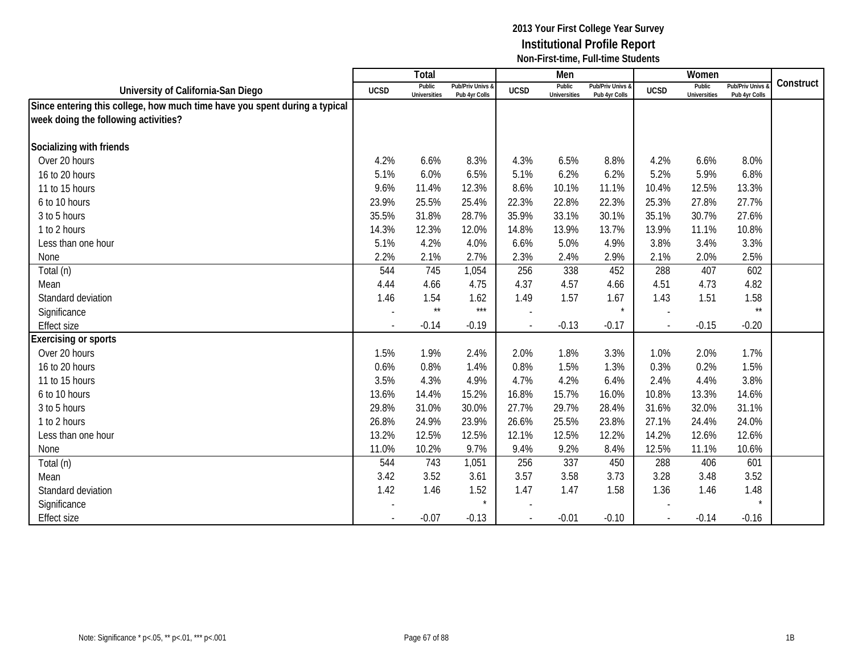|                                                                            |                          | Total                         |                                   |                          | Men                           |                                   |             | Women                         |                                        |           |
|----------------------------------------------------------------------------|--------------------------|-------------------------------|-----------------------------------|--------------------------|-------------------------------|-----------------------------------|-------------|-------------------------------|----------------------------------------|-----------|
| University of California-San Diego                                         | <b>UCSD</b>              | Public<br><b>Universities</b> | Pub/Priv Univs &<br>Pub 4yr Colls | <b>UCSD</b>              | Public<br><b>Universities</b> | Pub/Priv Univs &<br>Pub 4yr Colls | <b>UCSD</b> | Public<br><b>Universities</b> | <b>Pub/Priv Univs</b><br>Pub 4yr Colls | Construct |
| Since entering this college, how much time have you spent during a typical |                          |                               |                                   |                          |                               |                                   |             |                               |                                        |           |
| week doing the following activities?                                       |                          |                               |                                   |                          |                               |                                   |             |                               |                                        |           |
|                                                                            |                          |                               |                                   |                          |                               |                                   |             |                               |                                        |           |
| Socializing with friends                                                   |                          |                               |                                   |                          |                               |                                   |             |                               |                                        |           |
| Over 20 hours                                                              | 4.2%                     | 6.6%                          | 8.3%                              | 4.3%                     | 6.5%                          | 8.8%                              | 4.2%        | 6.6%                          | 8.0%                                   |           |
| 16 to 20 hours                                                             | 5.1%                     | 6.0%                          | 6.5%                              | 5.1%                     | 6.2%                          | 6.2%                              | 5.2%        | 5.9%                          | 6.8%                                   |           |
| 11 to 15 hours                                                             | 9.6%                     | 11.4%                         | 12.3%                             | 8.6%                     | 10.1%                         | 11.1%                             | 10.4%       | 12.5%                         | 13.3%                                  |           |
| 6 to 10 hours                                                              | 23.9%                    | 25.5%                         | 25.4%                             | 22.3%                    | 22.8%                         | 22.3%                             | 25.3%       | 27.8%                         | 27.7%                                  |           |
| 3 to 5 hours                                                               | 35.5%                    | 31.8%                         | 28.7%                             | 35.9%                    | 33.1%                         | 30.1%                             | 35.1%       | 30.7%                         | 27.6%                                  |           |
| 1 to 2 hours                                                               | 14.3%                    | 12.3%                         | 12.0%                             | 14.8%                    | 13.9%                         | 13.7%                             | 13.9%       | 11.1%                         | 10.8%                                  |           |
| Less than one hour                                                         | 5.1%                     | 4.2%                          | 4.0%                              | 6.6%                     | 5.0%                          | 4.9%                              | 3.8%        | 3.4%                          | 3.3%                                   |           |
| None                                                                       | 2.2%                     | 2.1%                          | 2.7%                              | 2.3%                     | 2.4%                          | 2.9%                              | 2.1%        | 2.0%                          | 2.5%                                   |           |
| Total (n)                                                                  | 544                      | 745                           | 1,054                             | 256                      | 338                           | 452                               | 288         | 407                           | 602                                    |           |
| Mean                                                                       | 4.44                     | 4.66                          | 4.75                              | 4.37                     | 4.57                          | 4.66                              | 4.51        | 4.73                          | 4.82                                   |           |
| Standard deviation                                                         | 1.46                     | 1.54                          | 1.62                              | 1.49                     | 1.57                          | 1.67                              | 1.43        | 1.51                          | 1.58                                   |           |
| Significance                                                               | $\overline{\phantom{a}}$ | $\star\star$                  | $***$                             |                          |                               |                                   |             |                               | $\star\star$                           |           |
| <b>Effect size</b>                                                         |                          | $-0.14$                       | $-0.19$                           |                          | $-0.13$                       | $-0.17$                           | $\sim$      | $-0.15$                       | $-0.20$                                |           |
| <b>Exercising or sports</b>                                                |                          |                               |                                   |                          |                               |                                   |             |                               |                                        |           |
| Over 20 hours                                                              | 1.5%                     | 1.9%                          | 2.4%                              | 2.0%                     | 1.8%                          | 3.3%                              | 1.0%        | 2.0%                          | 1.7%                                   |           |
| 16 to 20 hours                                                             | 0.6%                     | 0.8%                          | 1.4%                              | 0.8%                     | 1.5%                          | 1.3%                              | 0.3%        | 0.2%                          | 1.5%                                   |           |
| 11 to 15 hours                                                             | 3.5%                     | 4.3%                          | 4.9%                              | 4.7%                     | 4.2%                          | 6.4%                              | 2.4%        | 4.4%                          | 3.8%                                   |           |
| 6 to 10 hours                                                              | 13.6%                    | 14.4%                         | 15.2%                             | 16.8%                    | 15.7%                         | 16.0%                             | 10.8%       | 13.3%                         | 14.6%                                  |           |
| 3 to 5 hours                                                               | 29.8%                    | 31.0%                         | 30.0%                             | 27.7%                    | 29.7%                         | 28.4%                             | 31.6%       | 32.0%                         | 31.1%                                  |           |
| 1 to 2 hours                                                               | 26.8%                    | 24.9%                         | 23.9%                             | 26.6%                    | 25.5%                         | 23.8%                             | 27.1%       | 24.4%                         | 24.0%                                  |           |
| Less than one hour                                                         | 13.2%                    | 12.5%                         | 12.5%                             | 12.1%                    | 12.5%                         | 12.2%                             | 14.2%       | 12.6%                         | 12.6%                                  |           |
| None                                                                       | 11.0%                    | 10.2%                         | 9.7%                              | 9.4%                     | 9.2%                          | 8.4%                              | 12.5%       | 11.1%                         | 10.6%                                  |           |
| Total (n)                                                                  | 544                      | 743                           | 1,051                             | 256                      | 337                           | 450                               | 288         | 406                           | 601                                    |           |
| Mean                                                                       | 3.42                     | 3.52                          | 3.61                              | 3.57                     | 3.58                          | 3.73                              | 3.28        | 3.48                          | 3.52                                   |           |
| Standard deviation                                                         | 1.42                     | 1.46                          | 1.52                              | 1.47                     | 1.47                          | 1.58                              | 1.36        | 1.46                          | 1.48                                   |           |
| Significance                                                               |                          |                               |                                   |                          |                               |                                   |             |                               |                                        |           |
| <b>Effect size</b>                                                         | $\overline{\phantom{a}}$ | $-0.07$                       | $-0.13$                           | $\overline{\phantom{a}}$ | $-0.01$                       | $-0.10$                           | $\sim$      | $-0.14$                       | $-0.16$                                |           |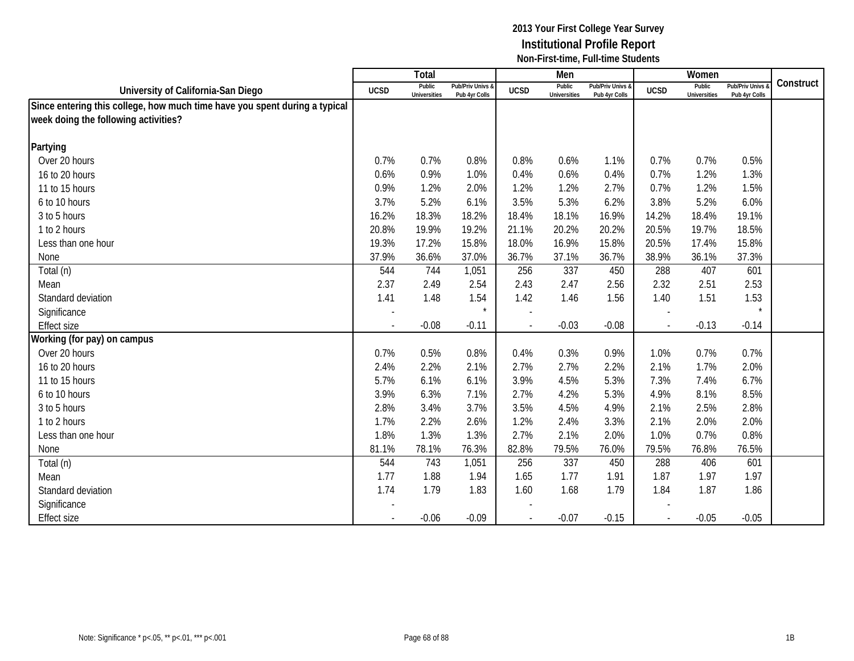|                                                                            |                | Total                         |                                   |                | Men                           |                                   |             | Women                         |                                 |           |
|----------------------------------------------------------------------------|----------------|-------------------------------|-----------------------------------|----------------|-------------------------------|-----------------------------------|-------------|-------------------------------|---------------------------------|-----------|
| University of California-San Diego                                         | <b>UCSD</b>    | Public<br><b>Universities</b> | Pub/Priv Univs &<br>Pub 4yr Colls | <b>UCSD</b>    | Public<br><b>Universities</b> | Pub/Priv Univs &<br>Pub 4yr Colls | <b>UCSD</b> | Public<br><b>Universities</b> | Pub/Priv Univs<br>Pub 4yr Colls | Construct |
| Since entering this college, how much time have you spent during a typical |                |                               |                                   |                |                               |                                   |             |                               |                                 |           |
| week doing the following activities?                                       |                |                               |                                   |                |                               |                                   |             |                               |                                 |           |
|                                                                            |                |                               |                                   |                |                               |                                   |             |                               |                                 |           |
| Partying                                                                   |                |                               |                                   |                |                               |                                   |             |                               |                                 |           |
| Over 20 hours                                                              | 0.7%           | 0.7%                          | 0.8%                              | 0.8%           | 0.6%                          | 1.1%                              | 0.7%        | 0.7%                          | 0.5%                            |           |
| 16 to 20 hours                                                             | 0.6%           | 0.9%                          | 1.0%                              | 0.4%           | 0.6%                          | 0.4%                              | 0.7%        | 1.2%                          | 1.3%                            |           |
| 11 to 15 hours                                                             | 0.9%           | 1.2%                          | 2.0%                              | 1.2%           | 1.2%                          | 2.7%                              | 0.7%        | 1.2%                          | 1.5%                            |           |
| 6 to 10 hours                                                              | 3.7%           | 5.2%                          | 6.1%                              | 3.5%           | 5.3%                          | 6.2%                              | 3.8%        | 5.2%                          | 6.0%                            |           |
| 3 to 5 hours                                                               | 16.2%          | 18.3%                         | 18.2%                             | 18.4%          | 18.1%                         | 16.9%                             | 14.2%       | 18.4%                         | 19.1%                           |           |
| 1 to 2 hours                                                               | 20.8%          | 19.9%                         | 19.2%                             | 21.1%          | 20.2%                         | 20.2%                             | 20.5%       | 19.7%                         | 18.5%                           |           |
| Less than one hour                                                         | 19.3%          | 17.2%                         | 15.8%                             | 18.0%          | 16.9%                         | 15.8%                             | 20.5%       | 17.4%                         | 15.8%                           |           |
| None                                                                       | 37.9%          | 36.6%                         | 37.0%                             | 36.7%          | 37.1%                         | 36.7%                             | 38.9%       | 36.1%                         | 37.3%                           |           |
| Total (n)                                                                  | 544            | 744                           | 1,051                             | 256            | 337                           | 450                               | 288         | 407                           | 601                             |           |
| Mean                                                                       | 2.37           | 2.49                          | 2.54                              | 2.43           | 2.47                          | 2.56                              | 2.32        | 2.51                          | 2.53                            |           |
| Standard deviation                                                         | 1.41           | 1.48                          | 1.54                              | 1.42           | 1.46                          | 1.56                              | 1.40        | 1.51                          | 1.53                            |           |
| Significance                                                               |                |                               | $\star$                           |                |                               |                                   |             |                               |                                 |           |
| <b>Effect size</b>                                                         | $\overline{a}$ | $-0.08$                       | $-0.11$                           | $\overline{a}$ | $-0.03$                       | $-0.08$                           | $\sim$      | $-0.13$                       | $-0.14$                         |           |
| Working (for pay) on campus                                                |                |                               |                                   |                |                               |                                   |             |                               |                                 |           |
| Over 20 hours                                                              | 0.7%           | 0.5%                          | 0.8%                              | 0.4%           | 0.3%                          | 0.9%                              | 1.0%        | 0.7%                          | 0.7%                            |           |
| 16 to 20 hours                                                             | 2.4%           | 2.2%                          | 2.1%                              | 2.7%           | 2.7%                          | 2.2%                              | 2.1%        | 1.7%                          | 2.0%                            |           |
| 11 to 15 hours                                                             | 5.7%           | 6.1%                          | 6.1%                              | 3.9%           | 4.5%                          | 5.3%                              | 7.3%        | 7.4%                          | 6.7%                            |           |
| 6 to 10 hours                                                              | 3.9%           | 6.3%                          | 7.1%                              | 2.7%           | 4.2%                          | 5.3%                              | 4.9%        | 8.1%                          | 8.5%                            |           |
| 3 to 5 hours                                                               | 2.8%           | 3.4%                          | 3.7%                              | 3.5%           | 4.5%                          | 4.9%                              | 2.1%        | 2.5%                          | 2.8%                            |           |
| 1 to 2 hours                                                               | 1.7%           | 2.2%                          | 2.6%                              | 1.2%           | 2.4%                          | 3.3%                              | 2.1%        | 2.0%                          | 2.0%                            |           |
| Less than one hour                                                         | 1.8%           | 1.3%                          | 1.3%                              | 2.7%           | 2.1%                          | 2.0%                              | 1.0%        | 0.7%                          | 0.8%                            |           |
| None                                                                       | 81.1%          | 78.1%                         | 76.3%                             | 82.8%          | 79.5%                         | 76.0%                             | 79.5%       | 76.8%                         | 76.5%                           |           |
| Total (n)                                                                  | 544            | 743                           | 1,051                             | 256            | 337                           | 450                               | 288         | 406                           | 601                             |           |
| Mean                                                                       | 1.77           | 1.88                          | 1.94                              | 1.65           | 1.77                          | 1.91                              | 1.87        | 1.97                          | 1.97                            |           |
| Standard deviation                                                         | 1.74           | 1.79                          | 1.83                              | 1.60           | 1.68                          | 1.79                              | 1.84        | 1.87                          | 1.86                            |           |
| Significance                                                               |                |                               |                                   |                |                               |                                   |             |                               |                                 |           |
| <b>Effect size</b>                                                         | $\blacksquare$ | $-0.06$                       | $-0.09$                           | $\blacksquare$ | $-0.07$                       | $-0.15$                           | $\sim$      | $-0.05$                       | $-0.05$                         |           |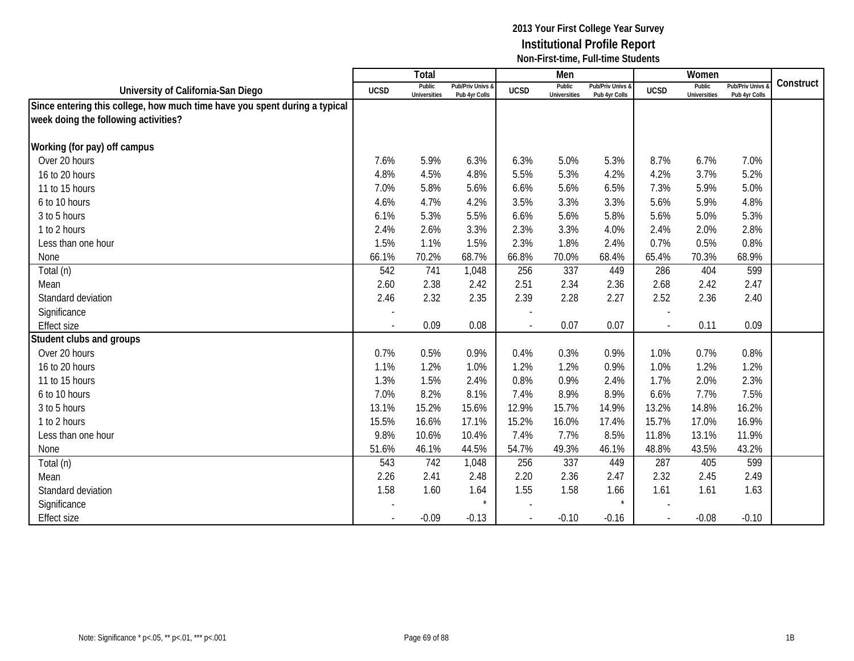|                                                                            |                          | Total                         |                                   |                          | Men                           |                                   |             | Women                         |                                 |           |
|----------------------------------------------------------------------------|--------------------------|-------------------------------|-----------------------------------|--------------------------|-------------------------------|-----------------------------------|-------------|-------------------------------|---------------------------------|-----------|
| University of California-San Diego                                         | <b>UCSD</b>              | Public<br><b>Universities</b> | Pub/Priv Univs &<br>Pub 4yr Colls | <b>UCSD</b>              | Public<br><b>Universities</b> | Pub/Priv Univs &<br>Pub 4yr Colls | <b>UCSD</b> | Public<br><b>Universities</b> | Pub/Priv Univs<br>Pub 4yr Colls | Construct |
| Since entering this college, how much time have you spent during a typical |                          |                               |                                   |                          |                               |                                   |             |                               |                                 |           |
| week doing the following activities?                                       |                          |                               |                                   |                          |                               |                                   |             |                               |                                 |           |
|                                                                            |                          |                               |                                   |                          |                               |                                   |             |                               |                                 |           |
| Working (for pay) off campus                                               |                          |                               |                                   |                          |                               |                                   |             |                               |                                 |           |
| Over 20 hours                                                              | 7.6%                     | 5.9%                          | 6.3%                              | 6.3%                     | 5.0%                          | 5.3%                              | 8.7%        | 6.7%                          | 7.0%                            |           |
| 16 to 20 hours                                                             | 4.8%                     | 4.5%                          | 4.8%                              | 5.5%                     | 5.3%                          | 4.2%                              | 4.2%        | 3.7%                          | 5.2%                            |           |
| 11 to 15 hours                                                             | 7.0%                     | 5.8%                          | 5.6%                              | 6.6%                     | 5.6%                          | 6.5%                              | 7.3%        | 5.9%                          | 5.0%                            |           |
| 6 to 10 hours                                                              | 4.6%                     | 4.7%                          | 4.2%                              | 3.5%                     | 3.3%                          | 3.3%                              | 5.6%        | 5.9%                          | 4.8%                            |           |
| 3 to 5 hours                                                               | 6.1%                     | 5.3%                          | 5.5%                              | 6.6%                     | 5.6%                          | 5.8%                              | 5.6%        | 5.0%                          | 5.3%                            |           |
| 1 to 2 hours                                                               | 2.4%                     | 2.6%                          | 3.3%                              | 2.3%                     | 3.3%                          | 4.0%                              | 2.4%        | 2.0%                          | 2.8%                            |           |
| Less than one hour                                                         | 1.5%                     | 1.1%                          | 1.5%                              | 2.3%                     | 1.8%                          | 2.4%                              | 0.7%        | 0.5%                          | 0.8%                            |           |
| None                                                                       | 66.1%                    | 70.2%                         | 68.7%                             | 66.8%                    | 70.0%                         | 68.4%                             | 65.4%       | 70.3%                         | 68.9%                           |           |
| Total (n)                                                                  | 542                      | 741                           | 1,048                             | 256                      | 337                           | 449                               | 286         | 404                           | 599                             |           |
| Mean                                                                       | 2.60                     | 2.38                          | 2.42                              | 2.51                     | 2.34                          | 2.36                              | 2.68        | 2.42                          | 2.47                            |           |
| Standard deviation                                                         | 2.46                     | 2.32                          | 2.35                              | 2.39                     | 2.28                          | 2.27                              | 2.52        | 2.36                          | 2.40                            |           |
| Significance                                                               |                          |                               |                                   |                          |                               |                                   |             |                               |                                 |           |
| <b>Effect size</b>                                                         | $\overline{a}$           | 0.09                          | 0.08                              | $\overline{\phantom{a}}$ | 0.07                          | 0.07                              | $\sim$      | 0.11                          | 0.09                            |           |
| Student clubs and groups                                                   |                          |                               |                                   |                          |                               |                                   |             |                               |                                 |           |
| Over 20 hours                                                              | 0.7%                     | 0.5%                          | 0.9%                              | 0.4%                     | 0.3%                          | 0.9%                              | 1.0%        | 0.7%                          | 0.8%                            |           |
| 16 to 20 hours                                                             | 1.1%                     | 1.2%                          | 1.0%                              | 1.2%                     | 1.2%                          | 0.9%                              | 1.0%        | 1.2%                          | 1.2%                            |           |
| 11 to 15 hours                                                             | 1.3%                     | 1.5%                          | 2.4%                              | 0.8%                     | 0.9%                          | 2.4%                              | 1.7%        | 2.0%                          | 2.3%                            |           |
| 6 to 10 hours                                                              | 7.0%                     | 8.2%                          | 8.1%                              | 7.4%                     | 8.9%                          | 8.9%                              | 6.6%        | 7.7%                          | 7.5%                            |           |
| 3 to 5 hours                                                               | 13.1%                    | 15.2%                         | 15.6%                             | 12.9%                    | 15.7%                         | 14.9%                             | 13.2%       | 14.8%                         | 16.2%                           |           |
| 1 to 2 hours                                                               | 15.5%                    | 16.6%                         | 17.1%                             | 15.2%                    | 16.0%                         | 17.4%                             | 15.7%       | 17.0%                         | 16.9%                           |           |
| Less than one hour                                                         | 9.8%                     | 10.6%                         | 10.4%                             | 7.4%                     | 7.7%                          | 8.5%                              | 11.8%       | 13.1%                         | 11.9%                           |           |
| None                                                                       | 51.6%                    | 46.1%                         | 44.5%                             | 54.7%                    | 49.3%                         | 46.1%                             | 48.8%       | 43.5%                         | 43.2%                           |           |
| Total (n)                                                                  | 543                      | 742                           | 1,048                             | 256                      | 337                           | 449                               | 287         | 405                           | 599                             |           |
| Mean                                                                       | 2.26                     | 2.41                          | 2.48                              | 2.20                     | 2.36                          | 2.47                              | 2.32        | 2.45                          | 2.49                            |           |
| Standard deviation                                                         | 1.58                     | 1.60                          | 1.64                              | 1.55                     | 1.58                          | 1.66                              | 1.61        | 1.61                          | 1.63                            |           |
| Significance                                                               |                          |                               |                                   |                          |                               | $\star$                           |             |                               |                                 |           |
| <b>Effect size</b>                                                         | $\overline{\phantom{a}}$ | $-0.09$                       | $-0.13$                           | $\blacksquare$           | $-0.10$                       | $-0.16$                           | $\sim$      | $-0.08$                       | $-0.10$                         |           |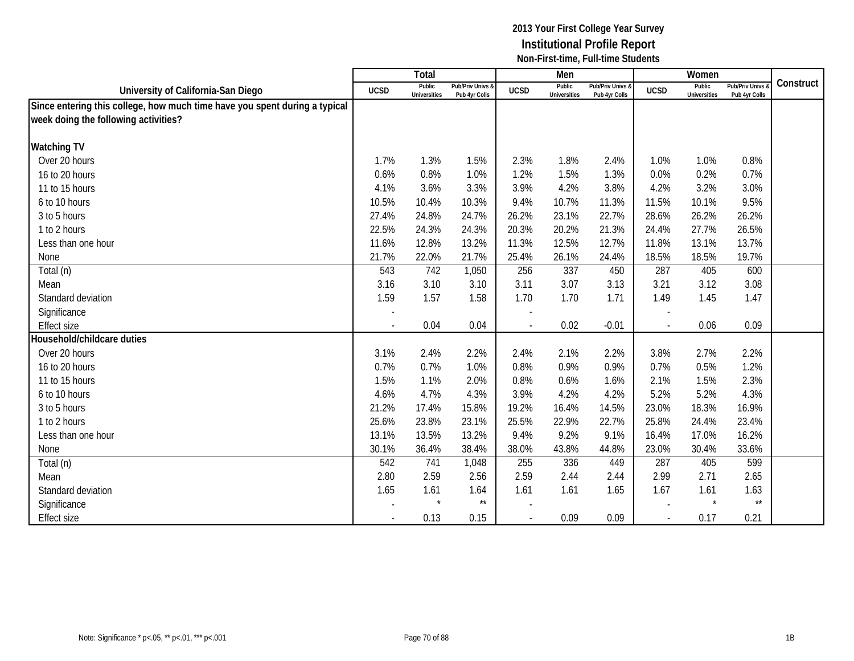|                                                                            |                          | <b>Total</b>                  |                                   |                          | Men                           |                                   |             | Women                         |                                        |           |
|----------------------------------------------------------------------------|--------------------------|-------------------------------|-----------------------------------|--------------------------|-------------------------------|-----------------------------------|-------------|-------------------------------|----------------------------------------|-----------|
| University of California-San Diego                                         | <b>UCSD</b>              | Public<br><b>Universities</b> | Pub/Priv Univs &<br>Pub 4yr Colls | <b>UCSD</b>              | Public<br><b>Universities</b> | Pub/Priv Univs &<br>Pub 4yr Colls | <b>UCSD</b> | Public<br><b>Universities</b> | <b>Pub/Priv Univs</b><br>Pub 4yr Colls | Construct |
| Since entering this college, how much time have you spent during a typical |                          |                               |                                   |                          |                               |                                   |             |                               |                                        |           |
| week doing the following activities?                                       |                          |                               |                                   |                          |                               |                                   |             |                               |                                        |           |
|                                                                            |                          |                               |                                   |                          |                               |                                   |             |                               |                                        |           |
| <b>Watching TV</b>                                                         |                          |                               |                                   |                          |                               |                                   |             |                               |                                        |           |
| Over 20 hours                                                              | 1.7%                     | 1.3%                          | 1.5%                              | 2.3%                     | 1.8%                          | 2.4%                              | 1.0%        | 1.0%                          | 0.8%                                   |           |
| 16 to 20 hours                                                             | 0.6%                     | 0.8%                          | 1.0%                              | 1.2%                     | 1.5%                          | 1.3%                              | 0.0%        | 0.2%                          | 0.7%                                   |           |
| 11 to 15 hours                                                             | 4.1%                     | 3.6%                          | 3.3%                              | 3.9%                     | 4.2%                          | 3.8%                              | 4.2%        | 3.2%                          | 3.0%                                   |           |
| 6 to 10 hours                                                              | 10.5%                    | 10.4%                         | 10.3%                             | 9.4%                     | 10.7%                         | 11.3%                             | 11.5%       | 10.1%                         | 9.5%                                   |           |
| 3 to 5 hours                                                               | 27.4%                    | 24.8%                         | 24.7%                             | 26.2%                    | 23.1%                         | 22.7%                             | 28.6%       | 26.2%                         | 26.2%                                  |           |
| 1 to 2 hours                                                               | 22.5%                    | 24.3%                         | 24.3%                             | 20.3%                    | 20.2%                         | 21.3%                             | 24.4%       | 27.7%                         | 26.5%                                  |           |
| Less than one hour                                                         | 11.6%                    | 12.8%                         | 13.2%                             | 11.3%                    | 12.5%                         | 12.7%                             | 11.8%       | 13.1%                         | 13.7%                                  |           |
| None                                                                       | 21.7%                    | 22.0%                         | 21.7%                             | 25.4%                    | 26.1%                         | 24.4%                             | 18.5%       | 18.5%                         | 19.7%                                  |           |
| Total (n)                                                                  | 543                      | 742                           | 1,050                             | 256                      | 337                           | 450                               | 287         | 405                           | 600                                    |           |
| Mean                                                                       | 3.16                     | 3.10                          | 3.10                              | 3.11                     | 3.07                          | 3.13                              | 3.21        | 3.12                          | 3.08                                   |           |
| Standard deviation                                                         | 1.59                     | 1.57                          | 1.58                              | 1.70                     | 1.70                          | 1.71                              | 1.49        | 1.45                          | 1.47                                   |           |
| Significance                                                               | $\overline{\phantom{a}}$ |                               |                                   |                          |                               |                                   |             |                               |                                        |           |
| <b>Effect size</b>                                                         |                          | 0.04                          | 0.04                              | $\overline{\phantom{a}}$ | 0.02                          | $-0.01$                           |             | 0.06                          | 0.09                                   |           |
| Household/childcare duties                                                 |                          |                               |                                   |                          |                               |                                   |             |                               |                                        |           |
| Over 20 hours                                                              | 3.1%                     | 2.4%                          | 2.2%                              | 2.4%                     | 2.1%                          | 2.2%                              | 3.8%        | 2.7%                          | 2.2%                                   |           |
| 16 to 20 hours                                                             | 0.7%                     | 0.7%                          | 1.0%                              | 0.8%                     | 0.9%                          | 0.9%                              | 0.7%        | 0.5%                          | 1.2%                                   |           |
| 11 to 15 hours                                                             | 1.5%                     | 1.1%                          | 2.0%                              | 0.8%                     | 0.6%                          | 1.6%                              | 2.1%        | 1.5%                          | 2.3%                                   |           |
| 6 to 10 hours                                                              | 4.6%                     | 4.7%                          | 4.3%                              | 3.9%                     | 4.2%                          | 4.2%                              | 5.2%        | 5.2%                          | 4.3%                                   |           |
| 3 to 5 hours                                                               | 21.2%                    | 17.4%                         | 15.8%                             | 19.2%                    | 16.4%                         | 14.5%                             | 23.0%       | 18.3%                         | 16.9%                                  |           |
| 1 to 2 hours                                                               | 25.6%                    | 23.8%                         | 23.1%                             | 25.5%                    | 22.9%                         | 22.7%                             | 25.8%       | 24.4%                         | 23.4%                                  |           |
| Less than one hour                                                         | 13.1%                    | 13.5%                         | 13.2%                             | 9.4%                     | 9.2%                          | 9.1%                              | 16.4%       | 17.0%                         | 16.2%                                  |           |
| None                                                                       | 30.1%                    | 36.4%                         | 38.4%                             | 38.0%                    | 43.8%                         | 44.8%                             | 23.0%       | 30.4%                         | 33.6%                                  |           |
| Total (n)                                                                  | 542                      | 741                           | 1,048                             | 255                      | 336                           | 449                               | 287         | 405                           | 599                                    |           |
| Mean                                                                       | 2.80                     | 2.59                          | 2.56                              | 2.59                     | 2.44                          | 2.44                              | 2.99        | 2.71                          | 2.65                                   |           |
| Standard deviation                                                         | 1.65                     | 1.61                          | 1.64                              | 1.61                     | 1.61                          | 1.65                              | 1.67        | 1.61                          | 1.63                                   |           |
| Significance                                                               |                          |                               | $\star\star$                      |                          |                               |                                   |             |                               | $\star\star$                           |           |
| <b>Effect size</b>                                                         | $\overline{\phantom{a}}$ | 0.13                          | 0.15                              | $\overline{\phantom{a}}$ | 0.09                          | 0.09                              | $\sim$      | 0.17                          | 0.21                                   |           |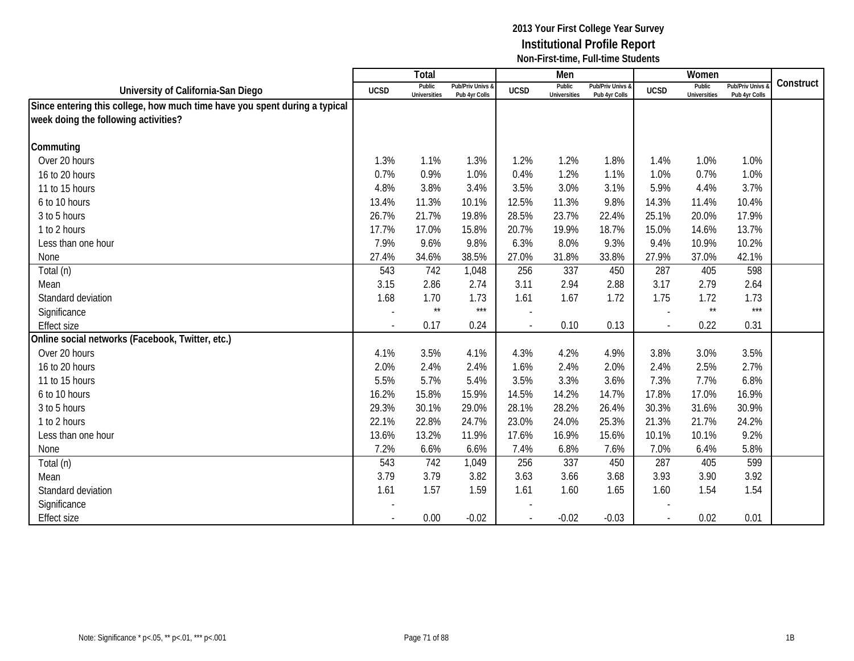|                                                                            |                          | Total                         |                                   |                          | Men                           |                                   |             | Women                         |                                        |           |
|----------------------------------------------------------------------------|--------------------------|-------------------------------|-----------------------------------|--------------------------|-------------------------------|-----------------------------------|-------------|-------------------------------|----------------------------------------|-----------|
| University of California-San Diego                                         | <b>UCSD</b>              | Public<br><b>Universities</b> | Pub/Priv Univs &<br>Pub 4yr Colls | <b>UCSD</b>              | Public<br><b>Universities</b> | Pub/Priv Univs &<br>Pub 4yr Colls | <b>UCSD</b> | Public<br><b>Universities</b> | <b>Pub/Priv Univs</b><br>Pub 4yr Colls | Construct |
| Since entering this college, how much time have you spent during a typical |                          |                               |                                   |                          |                               |                                   |             |                               |                                        |           |
| week doing the following activities?                                       |                          |                               |                                   |                          |                               |                                   |             |                               |                                        |           |
|                                                                            |                          |                               |                                   |                          |                               |                                   |             |                               |                                        |           |
| Commuting                                                                  |                          |                               |                                   |                          |                               |                                   |             |                               |                                        |           |
| Over 20 hours                                                              | 1.3%                     | 1.1%                          | 1.3%                              | 1.2%                     | 1.2%                          | 1.8%                              | 1.4%        | 1.0%                          | 1.0%                                   |           |
| 16 to 20 hours                                                             | 0.7%                     | 0.9%                          | 1.0%                              | 0.4%                     | 1.2%                          | 1.1%                              | 1.0%        | 0.7%                          | 1.0%                                   |           |
| 11 to 15 hours                                                             | 4.8%                     | 3.8%                          | 3.4%                              | 3.5%                     | 3.0%                          | 3.1%                              | 5.9%        | 4.4%                          | 3.7%                                   |           |
| 6 to 10 hours                                                              | 13.4%                    | 11.3%                         | 10.1%                             | 12.5%                    | 11.3%                         | 9.8%                              | 14.3%       | 11.4%                         | 10.4%                                  |           |
| 3 to 5 hours                                                               | 26.7%                    | 21.7%                         | 19.8%                             | 28.5%                    | 23.7%                         | 22.4%                             | 25.1%       | 20.0%                         | 17.9%                                  |           |
| 1 to 2 hours                                                               | 17.7%                    | 17.0%                         | 15.8%                             | 20.7%                    | 19.9%                         | 18.7%                             | 15.0%       | 14.6%                         | 13.7%                                  |           |
| Less than one hour                                                         | 7.9%                     | 9.6%                          | 9.8%                              | 6.3%                     | 8.0%                          | 9.3%                              | 9.4%        | 10.9%                         | 10.2%                                  |           |
| None                                                                       | 27.4%                    | 34.6%                         | 38.5%                             | 27.0%                    | 31.8%                         | 33.8%                             | 27.9%       | 37.0%                         | 42.1%                                  |           |
| Total (n)                                                                  | 543                      | 742                           | 1,048                             | 256                      | 337                           | 450                               | 287         | 405                           | 598                                    |           |
| Mean                                                                       | 3.15                     | 2.86                          | 2.74                              | 3.11                     | 2.94                          | 2.88                              | 3.17        | 2.79                          | 2.64                                   |           |
| Standard deviation                                                         | 1.68                     | 1.70                          | 1.73                              | 1.61                     | 1.67                          | 1.72                              | 1.75        | 1.72                          | 1.73                                   |           |
| Significance                                                               | $\overline{a}$           | $\star\star$                  | $***$                             |                          |                               |                                   |             | $\star\star$                  | $***$                                  |           |
| <b>Effect size</b>                                                         | $\overline{\phantom{a}}$ | 0.17                          | 0.24                              | $\overline{\phantom{a}}$ | 0.10                          | 0.13                              | $\sim$      | 0.22                          | 0.31                                   |           |
| Online social networks (Facebook, Twitter, etc.)                           |                          |                               |                                   |                          |                               |                                   |             |                               |                                        |           |
| Over 20 hours                                                              | 4.1%                     | 3.5%                          | 4.1%                              | 4.3%                     | 4.2%                          | 4.9%                              | 3.8%        | 3.0%                          | 3.5%                                   |           |
| 16 to 20 hours                                                             | 2.0%                     | 2.4%                          | 2.4%                              | 1.6%                     | 2.4%                          | 2.0%                              | 2.4%        | 2.5%                          | 2.7%                                   |           |
| 11 to 15 hours                                                             | 5.5%                     | 5.7%                          | 5.4%                              | 3.5%                     | 3.3%                          | 3.6%                              | 7.3%        | 7.7%                          | 6.8%                                   |           |
| 6 to 10 hours                                                              | 16.2%                    | 15.8%                         | 15.9%                             | 14.5%                    | 14.2%                         | 14.7%                             | 17.8%       | 17.0%                         | 16.9%                                  |           |
| 3 to 5 hours                                                               | 29.3%                    | 30.1%                         | 29.0%                             | 28.1%                    | 28.2%                         | 26.4%                             | 30.3%       | 31.6%                         | 30.9%                                  |           |
| 1 to 2 hours                                                               | 22.1%                    | 22.8%                         | 24.7%                             | 23.0%                    | 24.0%                         | 25.3%                             | 21.3%       | 21.7%                         | 24.2%                                  |           |
| Less than one hour                                                         | 13.6%                    | 13.2%                         | 11.9%                             | 17.6%                    | 16.9%                         | 15.6%                             | 10.1%       | 10.1%                         | 9.2%                                   |           |
| None                                                                       | 7.2%                     | 6.6%                          | 6.6%                              | 7.4%                     | 6.8%                          | 7.6%                              | 7.0%        | 6.4%                          | 5.8%                                   |           |
| Total (n)                                                                  | 543                      | 742                           | 1,049                             | 256                      | 337                           | 450                               | 287         | 405                           | 599                                    |           |
| Mean                                                                       | 3.79                     | 3.79                          | 3.82                              | 3.63                     | 3.66                          | 3.68                              | 3.93        | 3.90                          | 3.92                                   |           |
| Standard deviation                                                         | 1.61                     | 1.57                          | 1.59                              | 1.61                     | 1.60                          | 1.65                              | 1.60        | 1.54                          | 1.54                                   |           |
| Significance                                                               |                          |                               |                                   |                          |                               |                                   |             |                               |                                        |           |
| <b>Effect size</b>                                                         | $\overline{\phantom{a}}$ | 0.00                          | $-0.02$                           | $\overline{\phantom{a}}$ | $-0.02$                       | $-0.03$                           | $\sim$      | 0.02                          | 0.01                                   |           |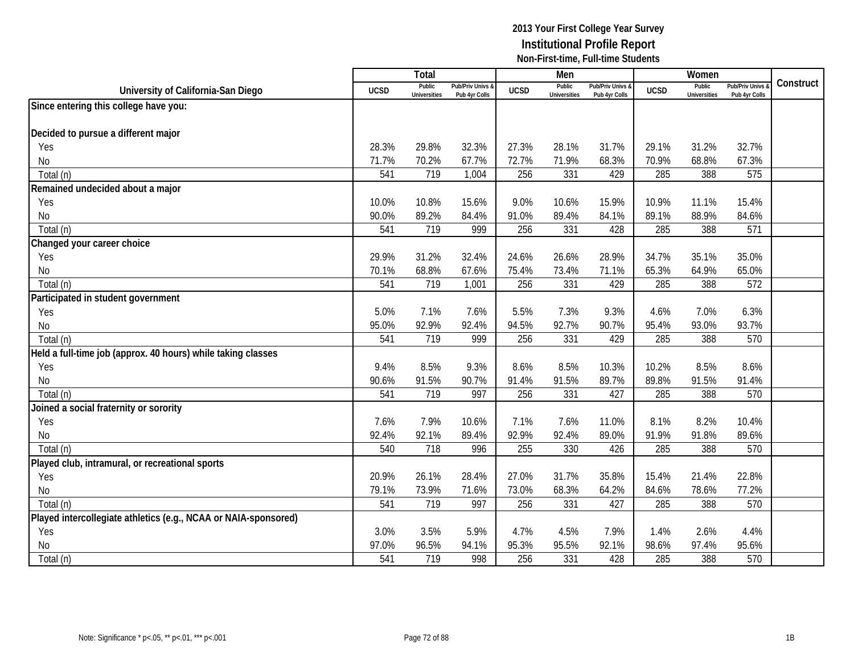|                                                                 |             | <b>Total</b>                  |                                   |             | Men                           |                                 |             | Women                         |                                        |           |
|-----------------------------------------------------------------|-------------|-------------------------------|-----------------------------------|-------------|-------------------------------|---------------------------------|-------------|-------------------------------|----------------------------------------|-----------|
| University of California-San Diego                              | <b>UCSD</b> | Public<br><b>Universities</b> | Pub/Priv Univs 8<br>Pub 4yr Colls | <b>UCSD</b> | Public<br><b>Universities</b> | Pub/Priv Univs<br>Pub 4yr Colls | <b>UCSD</b> | Public<br><b>Universities</b> | <b>Pub/Priv Univs</b><br>Pub 4yr Colls | Construct |
| Since entering this college have you:                           |             |                               |                                   |             |                               |                                 |             |                               |                                        |           |
|                                                                 |             |                               |                                   |             |                               |                                 |             |                               |                                        |           |
| Decided to pursue a different major                             |             |                               |                                   |             |                               |                                 |             |                               |                                        |           |
| Yes                                                             | 28.3%       | 29.8%                         | 32.3%                             | 27.3%       | 28.1%                         | 31.7%                           | 29.1%       | 31.2%                         | 32.7%                                  |           |
| No                                                              | 71.7%       | 70.2%                         | 67.7%                             | 72.7%       | 71.9%                         | 68.3%                           | 70.9%       | 68.8%                         | 67.3%                                  |           |
| Total (n)                                                       | 541         | 719                           | 1,004                             | 256         | 331                           | 429                             | 285         | 388                           | 575                                    |           |
| Remained undecided about a major                                |             |                               |                                   |             |                               |                                 |             |                               |                                        |           |
| Yes                                                             | 10.0%       | 10.8%                         | 15.6%                             | 9.0%        | 10.6%                         | 15.9%                           | 10.9%       | 11.1%                         | 15.4%                                  |           |
| No                                                              | 90.0%       | 89.2%                         | 84.4%                             | 91.0%       | 89.4%                         | 84.1%                           | 89.1%       | 88.9%                         | 84.6%                                  |           |
| Total (n)                                                       | 541         | 719                           | 999                               | 256         | 331                           | 428                             | 285         | 388                           | 571                                    |           |
| Changed your career choice                                      |             |                               |                                   |             |                               |                                 |             |                               |                                        |           |
| Yes                                                             | 29.9%       | 31.2%                         | 32.4%                             | 24.6%       | 26.6%                         | 28.9%                           | 34.7%       | 35.1%                         | 35.0%                                  |           |
| No                                                              | 70.1%       | 68.8%                         | 67.6%                             | 75.4%       | 73.4%                         | 71.1%                           | 65.3%       | 64.9%                         | 65.0%                                  |           |
| Total (n)                                                       | 541         | 719                           | 1,001                             | 256         | 331                           | 429                             | 285         | 388                           | 572                                    |           |
| Participated in student government                              |             |                               |                                   |             |                               |                                 |             |                               |                                        |           |
| Yes                                                             | 5.0%        | 7.1%                          | 7.6%                              | 5.5%        | 7.3%                          | 9.3%                            | 4.6%        | 7.0%                          | 6.3%                                   |           |
| <b>No</b>                                                       | 95.0%       | 92.9%                         | 92.4%                             | 94.5%       | 92.7%                         | 90.7%                           | 95.4%       | 93.0%                         | 93.7%                                  |           |
| Total (n)                                                       | 541         | 719                           | 999                               | 256         | 331                           | 429                             | 285         | 388                           | 570                                    |           |
| Held a full-time job (approx. 40 hours) while taking classes    |             |                               |                                   |             |                               |                                 |             |                               |                                        |           |
| Yes                                                             | 9.4%        | 8.5%                          | 9.3%                              | 8.6%        | 8.5%                          | 10.3%                           | 10.2%       | 8.5%                          | 8.6%                                   |           |
| <b>No</b>                                                       | 90.6%       | 91.5%                         | 90.7%                             | 91.4%       | 91.5%                         | 89.7%                           | 89.8%       | 91.5%                         | 91.4%                                  |           |
| Total (n)                                                       | 541         | 719                           | 997                               | 256         | 331                           | 427                             | 285         | 388                           | 570                                    |           |
| Joined a social fraternity or sorority                          |             |                               |                                   |             |                               |                                 |             |                               |                                        |           |
| Yes                                                             | 7.6%        | 7.9%                          | 10.6%                             | 7.1%        | 7.6%                          | 11.0%                           | 8.1%        | 8.2%                          | 10.4%                                  |           |
| No                                                              | 92.4%       | 92.1%                         | 89.4%                             | 92.9%       | 92.4%                         | 89.0%                           | 91.9%       | 91.8%                         | 89.6%                                  |           |
| Total (n)                                                       | 540         | 718                           | 996                               | 255         | 330                           | 426                             | 285         | 388                           | 570                                    |           |
| Played club, intramural, or recreational sports                 |             |                               |                                   |             |                               |                                 |             |                               |                                        |           |
| Yes                                                             | 20.9%       | 26.1%                         | 28.4%                             | 27.0%       | 31.7%                         | 35.8%                           | 15.4%       | 21.4%                         | 22.8%                                  |           |
| No                                                              | 79.1%       | 73.9%                         | 71.6%                             | 73.0%       | 68.3%                         | 64.2%                           | 84.6%       | 78.6%                         | 77.2%                                  |           |
| Total (n)                                                       | 541         | 719                           | 997                               | 256         | 331                           | 427                             | 285         | 388                           | 570                                    |           |
| Played intercollegiate athletics (e.g., NCAA or NAIA-sponsored) |             |                               |                                   |             |                               |                                 |             |                               |                                        |           |
| Yes                                                             | 3.0%        | 3.5%                          | 5.9%                              | 4.7%        | 4.5%                          | 7.9%                            | 1.4%        | 2.6%                          | 4.4%                                   |           |
| No                                                              | 97.0%       | 96.5%                         | 94.1%                             | 95.3%       | 95.5%                         | 92.1%                           | 98.6%       | 97.4%                         | 95.6%                                  |           |
| Total (n)                                                       | 541         | 719                           | 998                               | 256         | 331                           | 428                             | 285         | 388                           | 570                                    |           |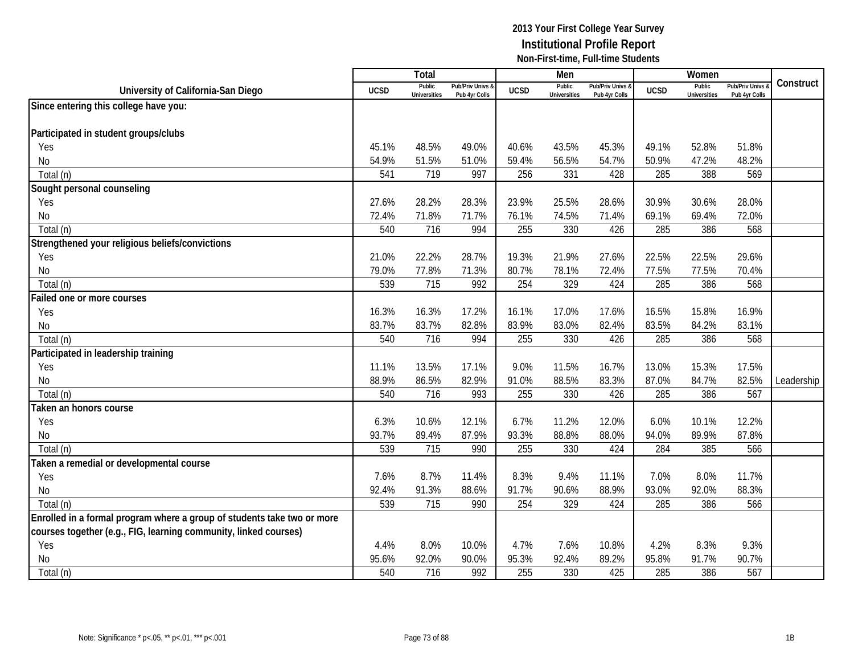|                                                                         |             | Total                         |                                   |             | Men                           |                                   |             | Women                         |                                        |            |
|-------------------------------------------------------------------------|-------------|-------------------------------|-----------------------------------|-------------|-------------------------------|-----------------------------------|-------------|-------------------------------|----------------------------------------|------------|
| University of California-San Diego                                      | <b>UCSD</b> | Public<br><b>Universities</b> | Pub/Priv Univs &<br>Pub 4yr Colls | <b>UCSD</b> | Public<br><b>Universities</b> | Pub/Priv Univs &<br>Pub 4yr Colls | <b>UCSD</b> | Public<br><b>Universities</b> | <b>Pub/Priv Univs</b><br>Pub 4yr Colls | Construct  |
| Since entering this college have you:                                   |             |                               |                                   |             |                               |                                   |             |                               |                                        |            |
|                                                                         |             |                               |                                   |             |                               |                                   |             |                               |                                        |            |
| Participated in student groups/clubs                                    |             |                               |                                   |             |                               |                                   |             |                               |                                        |            |
| Yes                                                                     | 45.1%       | 48.5%                         | 49.0%                             | 40.6%       | 43.5%                         | 45.3%                             | 49.1%       | 52.8%                         | 51.8%                                  |            |
| No                                                                      | 54.9%       | 51.5%                         | 51.0%                             | 59.4%       | 56.5%                         | 54.7%                             | 50.9%       | 47.2%                         | 48.2%                                  |            |
| Total (n)                                                               | 541         | 719                           | 997                               | 256         | 331                           | 428                               | 285         | 388                           | 569                                    |            |
| Sought personal counseling                                              |             |                               |                                   |             |                               |                                   |             |                               |                                        |            |
| Yes                                                                     | 27.6%       | 28.2%                         | 28.3%                             | 23.9%       | 25.5%                         | 28.6%                             | 30.9%       | 30.6%                         | 28.0%                                  |            |
| No                                                                      | 72.4%       | 71.8%                         | 71.7%                             | 76.1%       | 74.5%                         | 71.4%                             | 69.1%       | 69.4%                         | 72.0%                                  |            |
| Total (n)                                                               | 540         | 716                           | 994                               | 255         | 330                           | 426                               | 285         | 386                           | 568                                    |            |
| Strengthened your religious beliefs/convictions                         |             |                               |                                   |             |                               |                                   |             |                               |                                        |            |
| Yes                                                                     | 21.0%       | 22.2%                         | 28.7%                             | 19.3%       | 21.9%                         | 27.6%                             | 22.5%       | 22.5%                         | 29.6%                                  |            |
| <b>No</b>                                                               | 79.0%       | 77.8%                         | 71.3%                             | 80.7%       | 78.1%                         | 72.4%                             | 77.5%       | 77.5%                         | 70.4%                                  |            |
| Total (n)                                                               | 539         | 715                           | 992                               | 254         | 329                           | 424                               | 285         | 386                           | 568                                    |            |
| Failed one or more courses                                              |             |                               |                                   |             |                               |                                   |             |                               |                                        |            |
| Yes                                                                     | 16.3%       | 16.3%                         | 17.2%                             | 16.1%       | 17.0%                         | 17.6%                             | 16.5%       | 15.8%                         | 16.9%                                  |            |
| No                                                                      | 83.7%       | 83.7%                         | 82.8%                             | 83.9%       | 83.0%                         | 82.4%                             | 83.5%       | 84.2%                         | 83.1%                                  |            |
| Total (n)                                                               | 540         | 716                           | 994                               | 255         | 330                           | 426                               | 285         | 386                           | 568                                    |            |
| Participated in leadership training                                     |             |                               |                                   |             |                               |                                   |             |                               |                                        |            |
| Yes                                                                     | 11.1%       | 13.5%                         | 17.1%                             | 9.0%        | 11.5%                         | 16.7%                             | 13.0%       | 15.3%                         | 17.5%                                  |            |
| <b>No</b>                                                               | 88.9%       | 86.5%                         | 82.9%                             | 91.0%       | 88.5%                         | 83.3%                             | 87.0%       | 84.7%                         | 82.5%                                  | Leadership |
| Total (n)                                                               | 540         | 716                           | 993                               | 255         | 330                           | 426                               | 285         | 386                           | 567                                    |            |
| Taken an honors course                                                  |             |                               |                                   |             |                               |                                   |             |                               |                                        |            |
| Yes                                                                     | 6.3%        | 10.6%                         | 12.1%                             | 6.7%        | 11.2%                         | 12.0%                             | 6.0%        | 10.1%                         | 12.2%                                  |            |
| No                                                                      | 93.7%       | 89.4%                         | 87.9%                             | 93.3%       | 88.8%                         | 88.0%                             | 94.0%       | 89.9%                         | 87.8%                                  |            |
| Total (n)                                                               | 539         | 715                           | 990                               | 255         | 330                           | 424                               | 284         | 385                           | 566                                    |            |
| Taken a remedial or developmental course                                |             |                               |                                   |             |                               |                                   |             |                               |                                        |            |
| Yes                                                                     | 7.6%        | 8.7%                          | 11.4%                             | 8.3%        | 9.4%                          | 11.1%                             | 7.0%        | 8.0%                          | 11.7%                                  |            |
| <b>No</b>                                                               | 92.4%       | 91.3%                         | 88.6%                             | 91.7%       | 90.6%                         | 88.9%                             | 93.0%       | 92.0%                         | 88.3%                                  |            |
| Total (n)                                                               | 539         | 715                           | 990                               | 254         | 329                           | 424                               | 285         | 386                           | 566                                    |            |
| Enrolled in a formal program where a group of students take two or more |             |                               |                                   |             |                               |                                   |             |                               |                                        |            |
| courses together (e.g., FIG, learning community, linked courses)        |             |                               |                                   |             |                               |                                   |             |                               |                                        |            |
| Yes                                                                     | 4.4%        | 8.0%                          | 10.0%                             | 4.7%        | 7.6%                          | 10.8%                             | 4.2%        | 8.3%                          | 9.3%                                   |            |
| <b>No</b>                                                               | 95.6%       | 92.0%                         | 90.0%                             | 95.3%       | 92.4%                         | 89.2%                             | 95.8%       | 91.7%                         | 90.7%                                  |            |
| Total (n)                                                               | 540         | 716                           | 992                               | 255         | 330                           | 425                               | 285         | 386                           | 567                                    |            |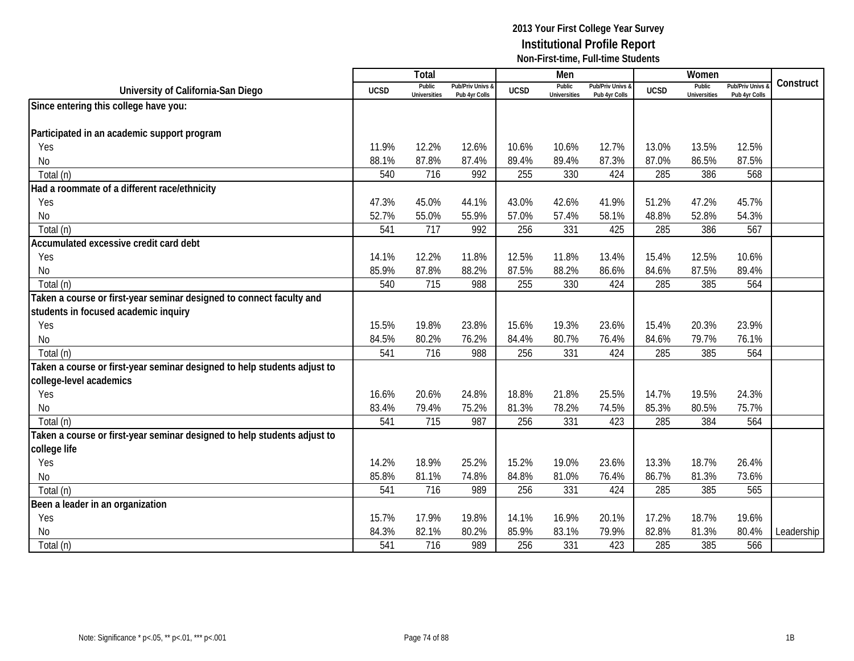|                                                                          |             | Total                         |                                   |             | Men                           |                                   |             | Women                         |                                        |            |
|--------------------------------------------------------------------------|-------------|-------------------------------|-----------------------------------|-------------|-------------------------------|-----------------------------------|-------------|-------------------------------|----------------------------------------|------------|
| University of California-San Diego                                       | <b>UCSD</b> | Public<br><b>Universities</b> | Pub/Priv Univs &<br>Pub 4yr Colls | <b>UCSD</b> | Public<br><b>Universities</b> | Pub/Priv Univs &<br>Pub 4yr Colls | <b>UCSD</b> | Public<br><b>Universities</b> | <b>Pub/Priv Univs</b><br>Pub 4yr Colls | Construct  |
| Since entering this college have you:                                    |             |                               |                                   |             |                               |                                   |             |                               |                                        |            |
|                                                                          |             |                               |                                   |             |                               |                                   |             |                               |                                        |            |
| Participated in an academic support program                              |             |                               |                                   |             |                               |                                   |             |                               |                                        |            |
| Yes                                                                      | 11.9%       | 12.2%                         | 12.6%                             | 10.6%       | 10.6%                         | 12.7%                             | 13.0%       | 13.5%                         | 12.5%                                  |            |
| No                                                                       | 88.1%       | 87.8%                         | 87.4%                             | 89.4%       | 89.4%                         | 87.3%                             | 87.0%       | 86.5%                         | 87.5%                                  |            |
| Total (n)                                                                | 540         | 716                           | 992                               | 255         | 330                           | 424                               | 285         | 386                           | 568                                    |            |
| Had a roommate of a different race/ethnicity                             |             |                               |                                   |             |                               |                                   |             |                               |                                        |            |
| Yes                                                                      | 47.3%       | 45.0%                         | 44.1%                             | 43.0%       | 42.6%                         | 41.9%                             | 51.2%       | 47.2%                         | 45.7%                                  |            |
| No                                                                       | 52.7%       | 55.0%                         | 55.9%                             | 57.0%       | 57.4%                         | 58.1%                             | 48.8%       | 52.8%                         | 54.3%                                  |            |
| Total (n)                                                                | 541         | 717                           | 992                               | 256         | 331                           | 425                               | 285         | 386                           | 567                                    |            |
| Accumulated excessive credit card debt                                   |             |                               |                                   |             |                               |                                   |             |                               |                                        |            |
| Yes                                                                      | 14.1%       | 12.2%                         | 11.8%                             | 12.5%       | 11.8%                         | 13.4%                             | 15.4%       | 12.5%                         | 10.6%                                  |            |
| No                                                                       | 85.9%       | 87.8%                         | 88.2%                             | 87.5%       | 88.2%                         | 86.6%                             | 84.6%       | 87.5%                         | 89.4%                                  |            |
| Total (n)                                                                | 540         | 715                           | 988                               | 255         | 330                           | 424                               | 285         | 385                           | 564                                    |            |
| Taken a course or first-year seminar designed to connect faculty and     |             |                               |                                   |             |                               |                                   |             |                               |                                        |            |
| students in focused academic inquiry                                     |             |                               |                                   |             |                               |                                   |             |                               |                                        |            |
| Yes                                                                      | 15.5%       | 19.8%                         | 23.8%                             | 15.6%       | 19.3%                         | 23.6%                             | 15.4%       | 20.3%                         | 23.9%                                  |            |
| No                                                                       | 84.5%       | 80.2%                         | 76.2%                             | 84.4%       | 80.7%                         | 76.4%                             | 84.6%       | 79.7%                         | 76.1%                                  |            |
| Total (n)                                                                | 541         | 716                           | 988                               | 256         | 331                           | 424                               | 285         | 385                           | 564                                    |            |
| Taken a course or first-year seminar designed to help students adjust to |             |                               |                                   |             |                               |                                   |             |                               |                                        |            |
| college-level academics                                                  |             |                               |                                   |             |                               |                                   |             |                               |                                        |            |
| Yes                                                                      | 16.6%       | 20.6%                         | 24.8%                             | 18.8%       | 21.8%                         | 25.5%                             | 14.7%       | 19.5%                         | 24.3%                                  |            |
| No                                                                       | 83.4%       | 79.4%                         | 75.2%                             | 81.3%       | 78.2%                         | 74.5%                             | 85.3%       | 80.5%                         | 75.7%                                  |            |
| Total (n)                                                                | 541         | 715                           | 987                               | 256         | 331                           | 423                               | 285         | 384                           | 564                                    |            |
| Taken a course or first-year seminar designed to help students adjust to |             |                               |                                   |             |                               |                                   |             |                               |                                        |            |
| college life                                                             |             |                               |                                   |             |                               |                                   |             |                               |                                        |            |
| Yes                                                                      | 14.2%       | 18.9%                         | 25.2%                             | 15.2%       | 19.0%                         | 23.6%                             | 13.3%       | 18.7%                         | 26.4%                                  |            |
| No                                                                       | 85.8%       | 81.1%                         | 74.8%                             | 84.8%       | 81.0%                         | 76.4%                             | 86.7%       | 81.3%                         | 73.6%                                  |            |
| Total (n)                                                                | 541         | 716                           | 989                               | 256         | 331                           | 424                               | 285         | 385                           | 565                                    |            |
| Been a leader in an organization                                         |             |                               |                                   |             |                               |                                   |             |                               |                                        |            |
| Yes                                                                      | 15.7%       | 17.9%                         | 19.8%                             | 14.1%       | 16.9%                         | 20.1%                             | 17.2%       | 18.7%                         | 19.6%                                  |            |
| No                                                                       | 84.3%       | 82.1%                         | 80.2%                             | 85.9%       | 83.1%                         | 79.9%                             | 82.8%       | 81.3%                         | 80.4%                                  | Leadership |
| Total (n)                                                                | 541         | 716                           | 989                               | 256         | 331                           | 423                               | 285         | 385                           | 566                                    |            |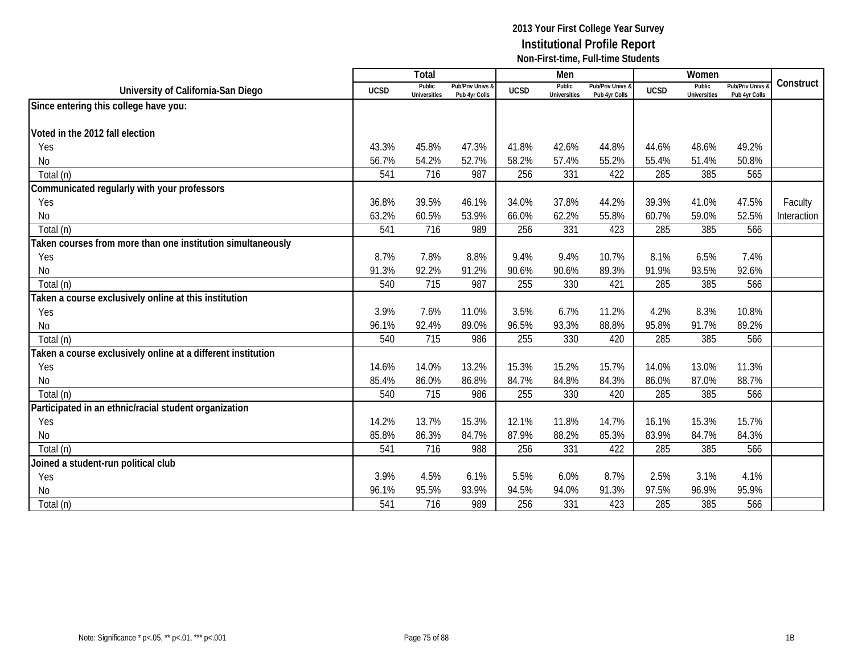|                                                              |             | <b>Total</b>                  |                                   |             | Men                           |                                   |             | Women                         |                                        |             |
|--------------------------------------------------------------|-------------|-------------------------------|-----------------------------------|-------------|-------------------------------|-----------------------------------|-------------|-------------------------------|----------------------------------------|-------------|
| University of California-San Diego                           | <b>UCSD</b> | Public<br><b>Universities</b> | Pub/Priv Univs &<br>Pub 4yr Colls | <b>UCSD</b> | Public<br><b>Universities</b> | Pub/Priv Univs &<br>Pub 4vr Colls | <b>UCSD</b> | Public<br><b>Universities</b> | <b>Pub/Priv Univs</b><br>Pub 4yr Colls | Construct   |
| Since entering this college have you:                        |             |                               |                                   |             |                               |                                   |             |                               |                                        |             |
|                                                              |             |                               |                                   |             |                               |                                   |             |                               |                                        |             |
| Voted in the 2012 fall election                              |             |                               |                                   |             |                               |                                   |             |                               |                                        |             |
| Yes                                                          | 43.3%       | 45.8%                         | 47.3%                             | 41.8%       | 42.6%                         | 44.8%                             | 44.6%       | 48.6%                         | 49.2%                                  |             |
| No                                                           | 56.7%       | 54.2%                         | 52.7%                             | 58.2%       | 57.4%                         | 55.2%                             | 55.4%       | 51.4%                         | 50.8%                                  |             |
| Total (n)                                                    | 541         | 716                           | 987                               | 256         | 331                           | 422                               | 285         | 385                           | 565                                    |             |
| Communicated regularly with your professors                  |             |                               |                                   |             |                               |                                   |             |                               |                                        |             |
| Yes                                                          | 36.8%       | 39.5%                         | 46.1%                             | 34.0%       | 37.8%                         | 44.2%                             | 39.3%       | 41.0%                         | 47.5%                                  | Faculty     |
| No                                                           | 63.2%       | 60.5%                         | 53.9%                             | 66.0%       | 62.2%                         | 55.8%                             | 60.7%       | 59.0%                         | 52.5%                                  | Interaction |
| Total (n)                                                    | 541         | 716                           | 989                               | 256         | 331                           | 423                               | 285         | 385                           | 566                                    |             |
| Taken courses from more than one institution simultaneously  |             |                               |                                   |             |                               |                                   |             |                               |                                        |             |
| Yes                                                          | 8.7%        | 7.8%                          | 8.8%                              | 9.4%        | 9.4%                          | 10.7%                             | 8.1%        | 6.5%                          | 7.4%                                   |             |
| No                                                           | 91.3%       | 92.2%                         | 91.2%                             | 90.6%       | 90.6%                         | 89.3%                             | 91.9%       | 93.5%                         | 92.6%                                  |             |
| Total (n)                                                    | 540         | 715                           | 987                               | 255         | 330                           | 421                               | 285         | 385                           | 566                                    |             |
| Taken a course exclusively online at this institution        |             |                               |                                   |             |                               |                                   |             |                               |                                        |             |
| Yes                                                          | 3.9%        | 7.6%                          | 11.0%                             | 3.5%        | 6.7%                          | 11.2%                             | 4.2%        | 8.3%                          | 10.8%                                  |             |
| No                                                           | 96.1%       | 92.4%                         | 89.0%                             | 96.5%       | 93.3%                         | 88.8%                             | 95.8%       | 91.7%                         | 89.2%                                  |             |
| Total (n)                                                    | 540         | 715                           | 986                               | 255         | 330                           | 420                               | 285         | 385                           | 566                                    |             |
| Taken a course exclusively online at a different institution |             |                               |                                   |             |                               |                                   |             |                               |                                        |             |
| Yes                                                          | 14.6%       | 14.0%                         | 13.2%                             | 15.3%       | 15.2%                         | 15.7%                             | 14.0%       | 13.0%                         | 11.3%                                  |             |
| No                                                           | 85.4%       | 86.0%                         | 86.8%                             | 84.7%       | 84.8%                         | 84.3%                             | 86.0%       | 87.0%                         | 88.7%                                  |             |
| Total (n)                                                    | 540         | 715                           | 986                               | 255         | 330                           | 420                               | 285         | 385                           | 566                                    |             |
| Participated in an ethnic/racial student organization        |             |                               |                                   |             |                               |                                   |             |                               |                                        |             |
| Yes                                                          | 14.2%       | 13.7%                         | 15.3%                             | 12.1%       | 11.8%                         | 14.7%                             | 16.1%       | 15.3%                         | 15.7%                                  |             |
| No                                                           | 85.8%       | 86.3%                         | 84.7%                             | 87.9%       | 88.2%                         | 85.3%                             | 83.9%       | 84.7%                         | 84.3%                                  |             |
| Total (n)                                                    | 541         | 716                           | 988                               | 256         | 331                           | 422                               | 285         | 385                           | 566                                    |             |
| Joined a student-run political club                          |             |                               |                                   |             |                               |                                   |             |                               |                                        |             |
| Yes                                                          | 3.9%        | 4.5%                          | 6.1%                              | 5.5%        | 6.0%                          | 8.7%                              | 2.5%        | 3.1%                          | 4.1%                                   |             |
| No                                                           | 96.1%       | 95.5%                         | 93.9%                             | 94.5%       | 94.0%                         | 91.3%                             | 97.5%       | 96.9%                         | 95.9%                                  |             |
| Total (n)                                                    | 541         | 716                           | 989                               | 256         | 331                           | 423                               | 285         | 385                           | 566                                    |             |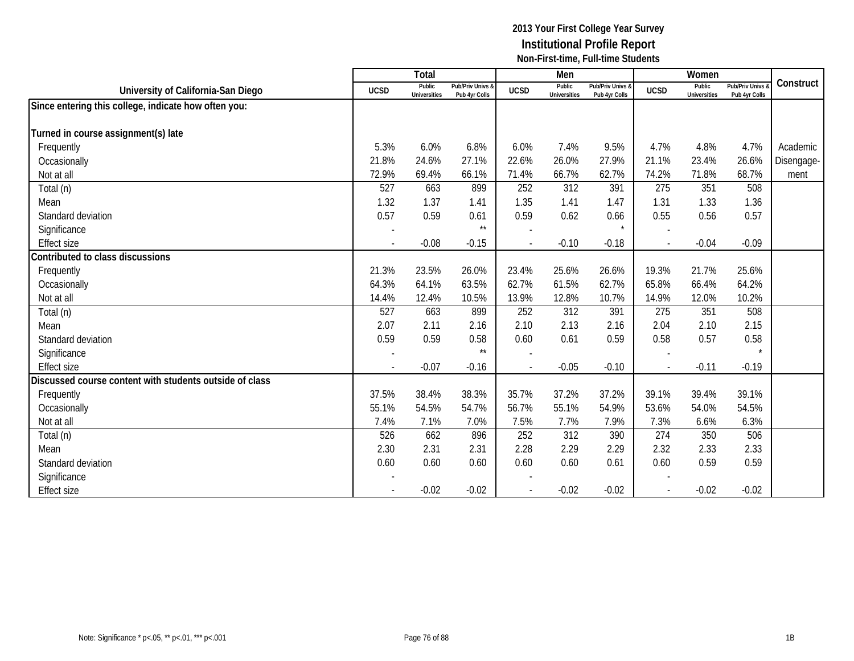|                                                         |                          | Total                         |                                   |             | Men                           |                                   |             | Women                         |                                        |            |
|---------------------------------------------------------|--------------------------|-------------------------------|-----------------------------------|-------------|-------------------------------|-----------------------------------|-------------|-------------------------------|----------------------------------------|------------|
| University of California-San Diego                      | <b>UCSD</b>              | Public<br><b>Universities</b> | Pub/Priv Univs &<br>Pub 4yr Colls | <b>UCSD</b> | Public<br><b>Universities</b> | Pub/Priv Univs &<br>Pub 4yr Colls | <b>UCSD</b> | Public<br><b>Universities</b> | <b>Pub/Priv Univs</b><br>Pub 4yr Colls | Construct  |
| Since entering this college, indicate how often you:    |                          |                               |                                   |             |                               |                                   |             |                               |                                        |            |
|                                                         |                          |                               |                                   |             |                               |                                   |             |                               |                                        |            |
| Turned in course assignment(s) late                     |                          |                               |                                   |             |                               |                                   |             |                               |                                        |            |
| Frequently                                              | 5.3%                     | 6.0%                          | 6.8%                              | 6.0%        | 7.4%                          | 9.5%                              | 4.7%        | 4.8%                          | 4.7%                                   | Academic   |
| Occasionally                                            | 21.8%                    | 24.6%                         | 27.1%                             | 22.6%       | 26.0%                         | 27.9%                             | 21.1%       | 23.4%                         | 26.6%                                  | Disengage- |
| Not at all                                              | 72.9%                    | 69.4%                         | 66.1%                             | 71.4%       | 66.7%                         | 62.7%                             | 74.2%       | 71.8%                         | 68.7%                                  | ment       |
| Total (n)                                               | 527                      | 663                           | 899                               | 252         | 312                           | 391                               | 275         | 351                           | 508                                    |            |
| Mean                                                    | 1.32                     | 1.37                          | 1.41                              | 1.35        | 1.41                          | 1.47                              | 1.31        | 1.33                          | 1.36                                   |            |
| Standard deviation                                      | 0.57                     | 0.59                          | 0.61                              | 0.59        | 0.62                          | 0.66                              | 0.55        | 0.56                          | 0.57                                   |            |
| Significance                                            |                          |                               | $\star\star$                      |             |                               | $\star$                           |             |                               |                                        |            |
| <b>Effect size</b>                                      | $\overline{\phantom{a}}$ | $-0.08$                       | $-0.15$                           |             | $-0.10$                       | $-0.18$                           |             | $-0.04$                       | $-0.09$                                |            |
| Contributed to class discussions                        |                          |                               |                                   |             |                               |                                   |             |                               |                                        |            |
| Frequently                                              | 21.3%                    | 23.5%                         | 26.0%                             | 23.4%       | 25.6%                         | 26.6%                             | 19.3%       | 21.7%                         | 25.6%                                  |            |
| Occasionally                                            | 64.3%                    | 64.1%                         | 63.5%                             | 62.7%       | 61.5%                         | 62.7%                             | 65.8%       | 66.4%                         | 64.2%                                  |            |
| Not at all                                              | 14.4%                    | 12.4%                         | 10.5%                             | 13.9%       | 12.8%                         | 10.7%                             | 14.9%       | 12.0%                         | 10.2%                                  |            |
| Total (n)                                               | 527                      | 663                           | 899                               | 252         | 312                           | 391                               | 275         | 351                           | 508                                    |            |
| Mean                                                    | 2.07                     | 2.11                          | 2.16                              | 2.10        | 2.13                          | 2.16                              | 2.04        | 2.10                          | 2.15                                   |            |
| Standard deviation                                      | 0.59                     | 0.59                          | 0.58                              | 0.60        | 0.61                          | 0.59                              | 0.58        | 0.57                          | 0.58                                   |            |
| Significance                                            | $\overline{a}$           |                               | $\star\star$                      |             |                               |                                   |             |                               |                                        |            |
| <b>Effect size</b>                                      |                          | $-0.07$                       | $-0.16$                           |             | $-0.05$                       | $-0.10$                           |             | $-0.11$                       | $-0.19$                                |            |
| Discussed course content with students outside of class |                          |                               |                                   |             |                               |                                   |             |                               |                                        |            |
| Frequently                                              | 37.5%                    | 38.4%                         | 38.3%                             | 35.7%       | 37.2%                         | 37.2%                             | 39.1%       | 39.4%                         | 39.1%                                  |            |
| Occasionally                                            | 55.1%                    | 54.5%                         | 54.7%                             | 56.7%       | 55.1%                         | 54.9%                             | 53.6%       | 54.0%                         | 54.5%                                  |            |
| Not at all                                              | 7.4%                     | 7.1%                          | 7.0%                              | 7.5%        | 7.7%                          | 7.9%                              | 7.3%        | 6.6%                          | 6.3%                                   |            |
| Total (n)                                               | 526                      | 662                           | 896                               | 252         | 312                           | 390                               | 274         | 350                           | 506                                    |            |
| Mean                                                    | 2.30                     | 2.31                          | 2.31                              | 2.28        | 2.29                          | 2.29                              | 2.32        | 2.33                          | 2.33                                   |            |
| Standard deviation                                      | 0.60                     | 0.60                          | 0.60                              | 0.60        | 0.60                          | 0.61                              | 0.60        | 0.59                          | 0.59                                   |            |
| Significance                                            |                          |                               |                                   |             |                               |                                   |             |                               |                                        |            |
| <b>Effect size</b>                                      |                          | $-0.02$                       | $-0.02$                           |             | $-0.02$                       | $-0.02$                           |             | $-0.02$                       | $-0.02$                                |            |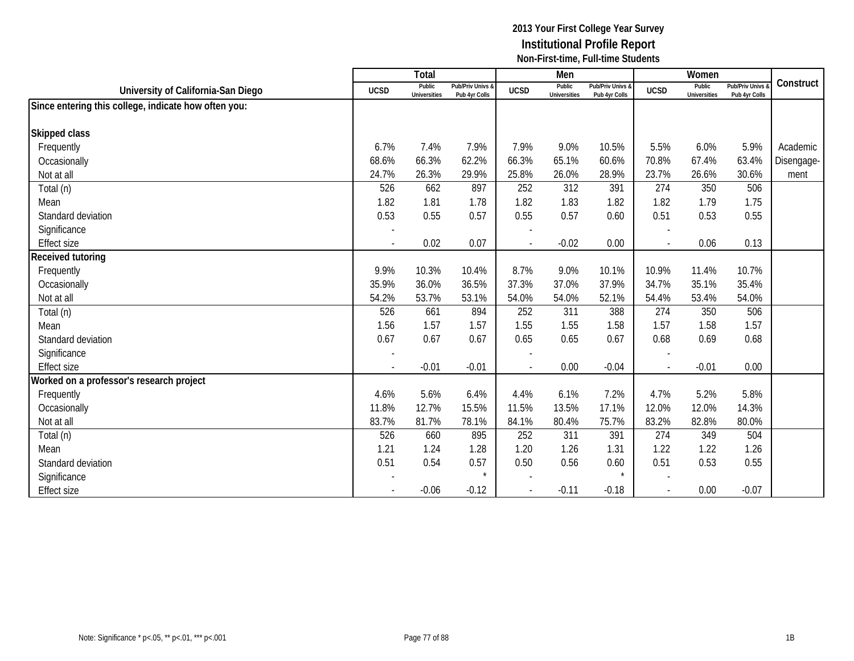|                                                      |                          | Total                         |                                   |                          | Men                           |                                   |               | Women                         |                                        |            |
|------------------------------------------------------|--------------------------|-------------------------------|-----------------------------------|--------------------------|-------------------------------|-----------------------------------|---------------|-------------------------------|----------------------------------------|------------|
| University of California-San Diego                   | <b>UCSD</b>              | Public<br><b>Universities</b> | Pub/Priv Univs &<br>Pub 4yr Colls | <b>UCSD</b>              | Public<br><b>Universities</b> | Pub/Priv Univs &<br>Pub 4yr Colls | <b>UCSD</b>   | Public<br><b>Universities</b> | <b>Pub/Priv Univs</b><br>Pub 4yr Colls | Construct  |
| Since entering this college, indicate how often you: |                          |                               |                                   |                          |                               |                                   |               |                               |                                        |            |
|                                                      |                          |                               |                                   |                          |                               |                                   |               |                               |                                        |            |
| Skipped class                                        |                          |                               |                                   |                          |                               |                                   |               |                               |                                        |            |
| Frequently                                           | 6.7%                     | 7.4%                          | 7.9%                              | 7.9%                     | 9.0%                          | 10.5%                             | 5.5%          | 6.0%                          | 5.9%                                   | Academic   |
| Occasionally                                         | 68.6%                    | 66.3%                         | 62.2%                             | 66.3%                    | 65.1%                         | 60.6%                             | 70.8%         | 67.4%                         | 63.4%                                  | Disengage- |
| Not at all                                           | 24.7%                    | 26.3%                         | 29.9%                             | 25.8%                    | 26.0%                         | 28.9%                             | 23.7%         | 26.6%                         | 30.6%                                  | ment       |
| Total (n)                                            | 526                      | 662                           | 897                               | 252                      | 312                           | 391                               | 274           | 350                           | 506                                    |            |
| Mean                                                 | 1.82                     | 1.81                          | 1.78                              | 1.82                     | 1.83                          | 1.82                              | 1.82          | 1.79                          | 1.75                                   |            |
| Standard deviation                                   | 0.53                     | 0.55                          | 0.57                              | 0.55                     | 0.57                          | 0.60                              | 0.51          | 0.53                          | 0.55                                   |            |
| Significance                                         |                          |                               |                                   |                          |                               |                                   |               |                               |                                        |            |
| <b>Effect size</b>                                   | $\blacksquare$           | 0.02                          | 0.07                              | $\sim$                   | $-0.02$                       | 0.00                              |               | 0.06                          | 0.13                                   |            |
| Received tutoring                                    |                          |                               |                                   |                          |                               |                                   |               |                               |                                        |            |
| Frequently                                           | 9.9%                     | 10.3%                         | 10.4%                             | 8.7%                     | 9.0%                          | 10.1%                             | 10.9%         | 11.4%                         | 10.7%                                  |            |
| Occasionally                                         | 35.9%                    | 36.0%                         | 36.5%                             | 37.3%                    | 37.0%                         | 37.9%                             | 34.7%         | 35.1%                         | 35.4%                                  |            |
| Not at all                                           | 54.2%                    | 53.7%                         | 53.1%                             | 54.0%                    | 54.0%                         | 52.1%                             | 54.4%         | 53.4%                         | 54.0%                                  |            |
| Total (n)                                            | 526                      | 661                           | 894                               | 252                      | 311                           | 388                               | 274           | 350                           | 506                                    |            |
| Mean                                                 | 1.56                     | 1.57                          | 1.57                              | 1.55                     | 1.55                          | 1.58                              | 1.57          | 1.58                          | 1.57                                   |            |
| Standard deviation                                   | 0.67                     | 0.67                          | 0.67                              | 0.65                     | 0.65                          | 0.67                              | 0.68          | 0.69                          | 0.68                                   |            |
| Significance                                         | $\overline{\phantom{a}}$ |                               |                                   |                          |                               |                                   |               |                               |                                        |            |
| <b>Effect size</b>                                   | $\blacksquare$           | $-0.01$                       | $-0.01$                           | $\overline{\phantom{a}}$ | 0.00                          | $-0.04$                           | $\mathcal{L}$ | $-0.01$                       | 0.00                                   |            |
| Worked on a professor's research project             |                          |                               |                                   |                          |                               |                                   |               |                               |                                        |            |
| Frequently                                           | 4.6%                     | 5.6%                          | 6.4%                              | 4.4%                     | 6.1%                          | 7.2%                              | 4.7%          | 5.2%                          | 5.8%                                   |            |
| Occasionally                                         | 11.8%                    | 12.7%                         | 15.5%                             | 11.5%                    | 13.5%                         | 17.1%                             | 12.0%         | 12.0%                         | 14.3%                                  |            |
| Not at all                                           | 83.7%                    | 81.7%                         | 78.1%                             | 84.1%                    | 80.4%                         | 75.7%                             | 83.2%         | 82.8%                         | 80.0%                                  |            |
| Total (n)                                            | 526                      | 660                           | 895                               | 252                      | 311                           | 391                               | 274           | 349                           | 504                                    |            |
| Mean                                                 | 1.21                     | 1.24                          | 1.28                              | 1.20                     | 1.26                          | 1.31                              | 1.22          | 1.22                          | 1.26                                   |            |
| Standard deviation                                   | 0.51                     | 0.54                          | 0.57                              | 0.50                     | 0.56                          | 0.60                              | 0.51          | 0.53                          | 0.55                                   |            |
| Significance                                         |                          |                               | $\star$                           |                          |                               | $\star$                           |               |                               |                                        |            |
| <b>Effect size</b>                                   |                          | $-0.06$                       | $-0.12$                           |                          | $-0.11$                       | $-0.18$                           |               | 0.00                          | $-0.07$                                |            |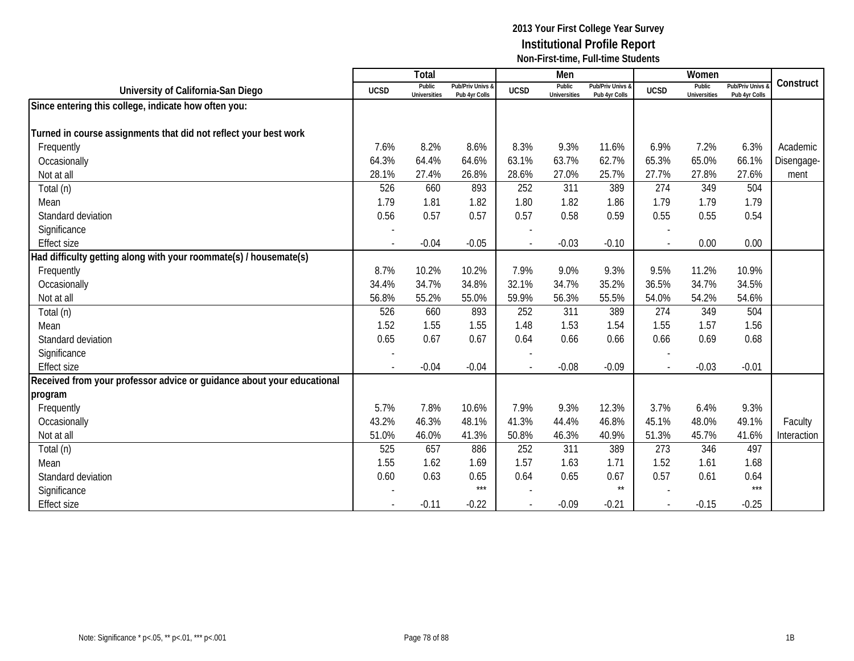|                                                                        |                          | Total                         |                                   |             | Men                           |                                   |                | Women                         |                                        |             |
|------------------------------------------------------------------------|--------------------------|-------------------------------|-----------------------------------|-------------|-------------------------------|-----------------------------------|----------------|-------------------------------|----------------------------------------|-------------|
| University of California-San Diego                                     | <b>UCSD</b>              | Public<br><b>Universities</b> | Pub/Priv Univs 8<br>Pub 4yr Colls | <b>UCSD</b> | Public<br><b>Universities</b> | Pub/Priv Univs &<br>Pub 4yr Colls | <b>UCSD</b>    | Public<br><b>Universities</b> | <b>Pub/Priv Univs</b><br>Pub 4yr Colls | Construct   |
| Since entering this college, indicate how often you:                   |                          |                               |                                   |             |                               |                                   |                |                               |                                        |             |
|                                                                        |                          |                               |                                   |             |                               |                                   |                |                               |                                        |             |
| Turned in course assignments that did not reflect your best work       |                          |                               |                                   |             |                               |                                   |                |                               |                                        |             |
| Frequently                                                             | 7.6%                     | 8.2%                          | 8.6%                              | 8.3%        | 9.3%                          | 11.6%                             | 6.9%           | 7.2%                          | 6.3%                                   | Academic    |
| Occasionally                                                           | 64.3%                    | 64.4%                         | 64.6%                             | 63.1%       | 63.7%                         | 62.7%                             | 65.3%          | 65.0%                         | 66.1%                                  | Disengage-  |
| Not at all                                                             | 28.1%                    | 27.4%                         | 26.8%                             | 28.6%       | 27.0%                         | 25.7%                             | 27.7%          | 27.8%                         | 27.6%                                  | ment        |
| Total (n)                                                              | 526                      | 660                           | 893                               | 252         | 311                           | 389                               | 274            | 349                           | 504                                    |             |
| Mean                                                                   | 1.79                     | 1.81                          | 1.82                              | 1.80        | 1.82                          | 1.86                              | 1.79           | 1.79                          | 1.79                                   |             |
| Standard deviation                                                     | 0.56                     | 0.57                          | 0.57                              | 0.57        | 0.58                          | 0.59                              | 0.55           | 0.55                          | 0.54                                   |             |
| Significance                                                           |                          |                               |                                   |             |                               |                                   |                |                               |                                        |             |
| <b>Effect size</b>                                                     |                          | $-0.04$                       | $-0.05$                           |             | $-0.03$                       | $-0.10$                           |                | 0.00                          | 0.00                                   |             |
| Had difficulty getting along with your roommate(s) / housemate(s)      |                          |                               |                                   |             |                               |                                   |                |                               |                                        |             |
| Frequently                                                             | 8.7%                     | 10.2%                         | 10.2%                             | 7.9%        | 9.0%                          | 9.3%                              | 9.5%           | 11.2%                         | 10.9%                                  |             |
| Occasionally                                                           | 34.4%                    | 34.7%                         | 34.8%                             | 32.1%       | 34.7%                         | 35.2%                             | 36.5%          | 34.7%                         | 34.5%                                  |             |
| Not at all                                                             | 56.8%                    | 55.2%                         | 55.0%                             | 59.9%       | 56.3%                         | 55.5%                             | 54.0%          | 54.2%                         | 54.6%                                  |             |
| Total (n)                                                              | 526                      | 660                           | 893                               | 252         | 311                           | 389                               | 274            | 349                           | 504                                    |             |
| Mean                                                                   | 1.52                     | 1.55                          | 1.55                              | 1.48        | 1.53                          | 1.54                              | 1.55           | 1.57                          | 1.56                                   |             |
| Standard deviation                                                     | 0.65                     | 0.67                          | 0.67                              | 0.64        | 0.66                          | 0.66                              | 0.66           | 0.69                          | 0.68                                   |             |
| Significance                                                           |                          |                               |                                   |             |                               |                                   |                |                               |                                        |             |
| <b>Effect size</b>                                                     | $\overline{\phantom{a}}$ | $-0.04$                       | $-0.04$                           |             | $-0.08$                       | $-0.09$                           | $\blacksquare$ | $-0.03$                       | $-0.01$                                |             |
| Received from your professor advice or guidance about your educational |                          |                               |                                   |             |                               |                                   |                |                               |                                        |             |
| program                                                                |                          |                               |                                   |             |                               |                                   |                |                               |                                        |             |
| Frequently                                                             | 5.7%                     | 7.8%                          | 10.6%                             | 7.9%        | 9.3%                          | 12.3%                             | 3.7%           | 6.4%                          | 9.3%                                   |             |
| Occasionally                                                           | 43.2%                    | 46.3%                         | 48.1%                             | 41.3%       | 44.4%                         | 46.8%                             | 45.1%          | 48.0%                         | 49.1%                                  | Faculty     |
| Not at all                                                             | 51.0%                    | 46.0%                         | 41.3%                             | 50.8%       | 46.3%                         | 40.9%                             | 51.3%          | 45.7%                         | 41.6%                                  | Interaction |
| Total (n)                                                              | 525                      | 657                           | 886                               | 252         | 311                           | 389                               | 273            | 346                           | 497                                    |             |
| Mean                                                                   | 1.55                     | 1.62                          | 1.69                              | 1.57        | 1.63                          | 1.71                              | 1.52           | 1.61                          | 1.68                                   |             |
| Standard deviation                                                     | 0.60                     | 0.63                          | 0.65                              | 0.64        | 0.65                          | 0.67                              | 0.57           | 0.61                          | 0.64                                   |             |
| Significance                                                           |                          |                               | $***$                             |             |                               | $\star\star$                      |                |                               | $***$                                  |             |
| <b>Effect size</b>                                                     |                          | $-0.11$                       | $-0.22$                           |             | $-0.09$                       | $-0.21$                           |                | $-0.15$                       | $-0.25$                                |             |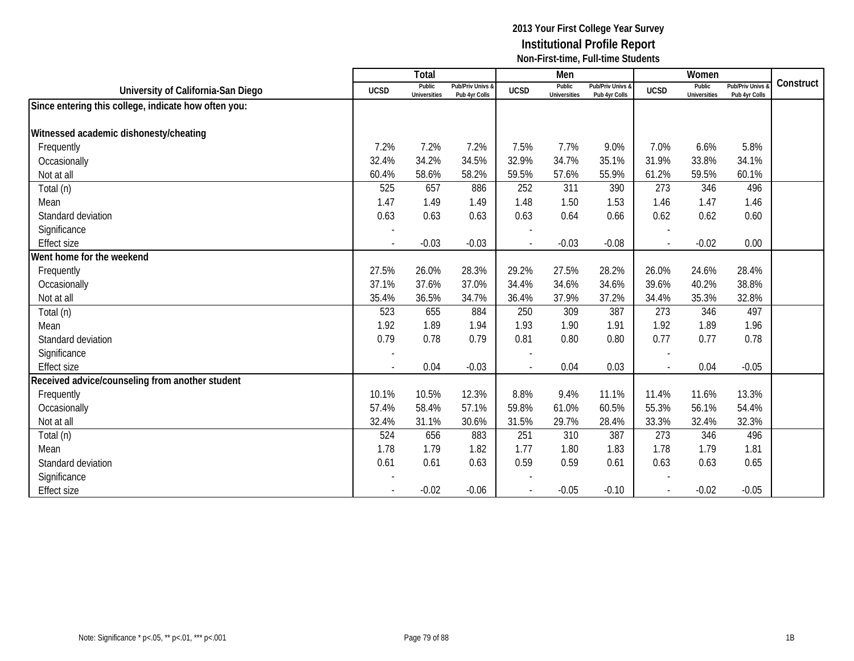|                                                      |                          | Total                         |                                   |                          | Men                           |                                   |              | Women                         |                                        |           |
|------------------------------------------------------|--------------------------|-------------------------------|-----------------------------------|--------------------------|-------------------------------|-----------------------------------|--------------|-------------------------------|----------------------------------------|-----------|
| University of California-San Diego                   | <b>UCSD</b>              | Public<br><b>Universities</b> | Pub/Priv Univs &<br>Pub 4yr Colls | <b>UCSD</b>              | Public<br><b>Universities</b> | Pub/Priv Univs &<br>Pub 4yr Colls | <b>UCSD</b>  | Public<br><b>Universities</b> | <b>Pub/Priv Univs</b><br>Pub 4yr Colls | Construct |
| Since entering this college, indicate how often you: |                          |                               |                                   |                          |                               |                                   |              |                               |                                        |           |
|                                                      |                          |                               |                                   |                          |                               |                                   |              |                               |                                        |           |
| Witnessed academic dishonesty/cheating               |                          |                               |                                   |                          |                               |                                   |              |                               |                                        |           |
| Frequently                                           | 7.2%                     | 7.2%                          | 7.2%                              | 7.5%                     | 7.7%                          | 9.0%                              | 7.0%         | 6.6%                          | 5.8%                                   |           |
| Occasionally                                         | 32.4%                    | 34.2%                         | 34.5%                             | 32.9%                    | 34.7%                         | 35.1%                             | 31.9%        | 33.8%                         | 34.1%                                  |           |
| Not at all                                           | 60.4%                    | 58.6%                         | 58.2%                             | 59.5%                    | 57.6%                         | 55.9%                             | 61.2%        | 59.5%                         | 60.1%                                  |           |
| Total (n)                                            | 525                      | 657                           | 886                               | 252                      | 311                           | 390                               | 273          | 346                           | 496                                    |           |
| Mean                                                 | 1.47                     | 1.49                          | 1.49                              | 1.48                     | 1.50                          | 1.53                              | 1.46         | 1.47                          | 1.46                                   |           |
| Standard deviation                                   | 0.63                     | 0.63                          | 0.63                              | 0.63                     | 0.64                          | 0.66                              | 0.62         | 0.62                          | 0.60                                   |           |
| Significance                                         |                          |                               |                                   |                          |                               |                                   |              |                               |                                        |           |
| <b>Effect size</b>                                   | $\overline{\phantom{a}}$ | $-0.03$                       | $-0.03$                           | $\sim$                   | $-0.03$                       | $-0.08$                           | $\sim$       | $-0.02$                       | 0.00                                   |           |
| Went home for the weekend                            |                          |                               |                                   |                          |                               |                                   |              |                               |                                        |           |
| Frequently                                           | 27.5%                    | 26.0%                         | 28.3%                             | 29.2%                    | 27.5%                         | 28.2%                             | 26.0%        | 24.6%                         | 28.4%                                  |           |
| Occasionally                                         | 37.1%                    | 37.6%                         | 37.0%                             | 34.4%                    | 34.6%                         | 34.6%                             | 39.6%        | 40.2%                         | 38.8%                                  |           |
| Not at all                                           | 35.4%                    | 36.5%                         | 34.7%                             | 36.4%                    | 37.9%                         | 37.2%                             | 34.4%        | 35.3%                         | 32.8%                                  |           |
| Total (n)                                            | 523                      | 655                           | 884                               | 250                      | 309                           | 387                               | 273          | 346                           | 497                                    |           |
| Mean                                                 | 1.92                     | 1.89                          | 1.94                              | 1.93                     | 1.90                          | 1.91                              | 1.92         | 1.89                          | 1.96                                   |           |
| Standard deviation                                   | 0.79                     | 0.78                          | 0.79                              | 0.81                     | 0.80                          | 0.80                              | 0.77         | 0.77                          | 0.78                                   |           |
| Significance                                         |                          |                               |                                   |                          |                               |                                   |              |                               |                                        |           |
| <b>Effect size</b>                                   | $\blacksquare$           | 0.04                          | $-0.03$                           | $\overline{\phantom{a}}$ | 0.04                          | 0.03                              | $\mathbb{L}$ | 0.04                          | $-0.05$                                |           |
| Received advice/counseling from another student      |                          |                               |                                   |                          |                               |                                   |              |                               |                                        |           |
| Frequently                                           | 10.1%                    | 10.5%                         | 12.3%                             | 8.8%                     | 9.4%                          | 11.1%                             | 11.4%        | 11.6%                         | 13.3%                                  |           |
| Occasionally                                         | 57.4%                    | 58.4%                         | 57.1%                             | 59.8%                    | 61.0%                         | 60.5%                             | 55.3%        | 56.1%                         | 54.4%                                  |           |
| Not at all                                           | 32.4%                    | 31.1%                         | 30.6%                             | 31.5%                    | 29.7%                         | 28.4%                             | 33.3%        | 32.4%                         | 32.3%                                  |           |
| Total (n)                                            | 524                      | 656                           | 883                               | 251                      | 310                           | 387                               | 273          | 346                           | 496                                    |           |
| Mean                                                 | 1.78                     | 1.79                          | 1.82                              | 1.77                     | 1.80                          | 1.83                              | 1.78         | 1.79                          | 1.81                                   |           |
| Standard deviation                                   | 0.61                     | 0.61                          | 0.63                              | 0.59                     | 0.59                          | 0.61                              | 0.63         | 0.63                          | 0.65                                   |           |
| Significance                                         |                          |                               |                                   |                          |                               |                                   |              |                               |                                        |           |
| <b>Effect size</b>                                   |                          | $-0.02$                       | $-0.06$                           |                          | $-0.05$                       | $-0.10$                           |              | $-0.02$                       | $-0.05$                                |           |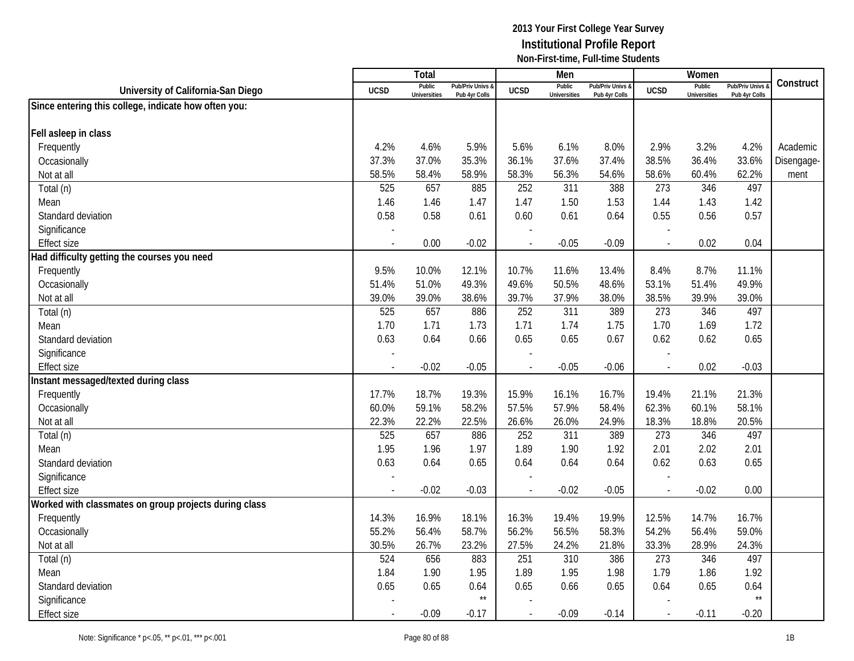|                                                       |                          | Total                         |                                              |                          | Men                           |                                   |             | Women                         |                                        |            |
|-------------------------------------------------------|--------------------------|-------------------------------|----------------------------------------------|--------------------------|-------------------------------|-----------------------------------|-------------|-------------------------------|----------------------------------------|------------|
| University of California-San Diego                    | <b>UCSD</b>              | Public<br><b>Universities</b> | <b>Pub/Priv Univs &amp;</b><br>Pub 4yr Colls | <b>UCSD</b>              | Public<br><b>Universities</b> | Pub/Priv Univs &<br>Pub 4yr Colls | <b>UCSD</b> | Public<br><b>Universities</b> | <b>Pub/Priv Univs</b><br>Pub 4yr Colls | Construct  |
| Since entering this college, indicate how often you:  |                          |                               |                                              |                          |                               |                                   |             |                               |                                        |            |
|                                                       |                          |                               |                                              |                          |                               |                                   |             |                               |                                        |            |
| Fell asleep in class                                  |                          |                               |                                              |                          |                               |                                   |             |                               |                                        |            |
| Frequently                                            | 4.2%                     | 4.6%                          | 5.9%                                         | 5.6%                     | 6.1%                          | 8.0%                              | 2.9%        | 3.2%                          | 4.2%                                   | Academic   |
| Occasionally                                          | 37.3%                    | 37.0%                         | 35.3%                                        | 36.1%                    | 37.6%                         | 37.4%                             | 38.5%       | 36.4%                         | 33.6%                                  | Disengage- |
| Not at all                                            | 58.5%                    | 58.4%                         | 58.9%                                        | 58.3%                    | 56.3%                         | 54.6%                             | 58.6%       | 60.4%                         | 62.2%                                  | ment       |
| Total (n)                                             | 525                      | 657                           | 885                                          | 252                      | 311                           | 388                               | 273         | 346                           | 497                                    |            |
| Mean                                                  | 1.46                     | 1.46                          | 1.47                                         | 1.47                     | 1.50                          | 1.53                              | 1.44        | 1.43                          | 1.42                                   |            |
| Standard deviation                                    | 0.58                     | 0.58                          | 0.61                                         | 0.60                     | 0.61                          | 0.64                              | 0.55        | 0.56                          | 0.57                                   |            |
| Significance                                          |                          |                               |                                              |                          |                               |                                   |             |                               |                                        |            |
| <b>Effect size</b>                                    |                          | 0.00                          | $-0.02$                                      |                          | $-0.05$                       | $-0.09$                           |             | 0.02                          | 0.04                                   |            |
| Had difficulty getting the courses you need           |                          |                               |                                              |                          |                               |                                   |             |                               |                                        |            |
| Frequently                                            | 9.5%                     | 10.0%                         | 12.1%                                        | 10.7%                    | 11.6%                         | 13.4%                             | 8.4%        | 8.7%                          | 11.1%                                  |            |
| Occasionally                                          | 51.4%                    | 51.0%                         | 49.3%                                        | 49.6%                    | 50.5%                         | 48.6%                             | 53.1%       | 51.4%                         | 49.9%                                  |            |
| Not at all                                            | 39.0%                    | 39.0%                         | 38.6%                                        | 39.7%                    | 37.9%                         | 38.0%                             | 38.5%       | 39.9%                         | 39.0%                                  |            |
| Total (n)                                             | 525                      | 657                           | 886                                          | 252                      | 311                           | 389                               | 273         | 346                           | 497                                    |            |
| Mean                                                  | 1.70                     | 1.71                          | 1.73                                         | 1.71                     | 1.74                          | 1.75                              | 1.70        | 1.69                          | 1.72                                   |            |
| Standard deviation                                    | 0.63                     | 0.64                          | 0.66                                         | 0.65                     | 0.65                          | 0.67                              | 0.62        | 0.62                          | 0.65                                   |            |
| Significance                                          |                          |                               |                                              |                          |                               |                                   |             |                               |                                        |            |
| <b>Effect size</b>                                    | $\overline{\phantom{a}}$ | $-0.02$                       | $-0.05$                                      | $\overline{\phantom{a}}$ | $-0.05$                       | $-0.06$                           |             | 0.02                          | $-0.03$                                |            |
| Instant messaged/texted during class                  |                          |                               |                                              |                          |                               |                                   |             |                               |                                        |            |
| Frequently                                            | 17.7%                    | 18.7%                         | 19.3%                                        | 15.9%                    | 16.1%                         | 16.7%                             | 19.4%       | 21.1%                         | 21.3%                                  |            |
| Occasionally                                          | 60.0%                    | 59.1%                         | 58.2%                                        | 57.5%                    | 57.9%                         | 58.4%                             | 62.3%       | 60.1%                         | 58.1%                                  |            |
| Not at all                                            | 22.3%                    | 22.2%                         | 22.5%                                        | 26.6%                    | 26.0%                         | 24.9%                             | 18.3%       | 18.8%                         | 20.5%                                  |            |
| Total (n)                                             | 525                      | 657                           | 886                                          | 252                      | 311                           | 389                               | 273         | 346                           | 497                                    |            |
| Mean                                                  | 1.95                     | 1.96                          | 1.97                                         | 1.89                     | 1.90                          | 1.92                              | 2.01        | 2.02                          | 2.01                                   |            |
| Standard deviation                                    | 0.63                     | 0.64                          | 0.65                                         | 0.64                     | 0.64                          | 0.64                              | 0.62        | 0.63                          | 0.65                                   |            |
| Significance                                          |                          |                               |                                              |                          |                               |                                   |             |                               |                                        |            |
| <b>Effect size</b>                                    |                          | $-0.02$                       | $-0.03$                                      | $\overline{a}$           | $-0.02$                       | $-0.05$                           |             | $-0.02$                       | 0.00                                   |            |
| Worked with classmates on group projects during class |                          |                               |                                              |                          |                               |                                   |             |                               |                                        |            |
| Frequently                                            | 14.3%                    | 16.9%                         | 18.1%                                        | 16.3%                    | 19.4%                         | 19.9%                             | 12.5%       | 14.7%                         | 16.7%                                  |            |
| Occasionally                                          | 55.2%                    | 56.4%                         | 58.7%                                        | 56.2%                    | 56.5%                         | 58.3%                             | 54.2%       | 56.4%                         | 59.0%                                  |            |
| Not at all                                            | 30.5%                    | 26.7%                         | 23.2%                                        | 27.5%                    | 24.2%                         | 21.8%                             | 33.3%       | 28.9%                         | 24.3%                                  |            |
| Total (n)                                             | $\overline{524}$         | 656                           | 883                                          | 251                      | 310                           | 386                               | 273         | 346                           | 497                                    |            |
| Mean                                                  | 1.84                     | 1.90                          | 1.95                                         | 1.89                     | 1.95                          | 1.98                              | 1.79        | 1.86                          | 1.92                                   |            |
| Standard deviation                                    | 0.65                     | 0.65                          | 0.64                                         | 0.65                     | 0.66                          | 0.65                              | 0.64        | 0.65                          | 0.64                                   |            |
| Significance                                          |                          |                               | $^{\star\star}$                              |                          |                               |                                   |             |                               | $\star\star$                           |            |
| <b>Effect size</b>                                    |                          | $-0.09$                       | $-0.17$                                      |                          | $-0.09$                       | $-0.14$                           |             | $-0.11$                       | $-0.20$                                |            |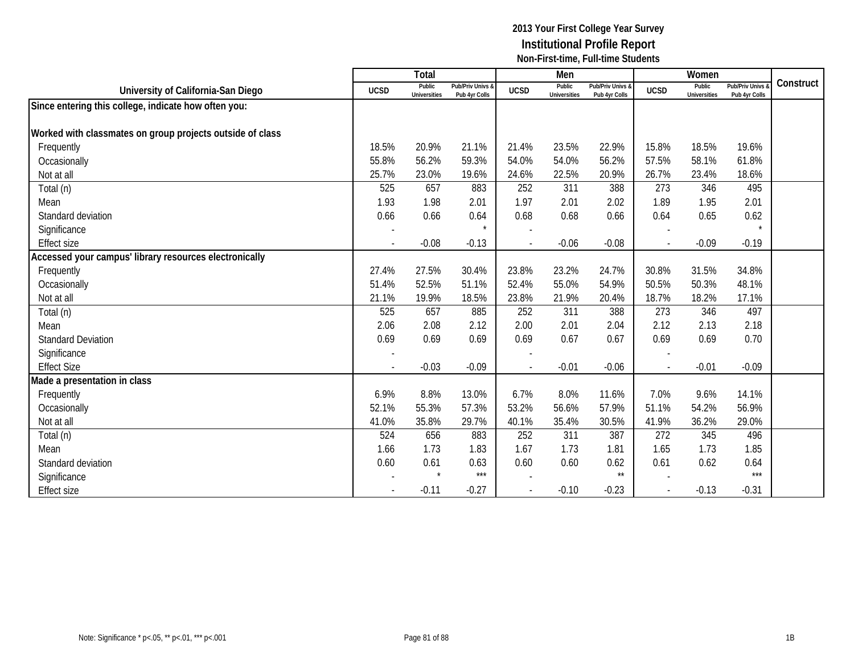|                                                           |                          | Total                         |                                   |                          | Men                           |                                   |             | Women                         |                                        |           |
|-----------------------------------------------------------|--------------------------|-------------------------------|-----------------------------------|--------------------------|-------------------------------|-----------------------------------|-------------|-------------------------------|----------------------------------------|-----------|
| University of California-San Diego                        | <b>UCSD</b>              | Public<br><b>Universities</b> | Pub/Priv Univs &<br>Pub 4yr Colls | <b>UCSD</b>              | Public<br><b>Universities</b> | Pub/Priv Univs &<br>Pub 4yr Colls | <b>UCSD</b> | Public<br><b>Universities</b> | <b>Pub/Priv Univs</b><br>Pub 4yr Colls | Construct |
| Since entering this college, indicate how often you:      |                          |                               |                                   |                          |                               |                                   |             |                               |                                        |           |
|                                                           |                          |                               |                                   |                          |                               |                                   |             |                               |                                        |           |
| Worked with classmates on group projects outside of class |                          |                               |                                   |                          |                               |                                   |             |                               |                                        |           |
| Frequently                                                | 18.5%                    | 20.9%                         | 21.1%                             | 21.4%                    | 23.5%                         | 22.9%                             | 15.8%       | 18.5%                         | 19.6%                                  |           |
| Occasionally                                              | 55.8%                    | 56.2%                         | 59.3%                             | 54.0%                    | 54.0%                         | 56.2%                             | 57.5%       | 58.1%                         | 61.8%                                  |           |
| Not at all                                                | 25.7%                    | 23.0%                         | 19.6%                             | 24.6%                    | 22.5%                         | 20.9%                             | 26.7%       | 23.4%                         | 18.6%                                  |           |
| Total (n)                                                 | 525                      | 657                           | 883                               | 252                      | 311                           | 388                               | 273         | 346                           | 495                                    |           |
| Mean                                                      | 1.93                     | 1.98                          | 2.01                              | 1.97                     | 2.01                          | 2.02                              | 1.89        | 1.95                          | 2.01                                   |           |
| Standard deviation                                        | 0.66                     | 0.66                          | 0.64                              | 0.68                     | 0.68                          | 0.66                              | 0.64        | 0.65                          | 0.62                                   |           |
| Significance                                              |                          |                               |                                   |                          |                               |                                   |             |                               |                                        |           |
| <b>Effect size</b>                                        | $\overline{a}$           | $-0.08$                       | $-0.13$                           | $\overline{a}$           | $-0.06$                       | $-0.08$                           |             | $-0.09$                       | $-0.19$                                |           |
| Accessed your campus' library resources electronically    |                          |                               |                                   |                          |                               |                                   |             |                               |                                        |           |
| Frequently                                                | 27.4%                    | 27.5%                         | 30.4%                             | 23.8%                    | 23.2%                         | 24.7%                             | 30.8%       | 31.5%                         | 34.8%                                  |           |
| Occasionally                                              | 51.4%                    | 52.5%                         | 51.1%                             | 52.4%                    | 55.0%                         | 54.9%                             | 50.5%       | 50.3%                         | 48.1%                                  |           |
| Not at all                                                | 21.1%                    | 19.9%                         | 18.5%                             | 23.8%                    | 21.9%                         | 20.4%                             | 18.7%       | 18.2%                         | 17.1%                                  |           |
| Total (n)                                                 | 525                      | 657                           | 885                               | 252                      | 311                           | 388                               | 273         | 346                           | 497                                    |           |
| Mean                                                      | 2.06                     | 2.08                          | 2.12                              | 2.00                     | 2.01                          | 2.04                              | 2.12        | 2.13                          | 2.18                                   |           |
| <b>Standard Deviation</b>                                 | 0.69                     | 0.69                          | 0.69                              | 0.69                     | 0.67                          | 0.67                              | 0.69        | 0.69                          | 0.70                                   |           |
| Significance                                              | $\overline{\phantom{a}}$ |                               |                                   |                          |                               |                                   |             |                               |                                        |           |
| <b>Effect Size</b>                                        | $\overline{\phantom{a}}$ | $-0.03$                       | $-0.09$                           | $\overline{\phantom{a}}$ | $-0.01$                       | $-0.06$                           | $\sim$      | $-0.01$                       | $-0.09$                                |           |
| Made a presentation in class                              |                          |                               |                                   |                          |                               |                                   |             |                               |                                        |           |
| Frequently                                                | 6.9%                     | 8.8%                          | 13.0%                             | 6.7%                     | 8.0%                          | 11.6%                             | 7.0%        | 9.6%                          | 14.1%                                  |           |
| Occasionally                                              | 52.1%                    | 55.3%                         | 57.3%                             | 53.2%                    | 56.6%                         | 57.9%                             | 51.1%       | 54.2%                         | 56.9%                                  |           |
| Not at all                                                | 41.0%                    | 35.8%                         | 29.7%                             | 40.1%                    | 35.4%                         | 30.5%                             | 41.9%       | 36.2%                         | 29.0%                                  |           |
| Total (n)                                                 | 524                      | 656                           | 883                               | 252                      | 311                           | 387                               | 272         | 345                           | 496                                    |           |
| Mean                                                      | 1.66                     | 1.73                          | 1.83                              | 1.67                     | 1.73                          | 1.81                              | 1.65        | 1.73                          | 1.85                                   |           |
| Standard deviation                                        | 0.60                     | 0.61                          | 0.63                              | 0.60                     | 0.60                          | 0.62                              | 0.61        | 0.62                          | 0.64                                   |           |
| Significance                                              |                          | $\star$                       | $***$                             |                          |                               | $\star\star$                      |             |                               | $***$                                  |           |
| <b>Effect size</b>                                        |                          | $-0.11$                       | $-0.27$                           |                          | $-0.10$                       | $-0.23$                           |             | $-0.13$                       | $-0.31$                                |           |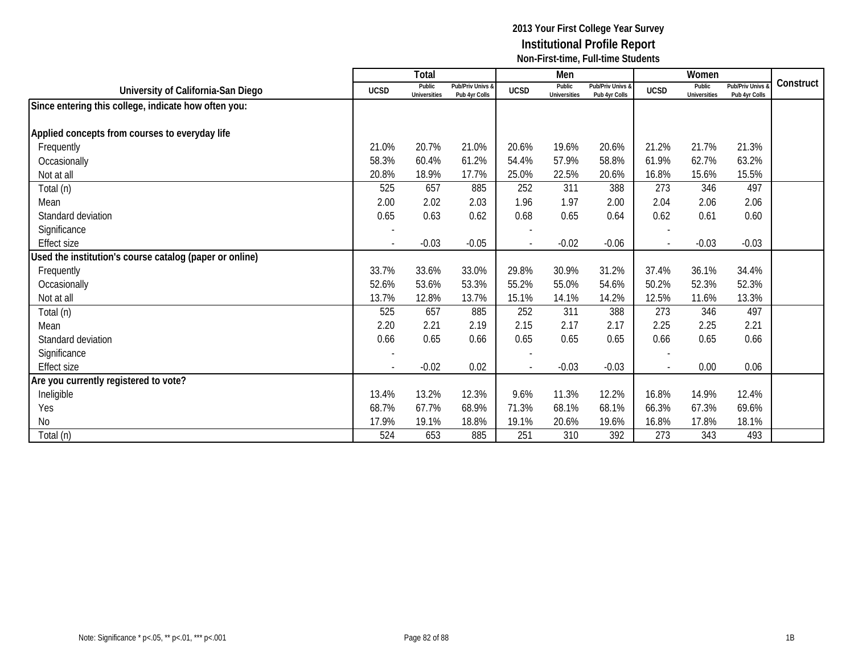|                                                         |                          | <b>Total</b>                  |                                   |                          | Men                           |                                   |             | Women                         |                                        |           |
|---------------------------------------------------------|--------------------------|-------------------------------|-----------------------------------|--------------------------|-------------------------------|-----------------------------------|-------------|-------------------------------|----------------------------------------|-----------|
| University of California-San Diego                      | <b>UCSD</b>              | Public<br><b>Universities</b> | Pub/Priv Univs &<br>Pub 4yr Colls | <b>UCSD</b>              | Public<br><b>Universities</b> | Pub/Priv Univs &<br>Pub 4yr Colls | <b>UCSD</b> | Public<br><b>Universities</b> | <b>Pub/Priv Univs</b><br>Pub 4yr Colls | Construct |
| Since entering this college, indicate how often you:    |                          |                               |                                   |                          |                               |                                   |             |                               |                                        |           |
|                                                         |                          |                               |                                   |                          |                               |                                   |             |                               |                                        |           |
| Applied concepts from courses to everyday life          |                          |                               |                                   |                          |                               |                                   |             |                               |                                        |           |
| Frequently                                              | 21.0%                    | 20.7%                         | 21.0%                             | 20.6%                    | 19.6%                         | 20.6%                             | 21.2%       | 21.7%                         | 21.3%                                  |           |
| Occasionally                                            | 58.3%                    | 60.4%                         | 61.2%                             | 54.4%                    | 57.9%                         | 58.8%                             | 61.9%       | 62.7%                         | 63.2%                                  |           |
| Not at all                                              | 20.8%                    | 18.9%                         | 17.7%                             | 25.0%                    | 22.5%                         | 20.6%                             | 16.8%       | 15.6%                         | 15.5%                                  |           |
| Total (n)                                               | 525                      | 657                           | 885                               | 252                      | 311                           | 388                               | 273         | 346                           | 497                                    |           |
| Mean                                                    | 2.00                     | 2.02                          | 2.03                              | 1.96                     | 1.97                          | 2.00                              | 2.04        | 2.06                          | 2.06                                   |           |
| Standard deviation                                      | 0.65                     | 0.63                          | 0.62                              | 0.68                     | 0.65                          | 0.64                              | 0.62        | 0.61                          | 0.60                                   |           |
| Significance                                            | $\overline{\phantom{a}}$ |                               |                                   | $\overline{\phantom{a}}$ |                               |                                   |             |                               |                                        |           |
| <b>Effect size</b>                                      |                          | $-0.03$                       | $-0.05$                           |                          | $-0.02$                       | $-0.06$                           |             | $-0.03$                       | $-0.03$                                |           |
| Used the institution's course catalog (paper or online) |                          |                               |                                   |                          |                               |                                   |             |                               |                                        |           |
| Frequently                                              | 33.7%                    | 33.6%                         | 33.0%                             | 29.8%                    | 30.9%                         | 31.2%                             | 37.4%       | 36.1%                         | 34.4%                                  |           |
| Occasionally                                            | 52.6%                    | 53.6%                         | 53.3%                             | 55.2%                    | 55.0%                         | 54.6%                             | 50.2%       | 52.3%                         | 52.3%                                  |           |
| Not at all                                              | 13.7%                    | 12.8%                         | 13.7%                             | 15.1%                    | 14.1%                         | 14.2%                             | 12.5%       | 11.6%                         | 13.3%                                  |           |
| Total (n)                                               | 525                      | 657                           | 885                               | 252                      | 311                           | 388                               | 273         | 346                           | 497                                    |           |
| Mean                                                    | 2.20                     | 2.21                          | 2.19                              | 2.15                     | 2.17                          | 2.17                              | 2.25        | 2.25                          | 2.21                                   |           |
| Standard deviation                                      | 0.66                     | 0.65                          | 0.66                              | 0.65                     | 0.65                          | 0.65                              | 0.66        | 0.65                          | 0.66                                   |           |
| Significance                                            |                          |                               |                                   |                          |                               |                                   |             |                               |                                        |           |
| <b>Effect size</b>                                      | $\overline{\phantom{a}}$ | $-0.02$                       | 0.02                              |                          | $-0.03$                       | $-0.03$                           |             | 0.00                          | 0.06                                   |           |
| Are you currently registered to vote?                   |                          |                               |                                   |                          |                               |                                   |             |                               |                                        |           |
| Ineligible                                              | 13.4%                    | 13.2%                         | 12.3%                             | 9.6%                     | 11.3%                         | 12.2%                             | 16.8%       | 14.9%                         | 12.4%                                  |           |
| Yes                                                     | 68.7%                    | 67.7%                         | 68.9%                             | 71.3%                    | 68.1%                         | 68.1%                             | 66.3%       | 67.3%                         | 69.6%                                  |           |
| No                                                      | 17.9%                    | 19.1%                         | 18.8%                             | 19.1%                    | 20.6%                         | 19.6%                             | 16.8%       | 17.8%                         | 18.1%                                  |           |
| Total (n)                                               | 524                      | 653                           | 885                               | 251                      | 310                           | 392                               | 273         | 343                           | 493                                    |           |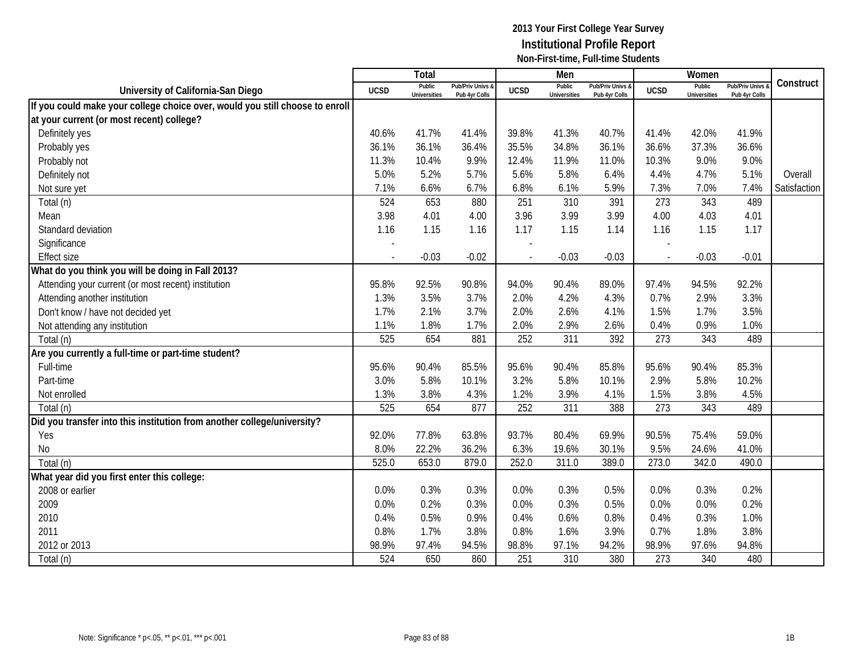|                                                                              |                | Total                         |                                   |             | Men                           |                                   |                          | Women                         |                                        |              |
|------------------------------------------------------------------------------|----------------|-------------------------------|-----------------------------------|-------------|-------------------------------|-----------------------------------|--------------------------|-------------------------------|----------------------------------------|--------------|
| University of California-San Diego                                           | <b>UCSD</b>    | Public<br><b>Universities</b> | Pub/Priv Univs &<br>Pub 4yr Colls | <b>UCSD</b> | Public<br><b>Universities</b> | Pub/Priv Univs &<br>Pub 4yr Colls | <b>UCSD</b>              | Public<br><b>Universities</b> | <b>Pub/Priv Univs</b><br>Pub 4yr Colls | Construct    |
| If you could make your college choice over, would you still choose to enroll |                |                               |                                   |             |                               |                                   |                          |                               |                                        |              |
| at your current (or most recent) college?                                    |                |                               |                                   |             |                               |                                   |                          |                               |                                        |              |
| Definitely yes                                                               | 40.6%          | 41.7%                         | 41.4%                             | 39.8%       | 41.3%                         | 40.7%                             | 41.4%                    | 42.0%                         | 41.9%                                  |              |
| Probably yes                                                                 | 36.1%          | 36.1%                         | 36.4%                             | 35.5%       | 34.8%                         | 36.1%                             | 36.6%                    | 37.3%                         | 36.6%                                  |              |
| Probably not                                                                 | 11.3%          | 10.4%                         | 9.9%                              | 12.4%       | 11.9%                         | 11.0%                             | 10.3%                    | 9.0%                          | 9.0%                                   |              |
| Definitely not                                                               | 5.0%           | 5.2%                          | 5.7%                              | 5.6%        | 5.8%                          | 6.4%                              | 4.4%                     | 4.7%                          | 5.1%                                   | Overall      |
| Not sure yet                                                                 | 7.1%           | 6.6%                          | 6.7%                              | 6.8%        | 6.1%                          | 5.9%                              | 7.3%                     | 7.0%                          | 7.4%                                   | Satisfaction |
| Total (n)                                                                    | 524            | 653                           | 880                               | 251         | 310                           | 391                               | 273                      | 343                           | 489                                    |              |
| Mean                                                                         | 3.98           | 4.01                          | 4.00                              | 3.96        | 3.99                          | 3.99                              | 4.00                     | 4.03                          | 4.01                                   |              |
| Standard deviation                                                           | 1.16           | 1.15                          | 1.16                              | 1.17        | 1.15                          | 1.14                              | 1.16                     | 1.15                          | 1.17                                   |              |
| Significance                                                                 |                |                               |                                   |             |                               |                                   |                          |                               |                                        |              |
| <b>Effect size</b>                                                           | $\blacksquare$ | $-0.03$                       | $-0.02$                           |             | $-0.03$                       | $-0.03$                           | $\overline{\phantom{a}}$ | $-0.03$                       | $-0.01$                                |              |
| What do you think you will be doing in Fall 2013?                            |                |                               |                                   |             |                               |                                   |                          |                               |                                        |              |
| Attending your current (or most recent) institution                          | 95.8%          | 92.5%                         | 90.8%                             | 94.0%       | 90.4%                         | 89.0%                             | 97.4%                    | 94.5%                         | 92.2%                                  |              |
| Attending another institution                                                | 1.3%           | 3.5%                          | 3.7%                              | 2.0%        | 4.2%                          | 4.3%                              | 0.7%                     | 2.9%                          | 3.3%                                   |              |
| Don't know / have not decided yet                                            | 1.7%           | 2.1%                          | 3.7%                              | 2.0%        | 2.6%                          | 4.1%                              | 1.5%                     | 1.7%                          | 3.5%                                   |              |
| Not attending any institution                                                | 1.1%           | 1.8%                          | 1.7%                              | 2.0%        | 2.9%                          | 2.6%                              | 0.4%                     | 0.9%                          | 1.0%                                   |              |
| Total (n)                                                                    | 525            | 654                           | 881                               | 252         | 311                           | 392                               | 273                      | 343                           | 489                                    |              |
| Are you currently a full-time or part-time student?                          |                |                               |                                   |             |                               |                                   |                          |                               |                                        |              |
| Full-time                                                                    | 95.6%          | 90.4%                         | 85.5%                             | 95.6%       | 90.4%                         | 85.8%                             | 95.6%                    | 90.4%                         | 85.3%                                  |              |
| Part-time                                                                    | 3.0%           | 5.8%                          | 10.1%                             | 3.2%        | 5.8%                          | 10.1%                             | 2.9%                     | 5.8%                          | 10.2%                                  |              |
| Not enrolled                                                                 | 1.3%           | 3.8%                          | 4.3%                              | 1.2%        | 3.9%                          | 4.1%                              | 1.5%                     | 3.8%                          | 4.5%                                   |              |
| Total (n)                                                                    | 525            | 654                           | 877                               | 252         | 311                           | 388                               | 273                      | 343                           | 489                                    |              |
| Did you transfer into this institution from another college/university?      |                |                               |                                   |             |                               |                                   |                          |                               |                                        |              |
| Yes                                                                          | 92.0%          | 77.8%                         | 63.8%                             | 93.7%       | 80.4%                         | 69.9%                             | 90.5%                    | 75.4%                         | 59.0%                                  |              |
| No                                                                           | 8.0%           | 22.2%                         | 36.2%                             | 6.3%        | 19.6%                         | 30.1%                             | 9.5%                     | 24.6%                         | 41.0%                                  |              |
| Total (n)                                                                    | 525.0          | 653.0                         | 879.0                             | 252.0       | 311.0                         | 389.0                             | 273.0                    | 342.0                         | 490.0                                  |              |
| What year did you first enter this college:                                  |                |                               |                                   |             |                               |                                   |                          |                               |                                        |              |
| 2008 or earlier                                                              | 0.0%           | 0.3%                          | 0.3%                              | 0.0%        | 0.3%                          | 0.5%                              | 0.0%                     | 0.3%                          | 0.2%                                   |              |
| 2009                                                                         | 0.0%           | 0.2%                          | 0.3%                              | 0.0%        | 0.3%                          | 0.5%                              | 0.0%                     | 0.0%                          | 0.2%                                   |              |
| 2010                                                                         | 0.4%           | 0.5%                          | 0.9%                              | 0.4%        | 0.6%                          | 0.8%                              | 0.4%                     | 0.3%                          | 1.0%                                   |              |
| 2011                                                                         | 0.8%           | 1.7%                          | 3.8%                              | 0.8%        | 1.6%                          | 3.9%                              | 0.7%                     | 1.8%                          | 3.8%                                   |              |
| 2012 or 2013                                                                 | 98.9%          | 97.4%                         | 94.5%                             | 98.8%       | 97.1%                         | 94.2%                             | 98.9%                    | 97.6%                         | 94.8%                                  |              |
| Total (n)                                                                    | 524            | 650                           | 860                               | 251         | 310                           | 380                               | 273                      | 340                           | 480                                    |              |